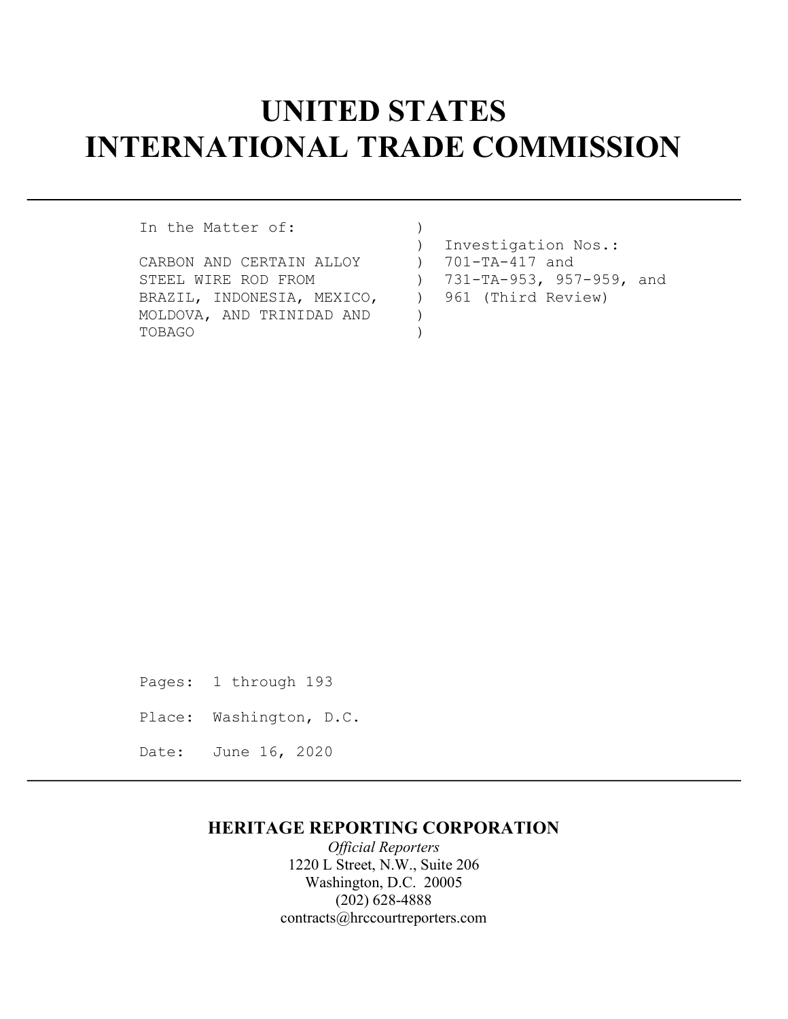# UNITED STATES INTERNATIONAL TRADE COMMISSION

In the Matter of: (1)

- CARBON AND CERTAIN ALLOY ) 701-TA-417 and STEEL WIRE ROD FROM (2001) 731-TA-953, 957-959, and BRAZIL, INDONESIA, MEXICO,  $\qquad$  ) 961 (Third Review) MOLDOVA, AND TRINIDAD AND ) TOBAGO )
- ) Investigation Nos.:

Pages: 1 through 193 Place: Washington, D.C. Date: June 16, 2020

# HERITAGE REPORTING CORPORATION

Official Reporters 1220 L Street, N.W., Suite 206 Washington, D.C. 20005 (202) 628-4888 contracts@hrccourtreporters.com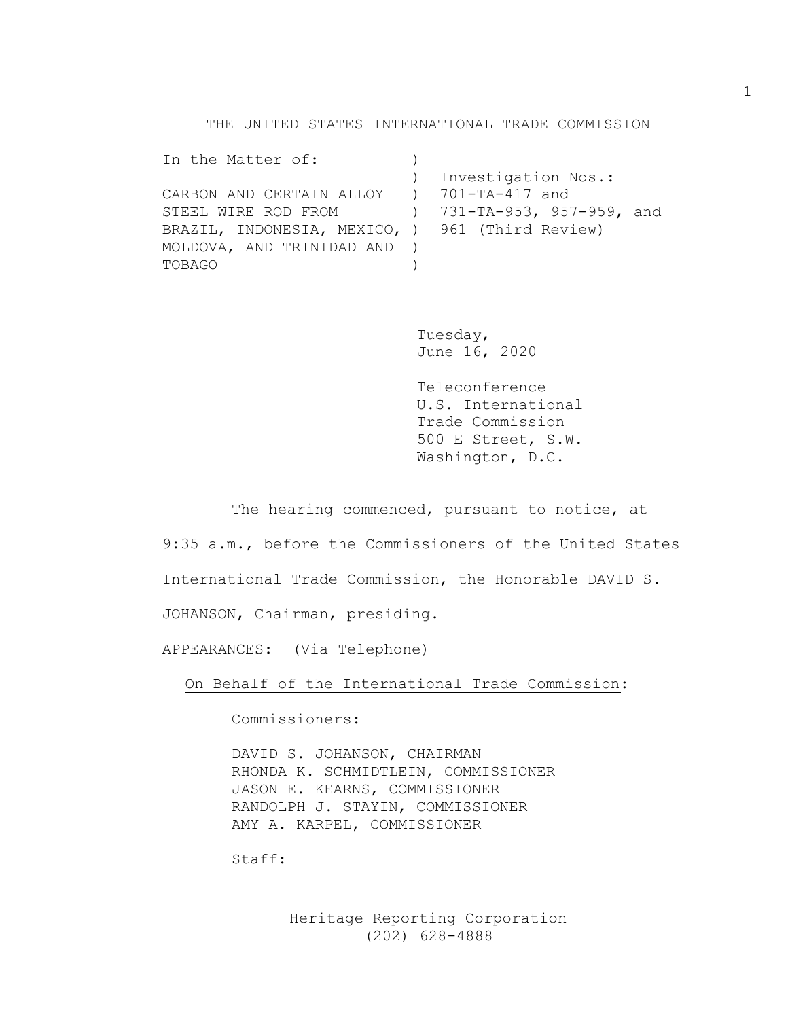THE UNITED STATES INTERNATIONAL TRADE COMMISSION

```
In the Matter of: \qquad) ) Investigation Nos.: 
CARBON AND CERTAIN ALLOY ) 701-TA-417 and 
STEEL WIRE ROD FROM ) 731-TA-953, 957-959, and 
BRAZIL, INDONESIA, MEXICO, ) 961 (Third Review) 
MOLDOVA, AND TRINIDAD AND ) 
TOBAGO )
```
Tuesday, June 16, 2020

Teleconference U.S. International Trade Commission 500 E Street, S.W. Washington, D.C.

The hearing commenced, pursuant to notice, at

9:35 a.m., before the Commissioners of the United States

International Trade Commission, the Honorable DAVID S.

JOHANSON, Chairman, presiding.

APPEARANCES: (Via Telephone)

On Behalf of the International Trade Commission:

Commissioners:

DAVID S. JOHANSON, CHAIRMAN RHONDA K. SCHMIDTLEIN, COMMISSIONER JASON E. KEARNS, COMMISSIONER RANDOLPH J. STAYIN, COMMISSIONER AMY A. KARPEL, COMMISSIONER

Staff: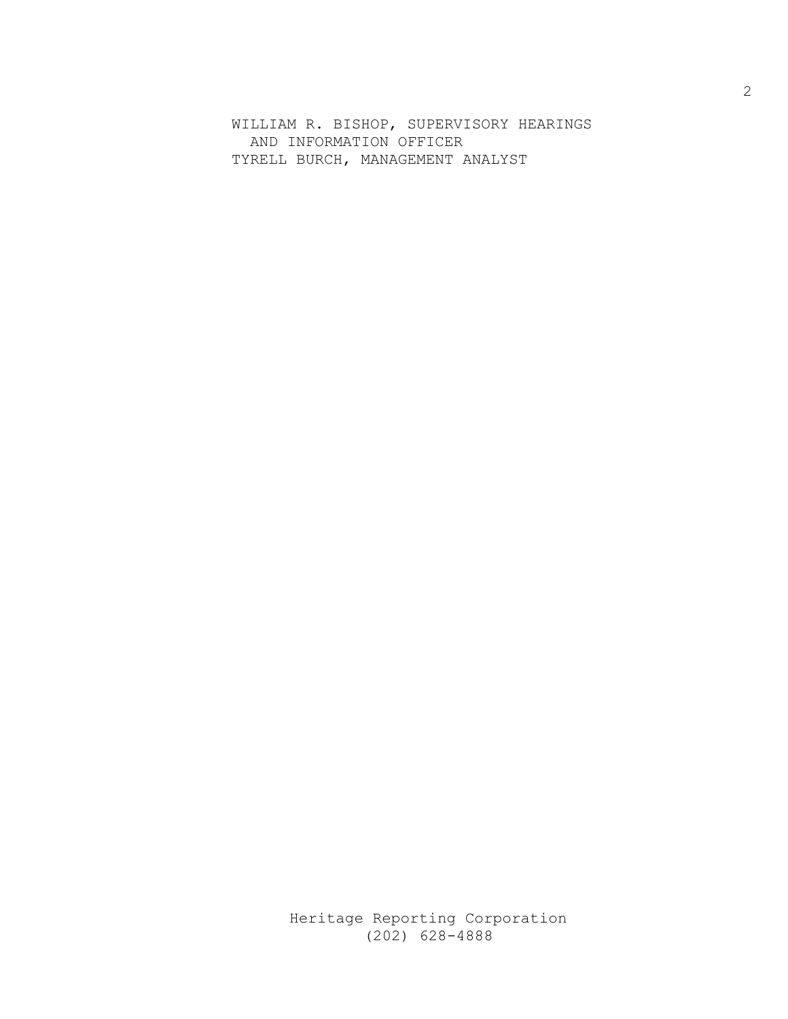WILLIAM R. BISHOP, SUPERVISORY HEARINGS AND INFORMATION OFFICER TYRELL BURCH, MANAGEMENT ANALYST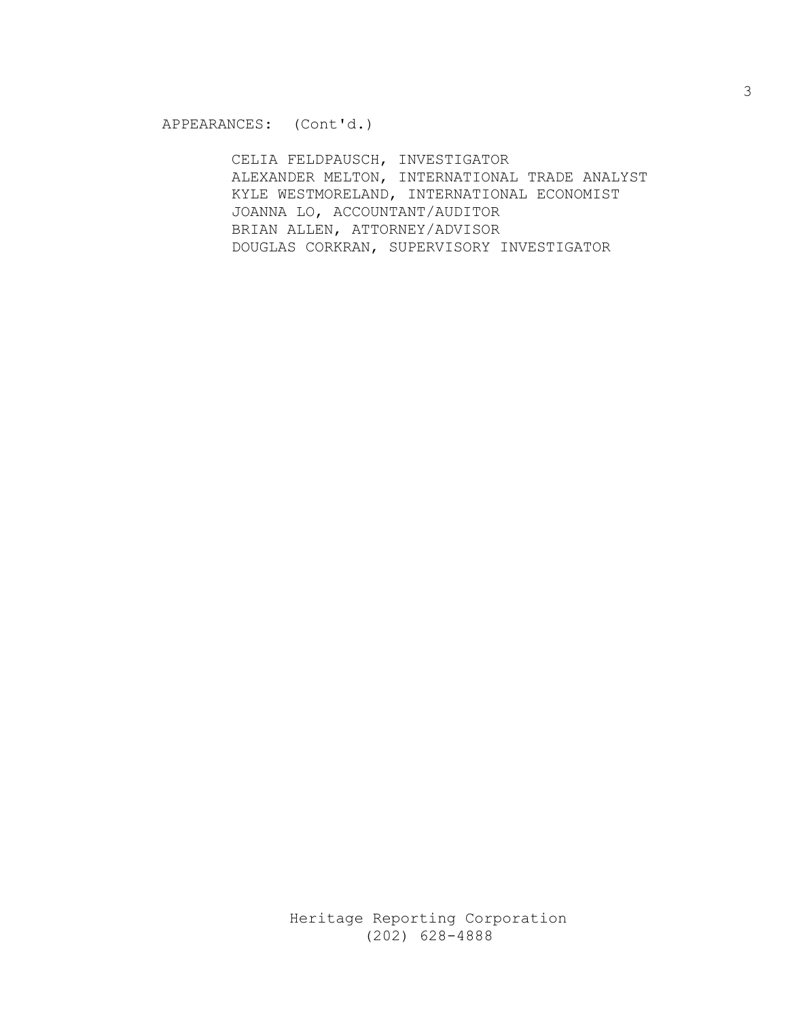CELIA FELDPAUSCH, INVESTIGATOR ALEXANDER MELTON, INTERNATIONAL TRADE ANALYST KYLE WESTMORELAND, INTERNATIONAL ECONOMIST JOANNA LO, ACCOUNTANT/AUDITOR BRIAN ALLEN, ATTORNEY/ADVISOR DOUGLAS CORKRAN, SUPERVISORY INVESTIGATOR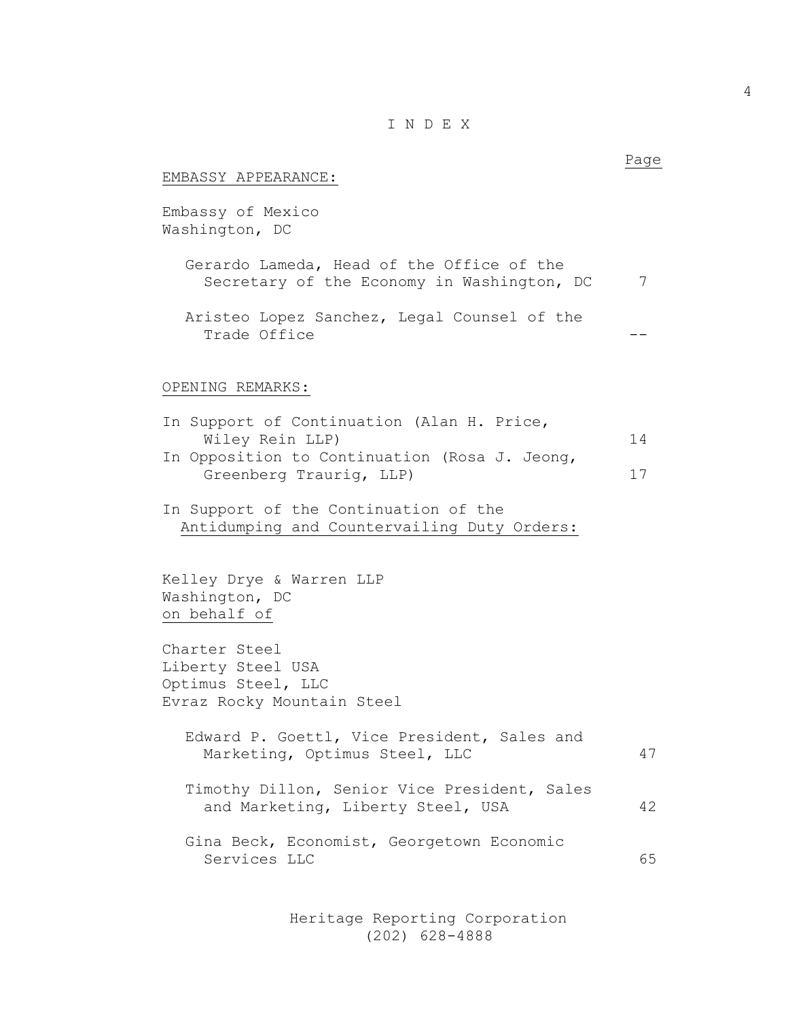### I N D E X

| EMBASSY APPEARANCE:                                                                                                                       | Page     |
|-------------------------------------------------------------------------------------------------------------------------------------------|----------|
| Embassy of Mexico<br>Washington, DC                                                                                                       |          |
| Gerardo Lameda, Head of the Office of the<br>Secretary of the Economy in Washington, DC                                                   | 7        |
| Aristeo Lopez Sanchez, Legal Counsel of the<br>Trade Office                                                                               |          |
| OPENING REMARKS:                                                                                                                          |          |
| In Support of Continuation (Alan H. Price,<br>Wiley Rein LLP)<br>In Opposition to Continuation (Rosa J. Jeong,<br>Greenberg Traurig, LLP) | 14<br>17 |
| In Support of the Continuation of the<br>Antidumping and Countervailing Duty Orders:                                                      |          |
| Kelley Drye & Warren LLP<br>Washington, DC<br>on behalf of                                                                                |          |
| Charter Steel<br>Liberty Steel USA<br>Optimus Steel, LLC<br>Evraz Rocky Mountain Steel                                                    |          |
| Edward P. Goettl, Vice President, Sales and<br>Marketing, Optimus Steel, LLC                                                              | 47       |
| Timothy Dillon, Senior Vice President, Sales<br>and Marketing, Liberty Steel, USA                                                         | 42       |
| Gina Beck, Economist, Georgetown Economic<br>Services LLC                                                                                 | 65       |
|                                                                                                                                           |          |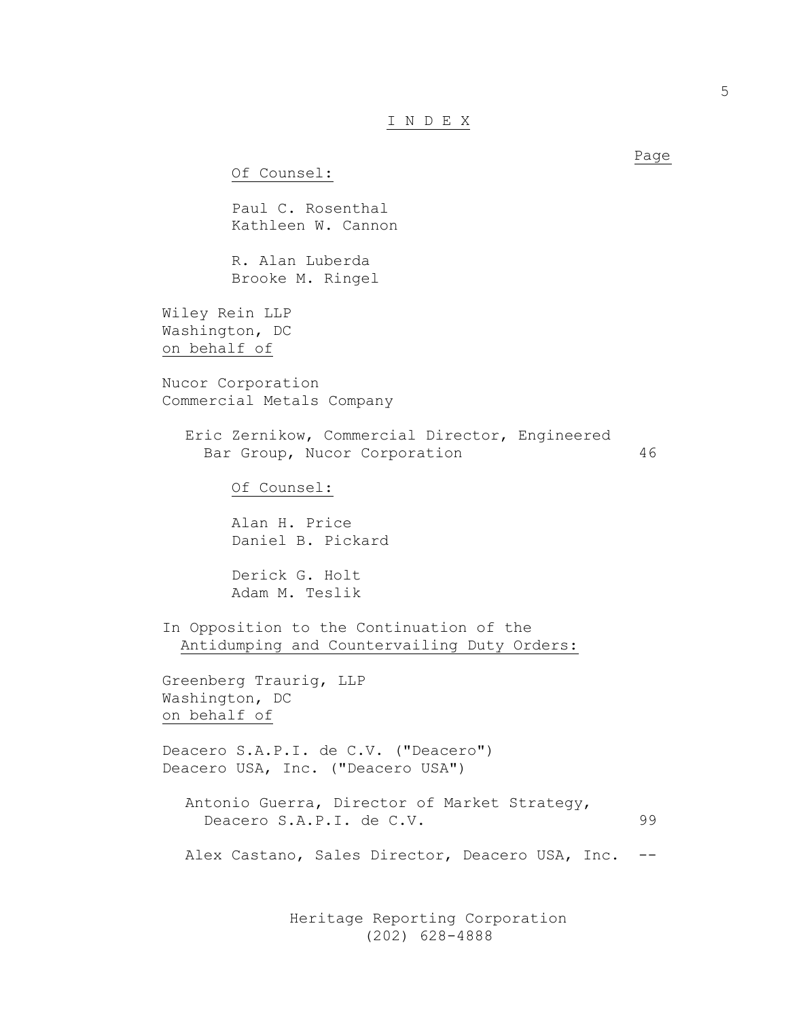#### I N D E X

Of Counsel:

Paul C. Rosenthal Kathleen W. Cannon

R. Alan Luberda Brooke M. Ringel

Wiley Rein LLP Washington, DC on behalf of

Nucor Corporation Commercial Metals Company

Eric Zernikow, Commercial Director, Engineered Bar Group, Nucor Corporation 46

Of Counsel:

Alan H. Price Daniel B. Pickard

Derick G. Holt Adam M. Teslik

In Opposition to the Continuation of the Antidumping and Countervailing Duty Orders:

Greenberg Traurig, LLP Washington, DC on behalf of

Deacero S.A.P.I. de C.V. ("Deacero") Deacero USA, Inc. ("Deacero USA")

Antonio Guerra, Director of Market Strategy, Deacero S.A.P.I. de C.V. 99

Alex Castano, Sales Director, Deacero USA, Inc. --

 Heritage Reporting Corporation (202) 628-4888

Page and the state of the state of the state of the state of the state of the state of the state of the state of the state of the state of the state of the state of the state of the state of the state of the state of the s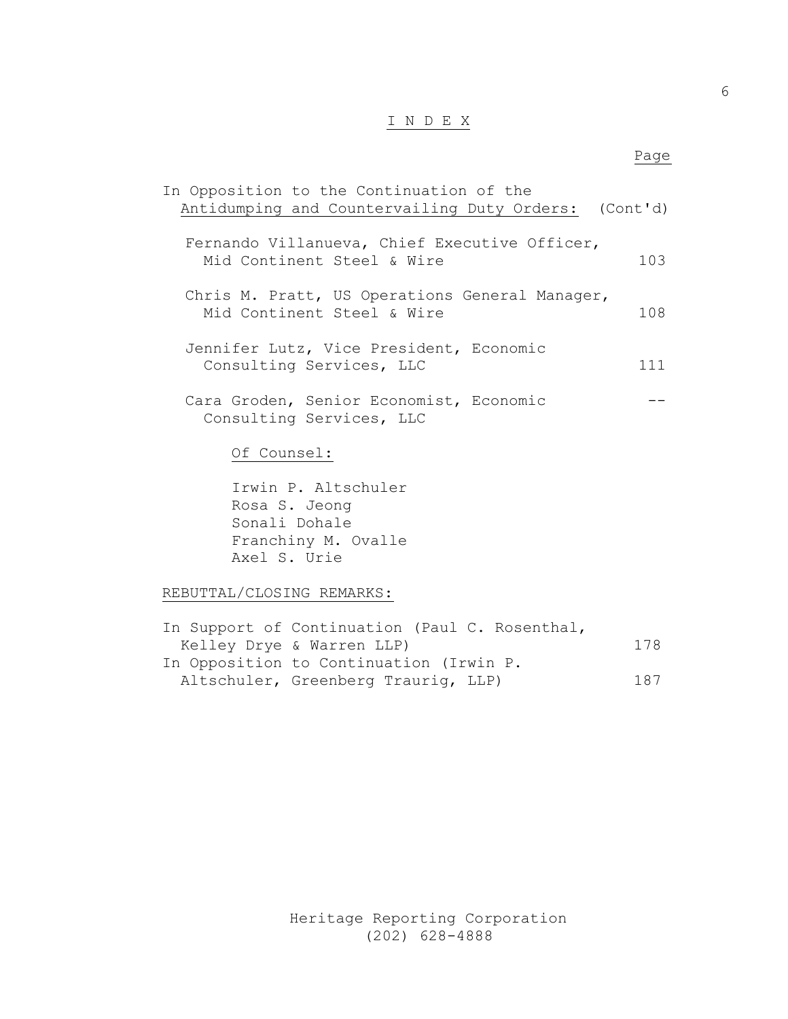## I N D E X

#### en de la provincia de la provincia de la provincia de la provincia de la provincia de la provincia de la provi

| In Opposition to the Continuation of the             |     |
|------------------------------------------------------|-----|
| Antidumping and Countervailing Duty Orders: (Cont'd) |     |
|                                                      |     |
| Fernando Villanueva, Chief Executive Officer,        |     |
| Mid Continent Steel & Wire                           | 103 |
|                                                      |     |
| Chris M. Pratt, US Operations General Manager,       |     |
| Mid Continent Steel & Wire                           | 108 |
|                                                      |     |
| Jennifer Lutz, Vice President, Economic              |     |
| Consulting Services, LLC                             | 111 |
|                                                      |     |
| Cara Groden, Senior Economist, Economic              |     |
| Consulting Services, LLC                             |     |
|                                                      |     |
| Of Counsel:                                          |     |
|                                                      |     |

Irwin P. Altschuler Rosa S. Jeong Sonali Dohale Franchiny M. Ovalle Axel S. Urie

#### REBUTTAL/CLOSING REMARKS:

| In Support of Continuation (Paul C. Rosenthal, |     |
|------------------------------------------------|-----|
| Kelley Drye & Warren LLP)                      | 178 |
| In Opposition to Continuation (Irwin P.        |     |
| Altschuler, Greenberg Traurig, LLP)            | 187 |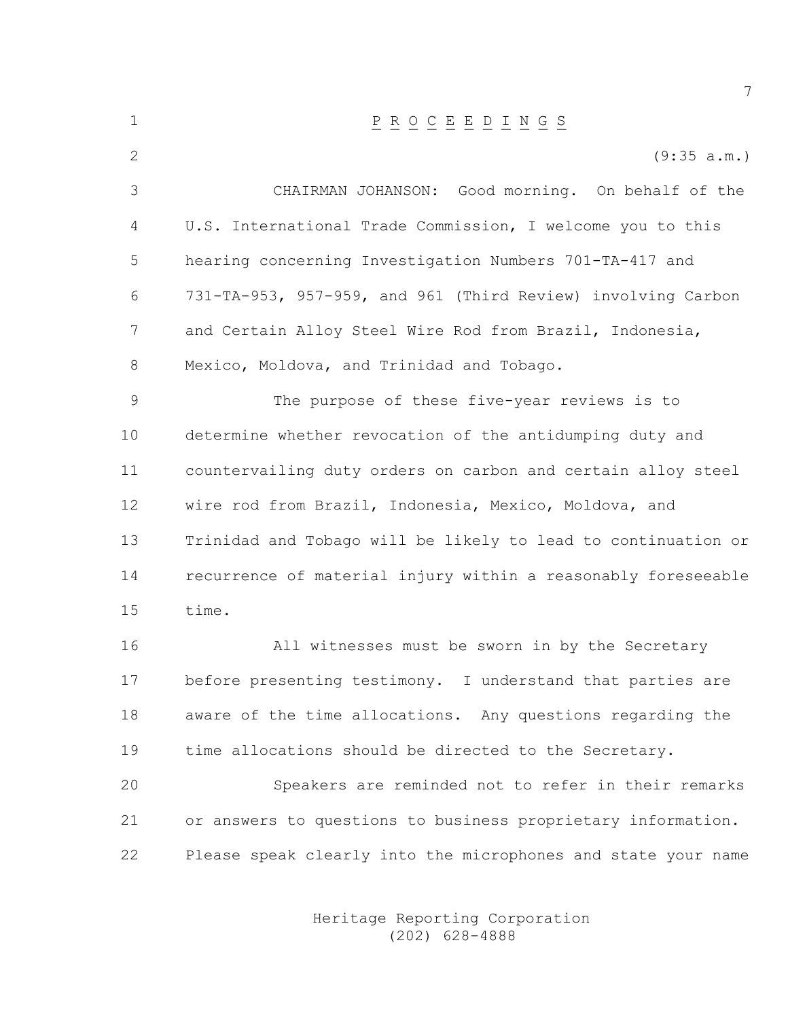| $1\,$         | $\underline{P} \underline{R} \underline{O} \underline{C} \underline{E} \underline{E} \underline{D} \underline{I} \underline{N} \underline{G} \underline{S}$ |
|---------------|-------------------------------------------------------------------------------------------------------------------------------------------------------------|
| $\mathbf{2}$  | (9:35 a.m.)                                                                                                                                                 |
| 3             | CHAIRMAN JOHANSON: Good morning. On behalf of the                                                                                                           |
| 4             | U.S. International Trade Commission, I welcome you to this                                                                                                  |
| 5             | hearing concerning Investigation Numbers 701-TA-417 and                                                                                                     |
| 6             | 731-TA-953, 957-959, and 961 (Third Review) involving Carbon                                                                                                |
| 7             | and Certain Alloy Steel Wire Rod from Brazil, Indonesia,                                                                                                    |
| 8             | Mexico, Moldova, and Trinidad and Tobago.                                                                                                                   |
| $\mathcal{G}$ | The purpose of these five-year reviews is to                                                                                                                |
| 10            | determine whether revocation of the antidumping duty and                                                                                                    |
| 11            | countervailing duty orders on carbon and certain alloy steel                                                                                                |
| 12            | wire rod from Brazil, Indonesia, Mexico, Moldova, and                                                                                                       |
| 13            | Trinidad and Tobago will be likely to lead to continuation or                                                                                               |
| 14            | recurrence of material injury within a reasonably foreseeable                                                                                               |
| 15            | time.                                                                                                                                                       |
| 16            | All witnesses must be sworn in by the Secretary                                                                                                             |
| 17            | before presenting testimony. I understand that parties are                                                                                                  |
| 18            | aware of the time allocations. Any questions regarding the                                                                                                  |
| 19            | time allocations should be directed to the Secretary.                                                                                                       |
| 20            | Speakers are reminded not to refer in their remarks                                                                                                         |
| 21            | or answers to questions to business proprietary information.                                                                                                |
| 22            | Please speak clearly into the microphones and state your name                                                                                               |

 Heritage Reporting Corporation (202) 628-4888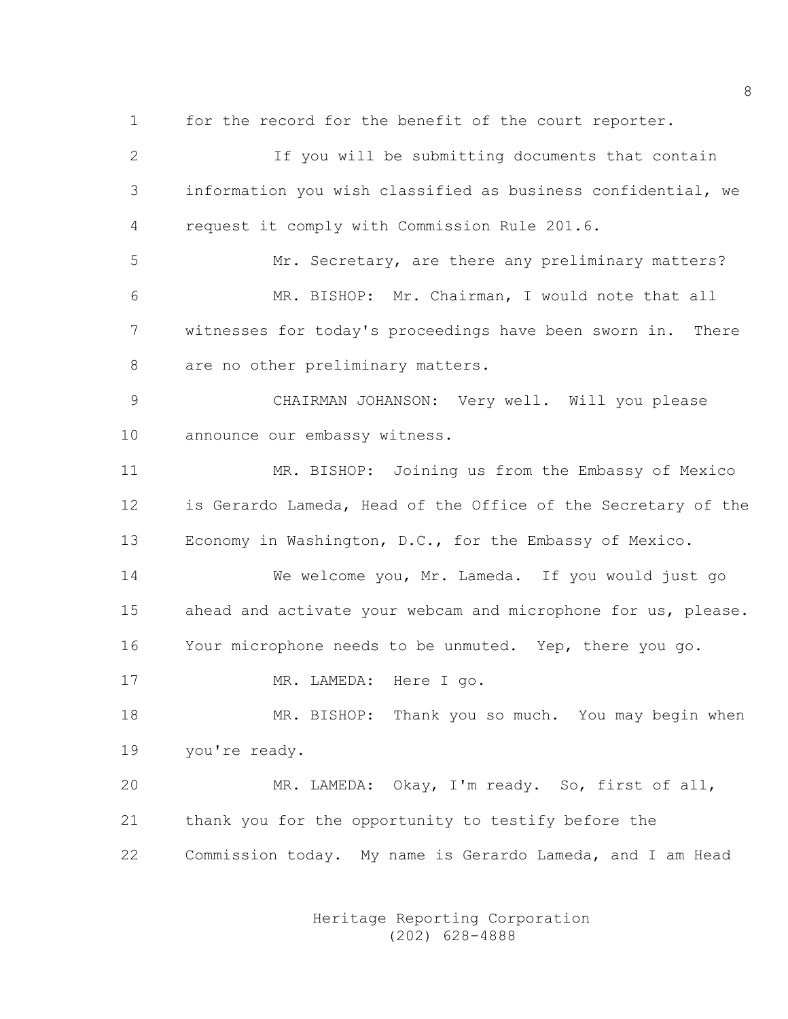1 for the record for the benefit of the court reporter.

2 If you will be submitting documents that contain 3 information you wish classified as business confidential, we 4 request it comply with Commission Rule 201.6. 5 Mr. Secretary, are there any preliminary matters? 6 MR. BISHOP: Mr. Chairman, I would note that all

7 witnesses for today's proceedings have been sworn in. There 8 are no other preliminary matters.

9 CHAIRMAN JOHANSON: Very well. Will you please 10 announce our embassy witness.

11 MR. BISHOP: Joining us from the Embassy of Mexico 12 is Gerardo Lameda, Head of the Office of the Secretary of the 13 Economy in Washington, D.C., for the Embassy of Mexico.

14 We welcome you, Mr. Lameda. If you would just go 15 ahead and activate your webcam and microphone for us, please. 16 Your microphone needs to be unmuted. Yep, there you go.

17 MR. LAMEDA: Here I go.

18 MR. BISHOP: Thank you so much. You may begin when 19 you're ready.

20 MR. LAMEDA: Okay, I'm ready. So, first of all, 21 thank you for the opportunity to testify before the 22 Commission today. My name is Gerardo Lameda, and I am Head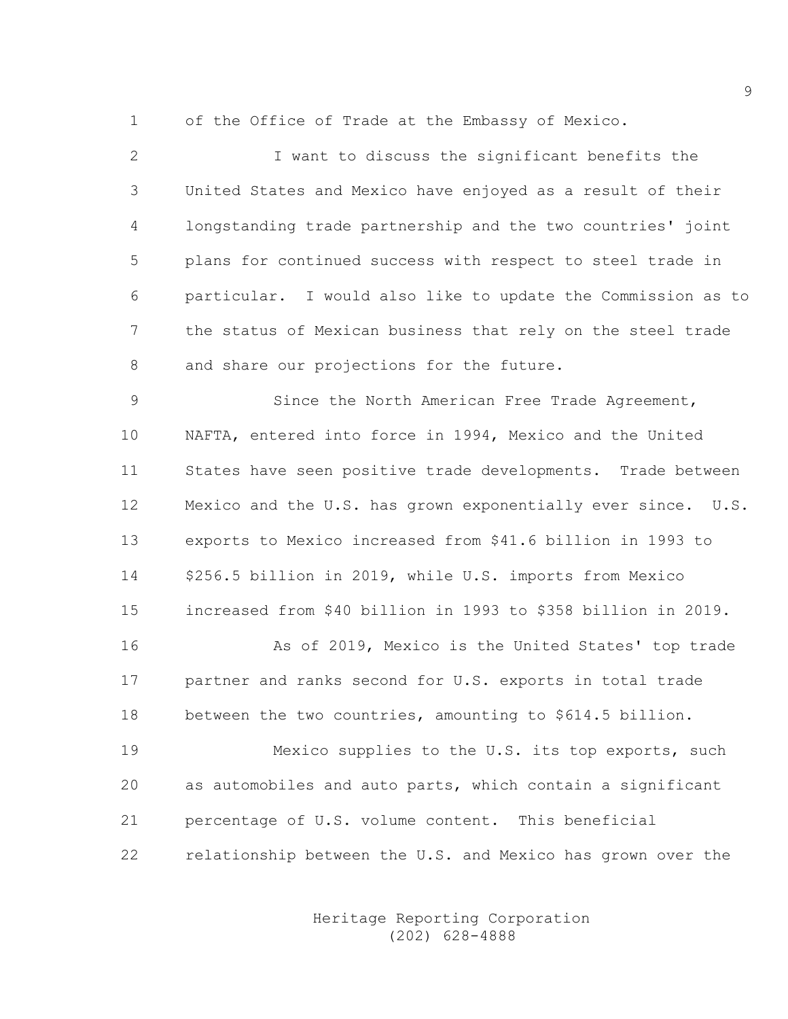1 of the Office of Trade at the Embassy of Mexico.

2 I want to discuss the significant benefits the 3 United States and Mexico have enjoyed as a result of their 4 longstanding trade partnership and the two countries' joint 5 plans for continued success with respect to steel trade in 6 particular. I would also like to update the Commission as to 7 the status of Mexican business that rely on the steel trade 8 and share our projections for the future.

9 Since the North American Free Trade Agreement, 10 NAFTA, entered into force in 1994, Mexico and the United 11 States have seen positive trade developments. Trade between 12 Mexico and the U.S. has grown exponentially ever since. U.S. 13 exports to Mexico increased from \$41.6 billion in 1993 to 14 \$256.5 billion in 2019, while U.S. imports from Mexico 15 increased from \$40 billion in 1993 to \$358 billion in 2019.

16 As of 2019, Mexico is the United States' top trade 17 partner and ranks second for U.S. exports in total trade 18 between the two countries, amounting to \$614.5 billion.

19 Mexico supplies to the U.S. its top exports, such 20 as automobiles and auto parts, which contain a significant 21 percentage of U.S. volume content. This beneficial 22 relationship between the U.S. and Mexico has grown over the

> Heritage Reporting Corporation (202) 628-4888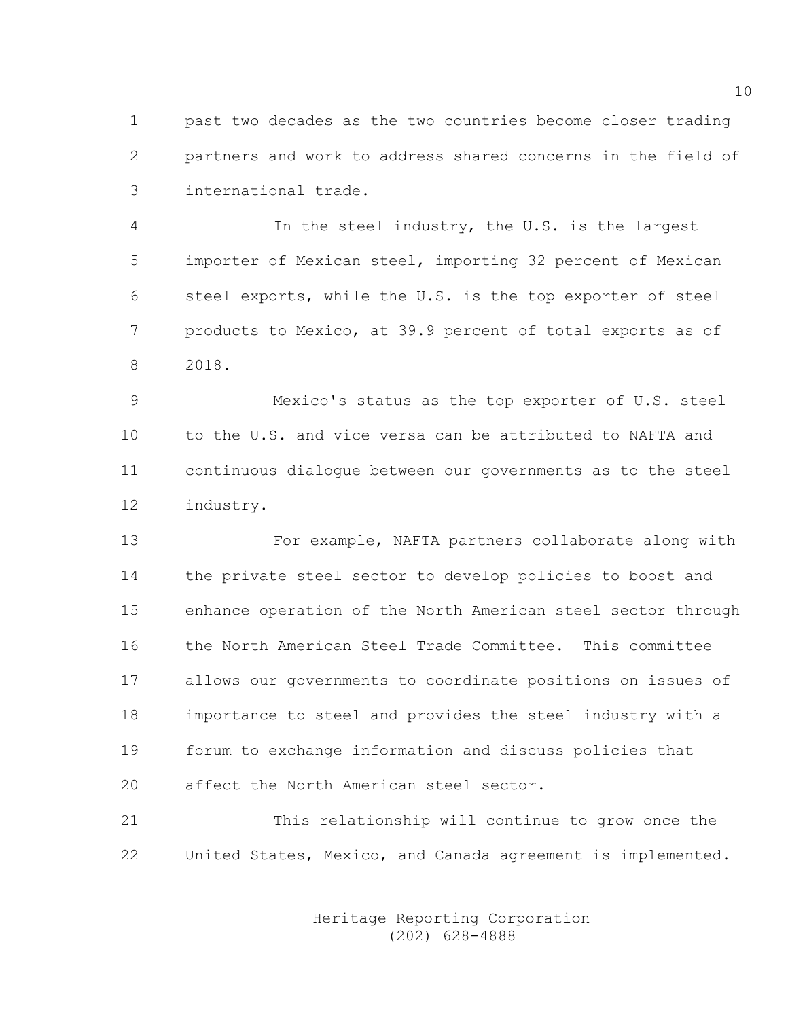1 past two decades as the two countries become closer trading 2 partners and work to address shared concerns in the field of 3 international trade.

4 In the steel industry, the U.S. is the largest 5 importer of Mexican steel, importing 32 percent of Mexican 6 steel exports, while the U.S. is the top exporter of steel 7 products to Mexico, at 39.9 percent of total exports as of 8 2018.

9 Mexico's status as the top exporter of U.S. steel 10 to the U.S. and vice versa can be attributed to NAFTA and 11 continuous dialogue between our governments as to the steel 12 industry.

13 For example, NAFTA partners collaborate along with 14 the private steel sector to develop policies to boost and 15 enhance operation of the North American steel sector through 16 the North American Steel Trade Committee. This committee 17 allows our governments to coordinate positions on issues of 18 importance to steel and provides the steel industry with a 19 forum to exchange information and discuss policies that 20 affect the North American steel sector.

21 This relationship will continue to grow once the 22 United States, Mexico, and Canada agreement is implemented.

> Heritage Reporting Corporation (202) 628-4888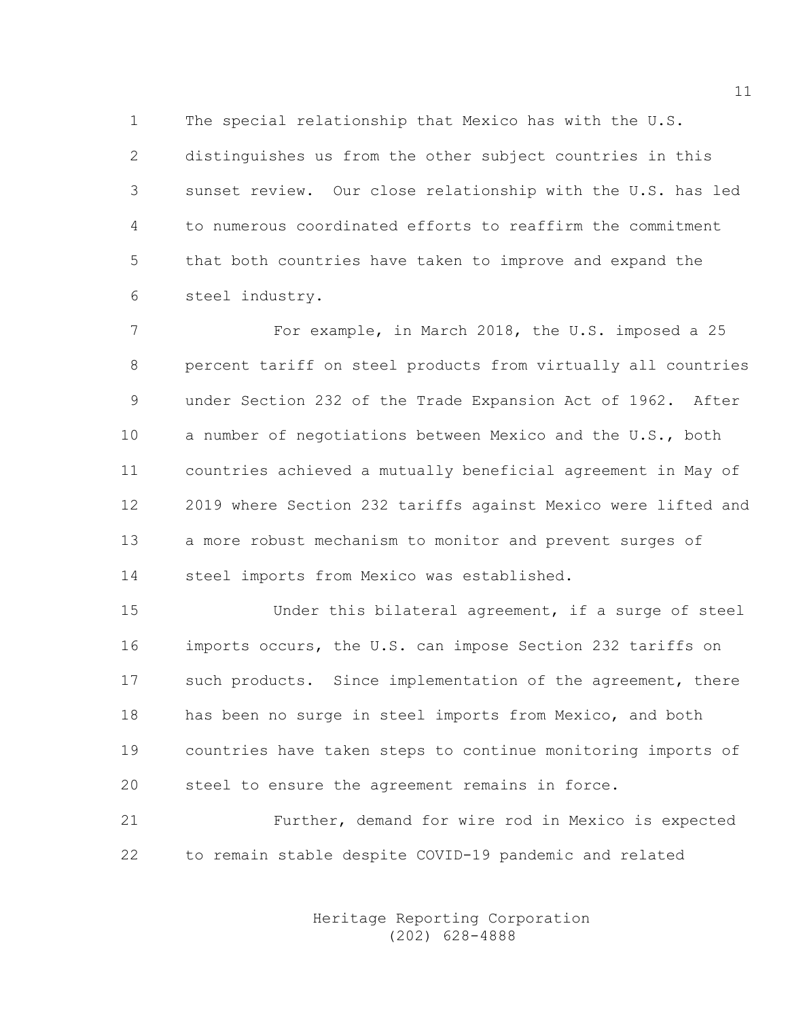1 The special relationship that Mexico has with the U.S. 2 distinguishes us from the other subject countries in this 3 sunset review. Our close relationship with the U.S. has led 4 to numerous coordinated efforts to reaffirm the commitment 5 that both countries have taken to improve and expand the 6 steel industry.

7 For example, in March 2018, the U.S. imposed a 25 8 percent tariff on steel products from virtually all countries 9 under Section 232 of the Trade Expansion Act of 1962. After 10 a number of negotiations between Mexico and the U.S., both 11 countries achieved a mutually beneficial agreement in May of 12 2019 where Section 232 tariffs against Mexico were lifted and 13 a more robust mechanism to monitor and prevent surges of 14 steel imports from Mexico was established.

15 Under this bilateral agreement, if a surge of steel 16 imports occurs, the U.S. can impose Section 232 tariffs on 17 such products. Since implementation of the agreement, there 18 has been no surge in steel imports from Mexico, and both 19 countries have taken steps to continue monitoring imports of 20 steel to ensure the agreement remains in force.

21 Further, demand for wire rod in Mexico is expected 22 to remain stable despite COVID-19 pandemic and related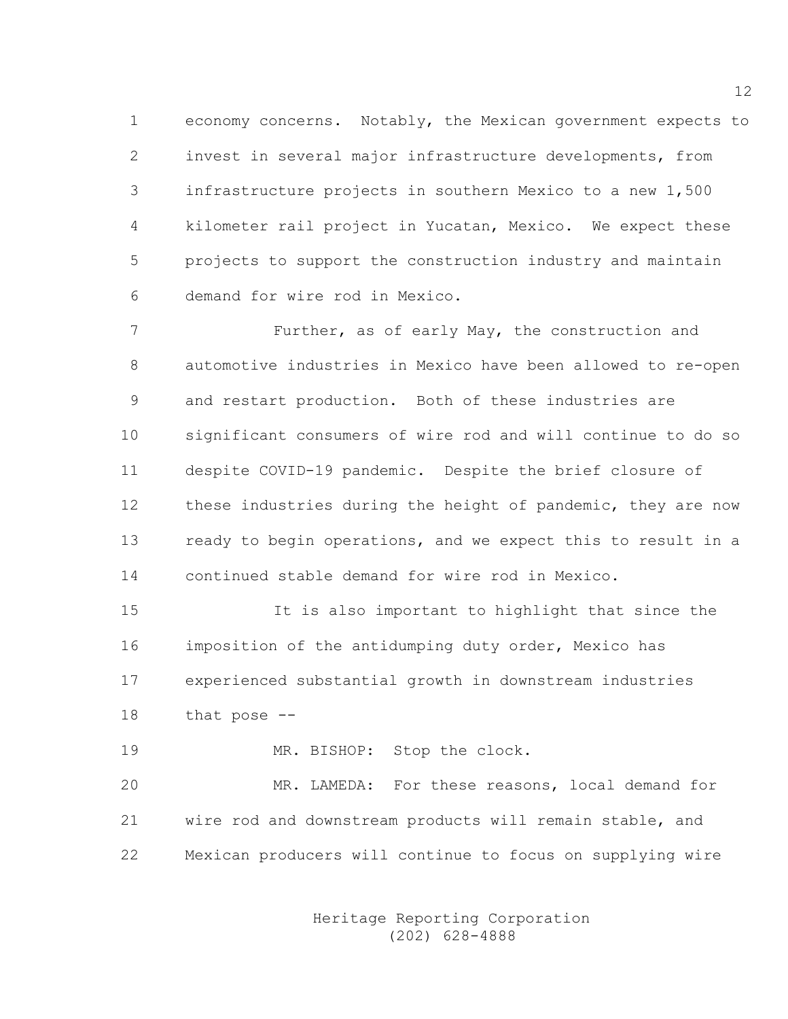1 economy concerns. Notably, the Mexican government expects to 2 invest in several major infrastructure developments, from 3 infrastructure projects in southern Mexico to a new 1,500 4 kilometer rail project in Yucatan, Mexico. We expect these 5 projects to support the construction industry and maintain 6 demand for wire rod in Mexico.

7 **Further, as of early May, the construction and** 8 automotive industries in Mexico have been allowed to re-open 9 and restart production. Both of these industries are 10 significant consumers of wire rod and will continue to do so 11 despite COVID-19 pandemic. Despite the brief closure of 12 these industries during the height of pandemic, they are now 13 ready to begin operations, and we expect this to result in a 14 continued stable demand for wire rod in Mexico.

15 It is also important to highlight that since the 16 imposition of the antidumping duty order, Mexico has 17 experienced substantial growth in downstream industries 18 that pose --

19 MR. BISHOP: Stop the clock.

20 MR. LAMEDA: For these reasons, local demand for 21 wire rod and downstream products will remain stable, and 22 Mexican producers will continue to focus on supplying wire

> Heritage Reporting Corporation (202) 628-4888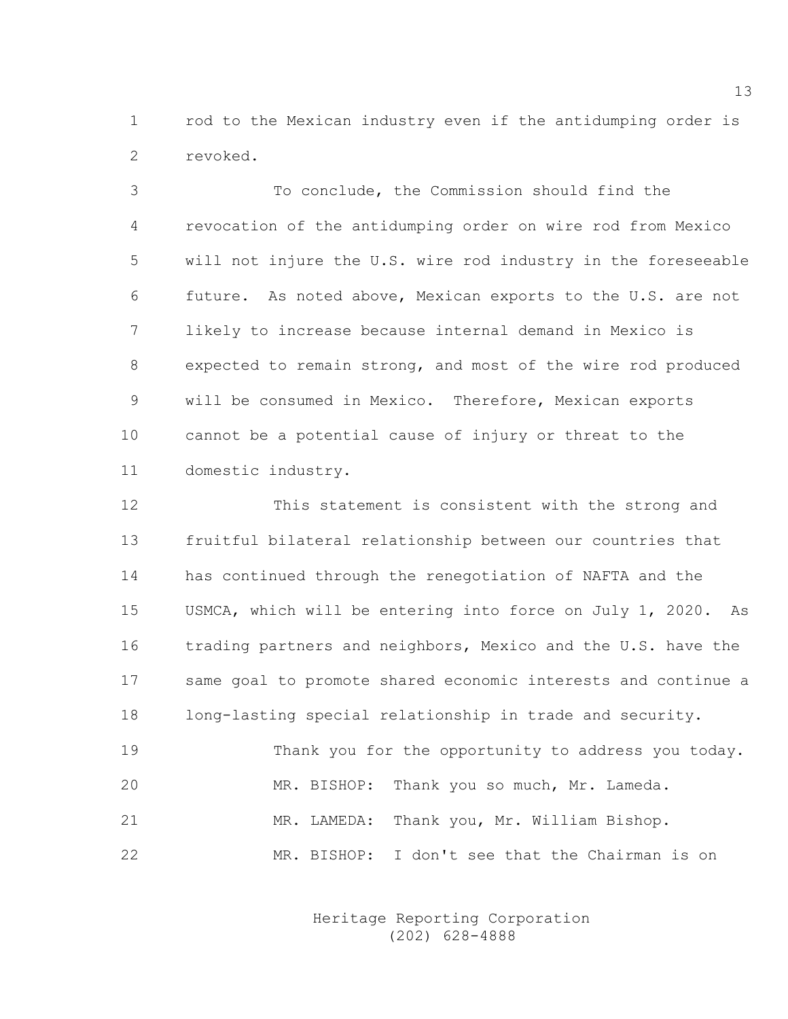1 rod to the Mexican industry even if the antidumping order is 2 revoked.

3 To conclude, the Commission should find the 4 revocation of the antidumping order on wire rod from Mexico 5 will not injure the U.S. wire rod industry in the foreseeable 6 future. As noted above, Mexican exports to the U.S. are not 7 likely to increase because internal demand in Mexico is 8 expected to remain strong, and most of the wire rod produced 9 will be consumed in Mexico. Therefore, Mexican exports 10 cannot be a potential cause of injury or threat to the 11 domestic industry.

12 This statement is consistent with the strong and 13 fruitful bilateral relationship between our countries that 14 has continued through the renegotiation of NAFTA and the 15 USMCA, which will be entering into force on July 1, 2020. As 16 trading partners and neighbors, Mexico and the U.S. have the 17 same goal to promote shared economic interests and continue a 18 long-lasting special relationship in trade and security.

19 Thank you for the opportunity to address you today. 20 MR. BISHOP: Thank you so much, Mr. Lameda. 21 MR. LAMEDA: Thank you, Mr. William Bishop. 22 MR. BISHOP: I don't see that the Chairman is on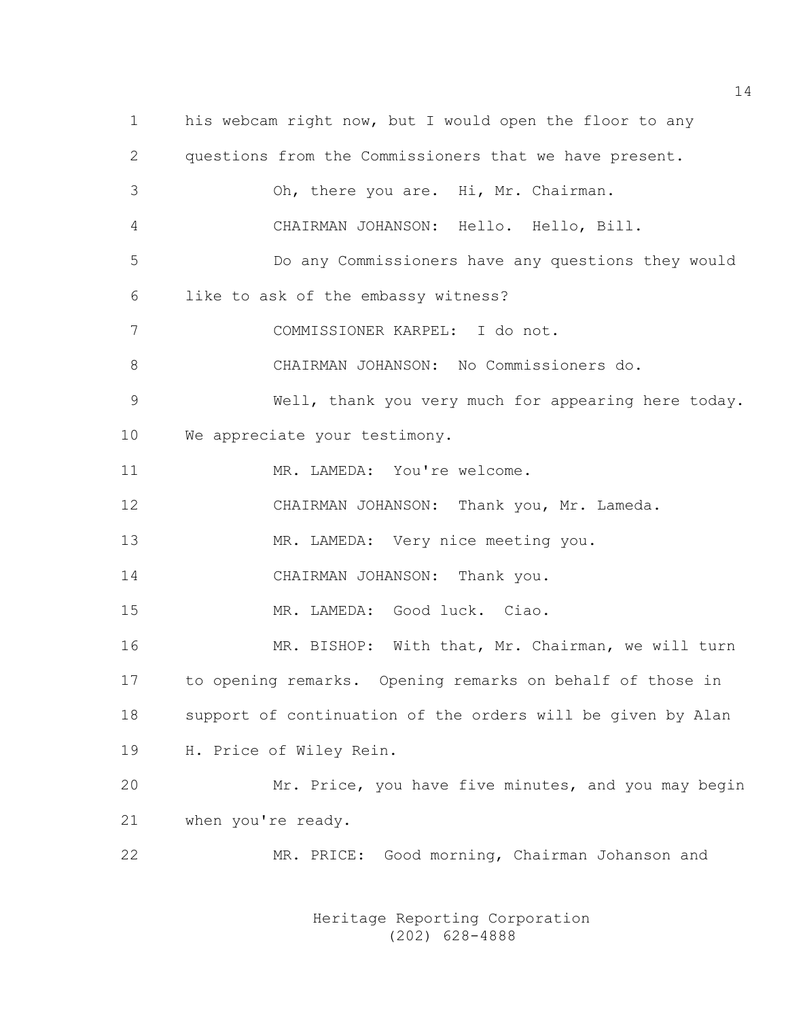| $\mathbf 1$   | his webcam right now, but I would open the floor to any     |
|---------------|-------------------------------------------------------------|
| $\mathbf{2}$  | questions from the Commissioners that we have present.      |
| 3             | Oh, there you are. Hi, Mr. Chairman.                        |
| 4             | CHAIRMAN JOHANSON: Hello. Hello, Bill.                      |
| 5             | Do any Commissioners have any questions they would          |
| 6             | like to ask of the embassy witness?                         |
| 7             | COMMISSIONER KARPEL: I do not.                              |
| 8             | CHAIRMAN JOHANSON: No Commissioners do.                     |
| $\mathcal{G}$ | Well, thank you very much for appearing here today.         |
| 10            | We appreciate your testimony.                               |
| 11            | MR. LAMEDA: You're welcome.                                 |
| 12            | CHAIRMAN JOHANSON: Thank you, Mr. Lameda.                   |
| 13            | MR. LAMEDA: Very nice meeting you.                          |
| 14            | CHAIRMAN JOHANSON: Thank you.                               |
| 15            | MR. LAMEDA: Good luck. Ciao.                                |
| 16            | MR. BISHOP: With that, Mr. Chairman, we will turn           |
| 17            | to opening remarks. Opening remarks on behalf of those in   |
| 18            | support of continuation of the orders will be given by Alan |
| 19            | H. Price of Wiley Rein.                                     |
| 20            | Mr. Price, you have five minutes, and you may begin         |
| 21            | when you're ready.                                          |
| 22            | MR. PRICE: Good morning, Chairman Johanson and              |
|               |                                                             |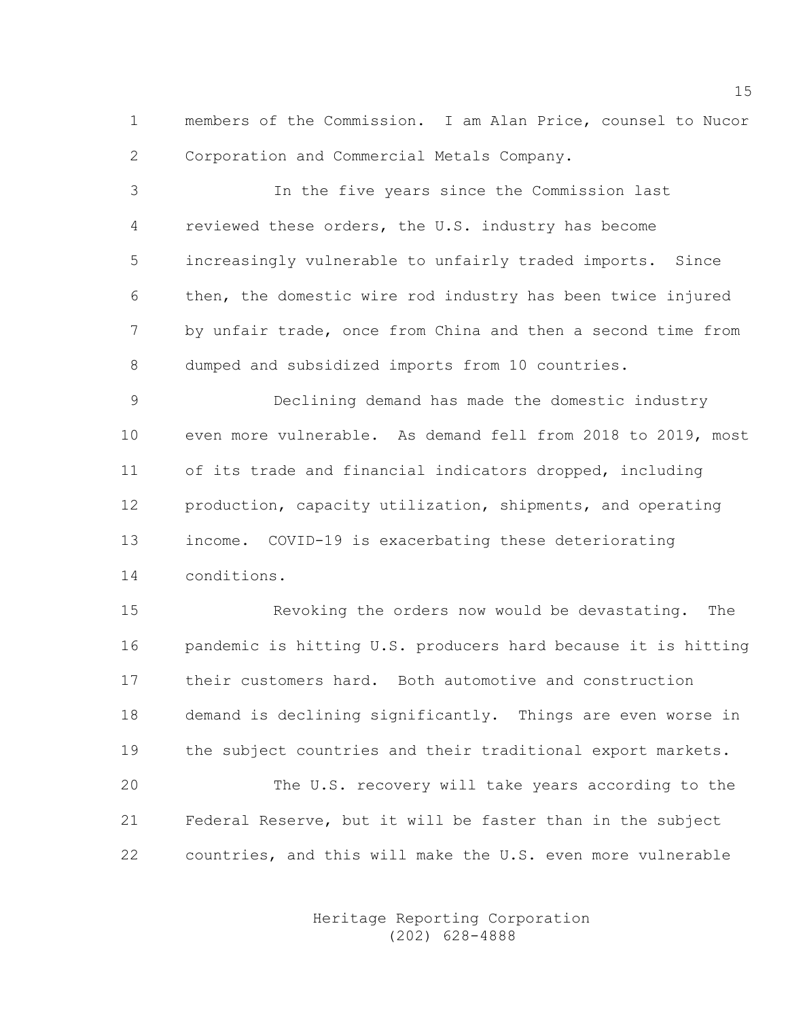1 members of the Commission. I am Alan Price, counsel to Nucor 2 Corporation and Commercial Metals Company.

3 In the five years since the Commission last 4 reviewed these orders, the U.S. industry has become 5 increasingly vulnerable to unfairly traded imports. Since 6 then, the domestic wire rod industry has been twice injured 7 by unfair trade, once from China and then a second time from 8 dumped and subsidized imports from 10 countries.

9 Declining demand has made the domestic industry 10 even more vulnerable. As demand fell from 2018 to 2019, most 11 of its trade and financial indicators dropped, including 12 production, capacity utilization, shipments, and operating 13 income. COVID-19 is exacerbating these deteriorating 14 conditions.

15 Revoking the orders now would be devastating. The 16 pandemic is hitting U.S. producers hard because it is hitting 17 their customers hard. Both automotive and construction 18 demand is declining significantly. Things are even worse in 19 the subject countries and their traditional export markets. 20 The U.S. recovery will take years according to the 21 Federal Reserve, but it will be faster than in the subject 22 countries, and this will make the U.S. even more vulnerable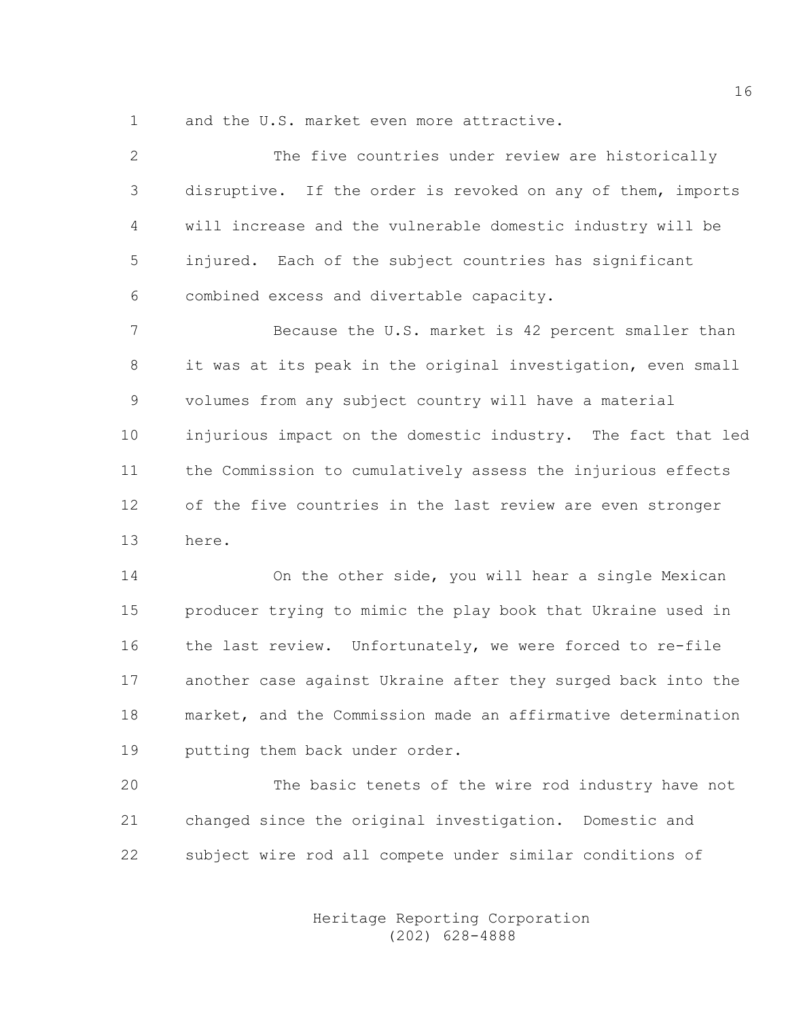1 and the U.S. market even more attractive.

2 The five countries under review are historically 3 disruptive. If the order is revoked on any of them, imports 4 will increase and the vulnerable domestic industry will be 5 injured. Each of the subject countries has significant 6 combined excess and divertable capacity. 7 Because the U.S. market is 42 percent smaller than 8 it was at its peak in the original investigation, even small 9 volumes from any subject country will have a material 10 injurious impact on the domestic industry. The fact that led 11 the Commission to cumulatively assess the injurious effects 12 of the five countries in the last review are even stronger 13 here. 14 On the other side, you will hear a single Mexican 15 producer trying to mimic the play book that Ukraine used in 16 the last review. Unfortunately, we were forced to re-file

18 market, and the Commission made an affirmative determination 19 putting them back under order.

17 another case against Ukraine after they surged back into the

20 The basic tenets of the wire rod industry have not 21 changed since the original investigation. Domestic and 22 subject wire rod all compete under similar conditions of

> Heritage Reporting Corporation (202) 628-4888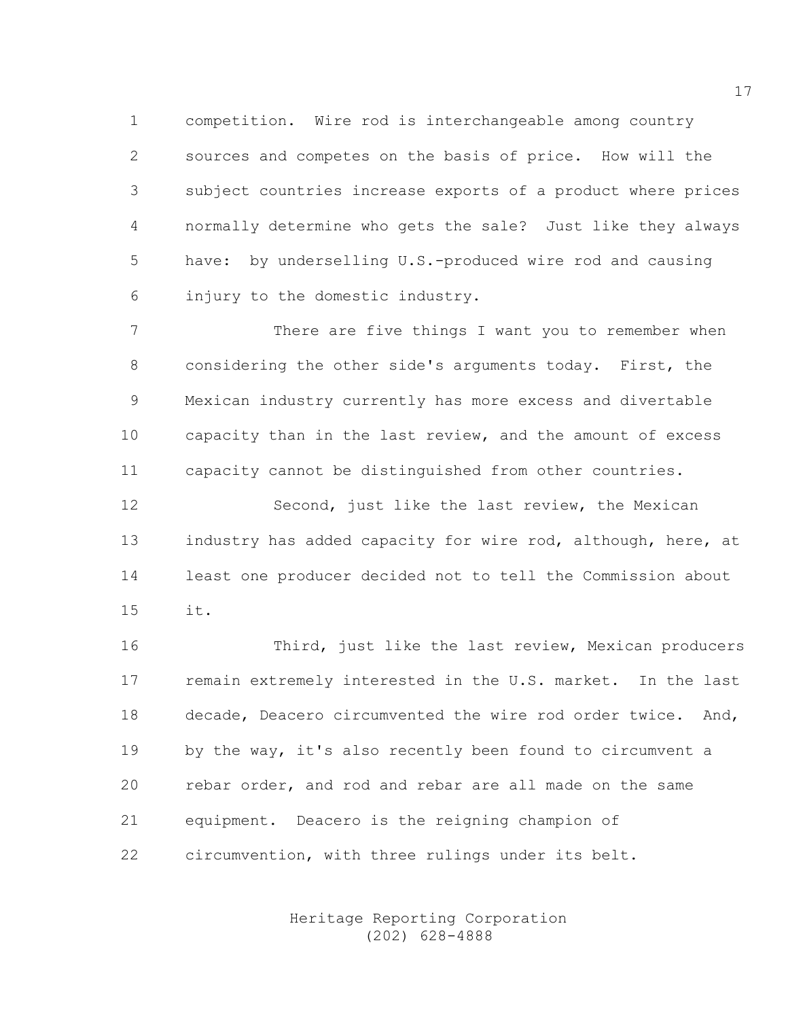1 competition. Wire rod is interchangeable among country 2 sources and competes on the basis of price. How will the 3 subject countries increase exports of a product where prices 4 normally determine who gets the sale? Just like they always 5 have: by underselling U.S.-produced wire rod and causing 6 injury to the domestic industry.

7 There are five things I want you to remember when 8 considering the other side's arguments today. First, the 9 Mexican industry currently has more excess and divertable 10 capacity than in the last review, and the amount of excess 11 capacity cannot be distinguished from other countries.

12 Second, just like the last review, the Mexican 13 industry has added capacity for wire rod, although, here, at 14 least one producer decided not to tell the Commission about 15 it.

16 Third, just like the last review, Mexican producers 17 remain extremely interested in the U.S. market. In the last 18 decade, Deacero circumvented the wire rod order twice. And, 19 by the way, it's also recently been found to circumvent a 20 rebar order, and rod and rebar are all made on the same 21 equipment. Deacero is the reigning champion of 22 circumvention, with three rulings under its belt.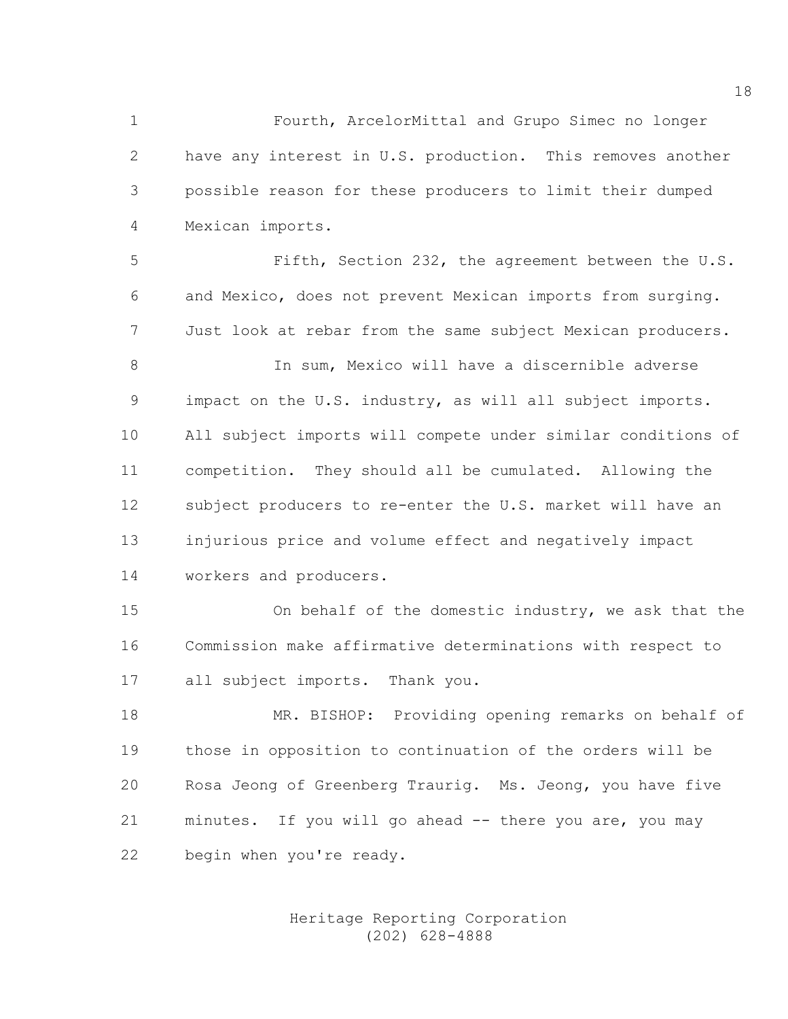1 Fourth, ArcelorMittal and Grupo Simec no longer 2 have any interest in U.S. production. This removes another 3 possible reason for these producers to limit their dumped 4 Mexican imports.

5 Fifth, Section 232, the agreement between the U.S. 6 and Mexico, does not prevent Mexican imports from surging. 7 Just look at rebar from the same subject Mexican producers.

8 In sum, Mexico will have a discernible adverse 9 impact on the U.S. industry, as will all subject imports. 10 All subject imports will compete under similar conditions of 11 competition. They should all be cumulated. Allowing the 12 subject producers to re-enter the U.S. market will have an 13 injurious price and volume effect and negatively impact 14 workers and producers.

15 On behalf of the domestic industry, we ask that the 16 Commission make affirmative determinations with respect to 17 all subject imports. Thank you.

18 MR. BISHOP: Providing opening remarks on behalf of 19 those in opposition to continuation of the orders will be 20 Rosa Jeong of Greenberg Traurig. Ms. Jeong, you have five 21 minutes. If you will go ahead -- there you are, you may 22 begin when you're ready.

#### Heritage Reporting Corporation (202) 628-4888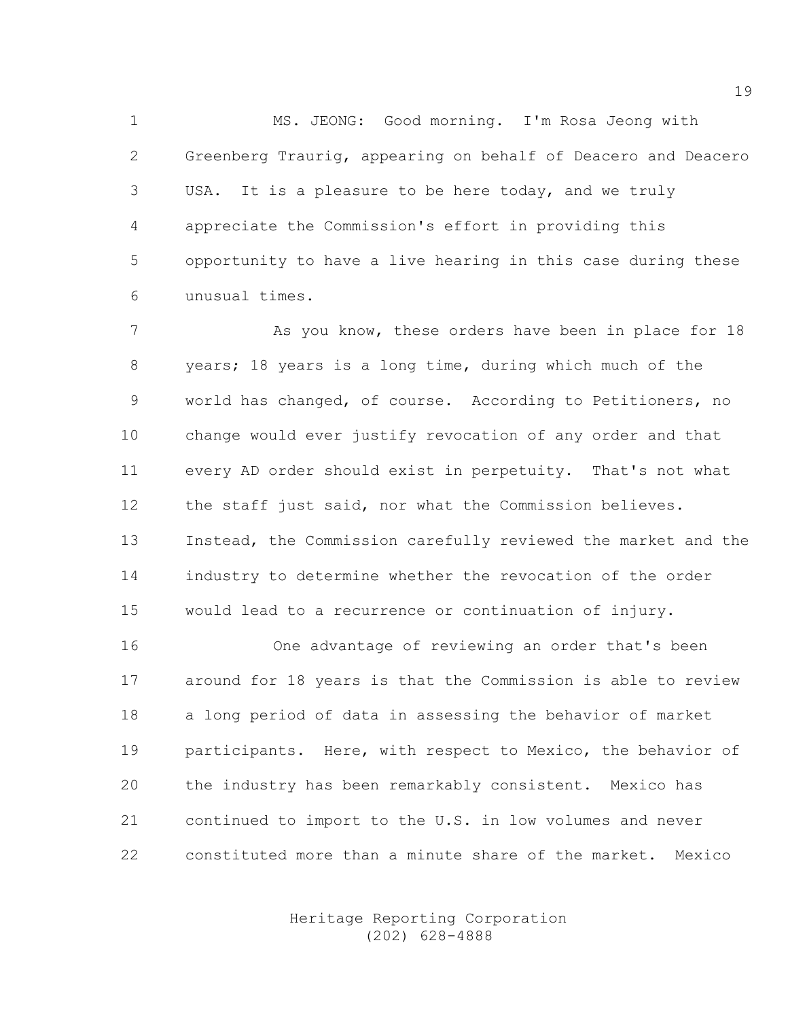1 MS. JEONG: Good morning. I'm Rosa Jeong with 2 Greenberg Traurig, appearing on behalf of Deacero and Deacero 3 USA. It is a pleasure to be here today, and we truly 4 appreciate the Commission's effort in providing this 5 opportunity to have a live hearing in this case during these 6 unusual times.

7 As you know, these orders have been in place for 18 8 years; 18 years is a long time, during which much of the 9 world has changed, of course. According to Petitioners, no 10 change would ever justify revocation of any order and that 11 every AD order should exist in perpetuity. That's not what 12 the staff just said, nor what the Commission believes. 13 Instead, the Commission carefully reviewed the market and the 14 industry to determine whether the revocation of the order 15 would lead to a recurrence or continuation of injury.

16 One advantage of reviewing an order that's been 17 around for 18 years is that the Commission is able to review 18 a long period of data in assessing the behavior of market 19 participants. Here, with respect to Mexico, the behavior of 20 the industry has been remarkably consistent. Mexico has 21 continued to import to the U.S. in low volumes and never 22 constituted more than a minute share of the market. Mexico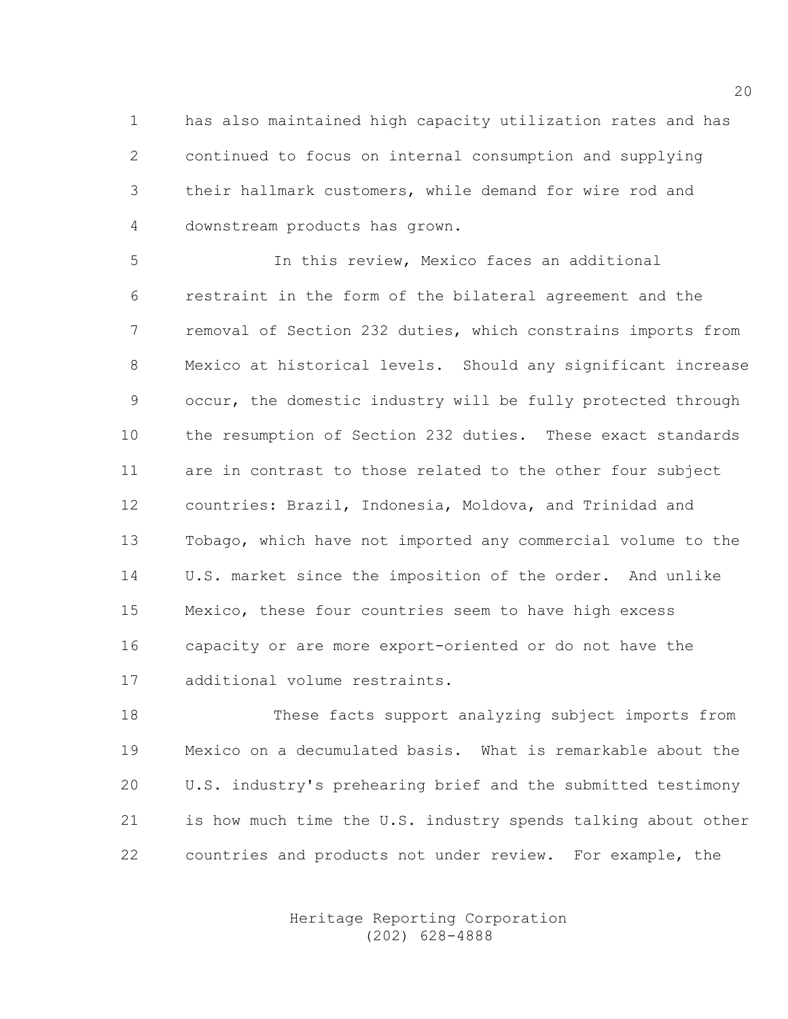1 has also maintained high capacity utilization rates and has 2 continued to focus on internal consumption and supplying 3 their hallmark customers, while demand for wire rod and 4 downstream products has grown.

5 In this review, Mexico faces an additional 6 restraint in the form of the bilateral agreement and the 7 removal of Section 232 duties, which constrains imports from 8 Mexico at historical levels. Should any significant increase 9 occur, the domestic industry will be fully protected through 10 the resumption of Section 232 duties. These exact standards 11 are in contrast to those related to the other four subject 12 countries: Brazil, Indonesia, Moldova, and Trinidad and 13 Tobago, which have not imported any commercial volume to the 14 U.S. market since the imposition of the order. And unlike 15 Mexico, these four countries seem to have high excess 16 capacity or are more export-oriented or do not have the 17 additional volume restraints.

18 These facts support analyzing subject imports from 19 Mexico on a decumulated basis. What is remarkable about the 20 U.S. industry's prehearing brief and the submitted testimony 21 is how much time the U.S. industry spends talking about other 22 countries and products not under review. For example, the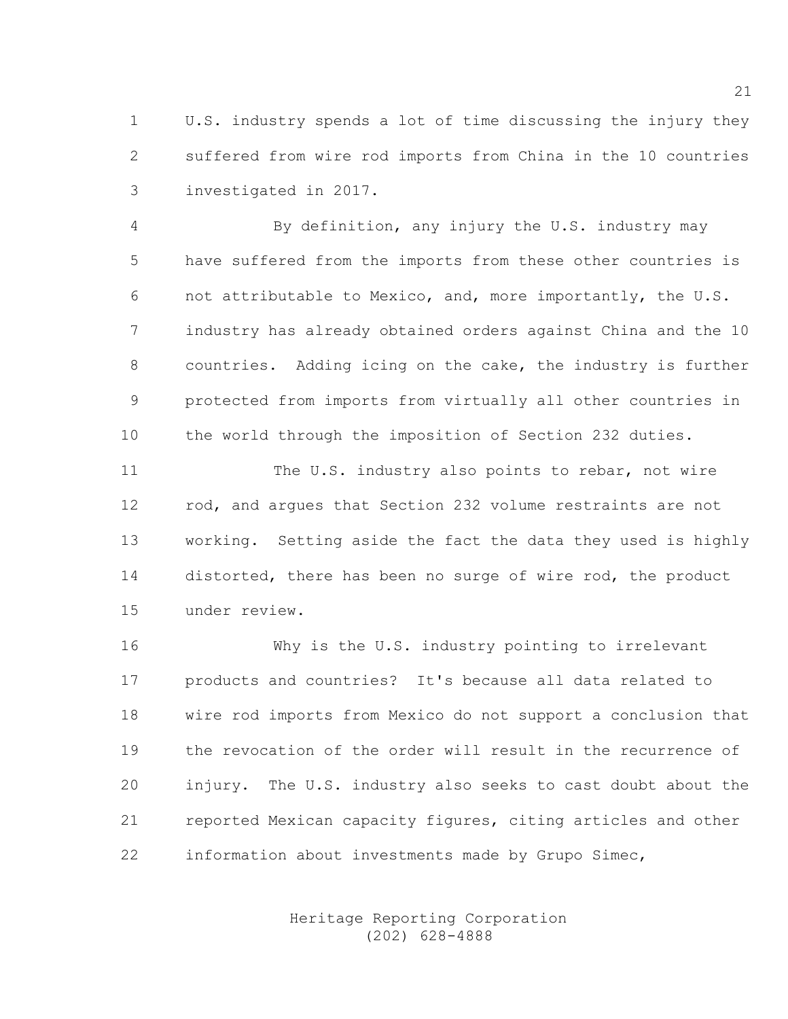1 U.S. industry spends a lot of time discussing the injury they 2 suffered from wire rod imports from China in the 10 countries 3 investigated in 2017.

4 By definition, any injury the U.S. industry may 5 have suffered from the imports from these other countries is 6 not attributable to Mexico, and, more importantly, the U.S. 7 industry has already obtained orders against China and the 10 8 countries. Adding icing on the cake, the industry is further 9 protected from imports from virtually all other countries in 10 the world through the imposition of Section 232 duties.

11 The U.S. industry also points to rebar, not wire 12 rod, and argues that Section 232 volume restraints are not 13 working. Setting aside the fact the data they used is highly 14 distorted, there has been no surge of wire rod, the product 15 under review.

16 Why is the U.S. industry pointing to irrelevant 17 products and countries? It's because all data related to 18 wire rod imports from Mexico do not support a conclusion that 19 the revocation of the order will result in the recurrence of 20 injury. The U.S. industry also seeks to cast doubt about the 21 reported Mexican capacity figures, citing articles and other 22 information about investments made by Grupo Simec,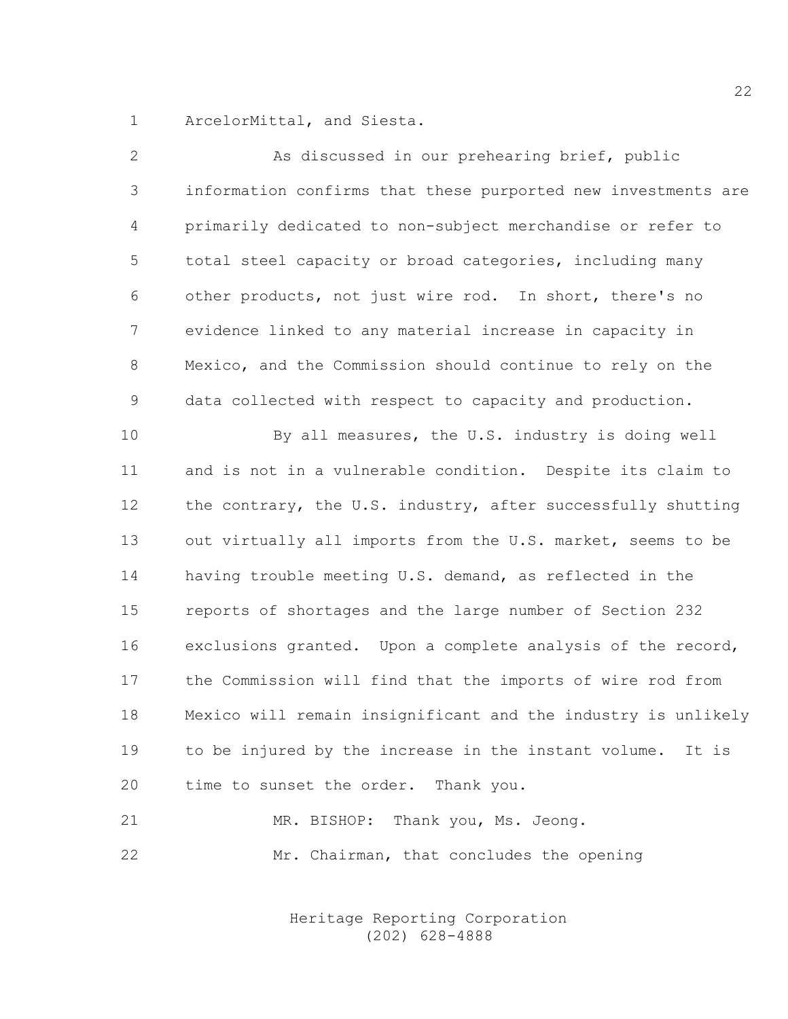1 ArcelorMittal, and Siesta.

| $\mathbf{2}$   | As discussed in our prehearing brief, public                  |
|----------------|---------------------------------------------------------------|
| 3              | information confirms that these purported new investments are |
| $\overline{4}$ | primarily dedicated to non-subject merchandise or refer to    |
| 5              | total steel capacity or broad categories, including many      |
| 6              | other products, not just wire rod. In short, there's no       |
| 7              | evidence linked to any material increase in capacity in       |
| $8\,$          | Mexico, and the Commission should continue to rely on the     |
| $\mathsf 9$    | data collected with respect to capacity and production.       |
| 10             | By all measures, the U.S. industry is doing well              |
| 11             | and is not in a vulnerable condition. Despite its claim to    |
| 12             | the contrary, the U.S. industry, after successfully shutting  |
| 13             | out virtually all imports from the U.S. market, seems to be   |
| 14             | having trouble meeting U.S. demand, as reflected in the       |
| 15             | reports of shortages and the large number of Section 232      |
| 16             | exclusions granted. Upon a complete analysis of the record,   |
| 17             | the Commission will find that the imports of wire rod from    |
| 18             | Mexico will remain insignificant and the industry is unlikely |
| 19             | to be injured by the increase in the instant volume. It is    |
| 20             | time to sunset the order. Thank you.                          |
| 21             | MR. BISHOP: Thank you, Ms. Jeong.                             |
| 22             | Mr. Chairman, that concludes the opening                      |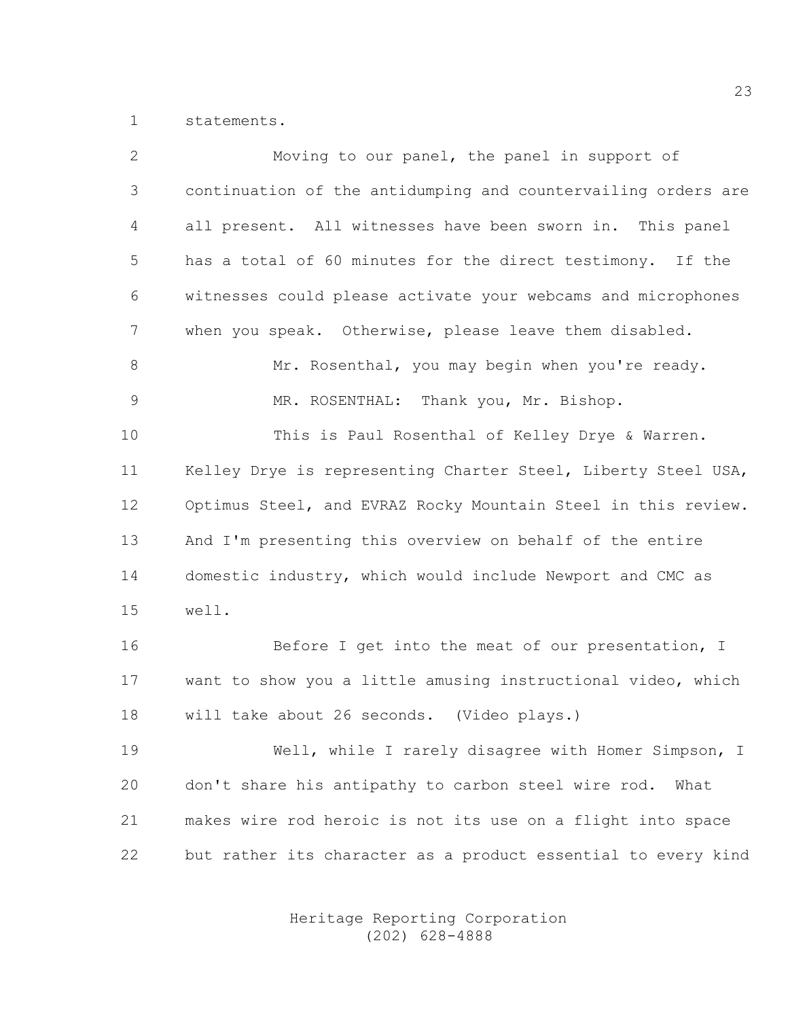1 statements.

| $\overline{2}$ | Moving to our panel, the panel in support of                  |
|----------------|---------------------------------------------------------------|
| 3              | continuation of the antidumping and countervailing orders are |
| 4              | all present. All witnesses have been sworn in. This panel     |
| 5              | has a total of 60 minutes for the direct testimony. If the    |
| 6              | witnesses could please activate your webcams and microphones  |
| 7              | when you speak. Otherwise, please leave them disabled.        |
| 8              | Mr. Rosenthal, you may begin when you're ready.               |
| $\overline{9}$ | MR. ROSENTHAL: Thank you, Mr. Bishop.                         |
| 10             | This is Paul Rosenthal of Kelley Drye & Warren.               |
| 11             | Kelley Drye is representing Charter Steel, Liberty Steel USA, |
| 12             | Optimus Steel, and EVRAZ Rocky Mountain Steel in this review. |
| 13             | And I'm presenting this overview on behalf of the entire      |
| 14             | domestic industry, which would include Newport and CMC as     |
| 15             | well.                                                         |
| 16             | Before I get into the meat of our presentation, I             |
| 17             | want to show you a little amusing instructional video, which  |
| 18             | will take about 26 seconds. (Video plays.)                    |
| 19             | Well, while I rarely disagree with Homer Simpson, I           |
| 20             | don't share his antipathy to carbon steel wire rod.<br>What   |
| 21             | makes wire rod heroic is not its use on a flight into space   |
| 22             | but rather its character as a product essential to every kind |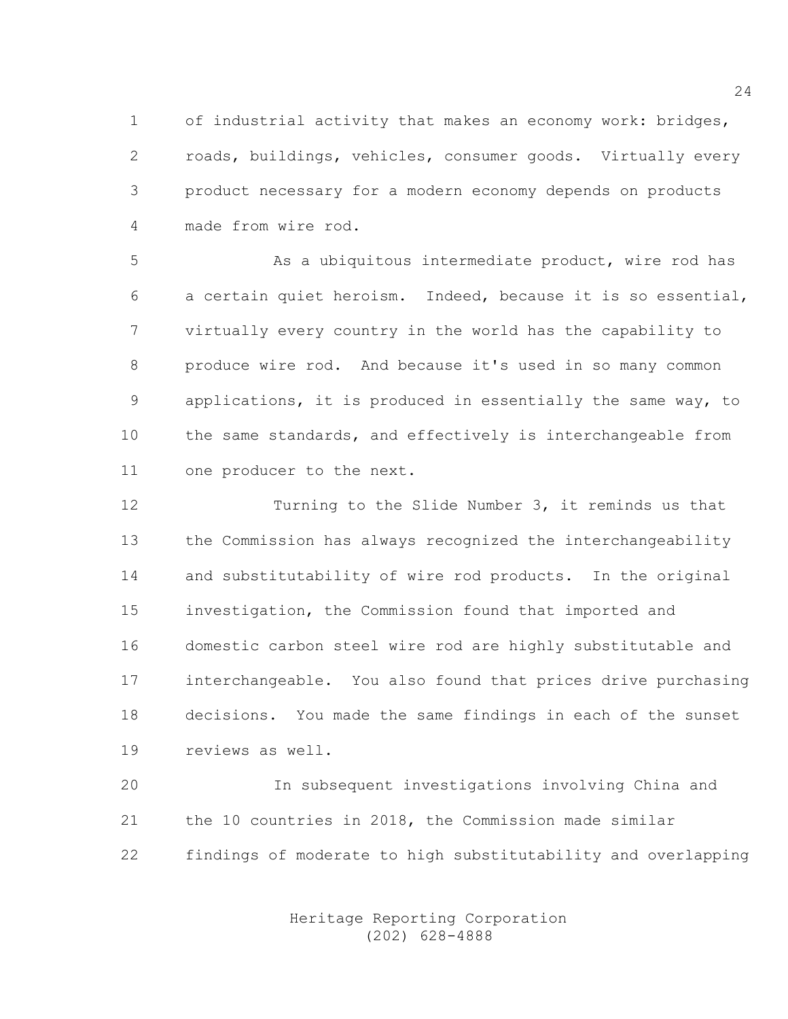1 of industrial activity that makes an economy work: bridges, 2 roads, buildings, vehicles, consumer goods. Virtually every 3 product necessary for a modern economy depends on products 4 made from wire rod.

5 As a ubiquitous intermediate product, wire rod has 6 a certain quiet heroism. Indeed, because it is so essential, 7 virtually every country in the world has the capability to 8 produce wire rod. And because it's used in so many common 9 applications, it is produced in essentially the same way, to 10 the same standards, and effectively is interchangeable from 11 one producer to the next.

12 Turning to the Slide Number 3, it reminds us that 13 the Commission has always recognized the interchangeability 14 and substitutability of wire rod products. In the original 15 investigation, the Commission found that imported and 16 domestic carbon steel wire rod are highly substitutable and 17 interchangeable. You also found that prices drive purchasing 18 decisions. You made the same findings in each of the sunset 19 reviews as well.

20 In subsequent investigations involving China and 21 the 10 countries in 2018, the Commission made similar 22 findings of moderate to high substitutability and overlapping

> Heritage Reporting Corporation (202) 628-4888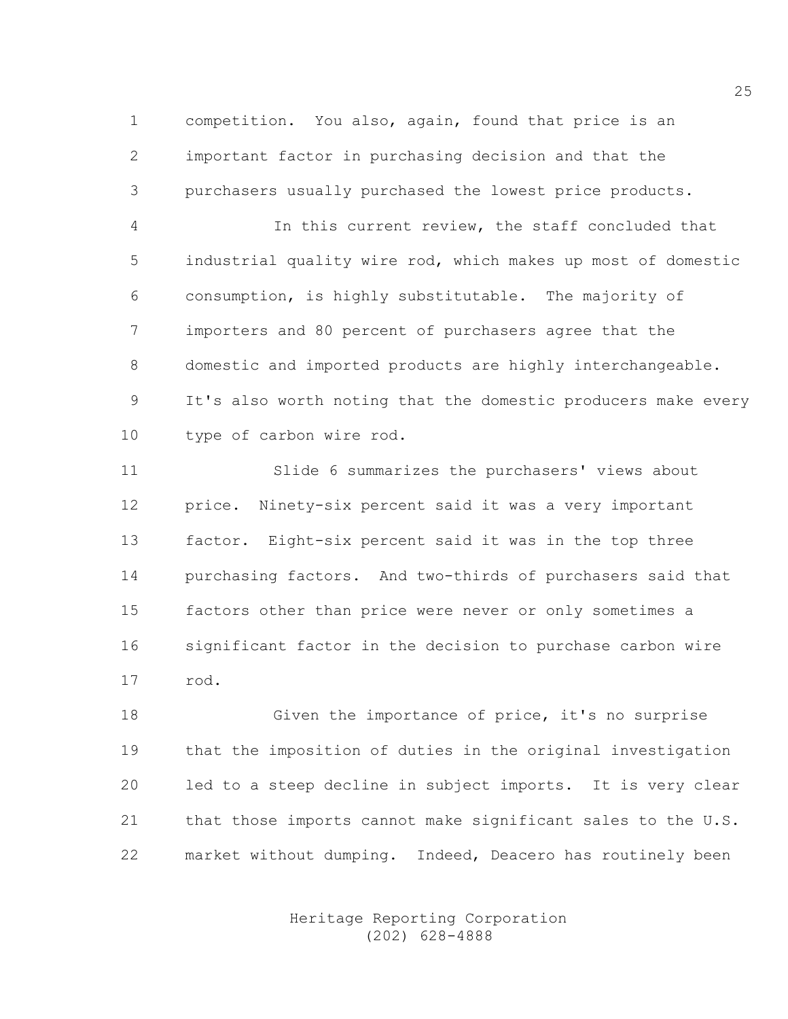1 competition. You also, again, found that price is an 2 important factor in purchasing decision and that the 3 purchasers usually purchased the lowest price products.

4 In this current review, the staff concluded that 5 industrial quality wire rod, which makes up most of domestic 6 consumption, is highly substitutable. The majority of 7 importers and 80 percent of purchasers agree that the 8 domestic and imported products are highly interchangeable. 9 It's also worth noting that the domestic producers make every 10 type of carbon wire rod.

11 Slide 6 summarizes the purchasers' views about 12 price. Ninety-six percent said it was a very important 13 factor. Eight-six percent said it was in the top three 14 purchasing factors. And two-thirds of purchasers said that 15 factors other than price were never or only sometimes a 16 significant factor in the decision to purchase carbon wire 17 rod.

18 Given the importance of price, it's no surprise 19 that the imposition of duties in the original investigation 20 led to a steep decline in subject imports. It is very clear 21 that those imports cannot make significant sales to the U.S. 22 market without dumping. Indeed, Deacero has routinely been

> Heritage Reporting Corporation (202) 628-4888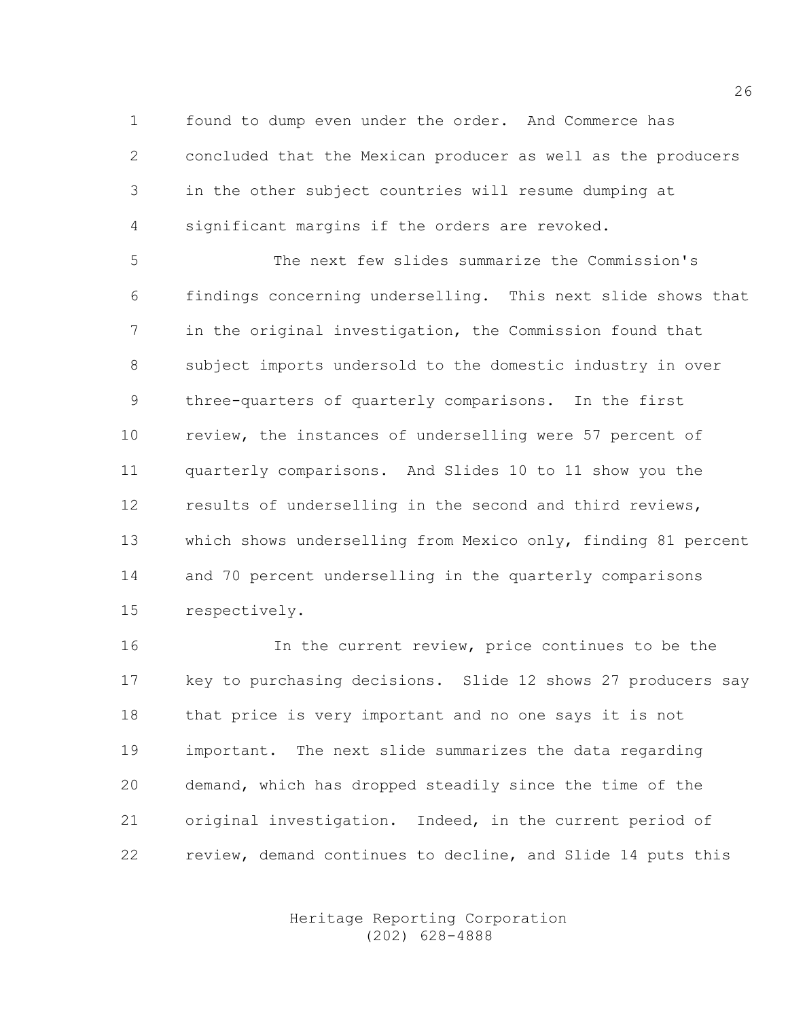1 found to dump even under the order. And Commerce has 2 concluded that the Mexican producer as well as the producers 3 in the other subject countries will resume dumping at 4 significant margins if the orders are revoked.

5 The next few slides summarize the Commission's 6 findings concerning underselling. This next slide shows that 7 in the original investigation, the Commission found that 8 subject imports undersold to the domestic industry in over 9 three-quarters of quarterly comparisons. In the first 10 review, the instances of underselling were 57 percent of 11 quarterly comparisons. And Slides 10 to 11 show you the 12 results of underselling in the second and third reviews, 13 which shows underselling from Mexico only, finding 81 percent 14 and 70 percent underselling in the quarterly comparisons 15 respectively.

16 In the current review, price continues to be the 17 key to purchasing decisions. Slide 12 shows 27 producers say 18 that price is very important and no one says it is not 19 important. The next slide summarizes the data regarding 20 demand, which has dropped steadily since the time of the 21 original investigation. Indeed, in the current period of 22 review, demand continues to decline, and Slide 14 puts this

> Heritage Reporting Corporation (202) 628-4888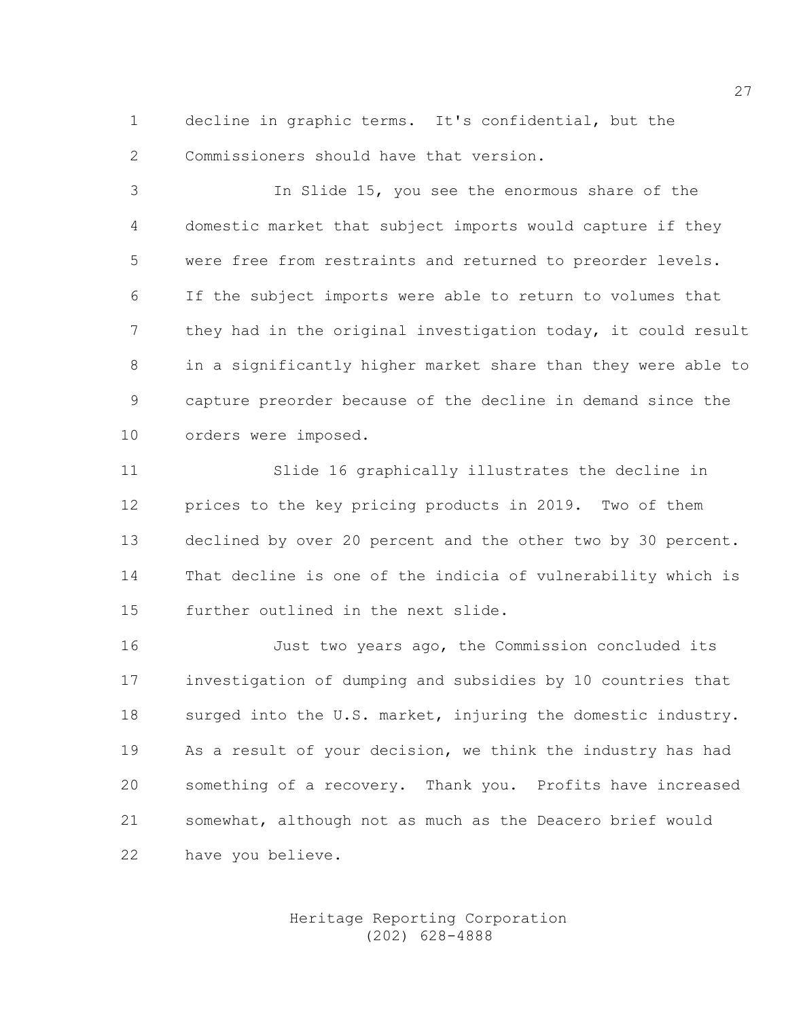1 decline in graphic terms. It's confidential, but the 2 Commissioners should have that version.

3 In Slide 15, you see the enormous share of the 4 domestic market that subject imports would capture if they 5 were free from restraints and returned to preorder levels. 6 If the subject imports were able to return to volumes that 7 they had in the original investigation today, it could result 8 in a significantly higher market share than they were able to 9 capture preorder because of the decline in demand since the 10 orders were imposed.

11 Slide 16 graphically illustrates the decline in 12 prices to the key pricing products in 2019. Two of them 13 declined by over 20 percent and the other two by 30 percent. 14 That decline is one of the indicia of vulnerability which is 15 further outlined in the next slide.

16 Just two years ago, the Commission concluded its 17 investigation of dumping and subsidies by 10 countries that 18 surged into the U.S. market, injuring the domestic industry. 19 As a result of your decision, we think the industry has had 20 something of a recovery. Thank you. Profits have increased 21 somewhat, although not as much as the Deacero brief would 22 have you believe.

#### Heritage Reporting Corporation (202) 628-4888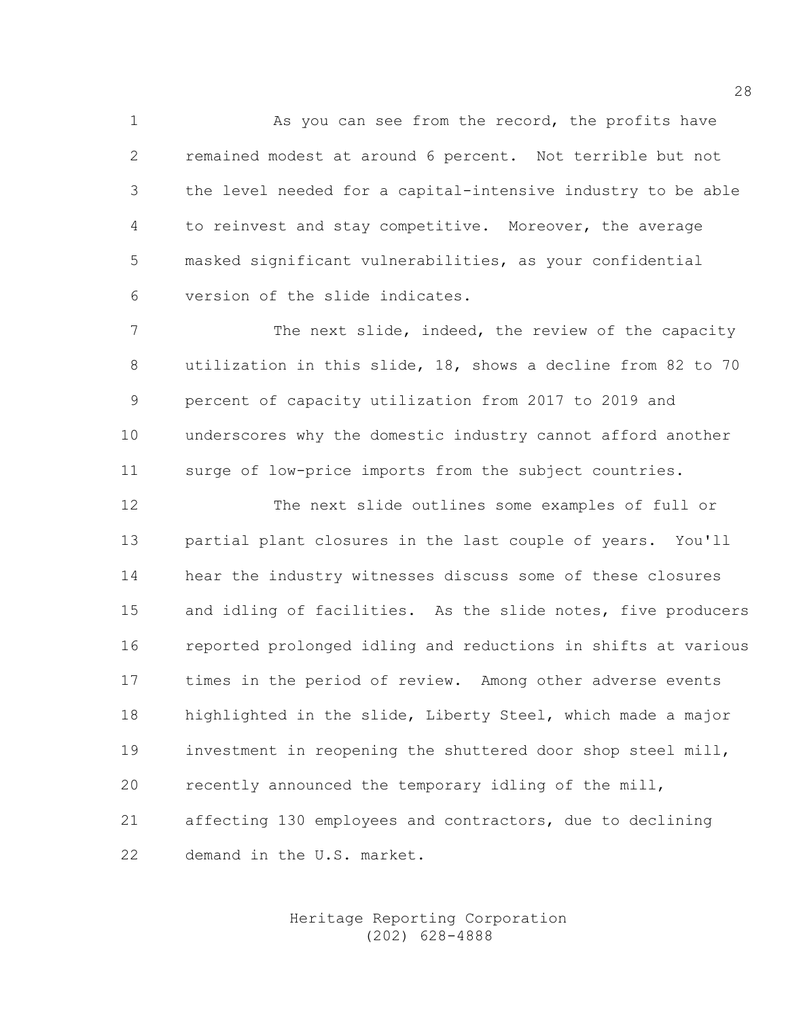1 As you can see from the record, the profits have 2 remained modest at around 6 percent. Not terrible but not 3 the level needed for a capital-intensive industry to be able 4 to reinvest and stay competitive. Moreover, the average 5 masked significant vulnerabilities, as your confidential 6 version of the slide indicates.

7 The next slide, indeed, the review of the capacity 8 utilization in this slide, 18, shows a decline from 82 to 70 9 percent of capacity utilization from 2017 to 2019 and 10 underscores why the domestic industry cannot afford another 11 surge of low-price imports from the subject countries.

12 The next slide outlines some examples of full or 13 partial plant closures in the last couple of years. You'll 14 hear the industry witnesses discuss some of these closures 15 and idling of facilities. As the slide notes, five producers 16 reported prolonged idling and reductions in shifts at various 17 times in the period of review. Among other adverse events 18 highlighted in the slide, Liberty Steel, which made a major 19 investment in reopening the shuttered door shop steel mill, 20 recently announced the temporary idling of the mill, 21 affecting 130 employees and contractors, due to declining 22 demand in the U.S. market.

#### Heritage Reporting Corporation (202) 628-4888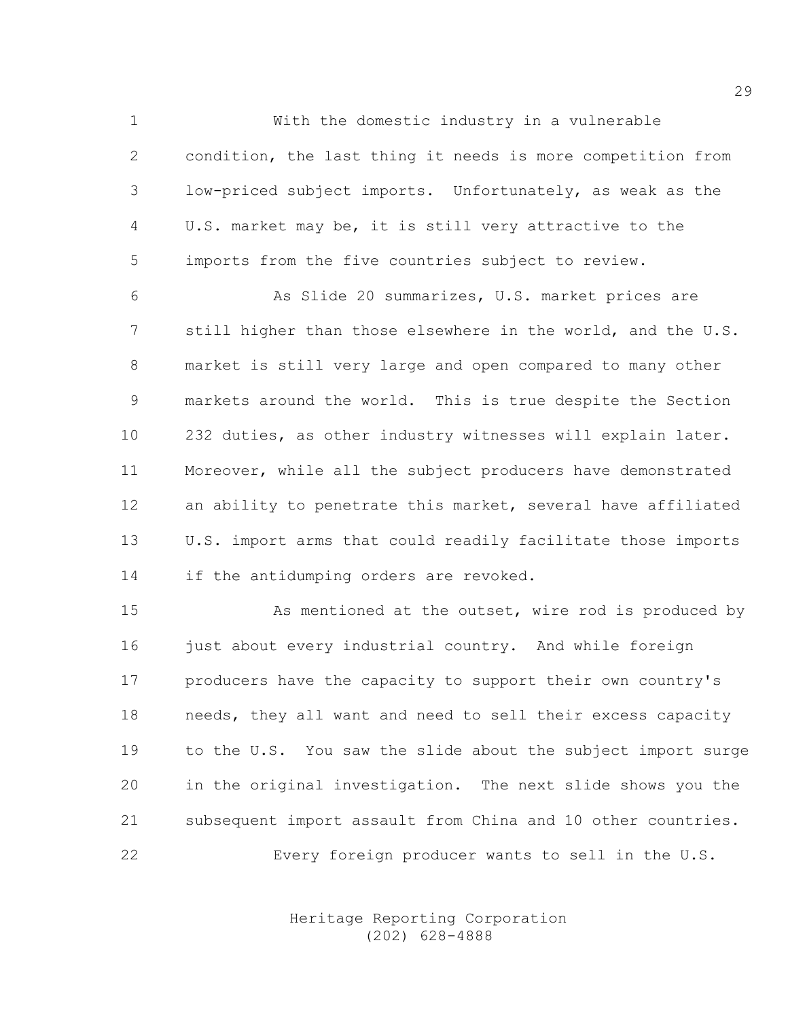1 With the domestic industry in a vulnerable 2 condition, the last thing it needs is more competition from 3 low-priced subject imports. Unfortunately, as weak as the 4 U.S. market may be, it is still very attractive to the 5 imports from the five countries subject to review.

6 As Slide 20 summarizes, U.S. market prices are 7 still higher than those elsewhere in the world, and the U.S. 8 market is still very large and open compared to many other 9 markets around the world. This is true despite the Section 10 232 duties, as other industry witnesses will explain later. 11 Moreover, while all the subject producers have demonstrated 12 an ability to penetrate this market, several have affiliated 13 U.S. import arms that could readily facilitate those imports 14 if the antidumping orders are revoked.

15 As mentioned at the outset, wire rod is produced by 16 just about every industrial country. And while foreign 17 producers have the capacity to support their own country's 18 needs, they all want and need to sell their excess capacity 19 to the U.S. You saw the slide about the subject import surge 20 in the original investigation. The next slide shows you the 21 subsequent import assault from China and 10 other countries. 22 Every foreign producer wants to sell in the U.S.

> Heritage Reporting Corporation (202) 628-4888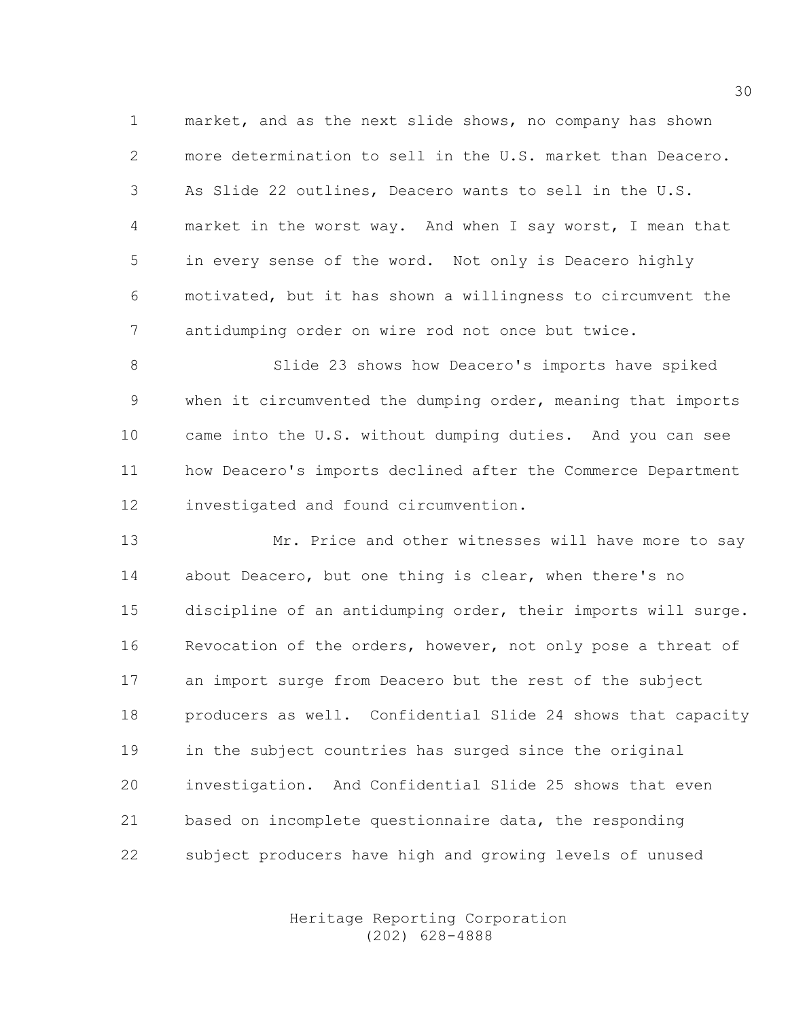1 market, and as the next slide shows, no company has shown 2 more determination to sell in the U.S. market than Deacero. 3 As Slide 22 outlines, Deacero wants to sell in the U.S. 4 market in the worst way. And when I say worst, I mean that 5 in every sense of the word. Not only is Deacero highly 6 motivated, but it has shown a willingness to circumvent the 7 antidumping order on wire rod not once but twice.

8 Slide 23 shows how Deacero's imports have spiked 9 when it circumvented the dumping order, meaning that imports 10 came into the U.S. without dumping duties. And you can see 11 how Deacero's imports declined after the Commerce Department 12 investigated and found circumvention.

13 Mr. Price and other witnesses will have more to say 14 about Deacero, but one thing is clear, when there's no 15 discipline of an antidumping order, their imports will surge. 16 Revocation of the orders, however, not only pose a threat of 17 an import surge from Deacero but the rest of the subject 18 producers as well. Confidential Slide 24 shows that capacity 19 in the subject countries has surged since the original 20 investigation. And Confidential Slide 25 shows that even 21 based on incomplete questionnaire data, the responding 22 subject producers have high and growing levels of unused

> Heritage Reporting Corporation (202) 628-4888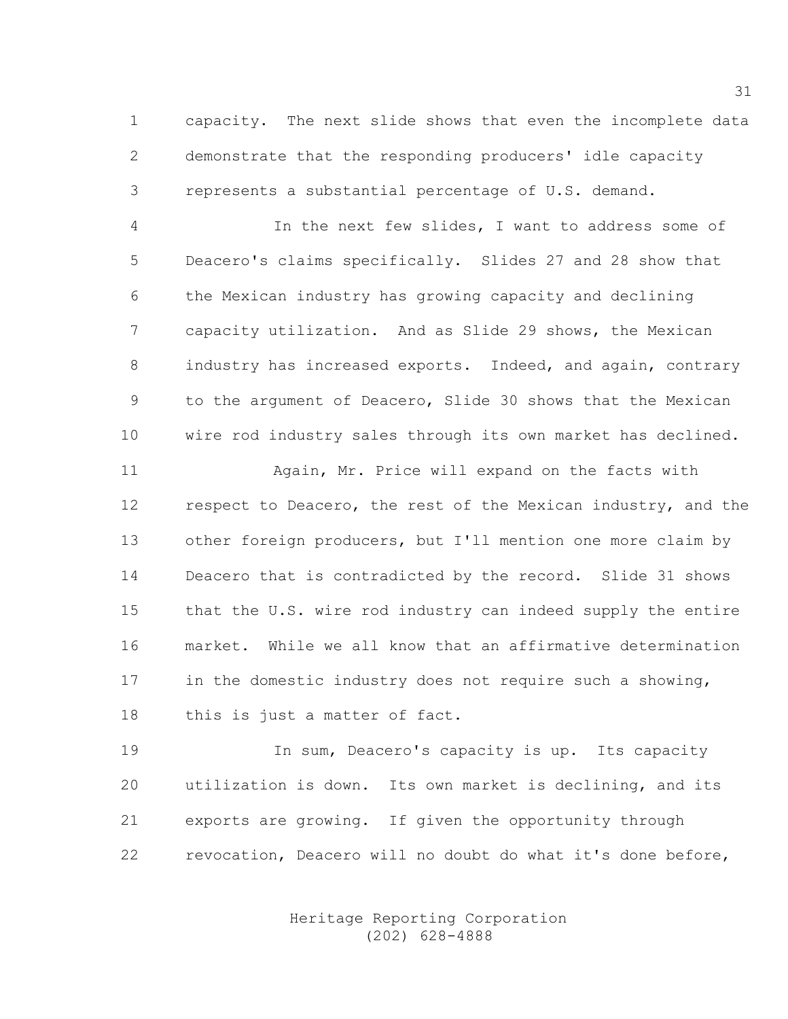1 capacity. The next slide shows that even the incomplete data 2 demonstrate that the responding producers' idle capacity 3 represents a substantial percentage of U.S. demand.

4 In the next few slides, I want to address some of 5 Deacero's claims specifically. Slides 27 and 28 show that 6 the Mexican industry has growing capacity and declining 7 capacity utilization. And as Slide 29 shows, the Mexican 8 industry has increased exports. Indeed, and again, contrary 9 to the argument of Deacero, Slide 30 shows that the Mexican 10 wire rod industry sales through its own market has declined.

11 Again, Mr. Price will expand on the facts with 12 respect to Deacero, the rest of the Mexican industry, and the 13 other foreign producers, but I'll mention one more claim by 14 Deacero that is contradicted by the record. Slide 31 shows 15 that the U.S. wire rod industry can indeed supply the entire 16 market. While we all know that an affirmative determination 17 in the domestic industry does not require such a showing, 18 this is just a matter of fact.

19 **In sum, Deacero's capacity is up.** Its capacity 20 utilization is down. Its own market is declining, and its 21 exports are growing. If given the opportunity through 22 revocation, Deacero will no doubt do what it's done before,

> Heritage Reporting Corporation (202) 628-4888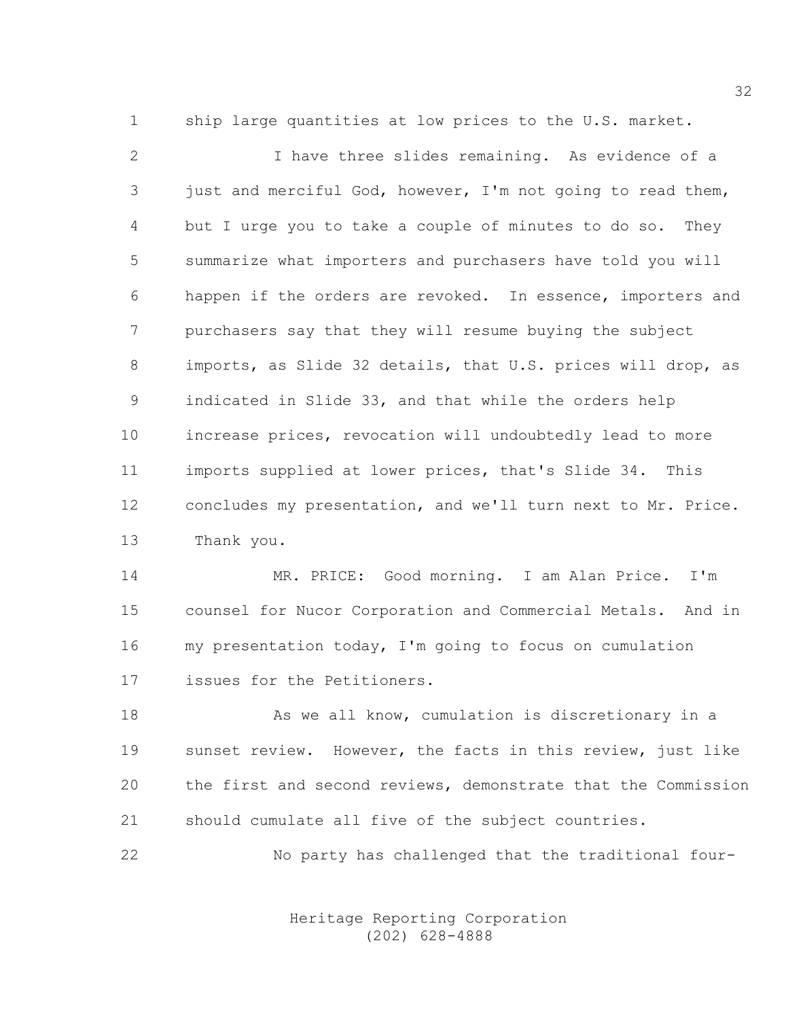1 ship large quantities at low prices to the U.S. market.

2 I have three slides remaining. As evidence of a 3 just and merciful God, however, I'm not going to read them, 4 but I urge you to take a couple of minutes to do so. They 5 summarize what importers and purchasers have told you will 6 happen if the orders are revoked. In essence, importers and 7 purchasers say that they will resume buying the subject 8 imports, as Slide 32 details, that U.S. prices will drop, as 9 indicated in Slide 33, and that while the orders help 10 increase prices, revocation will undoubtedly lead to more 11 imports supplied at lower prices, that's Slide 34. This 12 concludes my presentation, and we'll turn next to Mr. Price. 13 Thank you.

14 MR. PRICE: Good morning. I am Alan Price. I'm 15 counsel for Nucor Corporation and Commercial Metals. And in 16 my presentation today, I'm going to focus on cumulation 17 issues for the Petitioners.

18 As we all know, cumulation is discretionary in a 19 sunset review. However, the facts in this review, just like 20 the first and second reviews, demonstrate that the Commission 21 should cumulate all five of the subject countries.

22 No party has challenged that the traditional four-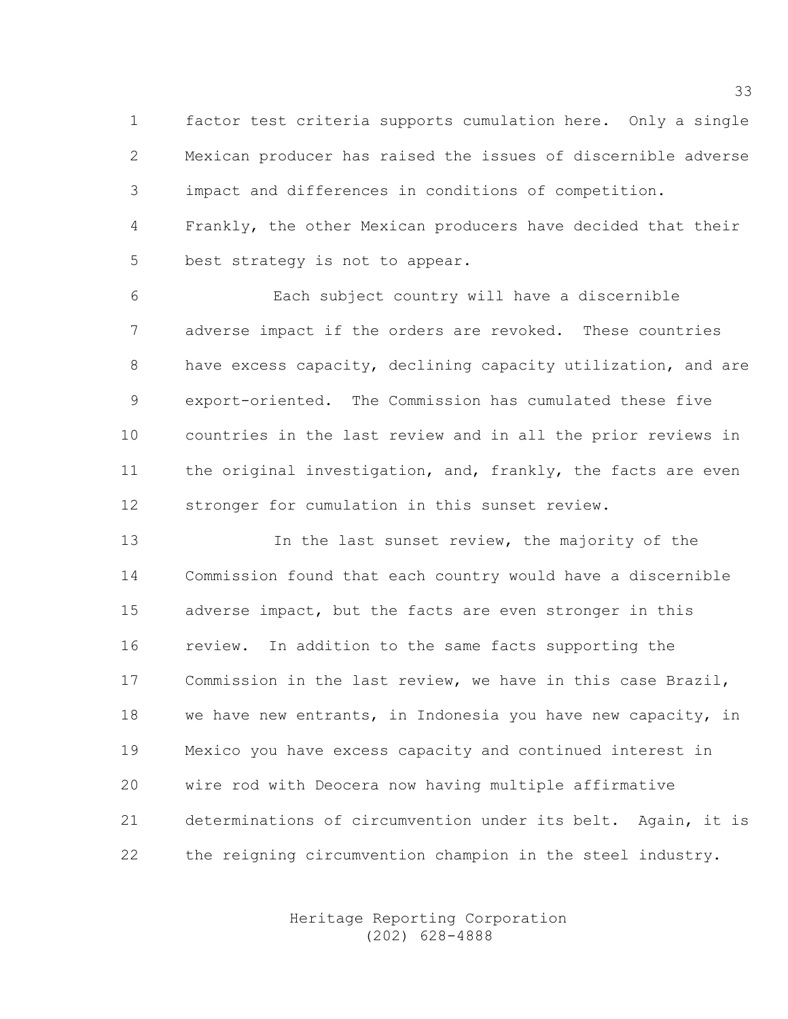1 factor test criteria supports cumulation here. Only a single 2 Mexican producer has raised the issues of discernible adverse 3 impact and differences in conditions of competition. 4 Frankly, the other Mexican producers have decided that their 5 best strategy is not to appear.

6 Each subject country will have a discernible 7 adverse impact if the orders are revoked. These countries 8 have excess capacity, declining capacity utilization, and are 9 export-oriented. The Commission has cumulated these five 10 countries in the last review and in all the prior reviews in 11 the original investigation, and, frankly, the facts are even 12 stronger for cumulation in this sunset review.

13 In the last sunset review, the majority of the 14 Commission found that each country would have a discernible 15 adverse impact, but the facts are even stronger in this 16 review. In addition to the same facts supporting the 17 Commission in the last review, we have in this case Brazil, 18 we have new entrants, in Indonesia you have new capacity, in 19 Mexico you have excess capacity and continued interest in 20 wire rod with Deocera now having multiple affirmative 21 determinations of circumvention under its belt. Again, it is 22 the reigning circumvention champion in the steel industry.

> Heritage Reporting Corporation (202) 628-4888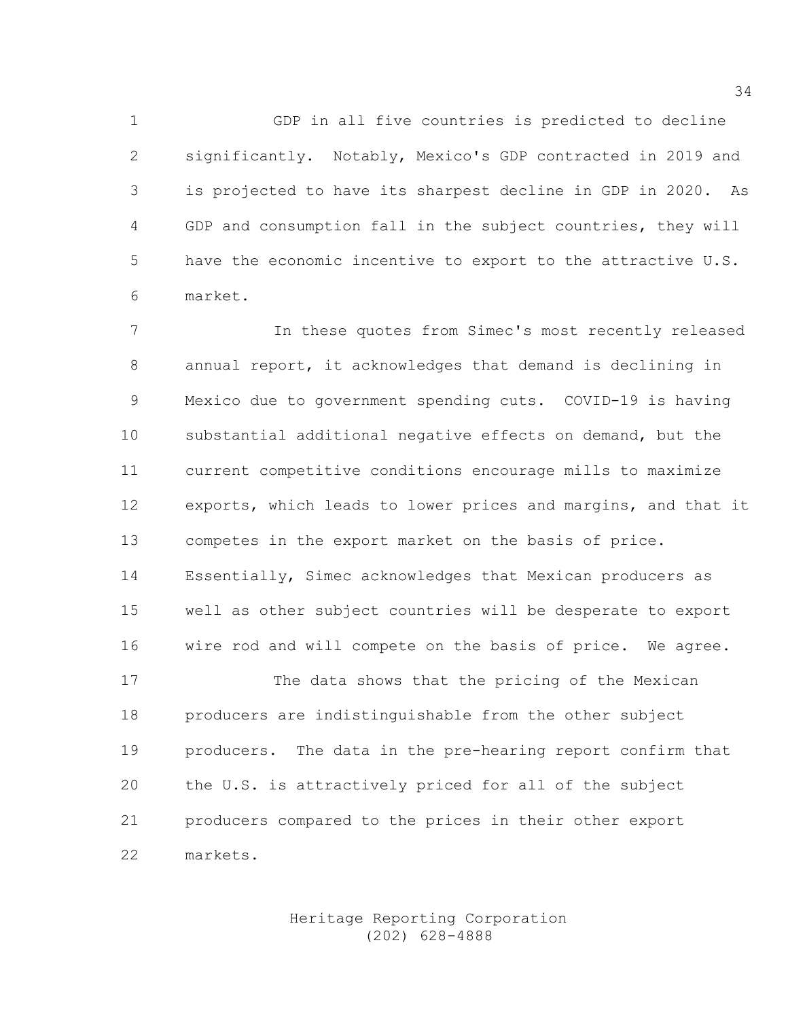1 GDP in all five countries is predicted to decline 2 significantly. Notably, Mexico's GDP contracted in 2019 and 3 is projected to have its sharpest decline in GDP in 2020. As 4 GDP and consumption fall in the subject countries, they will 5 have the economic incentive to export to the attractive U.S. 6 market.

7 In these quotes from Simec's most recently released 8 annual report, it acknowledges that demand is declining in 9 Mexico due to government spending cuts. COVID-19 is having 10 substantial additional negative effects on demand, but the 11 current competitive conditions encourage mills to maximize 12 exports, which leads to lower prices and margins, and that it 13 competes in the export market on the basis of price. 14 Essentially, Simec acknowledges that Mexican producers as 15 well as other subject countries will be desperate to export 16 wire rod and will compete on the basis of price. We agree. 17 The data shows that the pricing of the Mexican 18 producers are indistinguishable from the other subject 19 producers. The data in the pre-hearing report confirm that 20 the U.S. is attractively priced for all of the subject 21 producers compared to the prices in their other export 22 markets.

> Heritage Reporting Corporation (202) 628-4888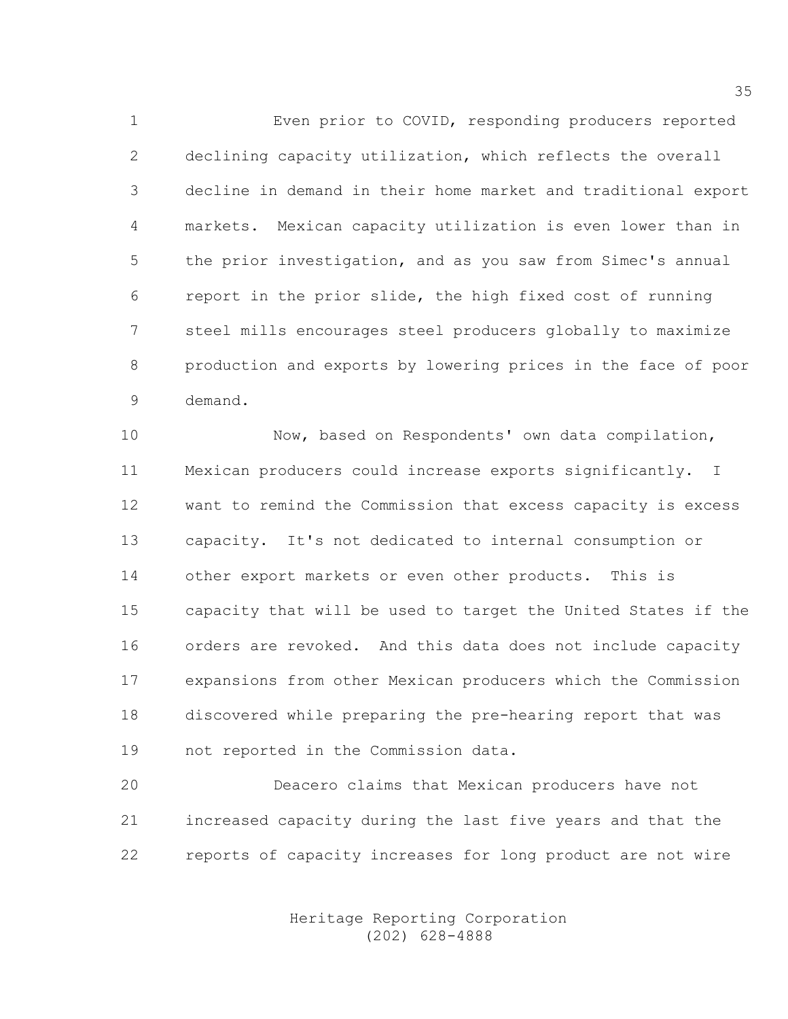1 Even prior to COVID, responding producers reported 2 declining capacity utilization, which reflects the overall 3 decline in demand in their home market and traditional export 4 markets. Mexican capacity utilization is even lower than in 5 the prior investigation, and as you saw from Simec's annual 6 report in the prior slide, the high fixed cost of running 7 steel mills encourages steel producers globally to maximize 8 production and exports by lowering prices in the face of poor 9 demand.

10 Now, based on Respondents' own data compilation, 11 Mexican producers could increase exports significantly. I 12 want to remind the Commission that excess capacity is excess 13 capacity. It's not dedicated to internal consumption or 14 other export markets or even other products. This is 15 capacity that will be used to target the United States if the 16 orders are revoked. And this data does not include capacity 17 expansions from other Mexican producers which the Commission 18 discovered while preparing the pre-hearing report that was 19 not reported in the Commission data.

20 Deacero claims that Mexican producers have not 21 increased capacity during the last five years and that the 22 reports of capacity increases for long product are not wire

> Heritage Reporting Corporation (202) 628-4888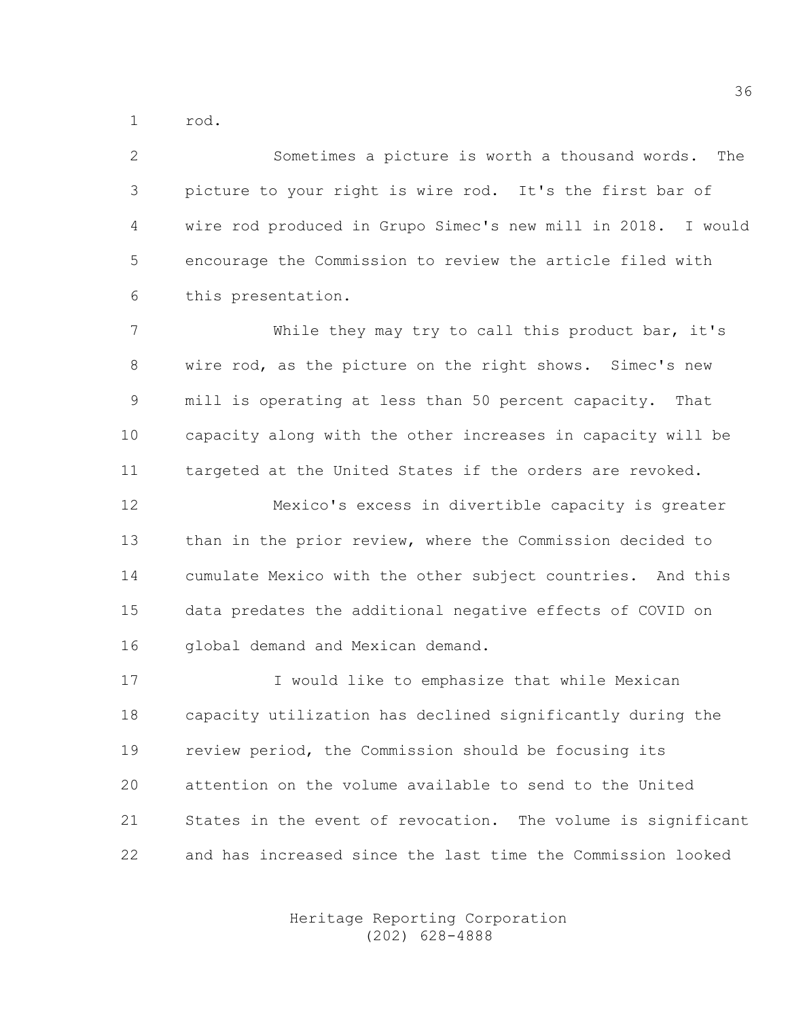1 rod.

2 Sometimes a picture is worth a thousand words. The 3 picture to your right is wire rod. It's the first bar of 4 wire rod produced in Grupo Simec's new mill in 2018. I would 5 encourage the Commission to review the article filed with 6 this presentation.

7 While they may try to call this product bar, it's 8 wire rod, as the picture on the right shows. Simec's new 9 mill is operating at less than 50 percent capacity. That 10 capacity along with the other increases in capacity will be 11 targeted at the United States if the orders are revoked.

12 Mexico's excess in divertible capacity is greater 13 than in the prior review, where the Commission decided to 14 cumulate Mexico with the other subject countries. And this 15 data predates the additional negative effects of COVID on 16 global demand and Mexican demand.

17 I would like to emphasize that while Mexican 18 capacity utilization has declined significantly during the 19 review period, the Commission should be focusing its 20 attention on the volume available to send to the United 21 States in the event of revocation. The volume is significant 22 and has increased since the last time the Commission looked

> Heritage Reporting Corporation (202) 628-4888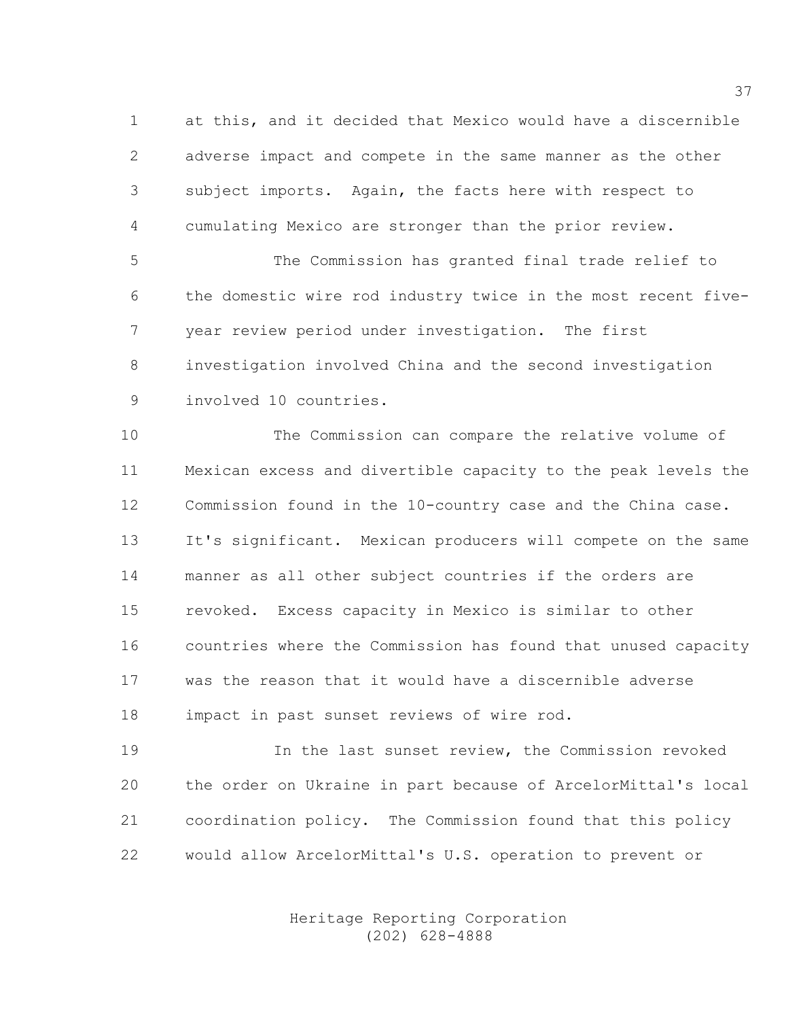1 at this, and it decided that Mexico would have a discernible 2 adverse impact and compete in the same manner as the other 3 subject imports. Again, the facts here with respect to 4 cumulating Mexico are stronger than the prior review.

5 The Commission has granted final trade relief to 6 the domestic wire rod industry twice in the most recent five-7 year review period under investigation. The first 8 investigation involved China and the second investigation 9 involved 10 countries.

10 The Commission can compare the relative volume of 11 Mexican excess and divertible capacity to the peak levels the 12 Commission found in the 10-country case and the China case. 13 It's significant. Mexican producers will compete on the same 14 manner as all other subject countries if the orders are 15 revoked. Excess capacity in Mexico is similar to other 16 countries where the Commission has found that unused capacity 17 was the reason that it would have a discernible adverse 18 impact in past sunset reviews of wire rod.

19 In the last sunset review, the Commission revoked 20 the order on Ukraine in part because of ArcelorMittal's local 21 coordination policy. The Commission found that this policy 22 would allow ArcelorMittal's U.S. operation to prevent or

> Heritage Reporting Corporation (202) 628-4888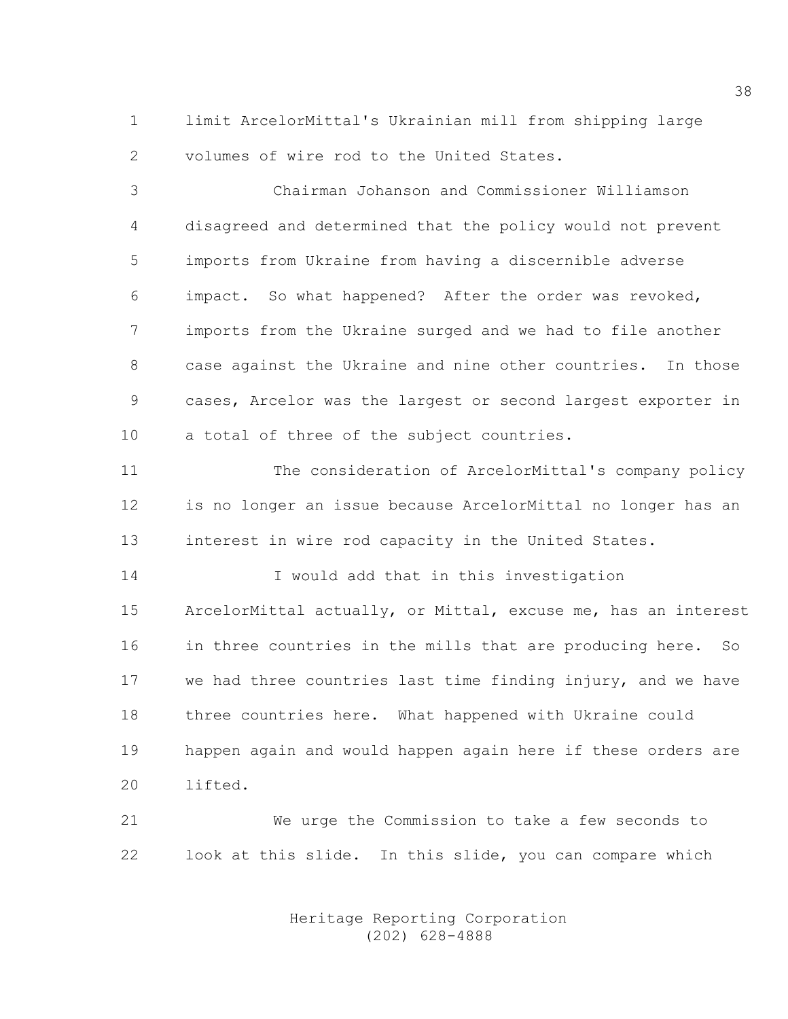1 limit ArcelorMittal's Ukrainian mill from shipping large 2 volumes of wire rod to the United States.

3 Chairman Johanson and Commissioner Williamson 4 disagreed and determined that the policy would not prevent 5 imports from Ukraine from having a discernible adverse 6 impact. So what happened? After the order was revoked, 7 imports from the Ukraine surged and we had to file another 8 case against the Ukraine and nine other countries. In those 9 cases, Arcelor was the largest or second largest exporter in 10 a total of three of the subject countries.

11 The consideration of ArcelorMittal's company policy 12 is no longer an issue because ArcelorMittal no longer has an 13 interest in wire rod capacity in the United States.

14 I would add that in this investigation 15 ArcelorMittal actually, or Mittal, excuse me, has an interest 16 in three countries in the mills that are producing here. So 17 we had three countries last time finding injury, and we have 18 three countries here. What happened with Ukraine could 19 happen again and would happen again here if these orders are 20 lifted.

21 We urge the Commission to take a few seconds to 22 look at this slide. In this slide, you can compare which

> Heritage Reporting Corporation (202) 628-4888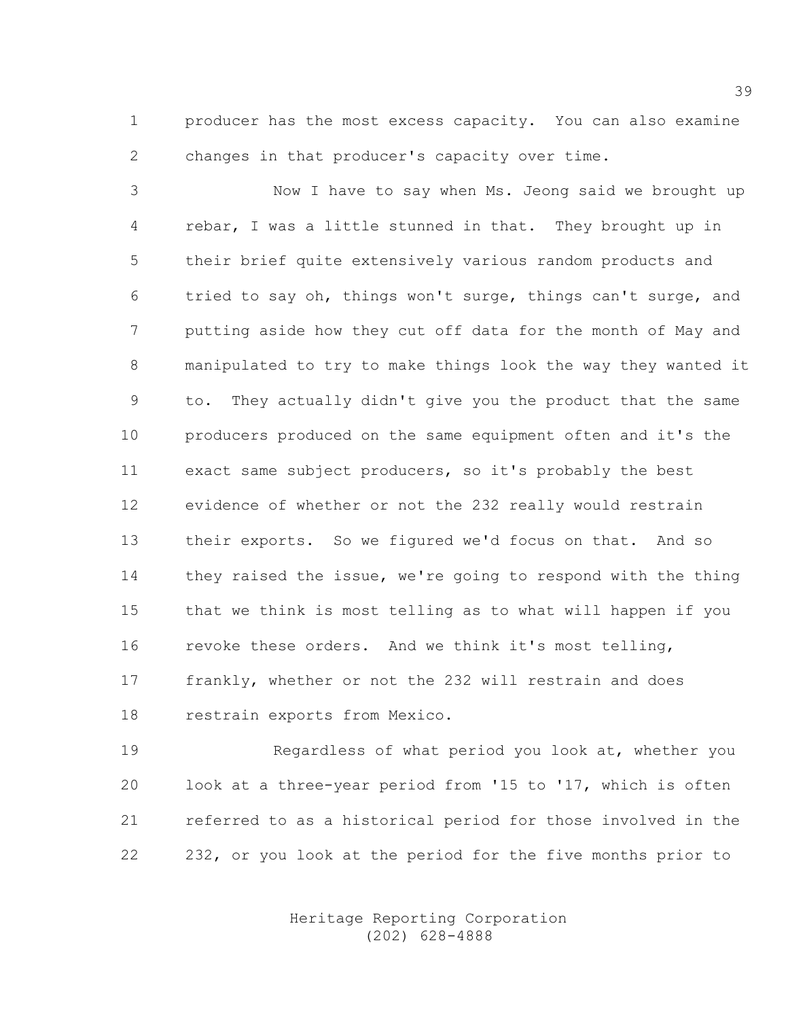1 producer has the most excess capacity. You can also examine 2 changes in that producer's capacity over time.

3 Now I have to say when Ms. Jeong said we brought up 4 rebar, I was a little stunned in that. They brought up in 5 their brief quite extensively various random products and 6 tried to say oh, things won't surge, things can't surge, and 7 putting aside how they cut off data for the month of May and 8 manipulated to try to make things look the way they wanted it 9 to. They actually didn't give you the product that the same 10 producers produced on the same equipment often and it's the 11 exact same subject producers, so it's probably the best 12 evidence of whether or not the 232 really would restrain 13 their exports. So we figured we'd focus on that. And so 14 they raised the issue, we're going to respond with the thing 15 that we think is most telling as to what will happen if you 16 revoke these orders. And we think it's most telling, 17 frankly, whether or not the 232 will restrain and does 18 restrain exports from Mexico.

19 Regardless of what period you look at, whether you 20 look at a three-year period from '15 to '17, which is often 21 referred to as a historical period for those involved in the 22 232, or you look at the period for the five months prior to

> Heritage Reporting Corporation (202) 628-4888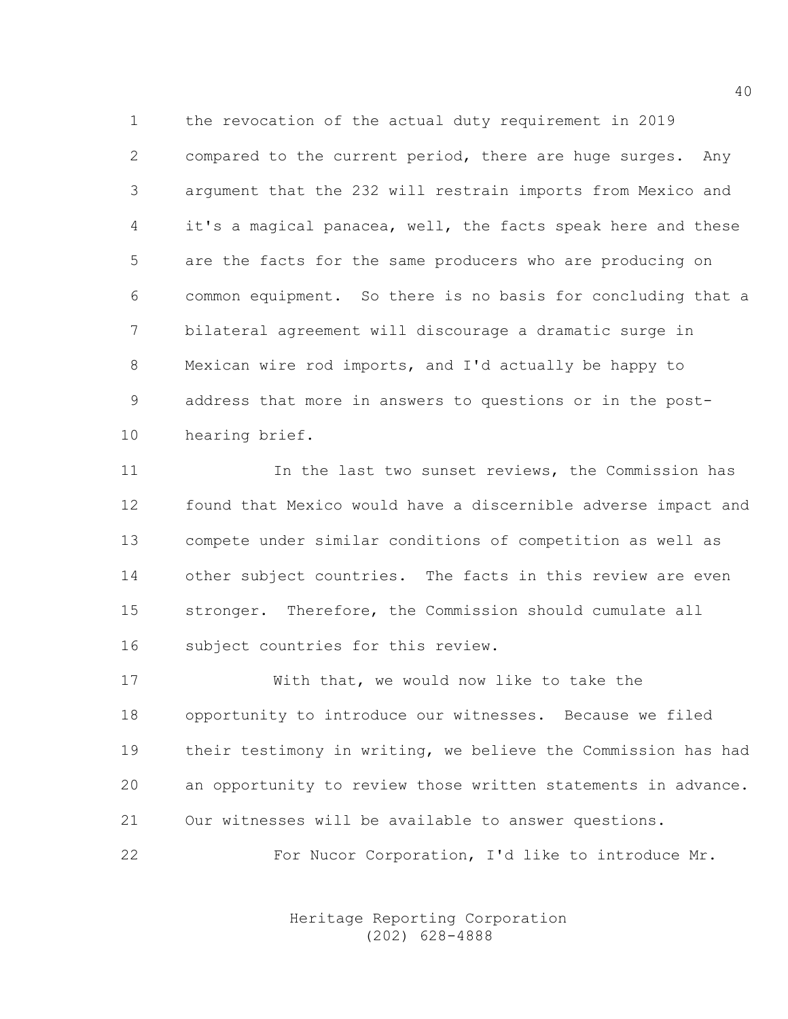1 the revocation of the actual duty requirement in 2019 2 compared to the current period, there are huge surges. Any 3 argument that the 232 will restrain imports from Mexico and 4 it's a magical panacea, well, the facts speak here and these 5 are the facts for the same producers who are producing on 6 common equipment. So there is no basis for concluding that a 7 bilateral agreement will discourage a dramatic surge in 8 Mexican wire rod imports, and I'd actually be happy to 9 address that more in answers to questions or in the post-10 hearing brief.

11 11 In the last two sunset reviews, the Commission has 12 found that Mexico would have a discernible adverse impact and 13 compete under similar conditions of competition as well as 14 other subject countries. The facts in this review are even 15 stronger. Therefore, the Commission should cumulate all 16 subject countries for this review.

17 With that, we would now like to take the 18 opportunity to introduce our witnesses. Because we filed 19 their testimony in writing, we believe the Commission has had 20 an opportunity to review those written statements in advance. 21 Our witnesses will be available to answer questions.

22 For Nucor Corporation, I'd like to introduce Mr.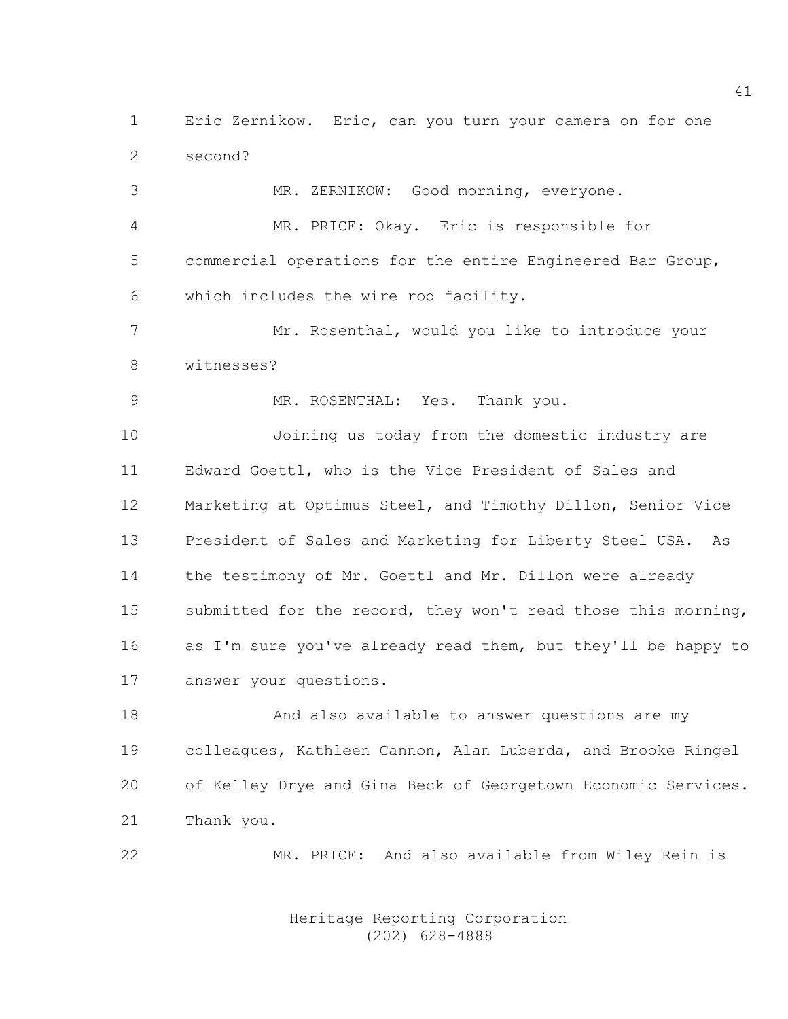1 Eric Zernikow. Eric, can you turn your camera on for one 2 second?

3 MR. ZERNIKOW: Good morning, everyone. 4 MR. PRICE: Okay. Eric is responsible for 5 commercial operations for the entire Engineered Bar Group, 6 which includes the wire rod facility. 7 Mr. Rosenthal, would you like to introduce your 8 witnesses? 9 MR. ROSENTHAL: Yes. Thank you. 10 Joining us today from the domestic industry are 11 Edward Goettl, who is the Vice President of Sales and 12 Marketing at Optimus Steel, and Timothy Dillon, Senior Vice 13 President of Sales and Marketing for Liberty Steel USA. As 14 the testimony of Mr. Goettl and Mr. Dillon were already 15 submitted for the record, they won't read those this morning, 16 as I'm sure you've already read them, but they'll be happy to 17 answer your questions.

18 And also available to answer questions are my 19 colleagues, Kathleen Cannon, Alan Luberda, and Brooke Ringel 20 of Kelley Drye and Gina Beck of Georgetown Economic Services. 21 Thank you.

22 MR. PRICE: And also available from Wiley Rein is

 Heritage Reporting Corporation (202) 628-4888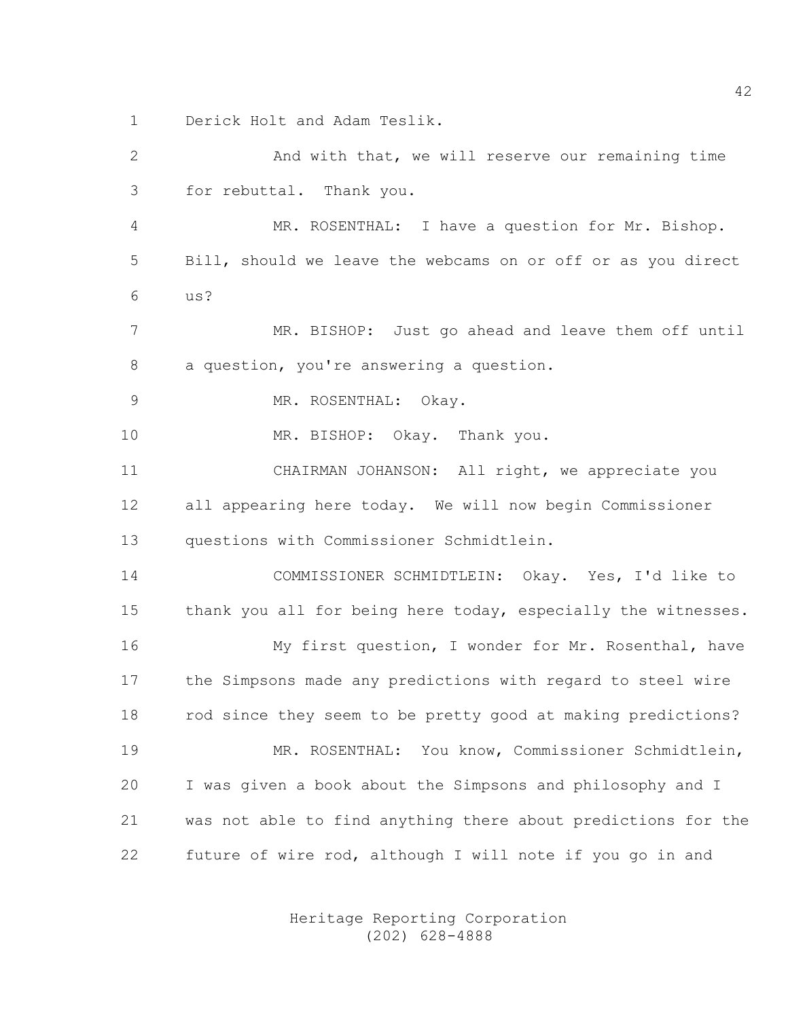1 Derick Holt and Adam Teslik.

2 And with that, we will reserve our remaining time 3 for rebuttal. Thank you. 4 MR. ROSENTHAL: I have a question for Mr. Bishop. 5 Bill, should we leave the webcams on or off or as you direct 6 us? 7 MR. BISHOP: Just go ahead and leave them off until 8 a question, you're answering a question. 9 MR. ROSENTHAL: Okay. 10 MR. BISHOP: Okay. Thank you. 11 CHAIRMAN JOHANSON: All right, we appreciate you 12 all appearing here today. We will now begin Commissioner 13 questions with Commissioner Schmidtlein. 14 COMMISSIONER SCHMIDTLEIN: Okay. Yes, I'd like to 15 thank you all for being here today, especially the witnesses. 16 My first question, I wonder for Mr. Rosenthal, have 17 the Simpsons made any predictions with regard to steel wire 18 rod since they seem to be pretty good at making predictions? 19 MR. ROSENTHAL: You know, Commissioner Schmidtlein, 20 I was given a book about the Simpsons and philosophy and I 21 was not able to find anything there about predictions for the 22 future of wire rod, although I will note if you go in and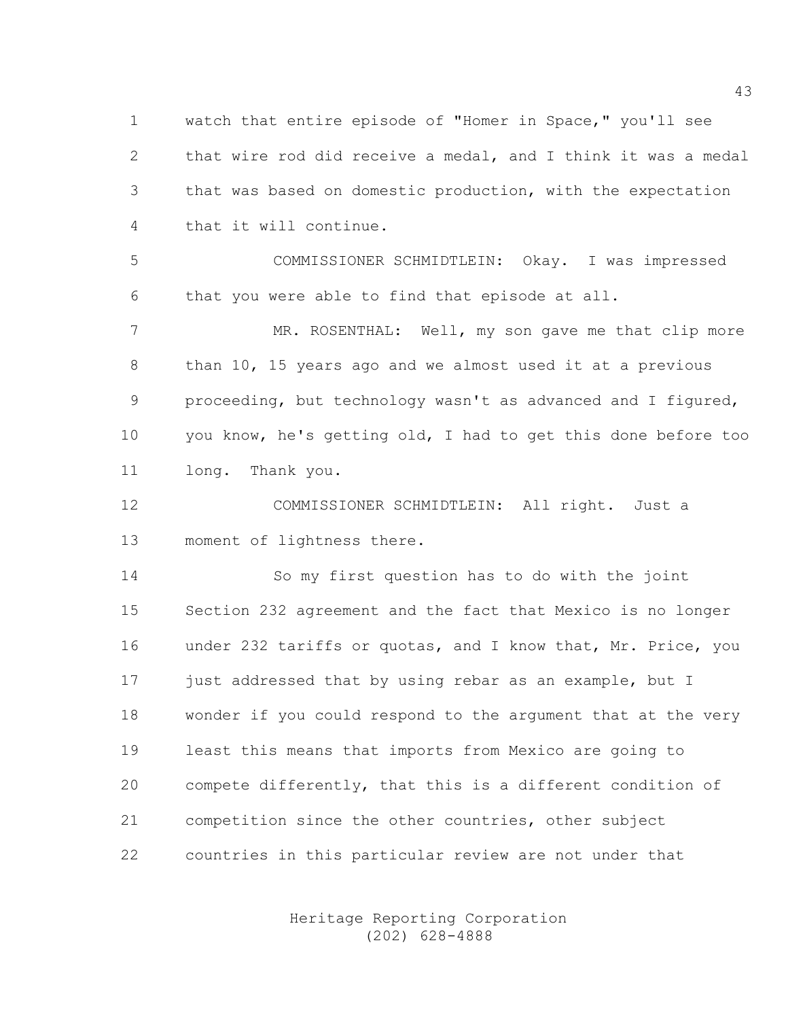1 watch that entire episode of "Homer in Space," you'll see 2 that wire rod did receive a medal, and I think it was a medal 3 that was based on domestic production, with the expectation 4 that it will continue.

5 COMMISSIONER SCHMIDTLEIN: Okay. I was impressed 6 that you were able to find that episode at all.

7 MR. ROSENTHAL: Well, my son gave me that clip more 8 than 10, 15 years ago and we almost used it at a previous 9 proceeding, but technology wasn't as advanced and I figured, 10 you know, he's getting old, I had to get this done before too 11 long. Thank you.

12 COMMISSIONER SCHMIDTLEIN: All right. Just a 13 moment of lightness there.

14 So my first question has to do with the joint 15 Section 232 agreement and the fact that Mexico is no longer 16 under 232 tariffs or quotas, and I know that, Mr. Price, you 17 just addressed that by using rebar as an example, but I 18 wonder if you could respond to the argument that at the very 19 least this means that imports from Mexico are going to 20 compete differently, that this is a different condition of 21 competition since the other countries, other subject 22 countries in this particular review are not under that

> Heritage Reporting Corporation (202) 628-4888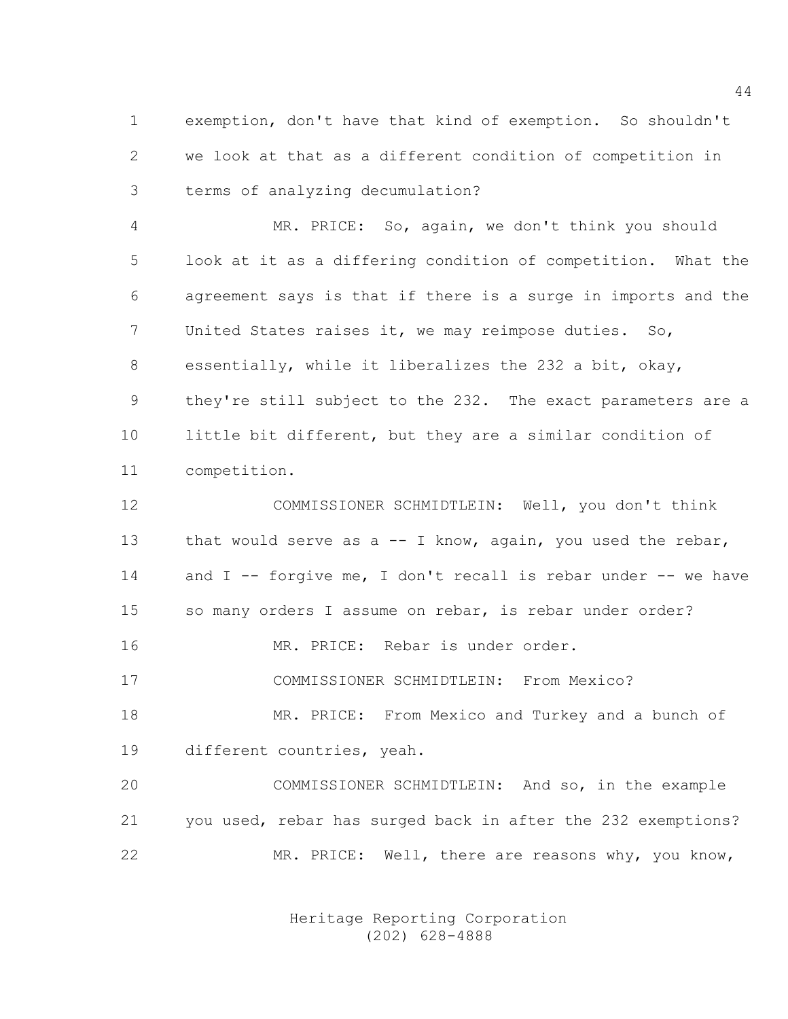1 exemption, don't have that kind of exemption. So shouldn't 2 we look at that as a different condition of competition in 3 terms of analyzing decumulation?

4 MR. PRICE: So, again, we don't think you should 5 look at it as a differing condition of competition. What the 6 agreement says is that if there is a surge in imports and the 7 United States raises it, we may reimpose duties. So, 8 essentially, while it liberalizes the 232 a bit, okay, 9 they're still subject to the 232. The exact parameters are a 10 little bit different, but they are a similar condition of 11 competition.

12 COMMISSIONER SCHMIDTLEIN: Well, you don't think 13 that would serve as a -- I know, again, you used the rebar, 14 and I -- forgive me, I don't recall is rebar under -- we have 15 so many orders I assume on rebar, is rebar under order? 16 MR. PRICE: Rebar is under order. 17 COMMISSIONER SCHMIDTLEIN: From Mexico? 18 MR. PRICE: From Mexico and Turkey and a bunch of 19 different countries, yeah.

20 COMMISSIONER SCHMIDTLEIN: And so, in the example 21 you used, rebar has surged back in after the 232 exemptions? 22 MR. PRICE: Well, there are reasons why, you know,

> Heritage Reporting Corporation (202) 628-4888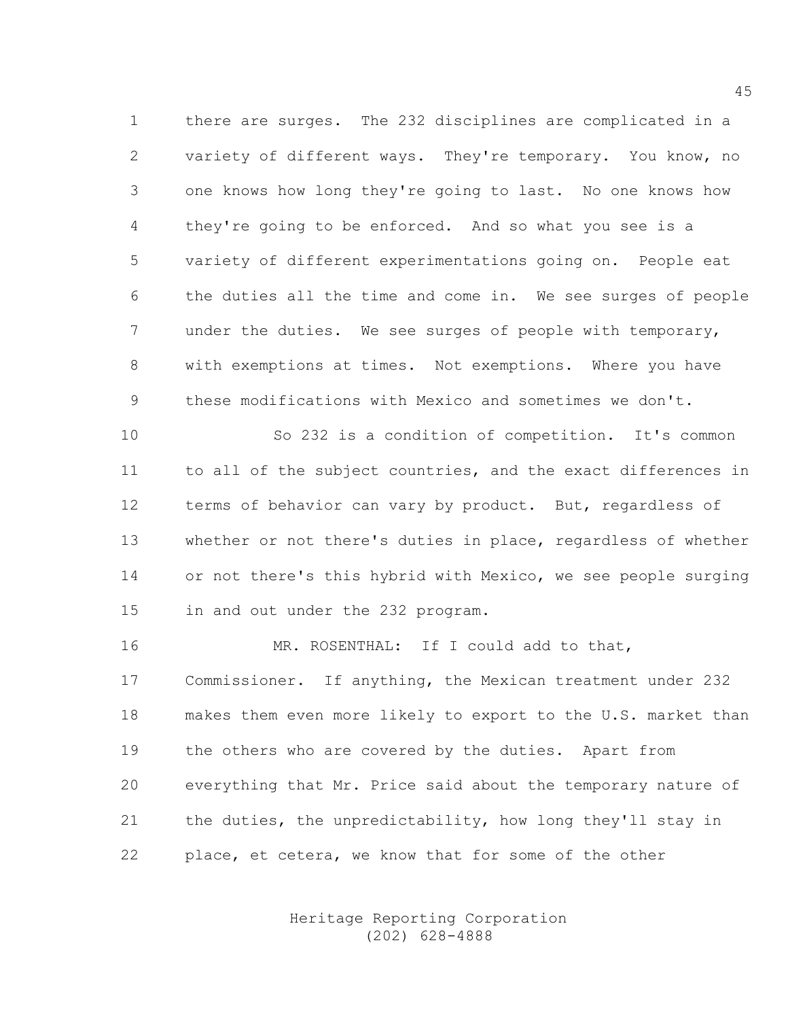1 there are surges. The 232 disciplines are complicated in a 2 variety of different ways. They're temporary. You know, no 3 one knows how long they're going to last. No one knows how 4 they're going to be enforced. And so what you see is a 5 variety of different experimentations going on. People eat 6 the duties all the time and come in. We see surges of people 7 under the duties. We see surges of people with temporary, 8 with exemptions at times. Not exemptions. Where you have 9 these modifications with Mexico and sometimes we don't.

10 So 232 is a condition of competition. It's common 11 to all of the subject countries, and the exact differences in 12 terms of behavior can vary by product. But, regardless of 13 whether or not there's duties in place, regardless of whether 14 or not there's this hybrid with Mexico, we see people surging 15 in and out under the 232 program.

16 MR. ROSENTHAL: If I could add to that, 17 Commissioner. If anything, the Mexican treatment under 232 18 makes them even more likely to export to the U.S. market than 19 the others who are covered by the duties. Apart from 20 everything that Mr. Price said about the temporary nature of 21 the duties, the unpredictability, how long they'll stay in 22 place, et cetera, we know that for some of the other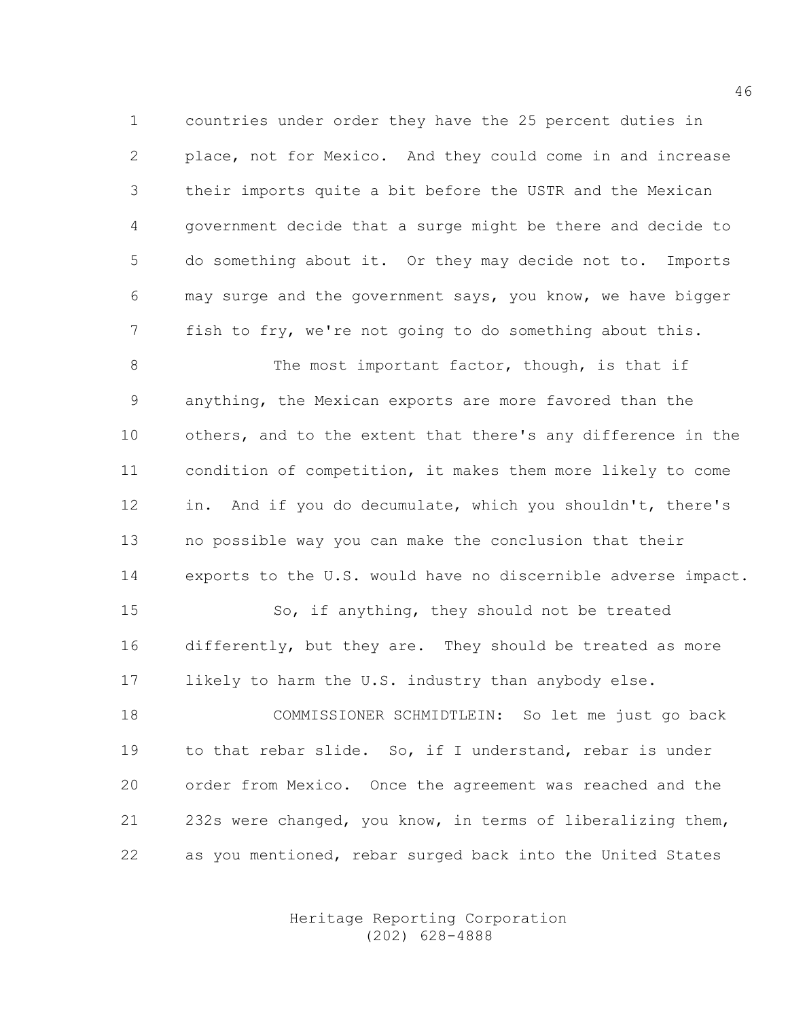1 countries under order they have the 25 percent duties in 2 place, not for Mexico. And they could come in and increase 3 their imports quite a bit before the USTR and the Mexican 4 government decide that a surge might be there and decide to 5 do something about it. Or they may decide not to. Imports 6 may surge and the government says, you know, we have bigger 7 fish to fry, we're not going to do something about this.

8 The most important factor, though, is that if 9 anything, the Mexican exports are more favored than the 10 others, and to the extent that there's any difference in the 11 condition of competition, it makes them more likely to come 12 in. And if you do decumulate, which you shouldn't, there's 13 no possible way you can make the conclusion that their 14 exports to the U.S. would have no discernible adverse impact.

15 So, if anything, they should not be treated 16 differently, but they are. They should be treated as more 17 likely to harm the U.S. industry than anybody else.

18 COMMISSIONER SCHMIDTLEIN: So let me just go back 19 to that rebar slide. So, if I understand, rebar is under 20 order from Mexico. Once the agreement was reached and the 21 232s were changed, you know, in terms of liberalizing them, 22 as you mentioned, rebar surged back into the United States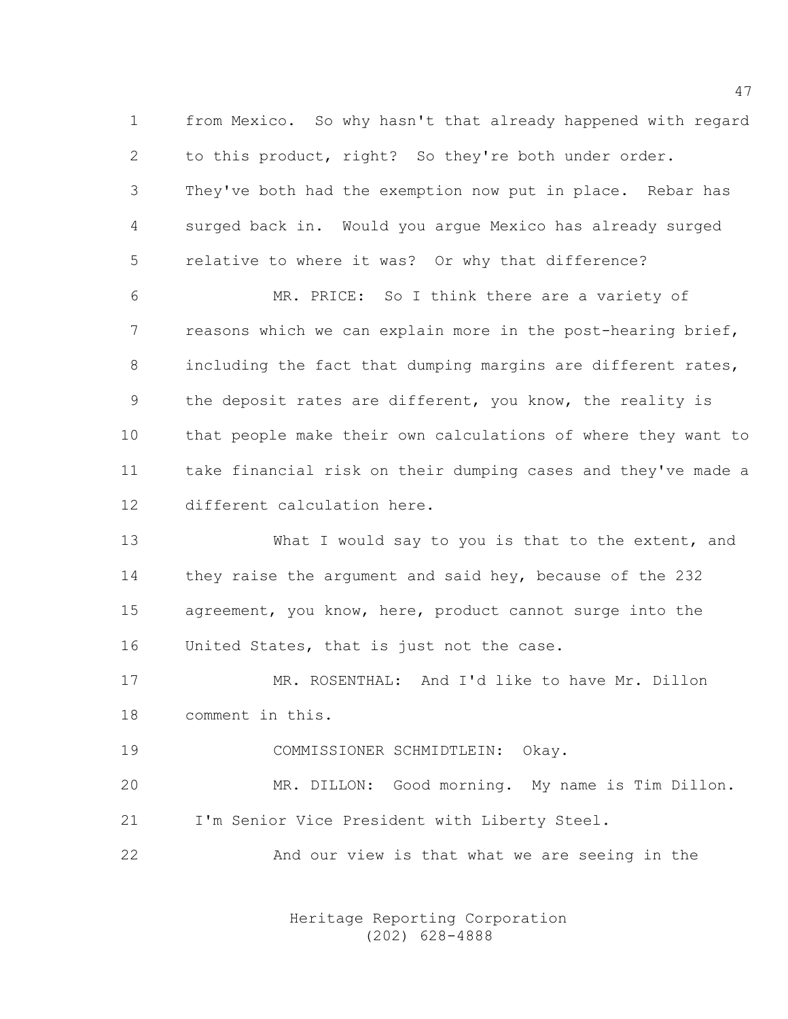1 from Mexico. So why hasn't that already happened with regard 2 to this product, right? So they're both under order. 3 They've both had the exemption now put in place. Rebar has 4 surged back in. Would you argue Mexico has already surged 5 relative to where it was? Or why that difference?

6 MR. PRICE: So I think there are a variety of 7 reasons which we can explain more in the post-hearing brief, 8 including the fact that dumping margins are different rates, 9 the deposit rates are different, you know, the reality is 10 that people make their own calculations of where they want to 11 take financial risk on their dumping cases and they've made a 12 different calculation here.

13 What I would say to you is that to the extent, and 14 they raise the argument and said hey, because of the 232 15 agreement, you know, here, product cannot surge into the 16 United States, that is just not the case.

17 MR. ROSENTHAL: And I'd like to have Mr. Dillon 18 comment in this.

19 COMMISSIONER SCHMIDTLEIN: Okay.

20 MR. DILLON: Good morning. My name is Tim Dillon. 21 I'm Senior Vice President with Liberty Steel.

22 And our view is that what we are seeing in the

 Heritage Reporting Corporation (202) 628-4888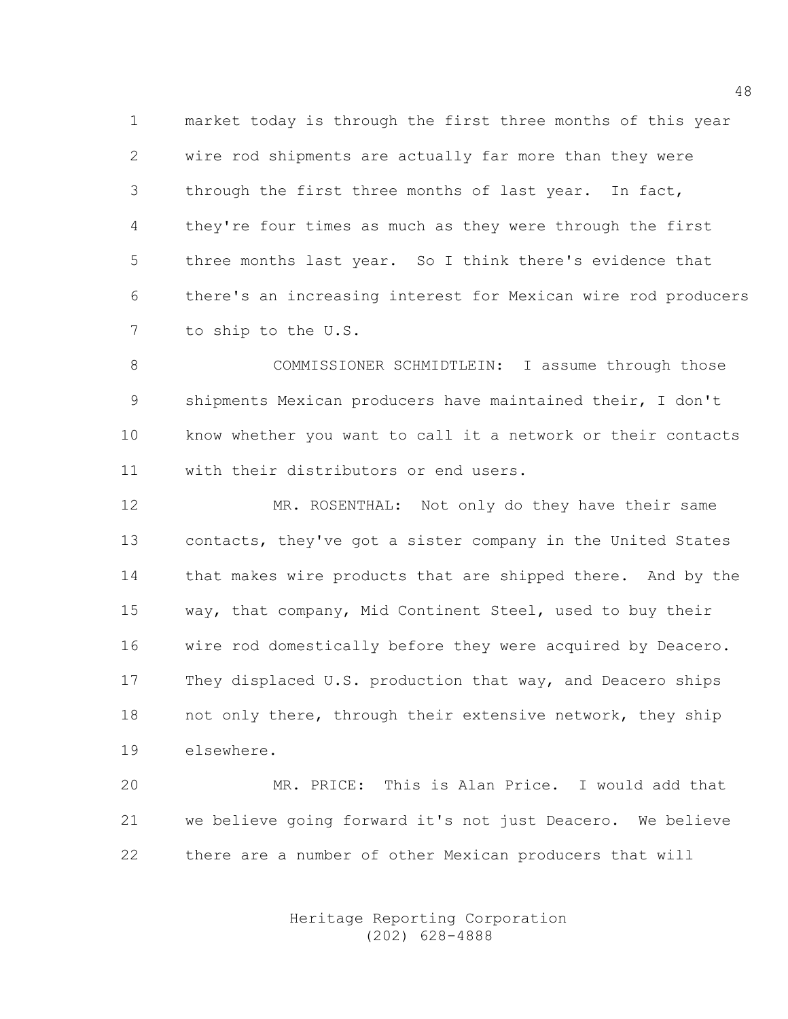1 market today is through the first three months of this year 2 wire rod shipments are actually far more than they were 3 through the first three months of last year. In fact, 4 they're four times as much as they were through the first 5 three months last year. So I think there's evidence that 6 there's an increasing interest for Mexican wire rod producers 7 to ship to the U.S.

8 COMMISSIONER SCHMIDTLEIN: I assume through those 9 shipments Mexican producers have maintained their, I don't 10 know whether you want to call it a network or their contacts 11 with their distributors or end users.

12 MR. ROSENTHAL: Not only do they have their same 13 contacts, they've got a sister company in the United States 14 that makes wire products that are shipped there. And by the 15 way, that company, Mid Continent Steel, used to buy their 16 wire rod domestically before they were acquired by Deacero. 17 They displaced U.S. production that way, and Deacero ships 18 not only there, through their extensive network, they ship 19 elsewhere.

20 MR. PRICE: This is Alan Price. I would add that 21 we believe going forward it's not just Deacero. We believe 22 there are a number of other Mexican producers that will

> Heritage Reporting Corporation (202) 628-4888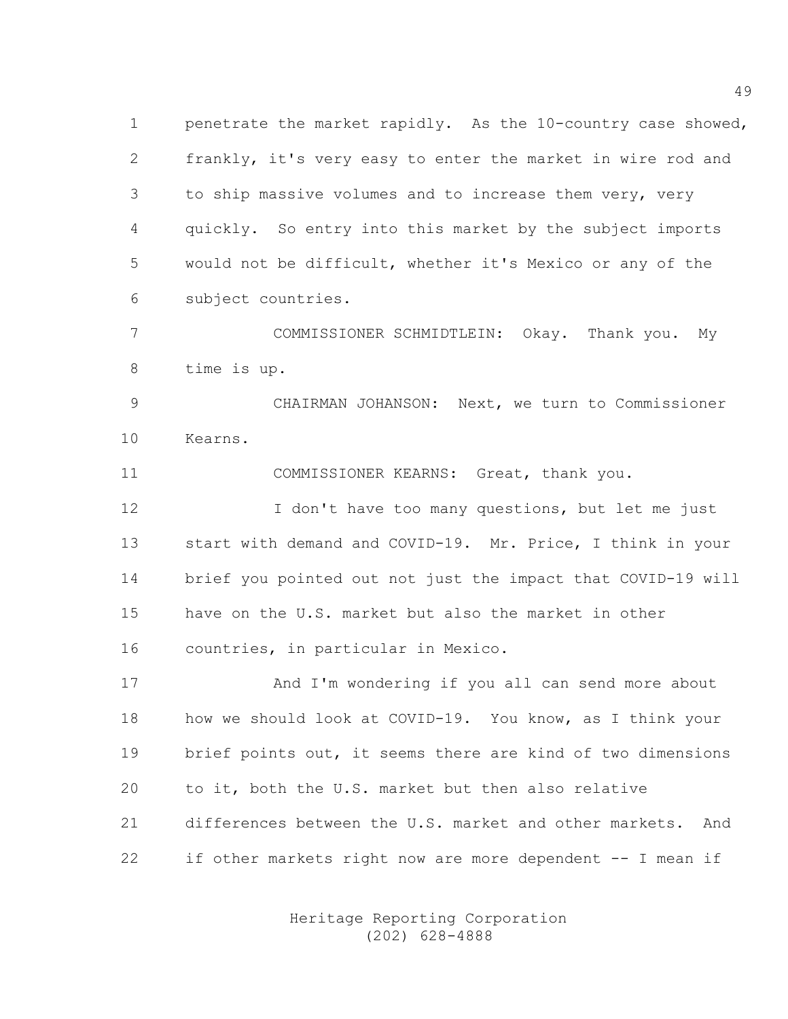1 penetrate the market rapidly. As the 10-country case showed, 2 frankly, it's very easy to enter the market in wire rod and 3 to ship massive volumes and to increase them very, very 4 quickly. So entry into this market by the subject imports 5 would not be difficult, whether it's Mexico or any of the 6 subject countries.

7 COMMISSIONER SCHMIDTLEIN: Okay. Thank you. My 8 time is up.

9 CHAIRMAN JOHANSON: Next, we turn to Commissioner 10 Kearns.

11 COMMISSIONER KEARNS: Great, thank you.

12 I don't have too many questions, but let me just 13 start with demand and COVID-19. Mr. Price, I think in your 14 brief you pointed out not just the impact that COVID-19 will 15 have on the U.S. market but also the market in other 16 countries, in particular in Mexico.

17 And I'm wondering if you all can send more about 18 how we should look at COVID-19. You know, as I think your 19 brief points out, it seems there are kind of two dimensions 20 to it, both the U.S. market but then also relative 21 differences between the U.S. market and other markets. And 22 if other markets right now are more dependent -- I mean if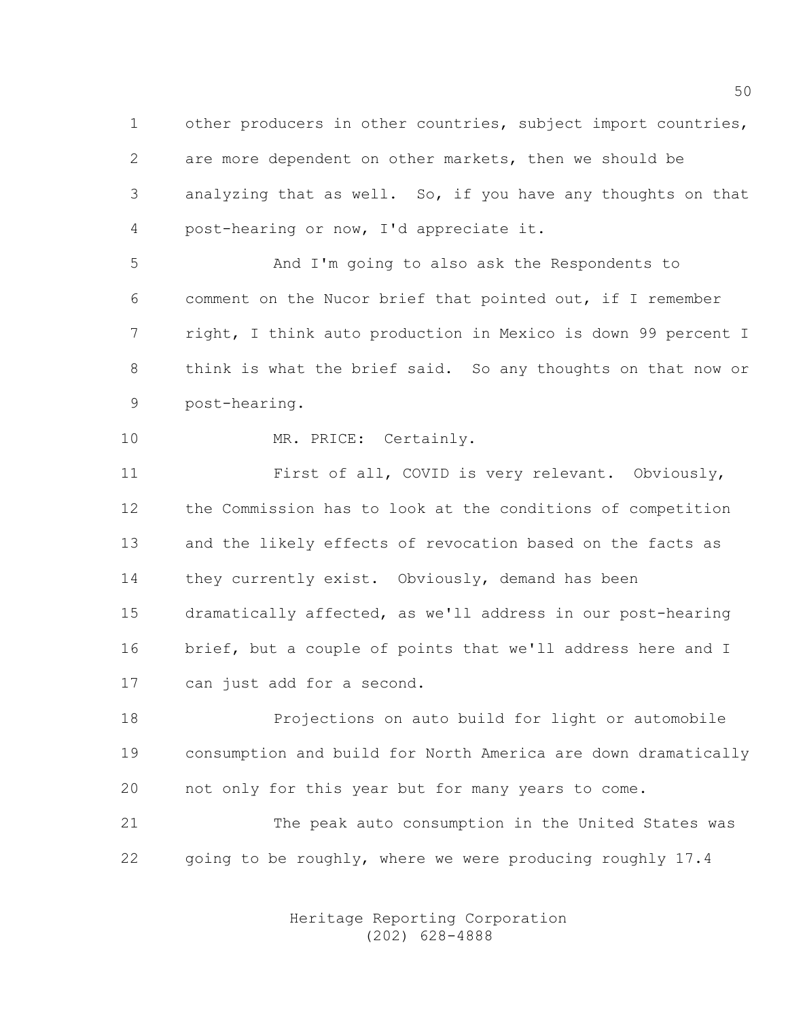1 other producers in other countries, subject import countries, 2 are more dependent on other markets, then we should be 3 analyzing that as well. So, if you have any thoughts on that 4 post-hearing or now, I'd appreciate it.

5 And I'm going to also ask the Respondents to 6 comment on the Nucor brief that pointed out, if I remember 7 right, I think auto production in Mexico is down 99 percent I 8 think is what the brief said. So any thoughts on that now or 9 post-hearing.

```
10 MR. PRICE: Certainly.
```
11 First of all, COVID is very relevant. Obviously, 12 the Commission has to look at the conditions of competition 13 and the likely effects of revocation based on the facts as 14 they currently exist. Obviously, demand has been 15 dramatically affected, as we'll address in our post-hearing 16 brief, but a couple of points that we'll address here and I 17 can just add for a second.

18 Projections on auto build for light or automobile 19 consumption and build for North America are down dramatically 20 not only for this year but for many years to come.

21 The peak auto consumption in the United States was 22 going to be roughly, where we were producing roughly 17.4

> Heritage Reporting Corporation (202) 628-4888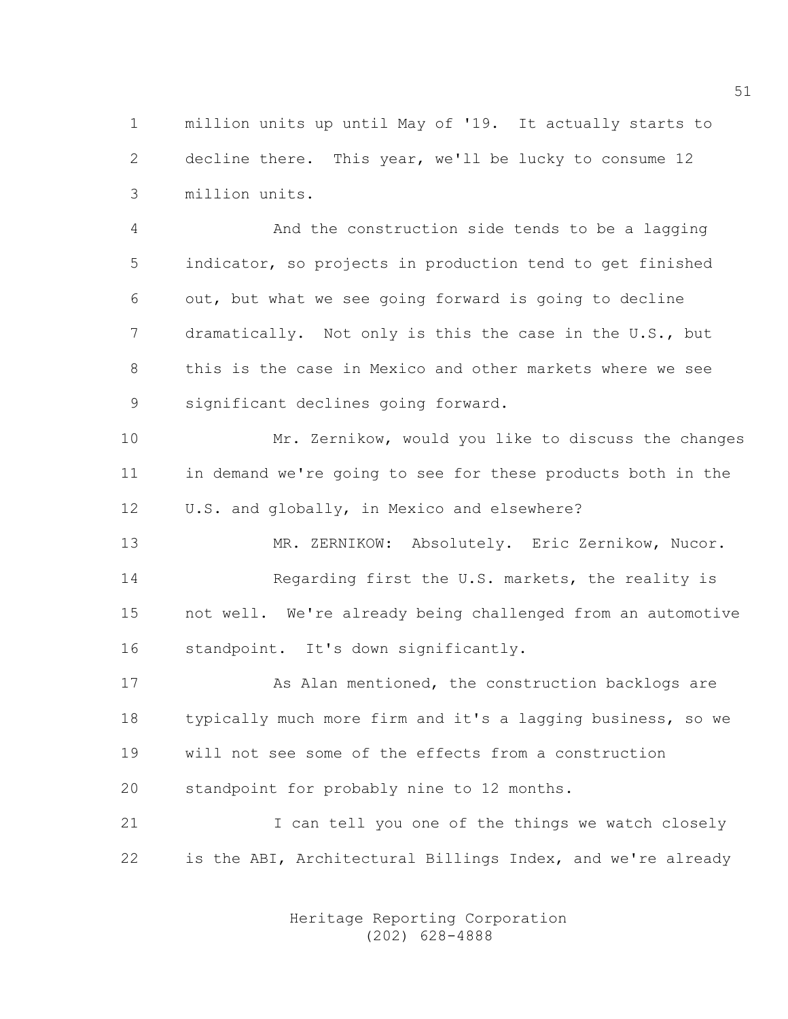1 million units up until May of '19. It actually starts to 2 decline there. This year, we'll be lucky to consume 12 3 million units.

4 And the construction side tends to be a lagging 5 indicator, so projects in production tend to get finished 6 out, but what we see going forward is going to decline 7 dramatically. Not only is this the case in the U.S., but 8 this is the case in Mexico and other markets where we see 9 significant declines going forward.

10 Mr. Zernikow, would you like to discuss the changes 11 in demand we're going to see for these products both in the 12 U.S. and globally, in Mexico and elsewhere?

13 MR. ZERNIKOW: Absolutely. Eric Zernikow, Nucor. 14 Regarding first the U.S. markets, the reality is 15 not well. We're already being challenged from an automotive 16 standpoint. It's down significantly.

17 As Alan mentioned, the construction backlogs are 18 typically much more firm and it's a lagging business, so we 19 will not see some of the effects from a construction 20 standpoint for probably nine to 12 months.

21 I can tell you one of the things we watch closely 22 is the ABI, Architectural Billings Index, and we're already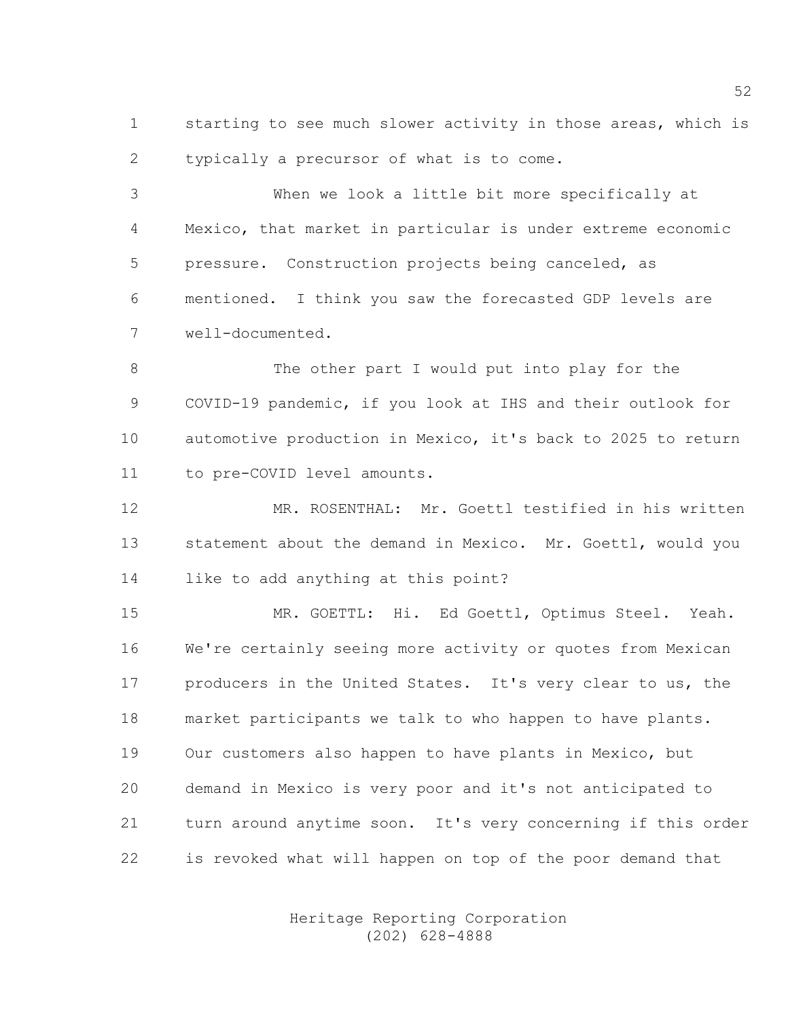1 starting to see much slower activity in those areas, which is 2 typically a precursor of what is to come.

3 When we look a little bit more specifically at 4 Mexico, that market in particular is under extreme economic 5 pressure. Construction projects being canceled, as 6 mentioned. I think you saw the forecasted GDP levels are 7 well-documented.

8 The other part I would put into play for the 9 COVID-19 pandemic, if you look at IHS and their outlook for 10 automotive production in Mexico, it's back to 2025 to return 11 to pre-COVID level amounts.

12 MR. ROSENTHAL: Mr. Goettl testified in his written 13 statement about the demand in Mexico. Mr. Goettl, would you 14 like to add anything at this point?

15 MR. GOETTL: Hi. Ed Goettl, Optimus Steel. Yeah. 16 We're certainly seeing more activity or quotes from Mexican 17 producers in the United States. It's very clear to us, the 18 market participants we talk to who happen to have plants. 19 Our customers also happen to have plants in Mexico, but 20 demand in Mexico is very poor and it's not anticipated to 21 turn around anytime soon. It's very concerning if this order 22 is revoked what will happen on top of the poor demand that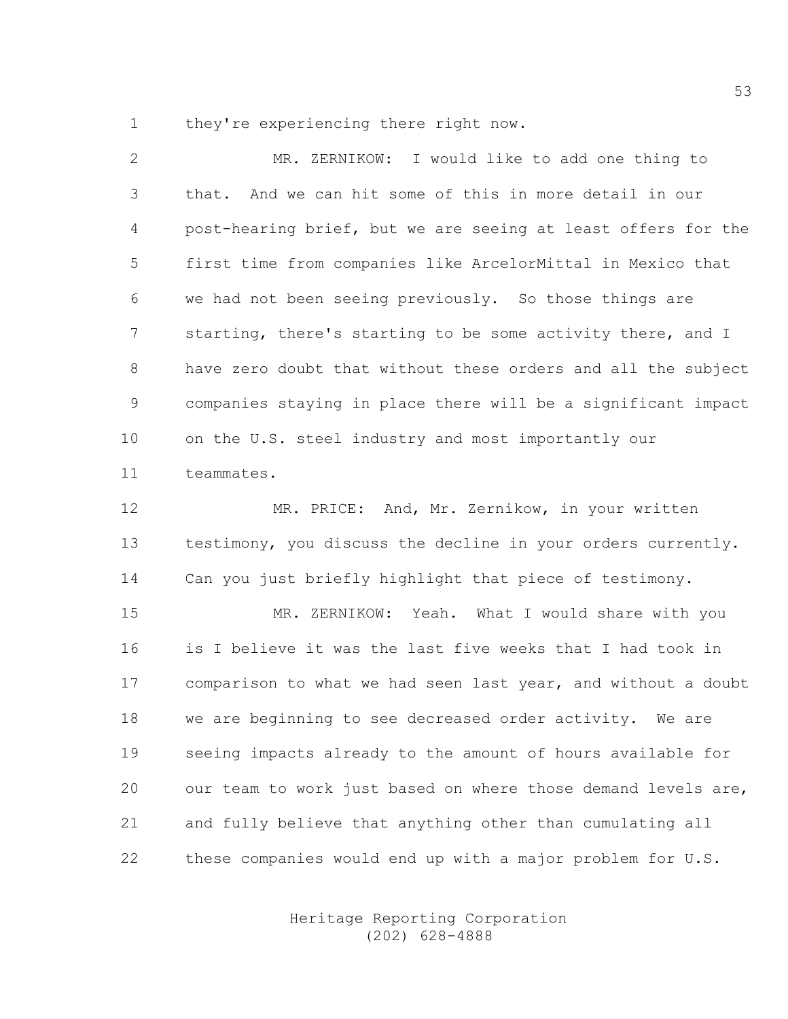1 they're experiencing there right now.

2 MR. ZERNIKOW: I would like to add one thing to 3 that. And we can hit some of this in more detail in our 4 post-hearing brief, but we are seeing at least offers for the 5 first time from companies like ArcelorMittal in Mexico that 6 we had not been seeing previously. So those things are 7 starting, there's starting to be some activity there, and I 8 have zero doubt that without these orders and all the subject 9 companies staying in place there will be a significant impact 10 on the U.S. steel industry and most importantly our 11 teammates.

12 MR. PRICE: And, Mr. Zernikow, in your written 13 testimony, you discuss the decline in your orders currently. 14 Can you just briefly highlight that piece of testimony.

15 MR. ZERNIKOW: Yeah. What I would share with you 16 is I believe it was the last five weeks that I had took in 17 comparison to what we had seen last year, and without a doubt 18 we are beginning to see decreased order activity. We are 19 seeing impacts already to the amount of hours available for 20 our team to work just based on where those demand levels are, 21 and fully believe that anything other than cumulating all 22 these companies would end up with a major problem for U.S.

> Heritage Reporting Corporation (202) 628-4888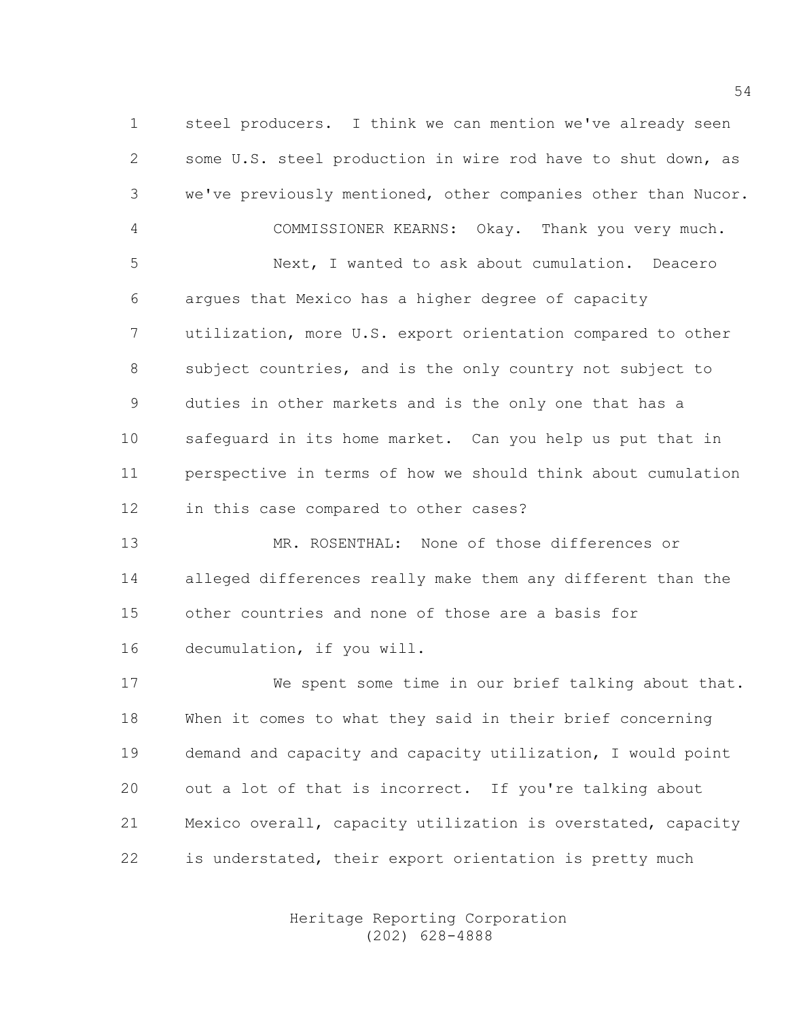1 steel producers. I think we can mention we've already seen 2 some U.S. steel production in wire rod have to shut down, as 3 we've previously mentioned, other companies other than Nucor. 4 COMMISSIONER KEARNS: Okay. Thank you very much.

5 Next, I wanted to ask about cumulation. Deacero 6 argues that Mexico has a higher degree of capacity 7 utilization, more U.S. export orientation compared to other 8 subject countries, and is the only country not subject to 9 duties in other markets and is the only one that has a 10 safeguard in its home market. Can you help us put that in 11 perspective in terms of how we should think about cumulation 12 in this case compared to other cases?

13 MR. ROSENTHAL: None of those differences or 14 alleged differences really make them any different than the 15 other countries and none of those are a basis for 16 decumulation, if you will.

17 We spent some time in our brief talking about that. 18 When it comes to what they said in their brief concerning 19 demand and capacity and capacity utilization, I would point 20 out a lot of that is incorrect. If you're talking about 21 Mexico overall, capacity utilization is overstated, capacity 22 is understated, their export orientation is pretty much

> Heritage Reporting Corporation (202) 628-4888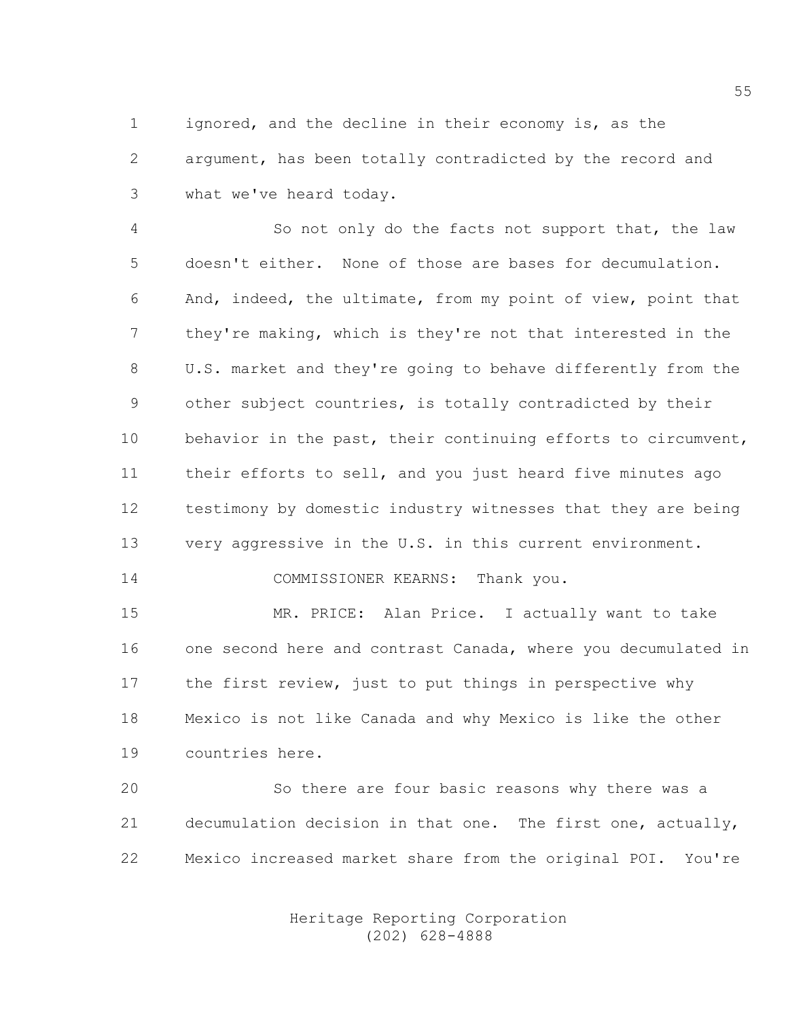1 ignored, and the decline in their economy is, as the 2 argument, has been totally contradicted by the record and 3 what we've heard today.

4 So not only do the facts not support that, the law 5 doesn't either. None of those are bases for decumulation. 6 And, indeed, the ultimate, from my point of view, point that 7 they're making, which is they're not that interested in the 8 U.S. market and they're going to behave differently from the 9 other subject countries, is totally contradicted by their 10 behavior in the past, their continuing efforts to circumvent, 11 their efforts to sell, and you just heard five minutes ago 12 testimony by domestic industry witnesses that they are being 13 very aggressive in the U.S. in this current environment.

14 COMMISSIONER KEARNS: Thank you.

15 MR. PRICE: Alan Price. I actually want to take 16 one second here and contrast Canada, where you decumulated in 17 the first review, just to put things in perspective why 18 Mexico is not like Canada and why Mexico is like the other 19 countries here.

20 So there are four basic reasons why there was a 21 decumulation decision in that one. The first one, actually, 22 Mexico increased market share from the original POI. You're

> Heritage Reporting Corporation (202) 628-4888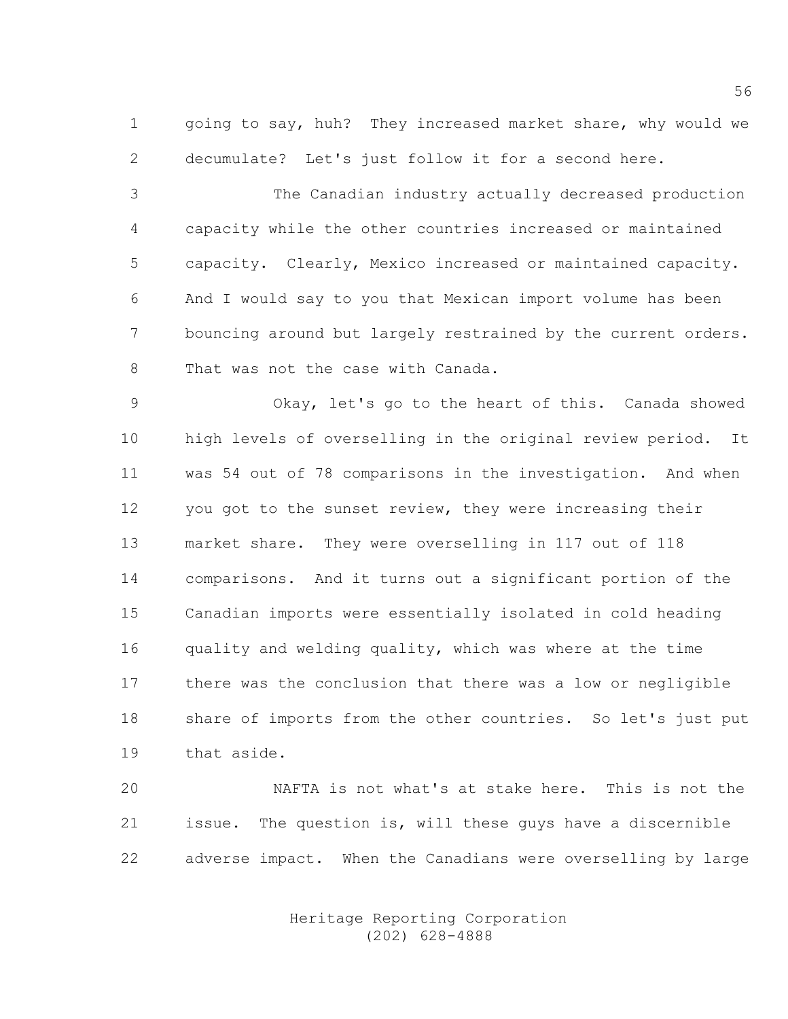1 going to say, huh? They increased market share, why would we 2 decumulate? Let's just follow it for a second here.

3 The Canadian industry actually decreased production 4 capacity while the other countries increased or maintained 5 capacity. Clearly, Mexico increased or maintained capacity. 6 And I would say to you that Mexican import volume has been 7 bouncing around but largely restrained by the current orders. 8 That was not the case with Canada.

9 Okay, let's go to the heart of this. Canada showed 10 high levels of overselling in the original review period. It 11 was 54 out of 78 comparisons in the investigation. And when 12 you got to the sunset review, they were increasing their 13 market share. They were overselling in 117 out of 118 14 comparisons. And it turns out a significant portion of the 15 Canadian imports were essentially isolated in cold heading 16 quality and welding quality, which was where at the time 17 there was the conclusion that there was a low or negligible 18 share of imports from the other countries. So let's just put 19 that aside.

20 NAFTA is not what's at stake here. This is not the 21 issue. The question is, will these guys have a discernible 22 adverse impact. When the Canadians were overselling by large

> Heritage Reporting Corporation (202) 628-4888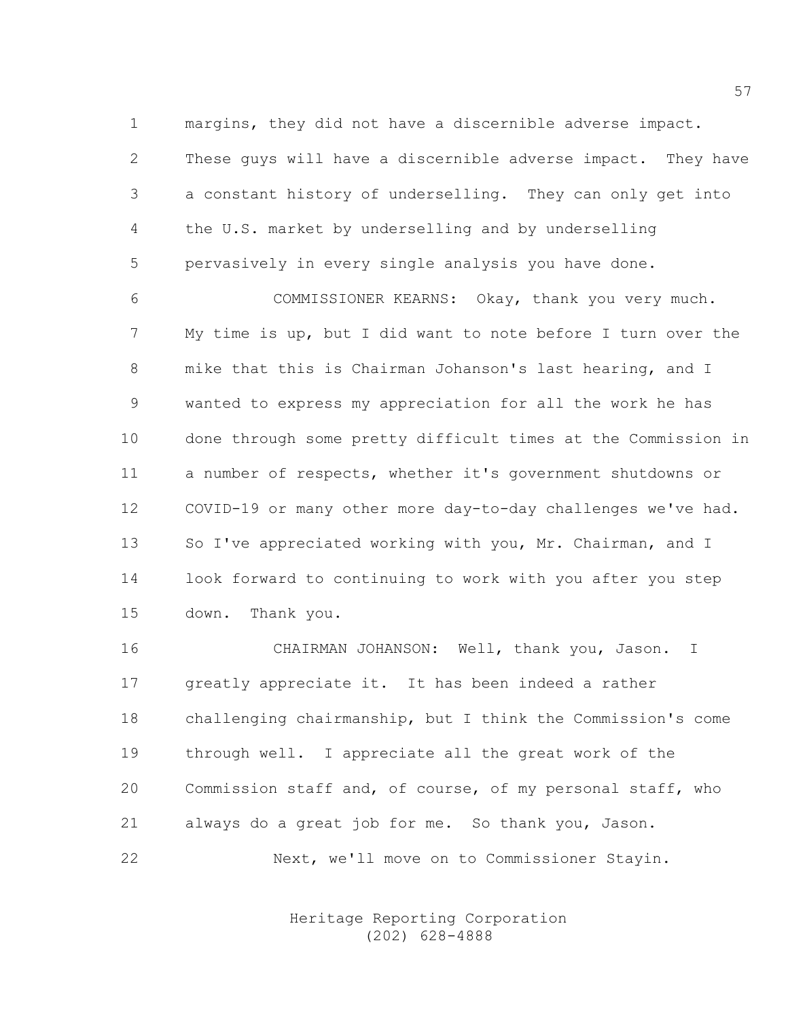1 margins, they did not have a discernible adverse impact. 2 These guys will have a discernible adverse impact. They have 3 a constant history of underselling. They can only get into 4 the U.S. market by underselling and by underselling 5 pervasively in every single analysis you have done.

6 COMMISSIONER KEARNS: Okay, thank you very much. 7 My time is up, but I did want to note before I turn over the 8 mike that this is Chairman Johanson's last hearing, and I 9 wanted to express my appreciation for all the work he has 10 done through some pretty difficult times at the Commission in 11 a number of respects, whether it's government shutdowns or 12 COVID-19 or many other more day-to-day challenges we've had. 13 So I've appreciated working with you, Mr. Chairman, and I 14 look forward to continuing to work with you after you step 15 down. Thank you.

16 CHAIRMAN JOHANSON: Well, thank you, Jason. I 17 greatly appreciate it. It has been indeed a rather 18 challenging chairmanship, but I think the Commission's come 19 through well. I appreciate all the great work of the 20 Commission staff and, of course, of my personal staff, who 21 always do a great job for me. So thank you, Jason. 22 Next, we'll move on to Commissioner Stayin.

> Heritage Reporting Corporation (202) 628-4888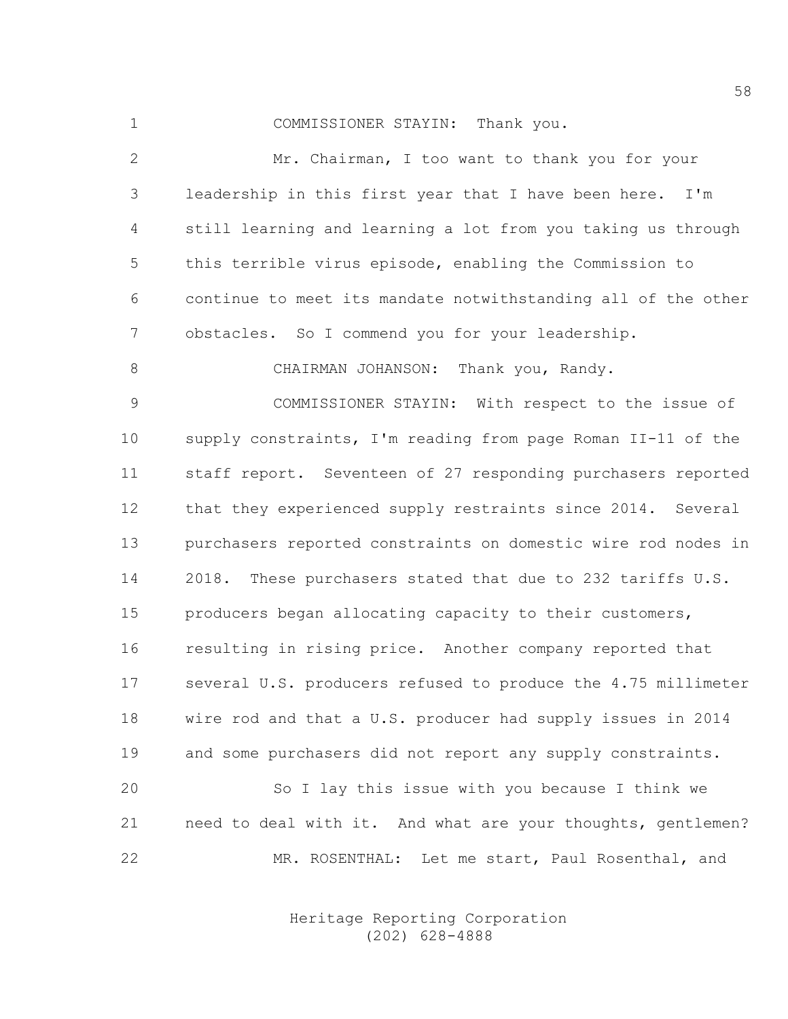1 COMMISSIONER STAYIN: Thank you.

2 Mr. Chairman, I too want to thank you for your 3 leadership in this first year that I have been here. I'm 4 still learning and learning a lot from you taking us through 5 this terrible virus episode, enabling the Commission to 6 continue to meet its mandate notwithstanding all of the other 7 obstacles. So I commend you for your leadership.

8 CHAIRMAN JOHANSON: Thank you, Randy.

9 COMMISSIONER STAYIN: With respect to the issue of 10 supply constraints, I'm reading from page Roman II-11 of the 11 staff report. Seventeen of 27 responding purchasers reported 12 that they experienced supply restraints since 2014. Several 13 purchasers reported constraints on domestic wire rod nodes in 14 2018. These purchasers stated that due to 232 tariffs U.S. 15 producers began allocating capacity to their customers, 16 resulting in rising price. Another company reported that 17 several U.S. producers refused to produce the 4.75 millimeter 18 wire rod and that a U.S. producer had supply issues in 2014 19 and some purchasers did not report any supply constraints.

20 So I lay this issue with you because I think we 21 need to deal with it. And what are your thoughts, gentlemen? 22 MR. ROSENTHAL: Let me start, Paul Rosenthal, and

> Heritage Reporting Corporation (202) 628-4888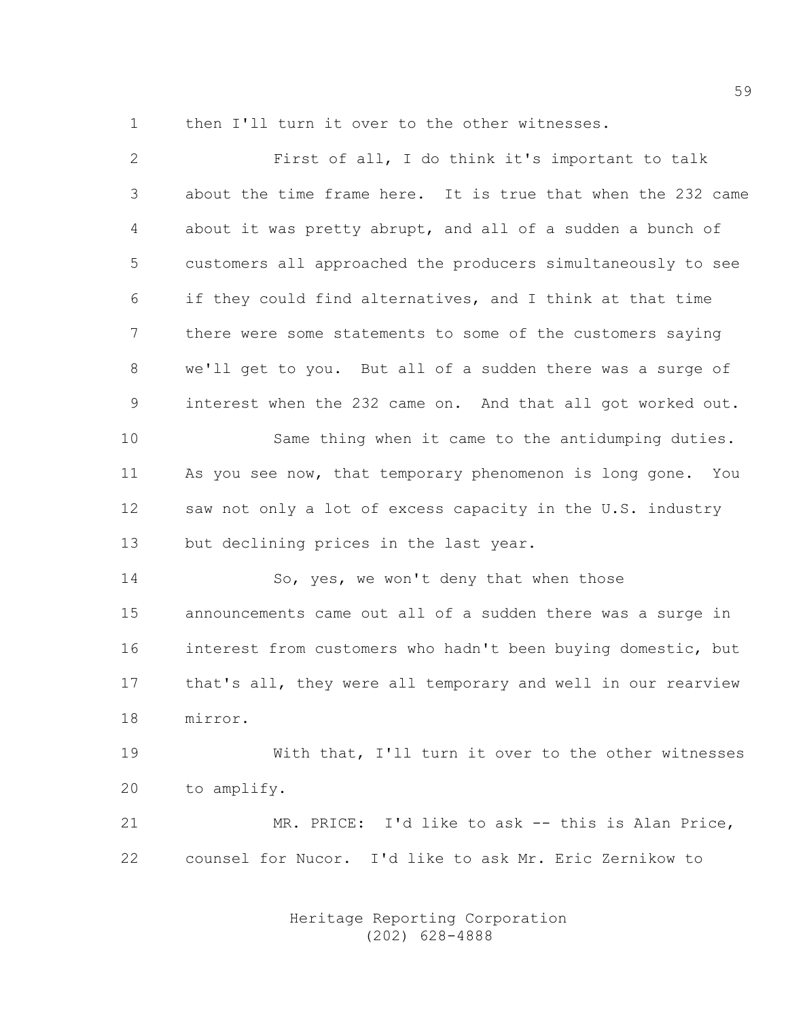1 then I'll turn it over to the other witnesses.

| $\mathbf{2}$ | First of all, I do think it's important to talk              |
|--------------|--------------------------------------------------------------|
| 3            | about the time frame here. It is true that when the 232 came |
| 4            | about it was pretty abrupt, and all of a sudden a bunch of   |
| 5            | customers all approached the producers simultaneously to see |
| 6            | if they could find alternatives, and I think at that time    |
| 7            | there were some statements to some of the customers saying   |
| $8\,$        | we'll get to you. But all of a sudden there was a surge of   |
| 9            | interest when the 232 came on. And that all got worked out.  |
| 10           | Same thing when it came to the antidumping duties.           |
| 11           | As you see now, that temporary phenomenon is long gone. You  |
| 12           | saw not only a lot of excess capacity in the U.S. industry   |
| 13           | but declining prices in the last year.                       |
| 14           | So, yes, we won't deny that when those                       |
| 15           | announcements came out all of a sudden there was a surge in  |
| 16           | interest from customers who hadn't been buying domestic, but |
| 17           | that's all, they were all temporary and well in our rearview |
| 18           | mirror.                                                      |
| 19           | With that, I'll turn it over to the other witnesses          |
| 20           | to amplify.                                                  |
| 21           | MR. PRICE: I'd like to ask -- this is Alan Price,            |
| 22           | counsel for Nucor. I'd like to ask Mr. Eric Zernikow to      |
|              |                                                              |

 Heritage Reporting Corporation (202) 628-4888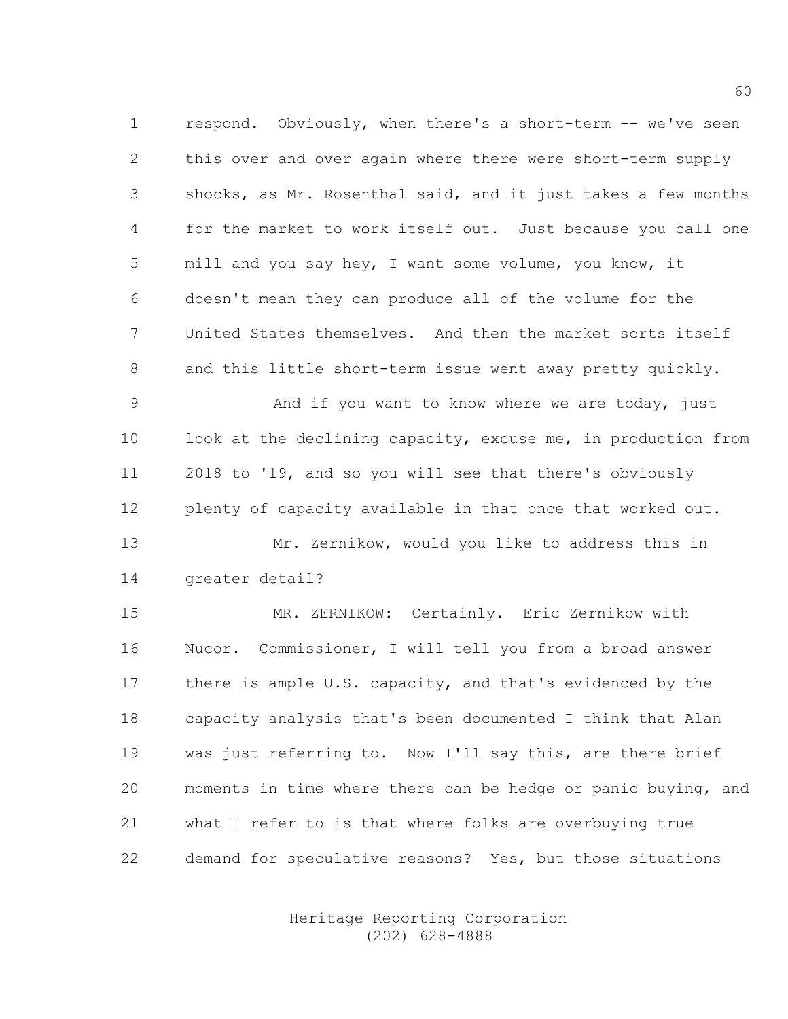1 respond. Obviously, when there's a short-term -- we've seen 2 this over and over again where there were short-term supply 3 shocks, as Mr. Rosenthal said, and it just takes a few months 4 for the market to work itself out. Just because you call one 5 mill and you say hey, I want some volume, you know, it 6 doesn't mean they can produce all of the volume for the 7 United States themselves. And then the market sorts itself 8 and this little short-term issue went away pretty quickly.

9 And if you want to know where we are today, just 10 look at the declining capacity, excuse me, in production from 11 2018 to '19, and so you will see that there's obviously 12 plenty of capacity available in that once that worked out.

13 Mr. Zernikow, would you like to address this in 14 greater detail?

15 MR. ZERNIKOW: Certainly. Eric Zernikow with 16 Nucor. Commissioner, I will tell you from a broad answer 17 there is ample U.S. capacity, and that's evidenced by the 18 capacity analysis that's been documented I think that Alan 19 was just referring to. Now I'll say this, are there brief 20 moments in time where there can be hedge or panic buying, and 21 what I refer to is that where folks are overbuying true 22 demand for speculative reasons? Yes, but those situations

> Heritage Reporting Corporation (202) 628-4888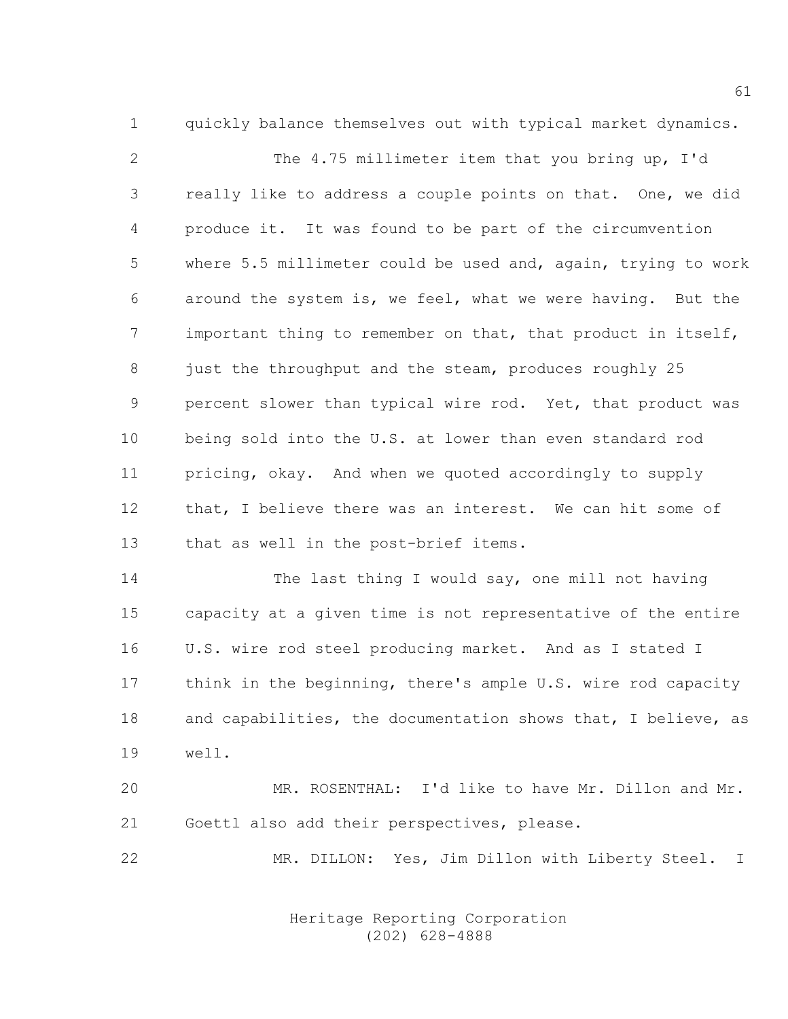1 quickly balance themselves out with typical market dynamics.

2 The 4.75 millimeter item that you bring up, I'd 3 really like to address a couple points on that. One, we did 4 produce it. It was found to be part of the circumvention 5 where 5.5 millimeter could be used and, again, trying to work 6 around the system is, we feel, what we were having. But the 7 important thing to remember on that, that product in itself, 8 just the throughput and the steam, produces roughly 25 9 percent slower than typical wire rod. Yet, that product was 10 being sold into the U.S. at lower than even standard rod 11 pricing, okay. And when we quoted accordingly to supply 12 that, I believe there was an interest. We can hit some of 13 that as well in the post-brief items.

14 The last thing I would say, one mill not having 15 capacity at a given time is not representative of the entire 16 U.S. wire rod steel producing market. And as I stated I 17 think in the beginning, there's ample U.S. wire rod capacity 18 and capabilities, the documentation shows that, I believe, as 19 well.

20 MR. ROSENTHAL: I'd like to have Mr. Dillon and Mr. 21 Goettl also add their perspectives, please.

22 MR. DILLON: Yes, Jim Dillon with Liberty Steel. I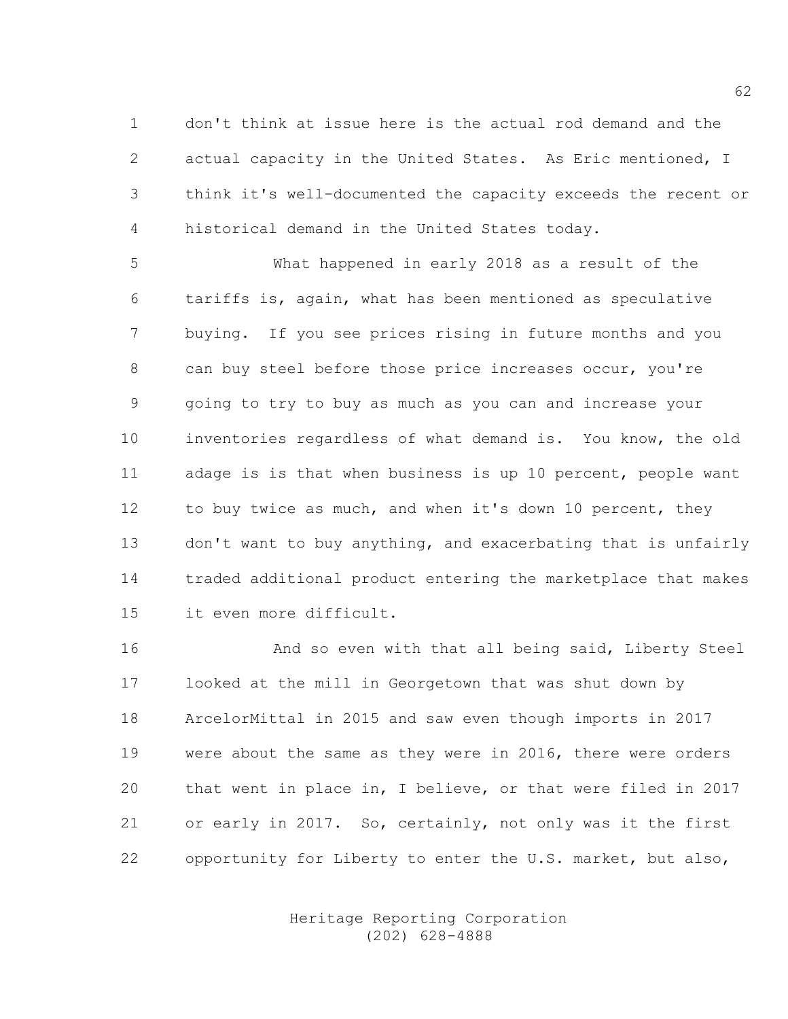1 don't think at issue here is the actual rod demand and the 2 actual capacity in the United States. As Eric mentioned, I 3 think it's well-documented the capacity exceeds the recent or 4 historical demand in the United States today.

5 What happened in early 2018 as a result of the 6 tariffs is, again, what has been mentioned as speculative 7 buying. If you see prices rising in future months and you 8 can buy steel before those price increases occur, you're 9 going to try to buy as much as you can and increase your 10 inventories regardless of what demand is. You know, the old 11 adage is is that when business is up 10 percent, people want 12 to buy twice as much, and when it's down 10 percent, they 13 don't want to buy anything, and exacerbating that is unfairly 14 traded additional product entering the marketplace that makes 15 it even more difficult.

16 And so even with that all being said, Liberty Steel 17 looked at the mill in Georgetown that was shut down by 18 ArcelorMittal in 2015 and saw even though imports in 2017 19 were about the same as they were in 2016, there were orders 20 that went in place in, I believe, or that were filed in 2017 21 or early in 2017. So, certainly, not only was it the first 22 opportunity for Liberty to enter the U.S. market, but also,

> Heritage Reporting Corporation (202) 628-4888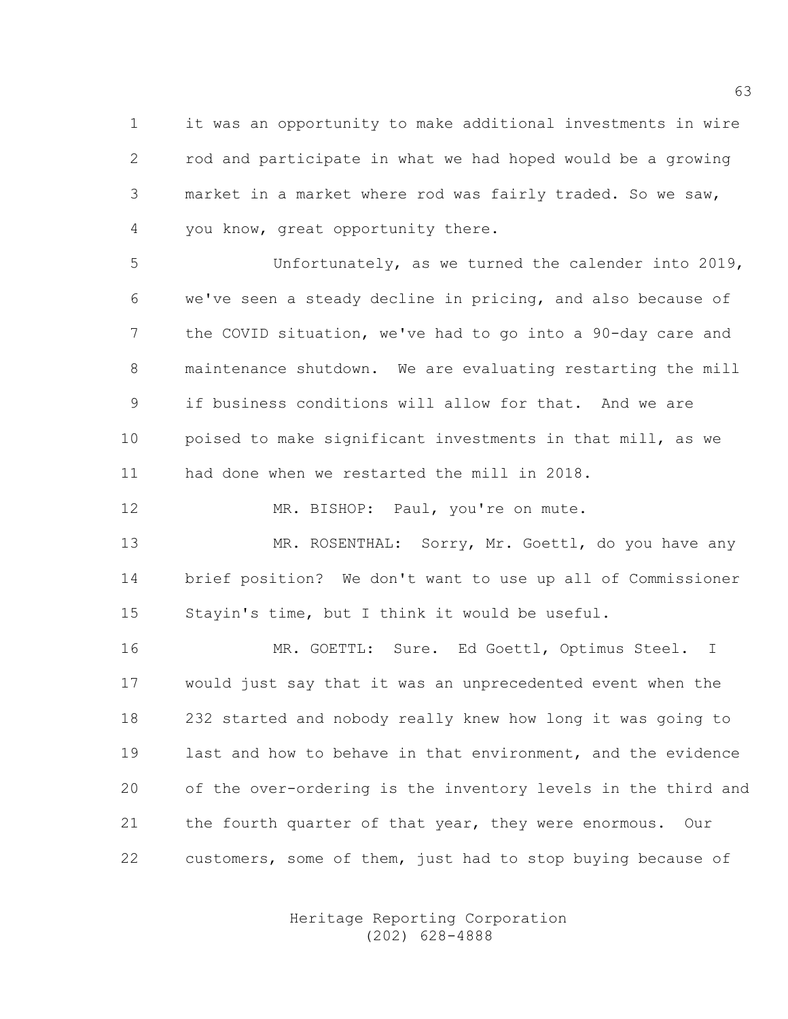1 it was an opportunity to make additional investments in wire 2 rod and participate in what we had hoped would be a growing 3 market in a market where rod was fairly traded. So we saw, 4 you know, great opportunity there.

5 Unfortunately, as we turned the calender into 2019, 6 we've seen a steady decline in pricing, and also because of 7 the COVID situation, we've had to go into a 90-day care and 8 maintenance shutdown. We are evaluating restarting the mill 9 if business conditions will allow for that. And we are 10 poised to make significant investments in that mill, as we 11 had done when we restarted the mill in 2018.

12 MR. BISHOP: Paul, you're on mute.

13 MR. ROSENTHAL: Sorry, Mr. Goettl, do you have any 14 brief position? We don't want to use up all of Commissioner 15 Stayin's time, but I think it would be useful.

16 MR. GOETTL: Sure. Ed Goettl, Optimus Steel. I 17 would just say that it was an unprecedented event when the 18 232 started and nobody really knew how long it was going to 19 last and how to behave in that environment, and the evidence 20 of the over-ordering is the inventory levels in the third and 21 the fourth quarter of that year, they were enormous. Our 22 customers, some of them, just had to stop buying because of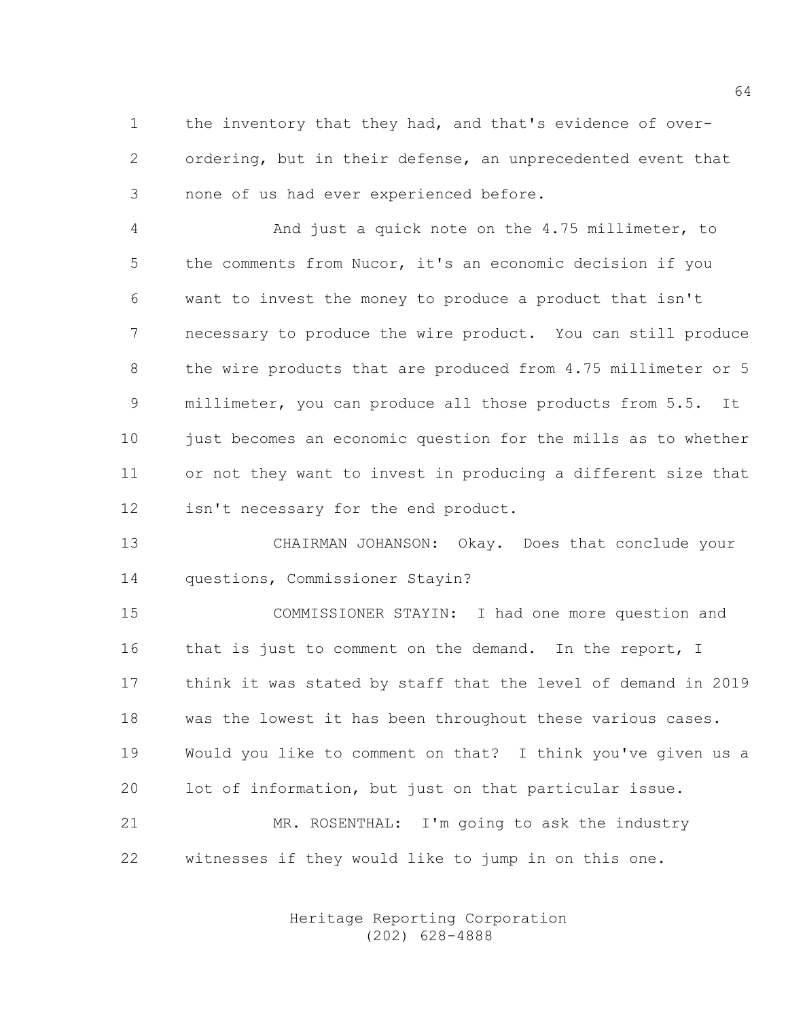1 the inventory that they had, and that's evidence of over-2 ordering, but in their defense, an unprecedented event that 3 none of us had ever experienced before.

4 And just a quick note on the 4.75 millimeter, to 5 the comments from Nucor, it's an economic decision if you 6 want to invest the money to produce a product that isn't 7 necessary to produce the wire product. You can still produce 8 the wire products that are produced from 4.75 millimeter or 5 9 millimeter, you can produce all those products from 5.5. It 10 just becomes an economic question for the mills as to whether 11 or not they want to invest in producing a different size that 12 isn't necessary for the end product.

13 CHAIRMAN JOHANSON: Okay. Does that conclude your 14 questions, Commissioner Stayin?

15 COMMISSIONER STAYIN: I had one more question and 16 that is just to comment on the demand. In the report, I 17 think it was stated by staff that the level of demand in 2019 18 was the lowest it has been throughout these various cases. 19 Would you like to comment on that? I think you've given us a 20 lot of information, but just on that particular issue. 21 MR. ROSENTHAL: I'm going to ask the industry 22 witnesses if they would like to jump in on this one.

> Heritage Reporting Corporation (202) 628-4888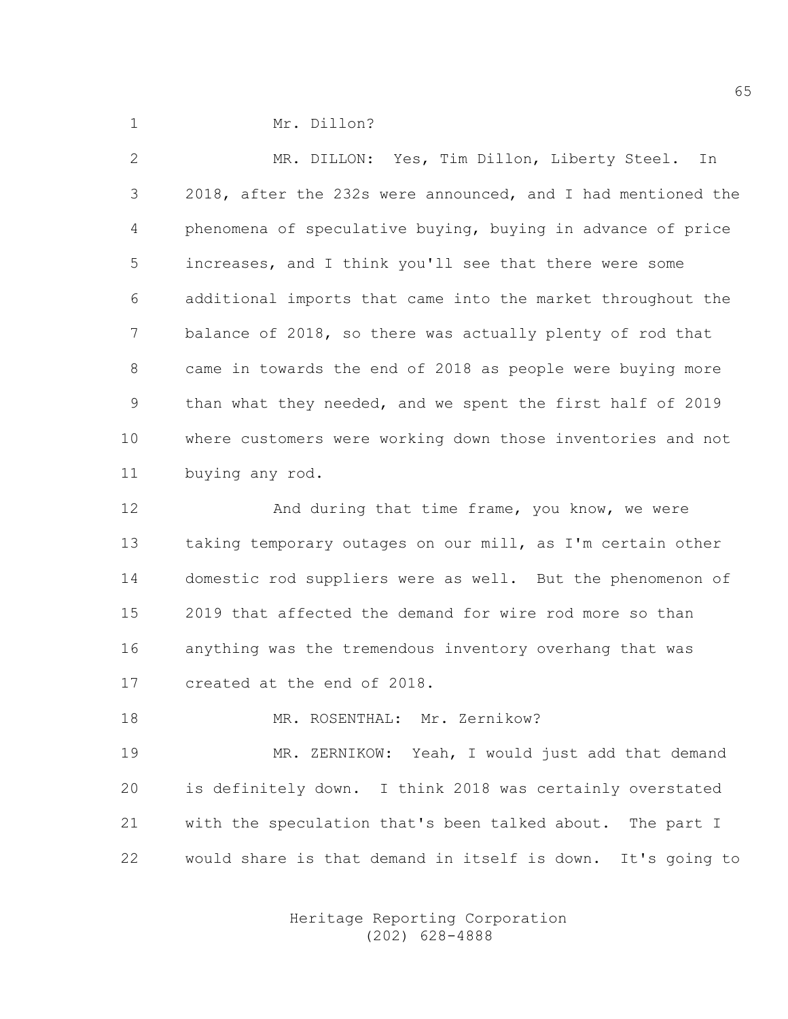1 Mr. Dillon?

2 MR. DILLON: Yes, Tim Dillon, Liberty Steel. In 3 2018, after the 232s were announced, and I had mentioned the 4 phenomena of speculative buying, buying in advance of price 5 increases, and I think you'll see that there were some 6 additional imports that came into the market throughout the 7 balance of 2018, so there was actually plenty of rod that 8 came in towards the end of 2018 as people were buying more 9 than what they needed, and we spent the first half of 2019 10 where customers were working down those inventories and not 11 buying any rod.

12 And during that time frame, you know, we were 13 taking temporary outages on our mill, as I'm certain other 14 domestic rod suppliers were as well. But the phenomenon of 15 2019 that affected the demand for wire rod more so than 16 anything was the tremendous inventory overhang that was 17 created at the end of 2018.

18 MR. ROSENTHAL: Mr. Zernikow?

19 MR. ZERNIKOW: Yeah, I would just add that demand 20 is definitely down. I think 2018 was certainly overstated 21 with the speculation that's been talked about. The part I 22 would share is that demand in itself is down. It's going to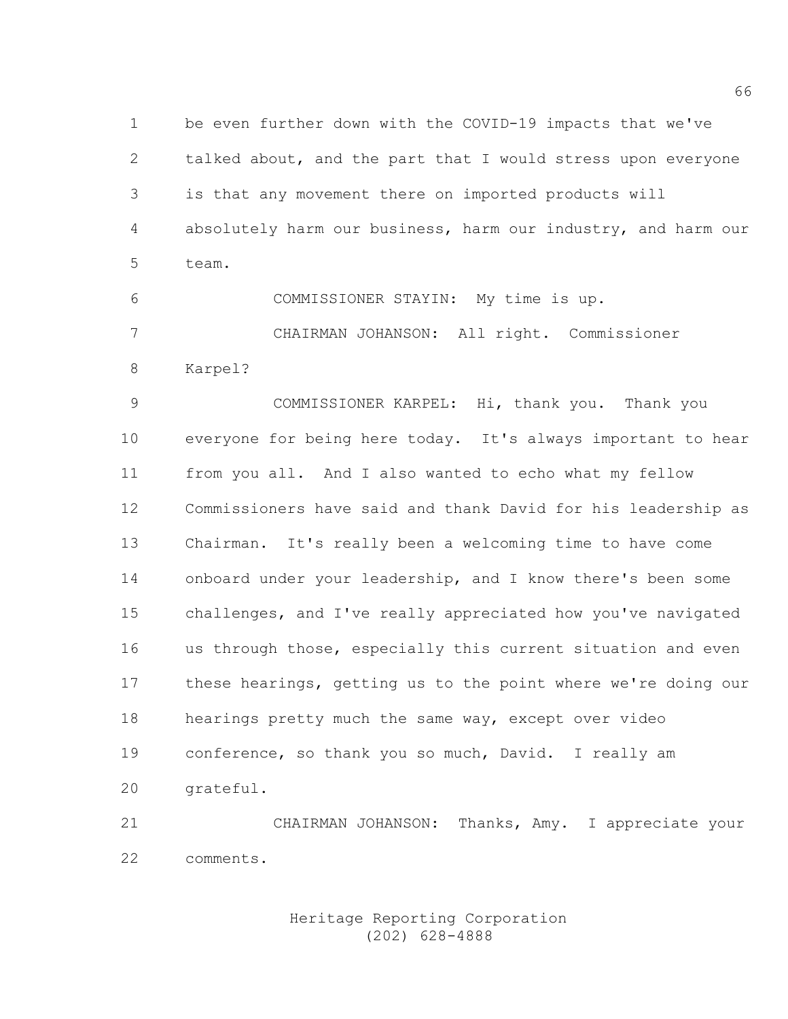1 be even further down with the COVID-19 impacts that we've 2 talked about, and the part that I would stress upon everyone 3 is that any movement there on imported products will 4 absolutely harm our business, harm our industry, and harm our 5 team.

6 COMMISSIONER STAYIN: My time is up. 7 CHAIRMAN JOHANSON: All right. Commissioner

8 Karpel?

9 COMMISSIONER KARPEL: Hi, thank you. Thank you 10 everyone for being here today. It's always important to hear 11 from you all. And I also wanted to echo what my fellow 12 Commissioners have said and thank David for his leadership as 13 Chairman. It's really been a welcoming time to have come 14 onboard under your leadership, and I know there's been some 15 challenges, and I've really appreciated how you've navigated 16 us through those, especially this current situation and even 17 these hearings, getting us to the point where we're doing our 18 hearings pretty much the same way, except over video 19 conference, so thank you so much, David. I really am 20 grateful.

21 CHAIRMAN JOHANSON: Thanks, Amy. I appreciate your 22 comments.

## Heritage Reporting Corporation (202) 628-4888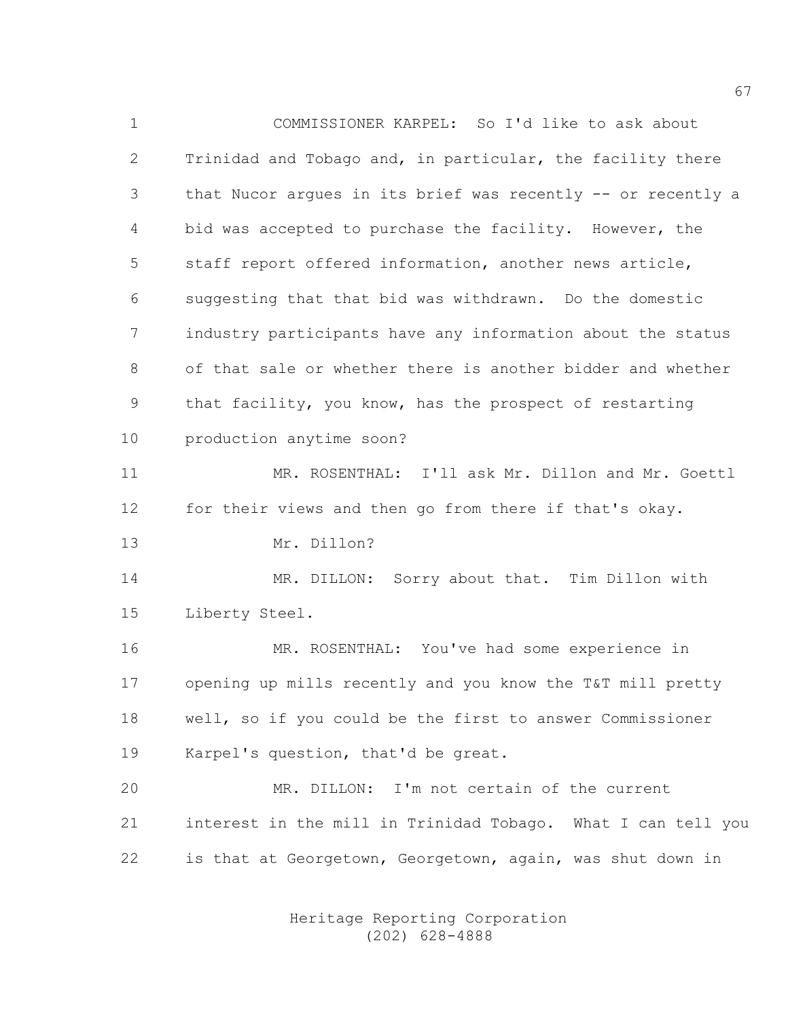1 COMMISSIONER KARPEL: So I'd like to ask about 2 Trinidad and Tobago and, in particular, the facility there 3 that Nucor argues in its brief was recently -- or recently a 4 bid was accepted to purchase the facility. However, the 5 staff report offered information, another news article, 6 suggesting that that bid was withdrawn. Do the domestic 7 industry participants have any information about the status 8 of that sale or whether there is another bidder and whether 9 that facility, you know, has the prospect of restarting 10 production anytime soon? 11 MR. ROSENTHAL: I'll ask Mr. Dillon and Mr. Goettl 12 for their views and then go from there if that's okay. 13 Mr. Dillon? 14 MR. DILLON: Sorry about that. Tim Dillon with 15 Liberty Steel. 16 MR. ROSENTHAL: You've had some experience in 17 opening up mills recently and you know the T&T mill pretty 18 well, so if you could be the first to answer Commissioner 19 Karpel's question, that'd be great. 20 MR. DILLON: I'm not certain of the current 21 interest in the mill in Trinidad Tobago. What I can tell you 22 is that at Georgetown, Georgetown, again, was shut down in

> Heritage Reporting Corporation (202) 628-4888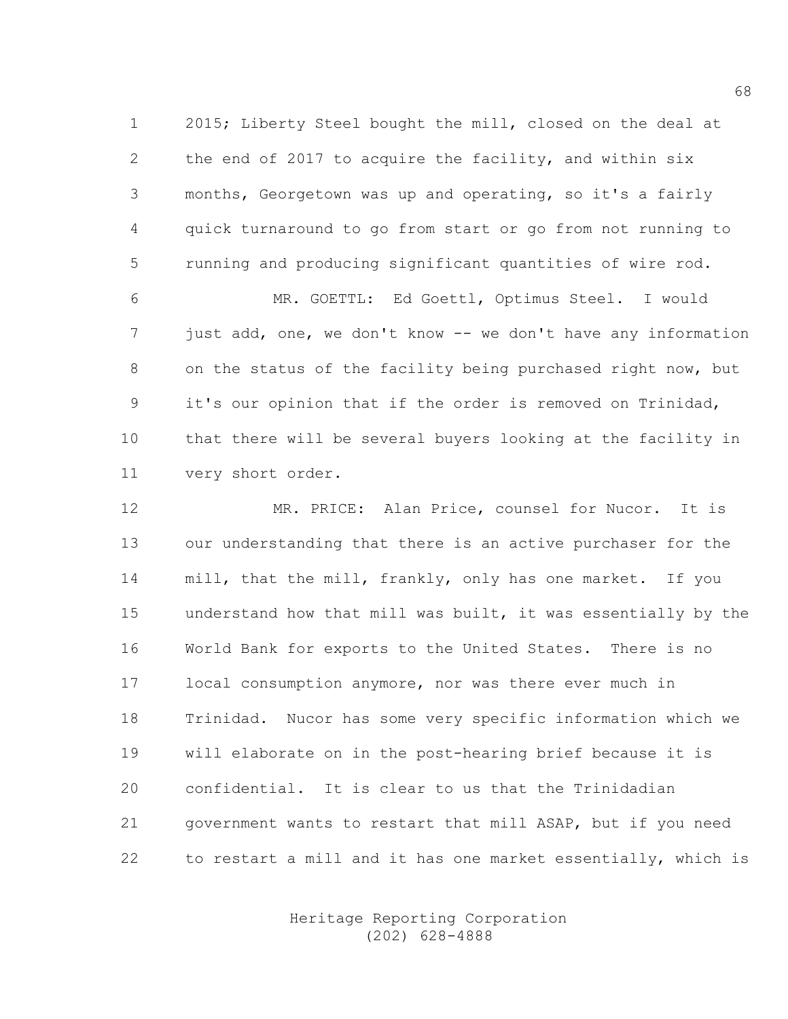1 2015; Liberty Steel bought the mill, closed on the deal at 2 the end of 2017 to acquire the facility, and within six 3 months, Georgetown was up and operating, so it's a fairly 4 quick turnaround to go from start or go from not running to 5 running and producing significant quantities of wire rod.

6 MR. GOETTL: Ed Goettl, Optimus Steel. I would 7 just add, one, we don't know -- we don't have any information 8 on the status of the facility being purchased right now, but 9 it's our opinion that if the order is removed on Trinidad, 10 that there will be several buyers looking at the facility in 11 very short order.

12 MR. PRICE: Alan Price, counsel for Nucor. It is 13 our understanding that there is an active purchaser for the 14 mill, that the mill, frankly, only has one market. If you 15 understand how that mill was built, it was essentially by the 16 World Bank for exports to the United States. There is no 17 local consumption anymore, nor was there ever much in 18 Trinidad. Nucor has some very specific information which we 19 will elaborate on in the post-hearing brief because it is 20 confidential. It is clear to us that the Trinidadian 21 government wants to restart that mill ASAP, but if you need 22 to restart a mill and it has one market essentially, which is

> Heritage Reporting Corporation (202) 628-4888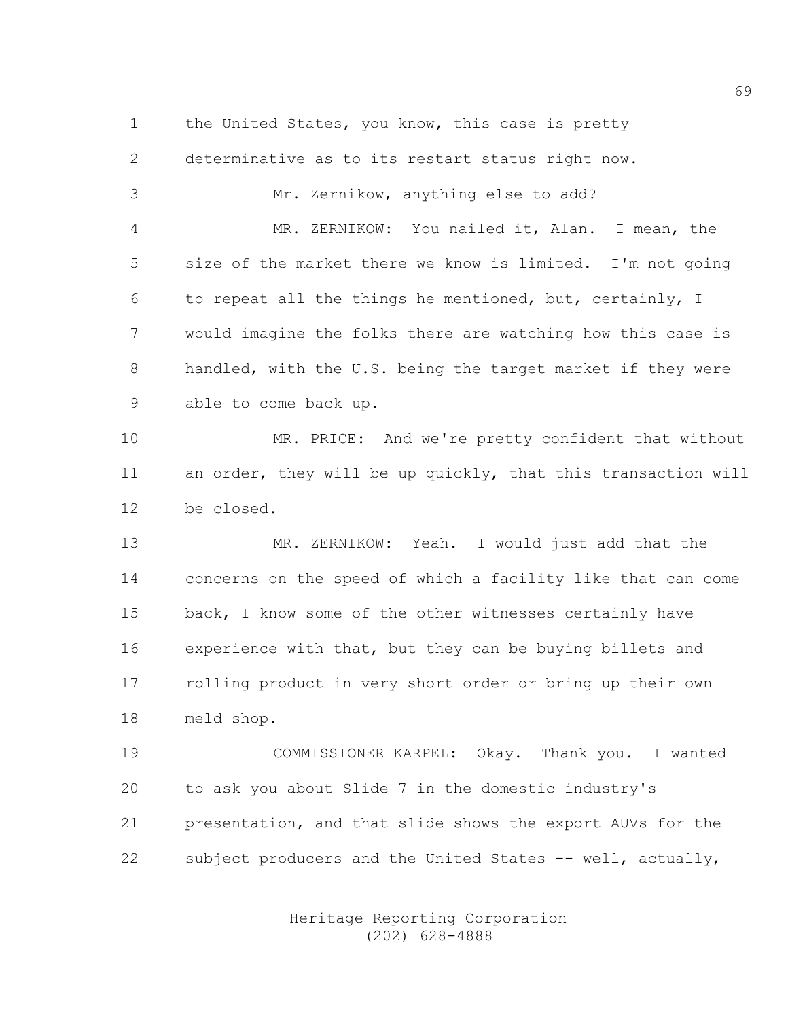1 the United States, you know, this case is pretty 2 determinative as to its restart status right now. 3 Mr. Zernikow, anything else to add? 4 MR. ZERNIKOW: You nailed it, Alan. I mean, the 5 size of the market there we know is limited. I'm not going 6 to repeat all the things he mentioned, but, certainly, I 7 would imagine the folks there are watching how this case is 8 handled, with the U.S. being the target market if they were 9 able to come back up.

10 MR. PRICE: And we're pretty confident that without 11 an order, they will be up quickly, that this transaction will 12 be closed.

13 MR. ZERNIKOW: Yeah. I would just add that the 14 concerns on the speed of which a facility like that can come 15 back, I know some of the other witnesses certainly have 16 experience with that, but they can be buying billets and 17 rolling product in very short order or bring up their own 18 meld shop.

19 COMMISSIONER KARPEL: Okay. Thank you. I wanted 20 to ask you about Slide 7 in the domestic industry's 21 presentation, and that slide shows the export AUVs for the 22 subject producers and the United States -- well, actually,

> Heritage Reporting Corporation (202) 628-4888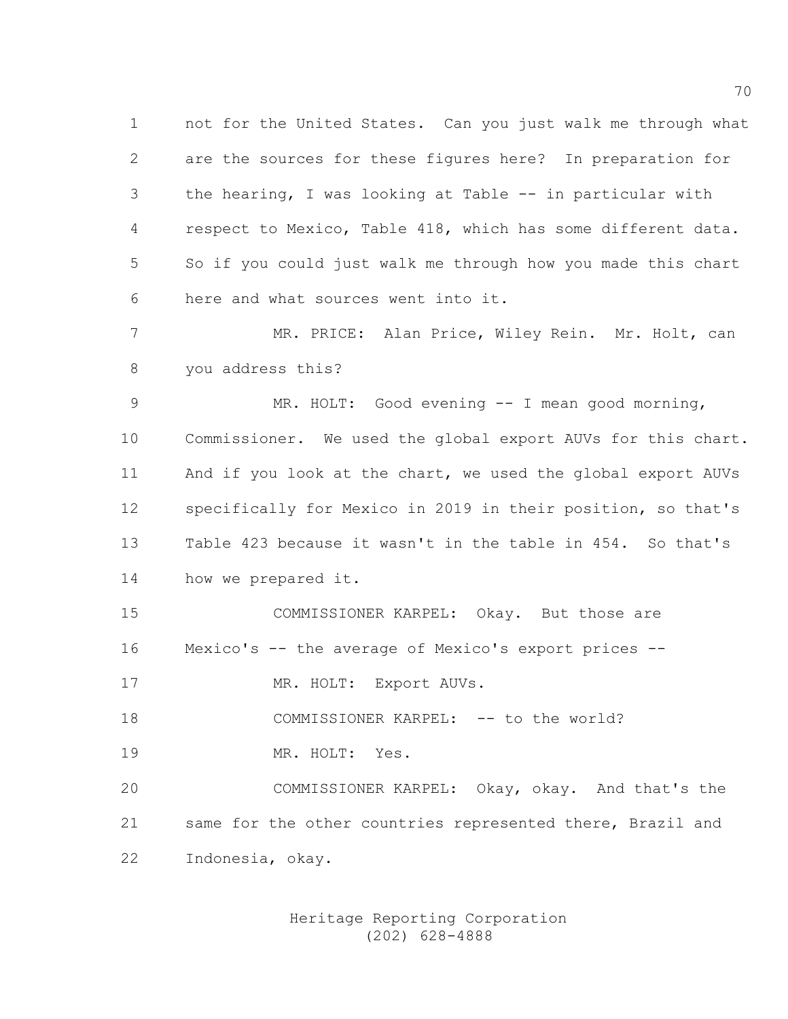1 not for the United States. Can you just walk me through what 2 are the sources for these figures here? In preparation for 3 the hearing, I was looking at Table -- in particular with 4 respect to Mexico, Table 418, which has some different data. 5 So if you could just walk me through how you made this chart 6 here and what sources went into it.

7 MR. PRICE: Alan Price, Wiley Rein. Mr. Holt, can 8 you address this?

9 MR. HOLT: Good evening -- I mean good morning, 10 Commissioner. We used the global export AUVs for this chart. 11 And if you look at the chart, we used the global export AUVs 12 specifically for Mexico in 2019 in their position, so that's 13 Table 423 because it wasn't in the table in 454. So that's 14 how we prepared it.

15 COMMISSIONER KARPEL: Okay. But those are 16 Mexico's -- the average of Mexico's export prices --

17 MR. HOLT: Export AUVs.

18 COMMISSIONER KARPEL: -- to the world?

19 MR. HOLT: Yes.

20 COMMISSIONER KARPEL: Okay, okay. And that's the 21 same for the other countries represented there, Brazil and 22 Indonesia, okay.

> Heritage Reporting Corporation (202) 628-4888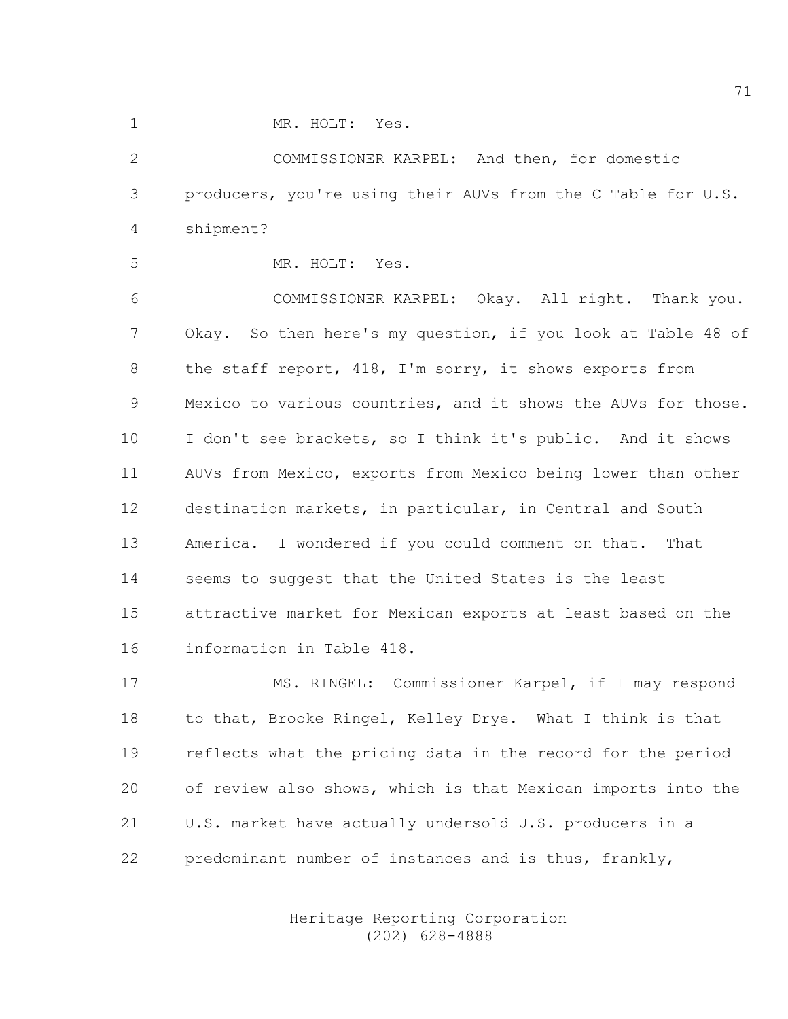1 MR. HOLT: Yes.

2 COMMISSIONER KARPEL: And then, for domestic 3 producers, you're using their AUVs from the C Table for U.S. 4 shipment?

5 MR. HOLT: Yes.

6 COMMISSIONER KARPEL: Okay. All right. Thank you. 7 Okay. So then here's my question, if you look at Table 48 of 8 the staff report, 418, I'm sorry, it shows exports from 9 Mexico to various countries, and it shows the AUVs for those. 10 I don't see brackets, so I think it's public. And it shows 11 AUVs from Mexico, exports from Mexico being lower than other 12 destination markets, in particular, in Central and South 13 America. I wondered if you could comment on that. That 14 seems to suggest that the United States is the least 15 attractive market for Mexican exports at least based on the 16 information in Table 418.

17 MS. RINGEL: Commissioner Karpel, if I may respond 18 to that, Brooke Ringel, Kelley Drye. What I think is that 19 reflects what the pricing data in the record for the period 20 of review also shows, which is that Mexican imports into the 21 U.S. market have actually undersold U.S. producers in a 22 predominant number of instances and is thus, frankly,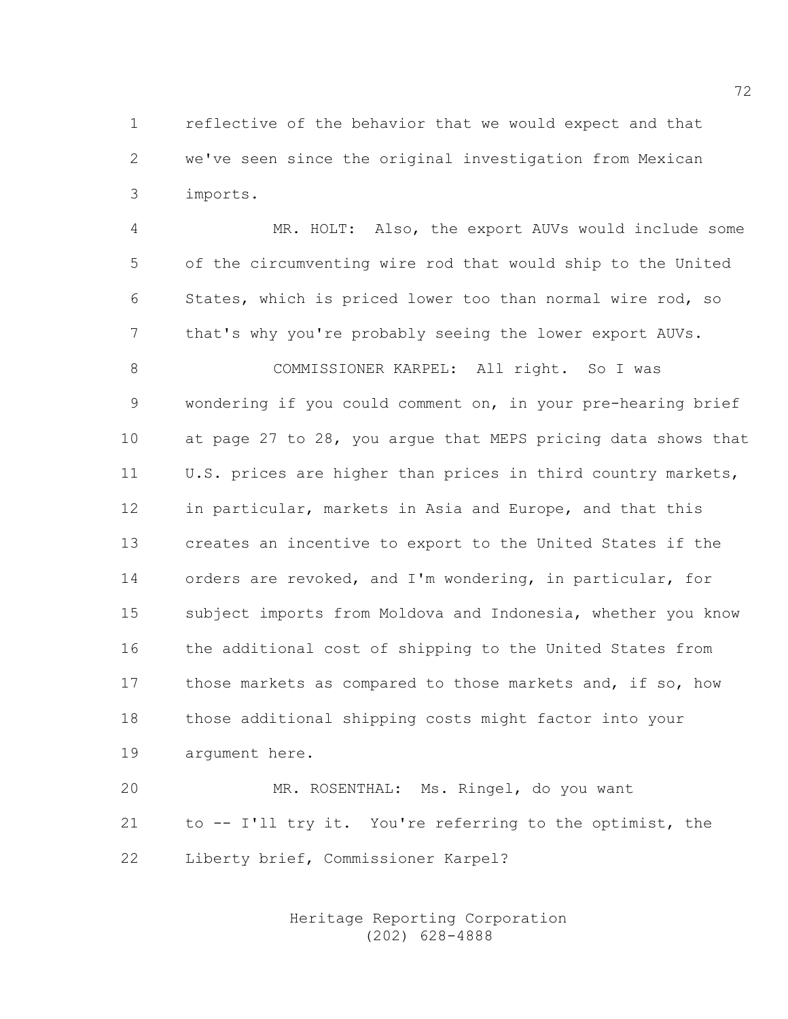1 reflective of the behavior that we would expect and that 2 we've seen since the original investigation from Mexican 3 imports.

4 MR. HOLT: Also, the export AUVs would include some 5 of the circumventing wire rod that would ship to the United 6 States, which is priced lower too than normal wire rod, so 7 that's why you're probably seeing the lower export AUVs.

8 COMMISSIONER KARPEL: All right. So I was 9 wondering if you could comment on, in your pre-hearing brief 10 at page 27 to 28, you argue that MEPS pricing data shows that 11 U.S. prices are higher than prices in third country markets, 12 in particular, markets in Asia and Europe, and that this 13 creates an incentive to export to the United States if the 14 orders are revoked, and I'm wondering, in particular, for 15 subject imports from Moldova and Indonesia, whether you know 16 the additional cost of shipping to the United States from 17 those markets as compared to those markets and, if so, how 18 those additional shipping costs might factor into your 19 argument here.

20 MR. ROSENTHAL: Ms. Ringel, do you want 21 to -- I'll try it. You're referring to the optimist, the 22 Liberty brief, Commissioner Karpel?

> Heritage Reporting Corporation (202) 628-4888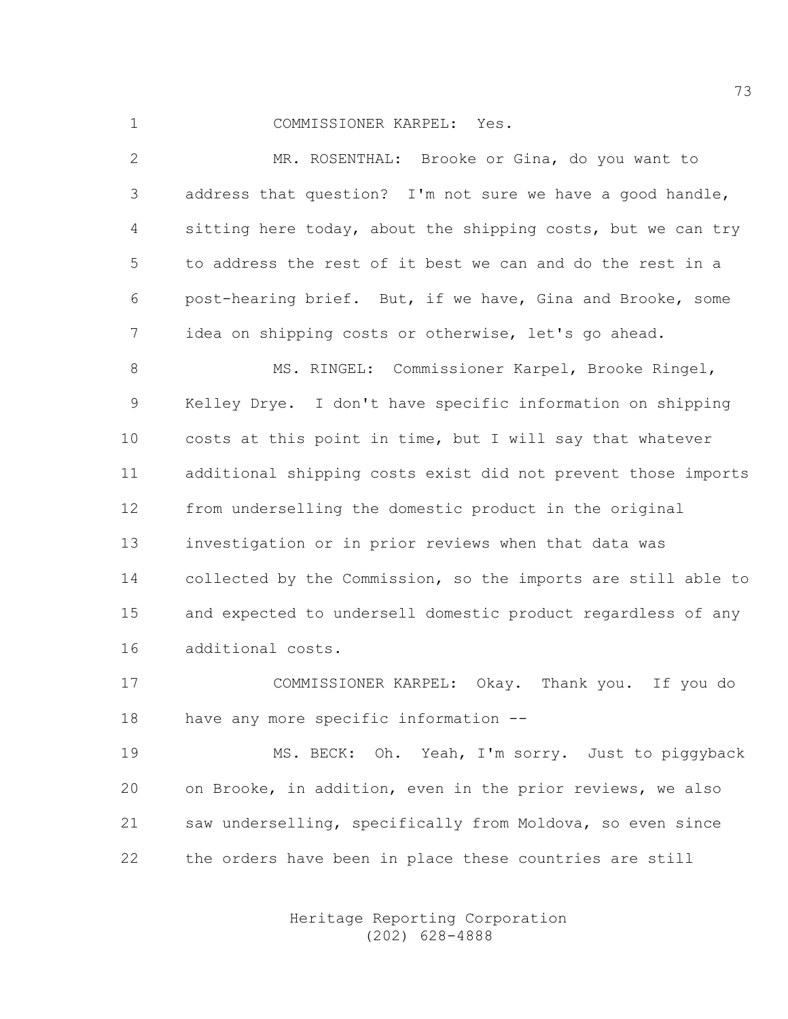## 1 COMMISSIONER KARPEL: Yes.

2 MR. ROSENTHAL: Brooke or Gina, do you want to 3 address that question? I'm not sure we have a good handle, 4 sitting here today, about the shipping costs, but we can try 5 to address the rest of it best we can and do the rest in a 6 post-hearing brief. But, if we have, Gina and Brooke, some 7 idea on shipping costs or otherwise, let's go ahead.

8 MS. RINGEL: Commissioner Karpel, Brooke Ringel, 9 Kelley Drye. I don't have specific information on shipping 10 costs at this point in time, but I will say that whatever 11 additional shipping costs exist did not prevent those imports 12 from underselling the domestic product in the original 13 investigation or in prior reviews when that data was 14 collected by the Commission, so the imports are still able to 15 and expected to undersell domestic product regardless of any 16 additional costs.

17 COMMISSIONER KARPEL: Okay. Thank you. If you do 18 have any more specific information --

19 MS. BECK: Oh. Yeah, I'm sorry. Just to piggyback 20 on Brooke, in addition, even in the prior reviews, we also 21 saw underselling, specifically from Moldova, so even since 22 the orders have been in place these countries are still

> Heritage Reporting Corporation (202) 628-4888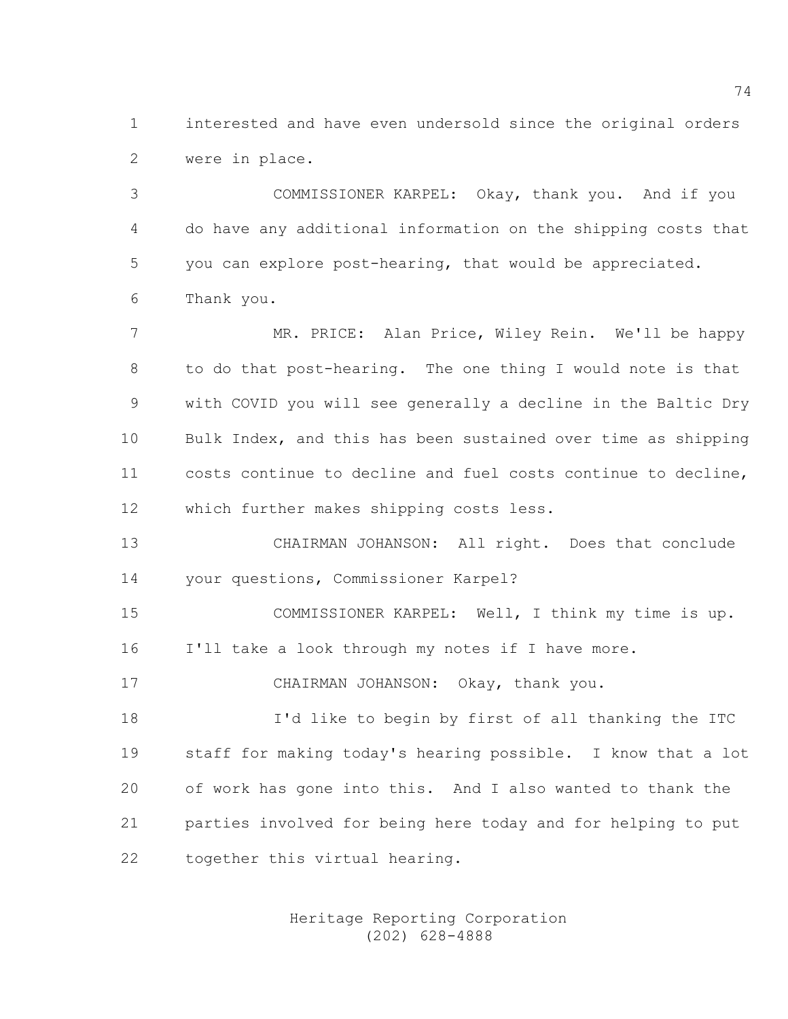1 interested and have even undersold since the original orders 2 were in place.

3 COMMISSIONER KARPEL: Okay, thank you. And if you 4 do have any additional information on the shipping costs that 5 you can explore post-hearing, that would be appreciated. 6 Thank you.

7 MR. PRICE: Alan Price, Wiley Rein. We'll be happy 8 to do that post-hearing. The one thing I would note is that 9 with COVID you will see generally a decline in the Baltic Dry 10 Bulk Index, and this has been sustained over time as shipping 11 costs continue to decline and fuel costs continue to decline, 12 which further makes shipping costs less.

13 CHAIRMAN JOHANSON: All right. Does that conclude 14 your questions, Commissioner Karpel?

15 COMMISSIONER KARPEL: Well, I think my time is up. 16 I'll take a look through my notes if I have more.

17 CHAIRMAN JOHANSON: Okay, thank you.

18 I'd like to begin by first of all thanking the ITC 19 staff for making today's hearing possible. I know that a lot 20 of work has gone into this. And I also wanted to thank the 21 parties involved for being here today and for helping to put 22 together this virtual hearing.

> Heritage Reporting Corporation (202) 628-4888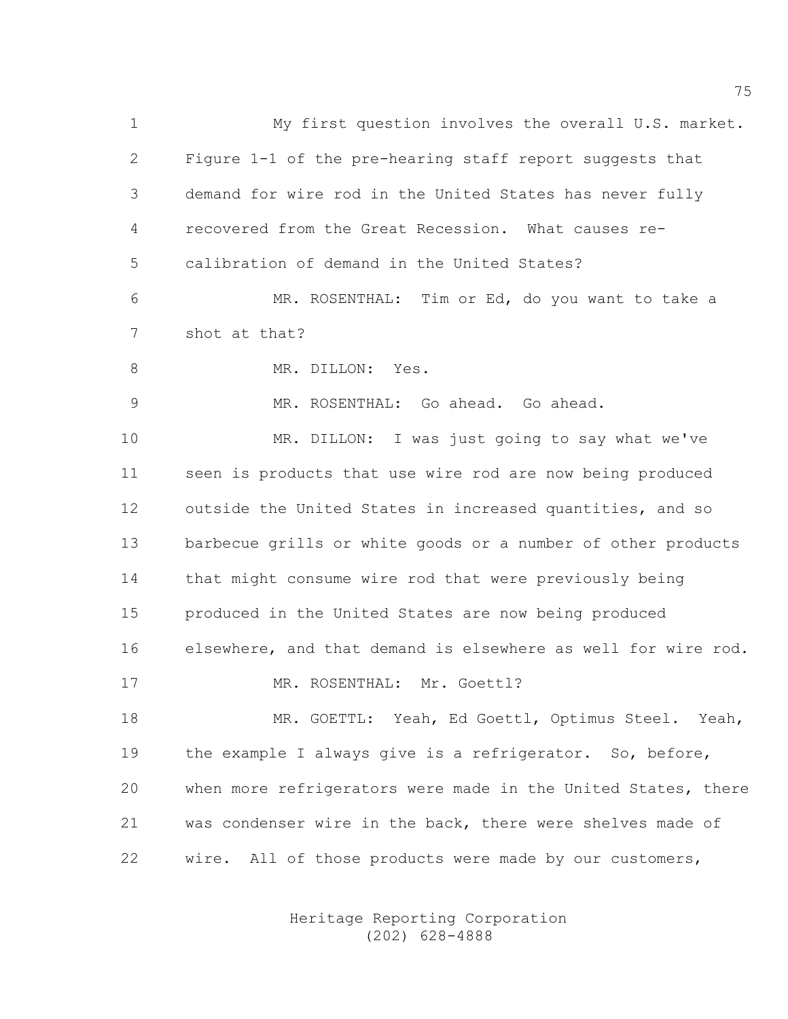1 My first question involves the overall U.S. market. 2 Figure 1-1 of the pre-hearing staff report suggests that 3 demand for wire rod in the United States has never fully 4 recovered from the Great Recession. What causes re-5 calibration of demand in the United States? 6 MR. ROSENTHAL: Tim or Ed, do you want to take a 7 shot at that? 8 MR. DILLON: Yes. 9 MR. ROSENTHAL: Go ahead. Go ahead. 10 MR. DILLON: I was just going to say what we've 11 seen is products that use wire rod are now being produced 12 outside the United States in increased quantities, and so 13 barbecue grills or white goods or a number of other products 14 that might consume wire rod that were previously being 15 produced in the United States are now being produced 16 elsewhere, and that demand is elsewhere as well for wire rod. 17 MR. ROSENTHAL: Mr. Goettl? 18 MR. GOETTL: Yeah, Ed Goettl, Optimus Steel. Yeah, 19 the example I always give is a refrigerator. So, before, 20 when more refrigerators were made in the United States, there 21 was condenser wire in the back, there were shelves made of 22 wire. All of those products were made by our customers,

> Heritage Reporting Corporation (202) 628-4888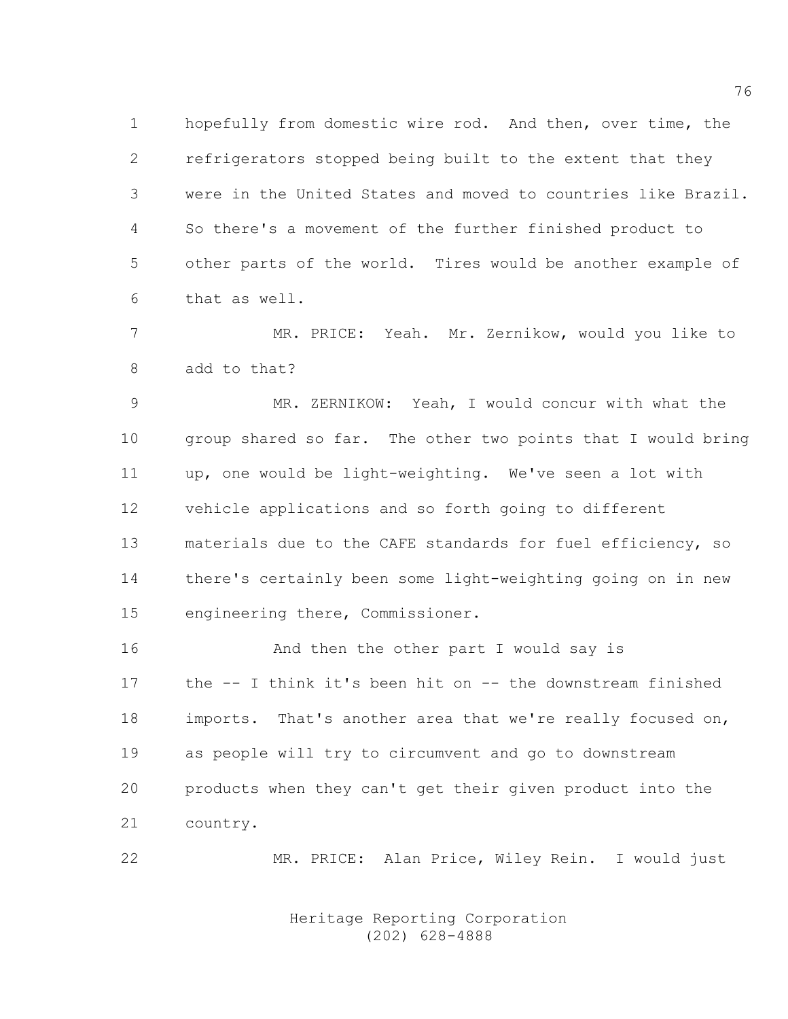1 hopefully from domestic wire rod. And then, over time, the 2 refrigerators stopped being built to the extent that they 3 were in the United States and moved to countries like Brazil. 4 So there's a movement of the further finished product to 5 other parts of the world. Tires would be another example of 6 that as well.

7 MR. PRICE: Yeah. Mr. Zernikow, would you like to 8 add to that?

9 MR. ZERNIKOW: Yeah, I would concur with what the 10 group shared so far. The other two points that I would bring 11 up, one would be light-weighting. We've seen a lot with 12 vehicle applications and so forth going to different 13 materials due to the CAFE standards for fuel efficiency, so 14 there's certainly been some light-weighting going on in new 15 engineering there, Commissioner.

16 **And then the other part I would say is** 17 the -- I think it's been hit on -- the downstream finished 18 imports. That's another area that we're really focused on, 19 as people will try to circumvent and go to downstream 20 products when they can't get their given product into the 21 country.

22 MR. PRICE: Alan Price, Wiley Rein. I would just

 Heritage Reporting Corporation (202) 628-4888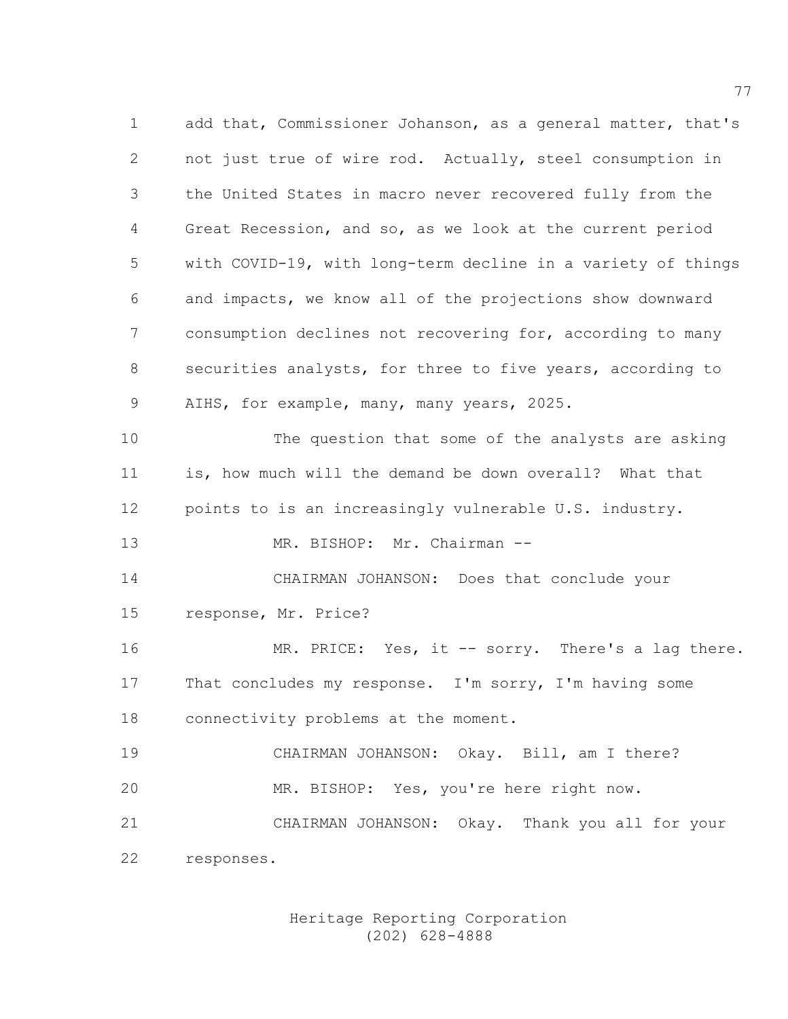1 add that, Commissioner Johanson, as a general matter, that's 2 not just true of wire rod. Actually, steel consumption in 3 the United States in macro never recovered fully from the 4 Great Recession, and so, as we look at the current period 5 with COVID-19, with long-term decline in a variety of things 6 and impacts, we know all of the projections show downward 7 consumption declines not recovering for, according to many 8 securities analysts, for three to five years, according to 9 AIHS, for example, many, many years, 2025. 10 The question that some of the analysts are asking 11 is, how much will the demand be down overall? What that 12 points to is an increasingly vulnerable U.S. industry. 13 MR. BISHOP: Mr. Chairman -- 14 CHAIRMAN JOHANSON: Does that conclude your 15 response, Mr. Price? 16 MR. PRICE: Yes, it -- sorry. There's a lag there. 17 That concludes my response. I'm sorry, I'm having some 18 connectivity problems at the moment. 19 CHAIRMAN JOHANSON: Okay. Bill, am I there? 20 MR. BISHOP: Yes, you're here right now. 21 CHAIRMAN JOHANSON: Okay. Thank you all for your 22 responses.

> Heritage Reporting Corporation (202) 628-4888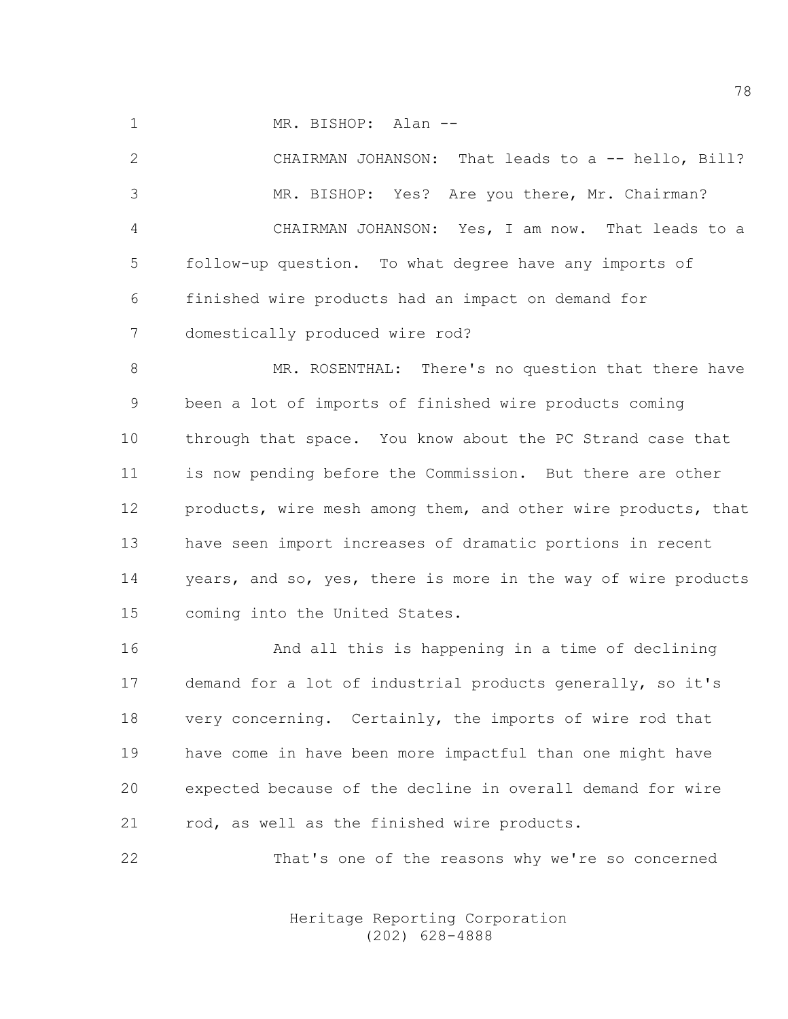1 MR. BISHOP: Alan --

2 CHAIRMAN JOHANSON: That leads to a -- hello, Bill? 3 MR. BISHOP: Yes? Are you there, Mr. Chairman? 4 CHAIRMAN JOHANSON: Yes, I am now. That leads to a 5 follow-up question. To what degree have any imports of 6 finished wire products had an impact on demand for 7 domestically produced wire rod?

8 MR. ROSENTHAL: There's no question that there have 9 been a lot of imports of finished wire products coming 10 through that space. You know about the PC Strand case that 11 is now pending before the Commission. But there are other 12 products, wire mesh among them, and other wire products, that 13 have seen import increases of dramatic portions in recent 14 years, and so, yes, there is more in the way of wire products 15 coming into the United States.

16 And all this is happening in a time of declining 17 demand for a lot of industrial products generally, so it's 18 very concerning. Certainly, the imports of wire rod that 19 have come in have been more impactful than one might have 20 expected because of the decline in overall demand for wire 21 rod, as well as the finished wire products.

22 That's one of the reasons why we're so concerned

 Heritage Reporting Corporation (202) 628-4888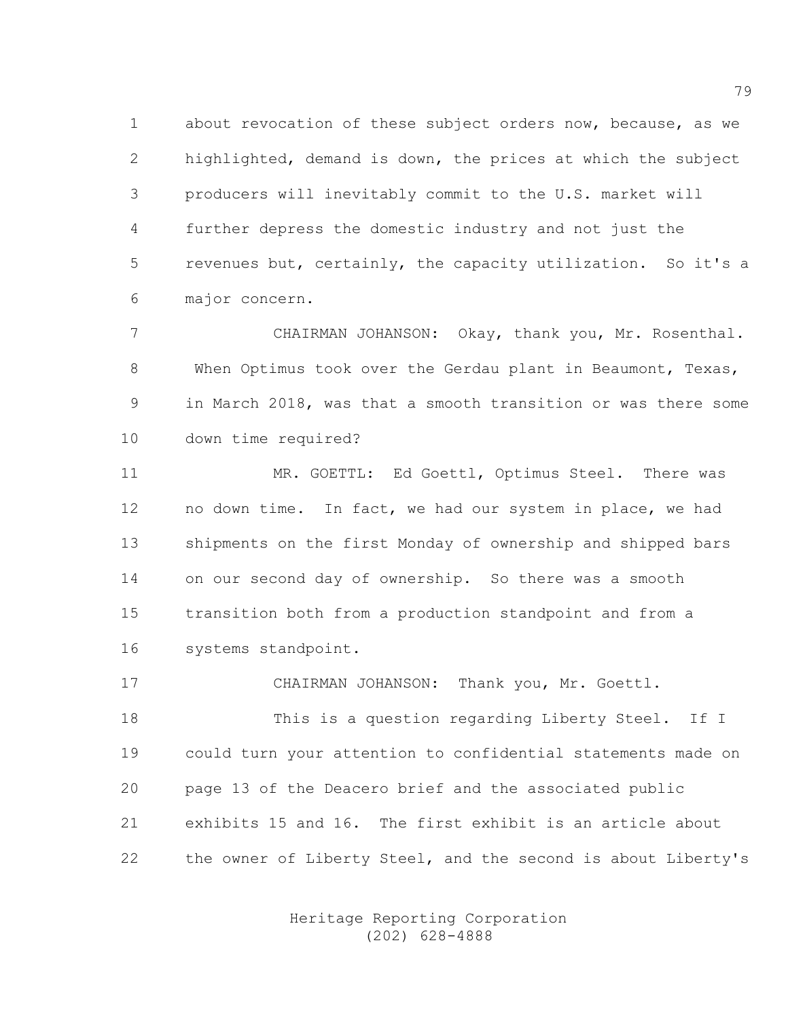1 about revocation of these subject orders now, because, as we 2 highlighted, demand is down, the prices at which the subject 3 producers will inevitably commit to the U.S. market will 4 further depress the domestic industry and not just the 5 revenues but, certainly, the capacity utilization. So it's a 6 major concern.

7 CHAIRMAN JOHANSON: Okay, thank you, Mr. Rosenthal. 8 When Optimus took over the Gerdau plant in Beaumont, Texas, 9 in March 2018, was that a smooth transition or was there some 10 down time required?

11 MR. GOETTL: Ed Goettl, Optimus Steel. There was 12 no down time. In fact, we had our system in place, we had 13 shipments on the first Monday of ownership and shipped bars 14 on our second day of ownership. So there was a smooth 15 transition both from a production standpoint and from a 16 systems standpoint.

17 CHAIRMAN JOHANSON: Thank you, Mr. Goettl.

18 This is a question regarding Liberty Steel. If I 19 could turn your attention to confidential statements made on 20 page 13 of the Deacero brief and the associated public 21 exhibits 15 and 16. The first exhibit is an article about 22 the owner of Liberty Steel, and the second is about Liberty's

> Heritage Reporting Corporation (202) 628-4888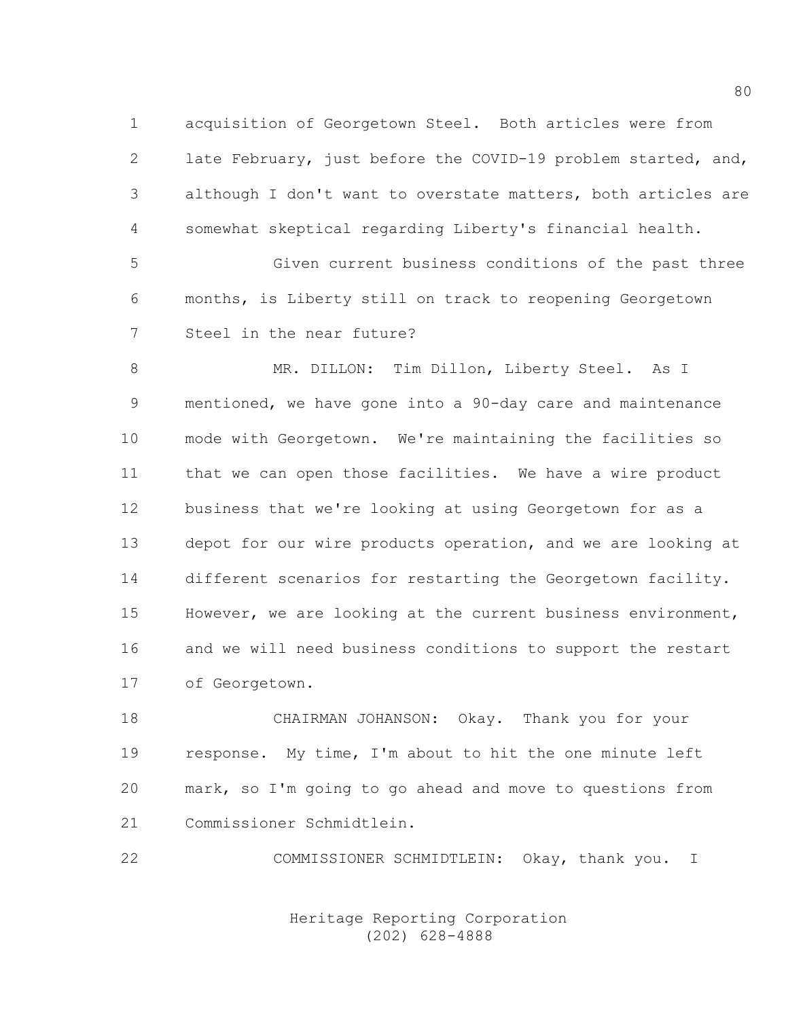1 acquisition of Georgetown Steel. Both articles were from 2 late February, just before the COVID-19 problem started, and, 3 although I don't want to overstate matters, both articles are 4 somewhat skeptical regarding Liberty's financial health.

5 Given current business conditions of the past three 6 months, is Liberty still on track to reopening Georgetown 7 Steel in the near future?

8 MR. DILLON: Tim Dillon, Liberty Steel. As I 9 mentioned, we have gone into a 90-day care and maintenance 10 mode with Georgetown. We're maintaining the facilities so 11 that we can open those facilities. We have a wire product 12 business that we're looking at using Georgetown for as a 13 depot for our wire products operation, and we are looking at 14 different scenarios for restarting the Georgetown facility. 15 However, we are looking at the current business environment, 16 and we will need business conditions to support the restart 17 of Georgetown.

18 CHAIRMAN JOHANSON: Okay. Thank you for your 19 response. My time, I'm about to hit the one minute left 20 mark, so I'm going to go ahead and move to questions from 21 Commissioner Schmidtlein.

22 COMMISSIONER SCHMIDTLEIN: Okay, thank you. I

 Heritage Reporting Corporation (202) 628-4888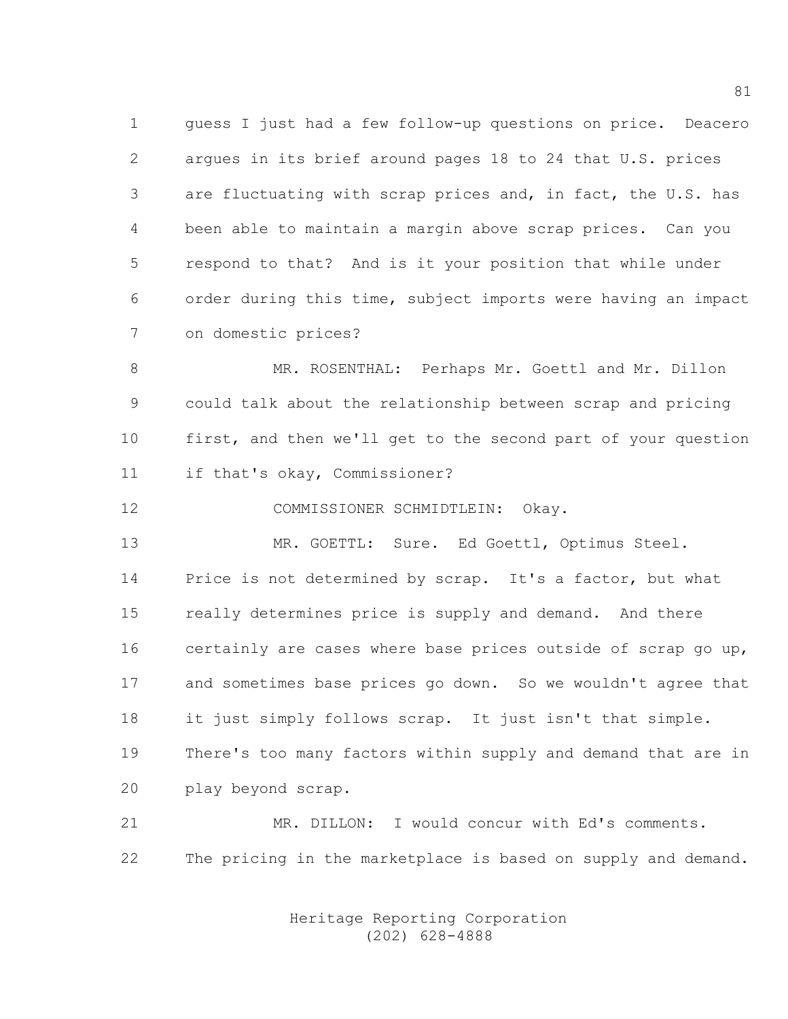1 guess I just had a few follow-up questions on price. Deacero 2 argues in its brief around pages 18 to 24 that U.S. prices 3 are fluctuating with scrap prices and, in fact, the U.S. has 4 been able to maintain a margin above scrap prices. Can you 5 respond to that? And is it your position that while under 6 order during this time, subject imports were having an impact 7 on domestic prices?

8 MR. ROSENTHAL: Perhaps Mr. Goettl and Mr. Dillon 9 could talk about the relationship between scrap and pricing 10 first, and then we'll get to the second part of your question 11 if that's okay, Commissioner?

12 COMMISSIONER SCHMIDTLEIN: Okay.

13 MR. GOETTL: Sure. Ed Goettl, Optimus Steel. 14 Price is not determined by scrap. It's a factor, but what 15 really determines price is supply and demand. And there 16 certainly are cases where base prices outside of scrap go up, 17 and sometimes base prices go down. So we wouldn't agree that 18 it just simply follows scrap. It just isn't that simple. 19 There's too many factors within supply and demand that are in 20 play beyond scrap.

21 MR. DILLON: I would concur with Ed's comments. 22 The pricing in the marketplace is based on supply and demand.

> Heritage Reporting Corporation (202) 628-4888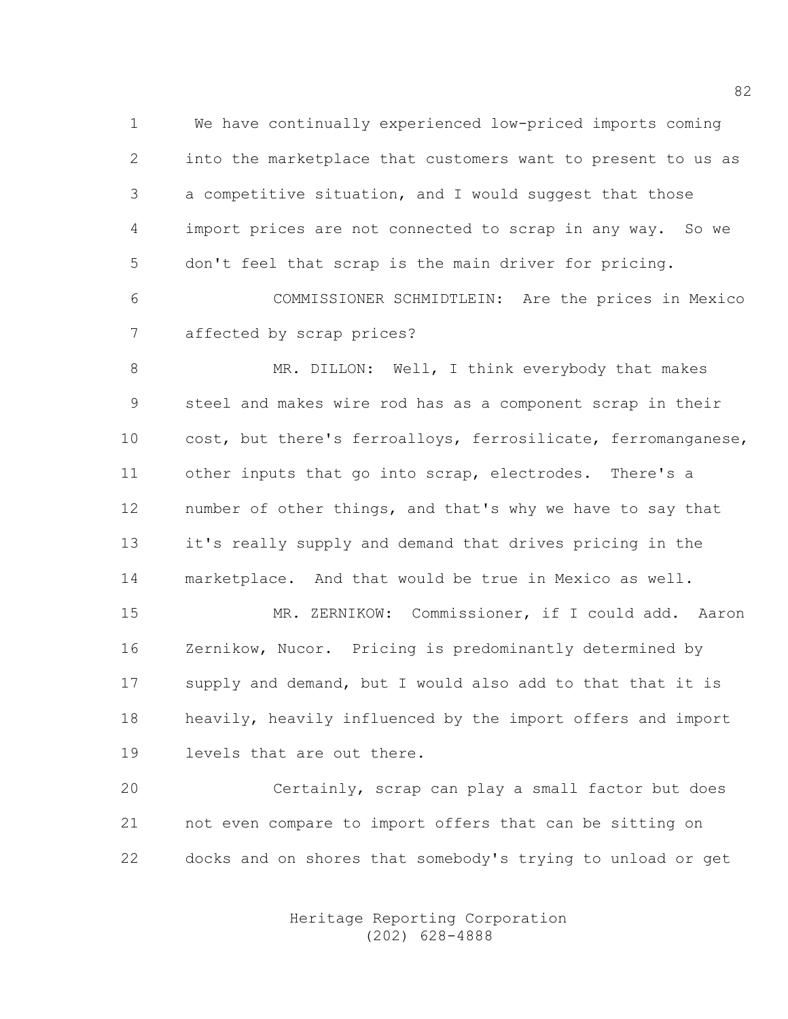1 We have continually experienced low-priced imports coming 2 into the marketplace that customers want to present to us as 3 a competitive situation, and I would suggest that those 4 import prices are not connected to scrap in any way. So we 5 don't feel that scrap is the main driver for pricing. 6 COMMISSIONER SCHMIDTLEIN: Are the prices in Mexico

7 affected by scrap prices?

8 MR. DILLON: Well, I think everybody that makes 9 steel and makes wire rod has as a component scrap in their 10 cost, but there's ferroalloys, ferrosilicate, ferromanganese, 11 other inputs that go into scrap, electrodes. There's a 12 number of other things, and that's why we have to say that 13 it's really supply and demand that drives pricing in the 14 marketplace. And that would be true in Mexico as well.

15 MR. ZERNIKOW: Commissioner, if I could add. Aaron 16 Zernikow, Nucor. Pricing is predominantly determined by 17 supply and demand, but I would also add to that that it is 18 heavily, heavily influenced by the import offers and import 19 levels that are out there.

20 Certainly, scrap can play a small factor but does 21 not even compare to import offers that can be sitting on 22 docks and on shores that somebody's trying to unload or get

> Heritage Reporting Corporation (202) 628-4888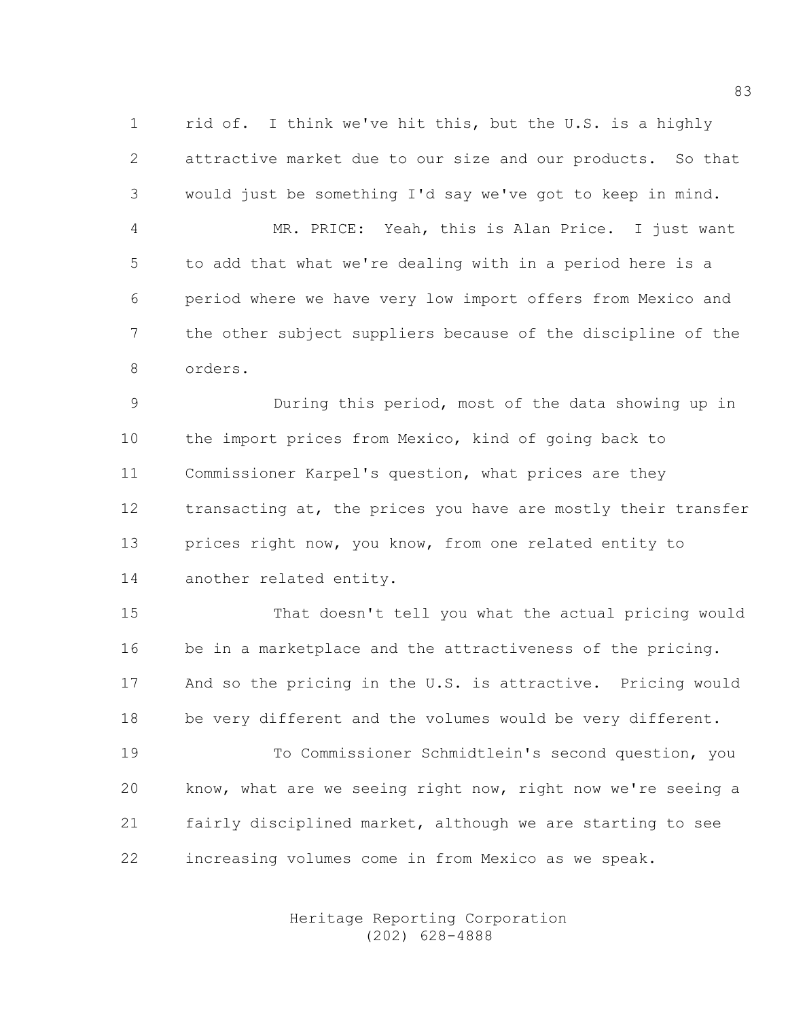1 rid of. I think we've hit this, but the U.S. is a highly 2 attractive market due to our size and our products. So that 3 would just be something I'd say we've got to keep in mind.

4 MR. PRICE: Yeah, this is Alan Price. I just want 5 to add that what we're dealing with in a period here is a 6 period where we have very low import offers from Mexico and 7 the other subject suppliers because of the discipline of the 8 orders.

9 During this period, most of the data showing up in 10 the import prices from Mexico, kind of going back to 11 Commissioner Karpel's question, what prices are they 12 transacting at, the prices you have are mostly their transfer 13 prices right now, you know, from one related entity to 14 another related entity.

15 That doesn't tell you what the actual pricing would 16 be in a marketplace and the attractiveness of the pricing. 17 And so the pricing in the U.S. is attractive. Pricing would 18 be very different and the volumes would be very different.

19 To Commissioner Schmidtlein's second question, you 20 know, what are we seeing right now, right now we're seeing a 21 fairly disciplined market, although we are starting to see 22 increasing volumes come in from Mexico as we speak.

> Heritage Reporting Corporation (202) 628-4888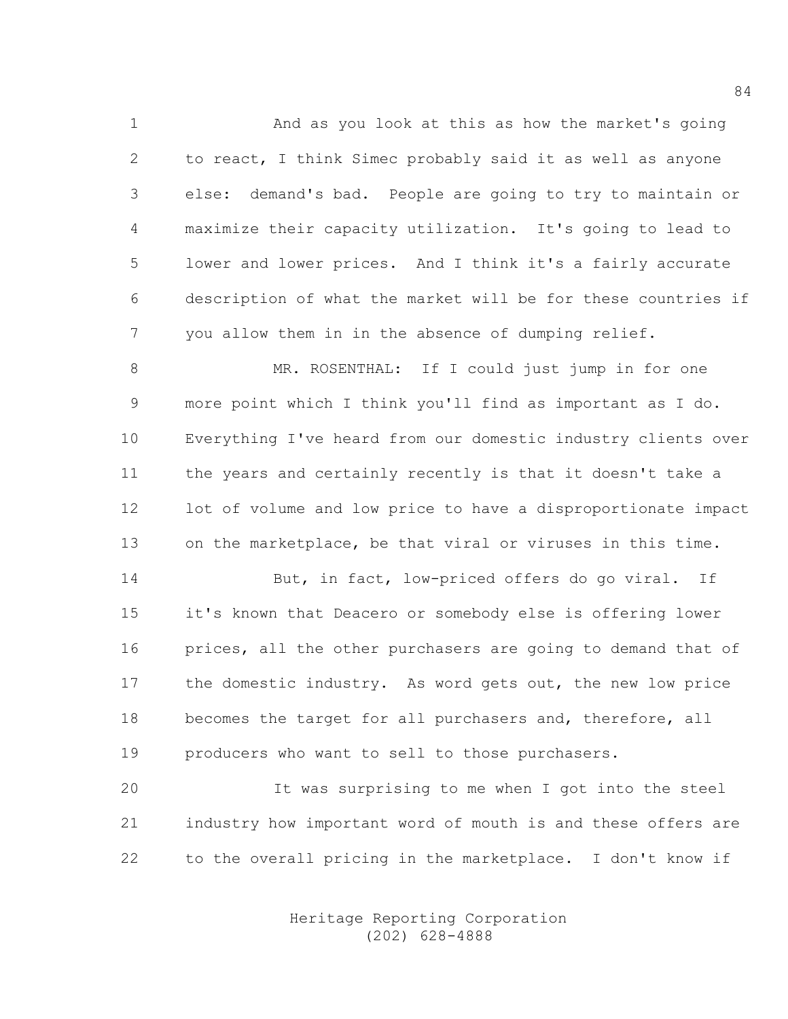1 And as you look at this as how the market's going 2 to react, I think Simec probably said it as well as anyone 3 else: demand's bad. People are going to try to maintain or 4 maximize their capacity utilization. It's going to lead to 5 lower and lower prices. And I think it's a fairly accurate 6 description of what the market will be for these countries if 7 you allow them in in the absence of dumping relief.

8 MR. ROSENTHAL: If I could just jump in for one 9 more point which I think you'll find as important as I do. 10 Everything I've heard from our domestic industry clients over 11 the years and certainly recently is that it doesn't take a 12 lot of volume and low price to have a disproportionate impact 13 on the marketplace, be that viral or viruses in this time.

14 But, in fact, low-priced offers do go viral. If 15 it's known that Deacero or somebody else is offering lower 16 prices, all the other purchasers are going to demand that of 17 the domestic industry. As word gets out, the new low price 18 becomes the target for all purchasers and, therefore, all 19 producers who want to sell to those purchasers.

20 It was surprising to me when I got into the steel 21 industry how important word of mouth is and these offers are 22 to the overall pricing in the marketplace. I don't know if

> Heritage Reporting Corporation (202) 628-4888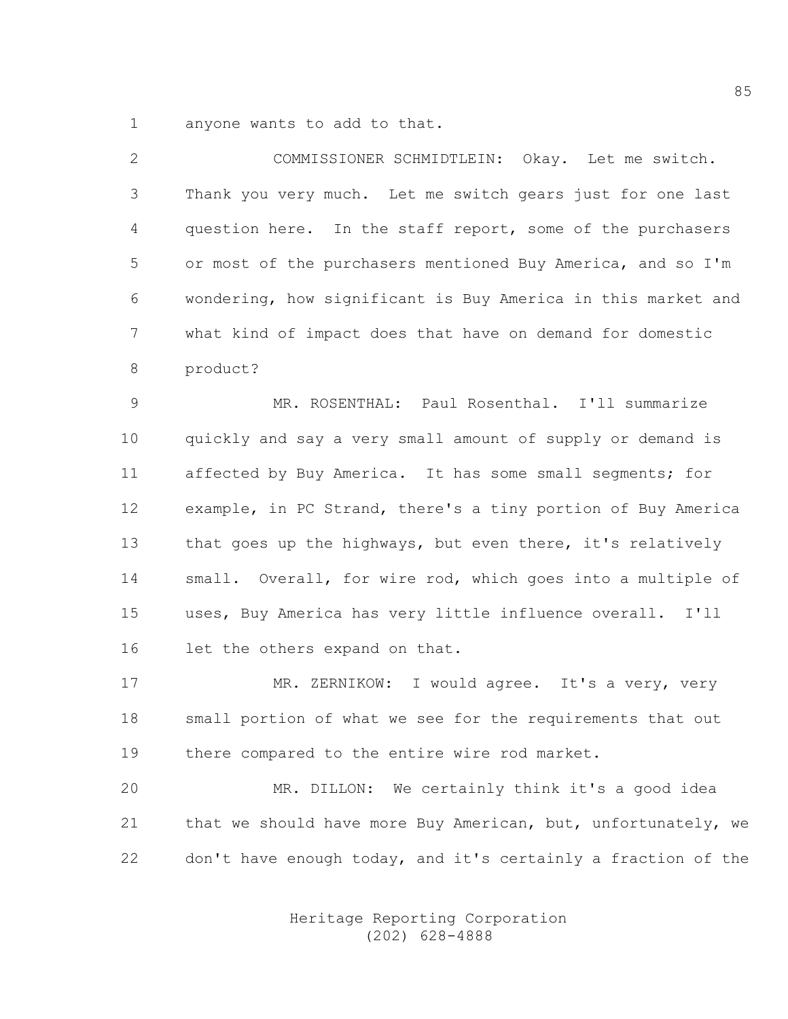1 anyone wants to add to that.

2 COMMISSIONER SCHMIDTLEIN: Okay. Let me switch. 3 Thank you very much. Let me switch gears just for one last 4 question here. In the staff report, some of the purchasers 5 or most of the purchasers mentioned Buy America, and so I'm 6 wondering, how significant is Buy America in this market and 7 what kind of impact does that have on demand for domestic 8 product?

9 MR. ROSENTHAL: Paul Rosenthal. I'll summarize 10 quickly and say a very small amount of supply or demand is 11 affected by Buy America. It has some small segments; for 12 example, in PC Strand, there's a tiny portion of Buy America 13 that goes up the highways, but even there, it's relatively 14 small. Overall, for wire rod, which goes into a multiple of 15 uses, Buy America has very little influence overall. I'll 16 let the others expand on that.

17 MR. ZERNIKOW: I would agree. It's a very, very 18 small portion of what we see for the requirements that out 19 there compared to the entire wire rod market.

20 MR. DILLON: We certainly think it's a good idea 21 that we should have more Buy American, but, unfortunately, we 22 don't have enough today, and it's certainly a fraction of the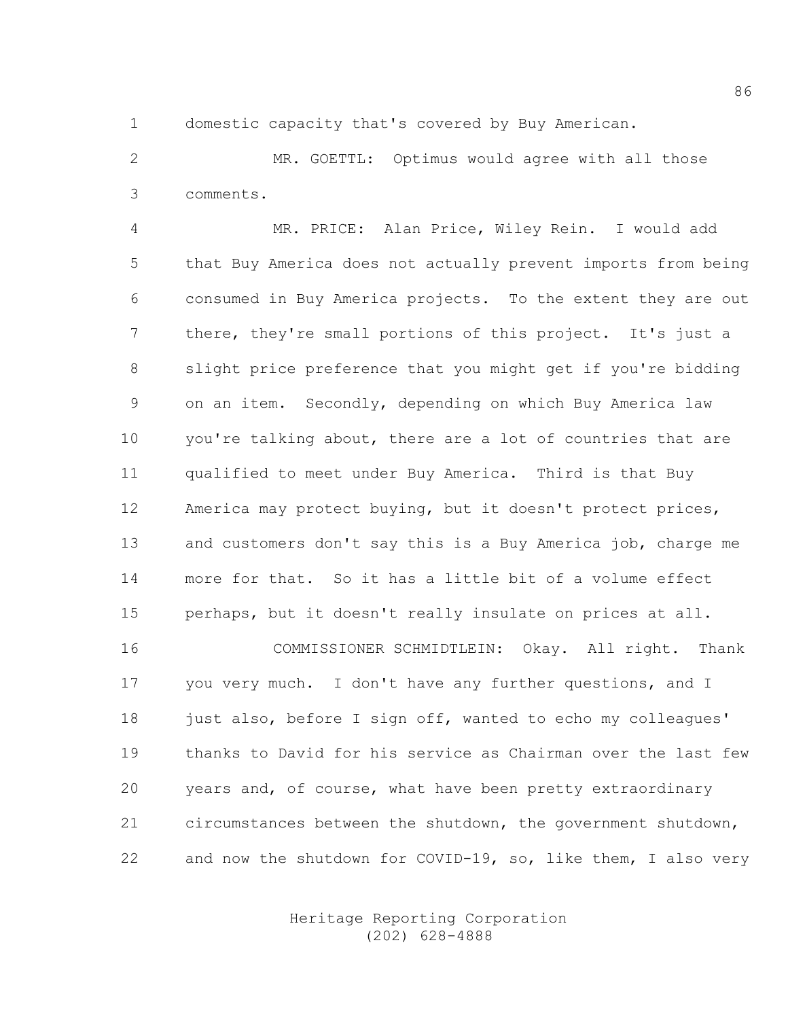1 domestic capacity that's covered by Buy American.

2 MR. GOETTL: Optimus would agree with all those 3 comments.

4 MR. PRICE: Alan Price, Wiley Rein. I would add 5 that Buy America does not actually prevent imports from being 6 consumed in Buy America projects. To the extent they are out 7 there, they're small portions of this project. It's just a 8 slight price preference that you might get if you're bidding 9 on an item. Secondly, depending on which Buy America law 10 you're talking about, there are a lot of countries that are 11 qualified to meet under Buy America. Third is that Buy 12 America may protect buying, but it doesn't protect prices, 13 and customers don't say this is a Buy America job, charge me 14 more for that. So it has a little bit of a volume effect 15 perhaps, but it doesn't really insulate on prices at all. 16 COMMISSIONER SCHMIDTLEIN: Okay. All right. Thank

17 you very much. I don't have any further questions, and I 18 just also, before I sign off, wanted to echo my colleagues' 19 thanks to David for his service as Chairman over the last few 20 years and, of course, what have been pretty extraordinary 21 circumstances between the shutdown, the government shutdown, 22 and now the shutdown for COVID-19, so, like them, I also very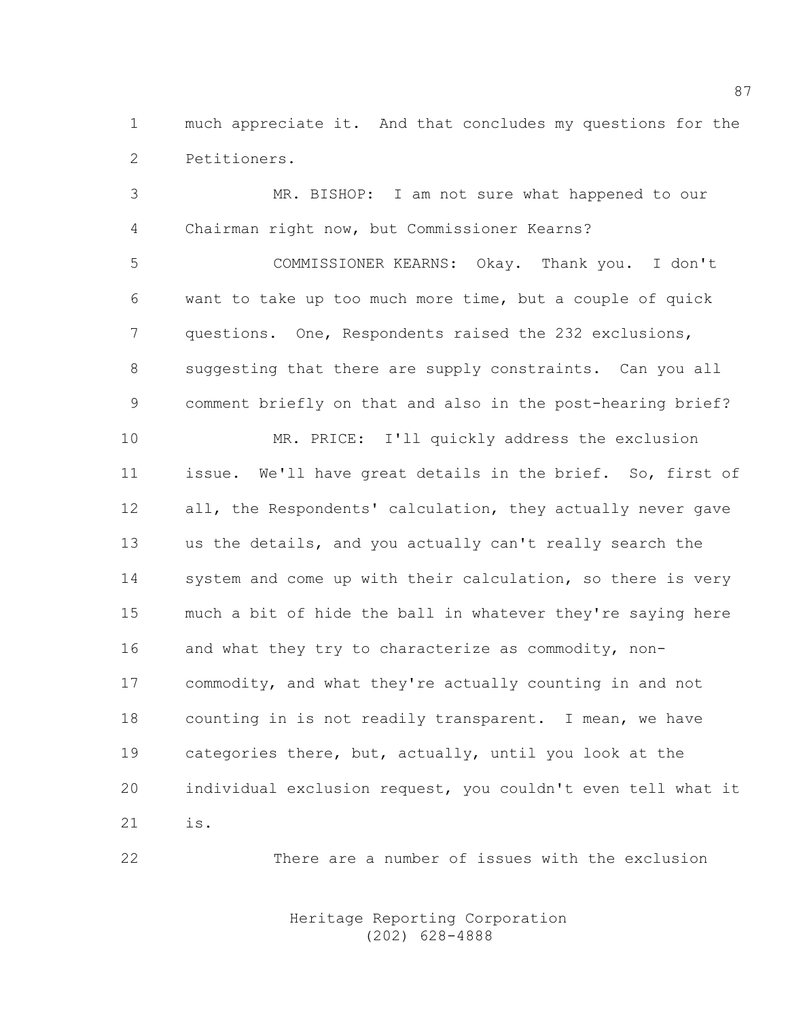1 much appreciate it. And that concludes my questions for the 2 Petitioners.

3 MR. BISHOP: I am not sure what happened to our 4 Chairman right now, but Commissioner Kearns?

5 COMMISSIONER KEARNS: Okay. Thank you. I don't 6 want to take up too much more time, but a couple of quick 7 questions. One, Respondents raised the 232 exclusions, 8 suggesting that there are supply constraints. Can you all 9 comment briefly on that and also in the post-hearing brief?

10 MR. PRICE: I'll quickly address the exclusion 11 issue. We'll have great details in the brief. So, first of 12 all, the Respondents' calculation, they actually never gave 13 us the details, and you actually can't really search the 14 system and come up with their calculation, so there is very 15 much a bit of hide the ball in whatever they're saying here 16 and what they try to characterize as commodity, non-17 commodity, and what they're actually counting in and not 18 counting in is not readily transparent. I mean, we have 19 categories there, but, actually, until you look at the 20 individual exclusion request, you couldn't even tell what it 21 is.

22 There are a number of issues with the exclusion

 Heritage Reporting Corporation (202) 628-4888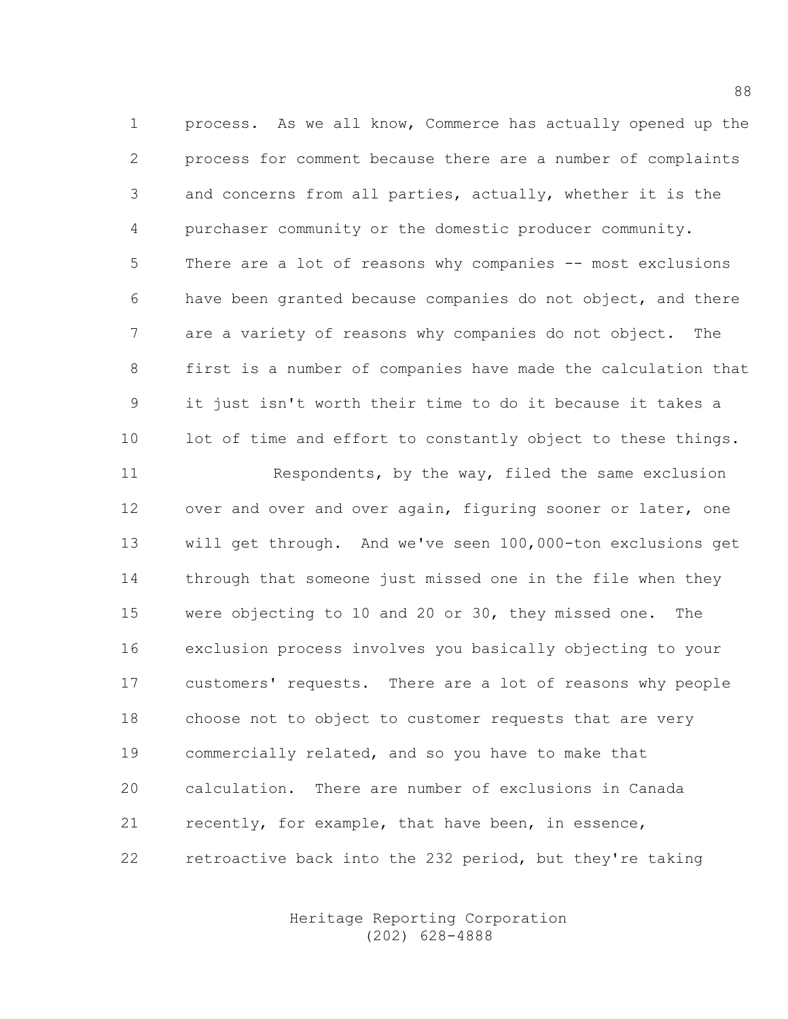1 process. As we all know, Commerce has actually opened up the 2 process for comment because there are a number of complaints 3 and concerns from all parties, actually, whether it is the 4 purchaser community or the domestic producer community. 5 There are a lot of reasons why companies -- most exclusions 6 have been granted because companies do not object, and there 7 are a variety of reasons why companies do not object. The 8 first is a number of companies have made the calculation that 9 it just isn't worth their time to do it because it takes a 10 lot of time and effort to constantly object to these things.

11 Respondents, by the way, filed the same exclusion 12 over and over and over again, figuring sooner or later, one 13 will get through. And we've seen 100,000-ton exclusions get 14 through that someone just missed one in the file when they 15 were objecting to 10 and 20 or 30, they missed one. The 16 exclusion process involves you basically objecting to your 17 customers' requests. There are a lot of reasons why people 18 choose not to object to customer requests that are very 19 commercially related, and so you have to make that 20 calculation. There are number of exclusions in Canada 21 recently, for example, that have been, in essence, 22 retroactive back into the 232 period, but they're taking

> Heritage Reporting Corporation (202) 628-4888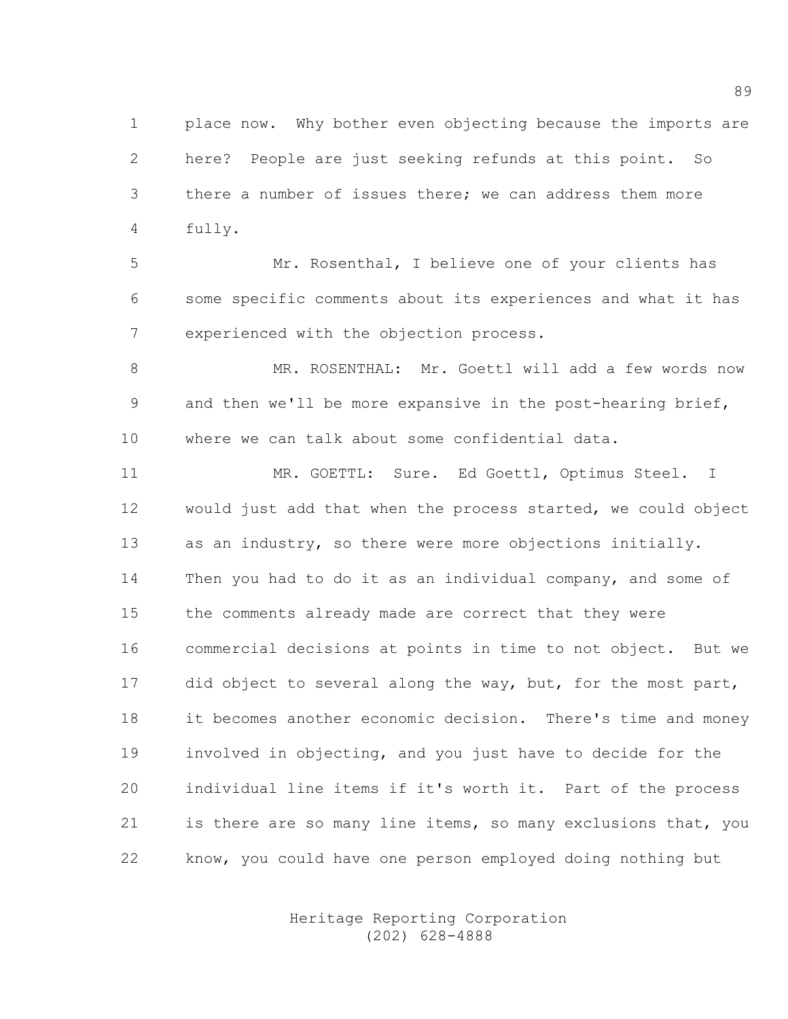1 place now. Why bother even objecting because the imports are 2 here? People are just seeking refunds at this point. So 3 there a number of issues there; we can address them more 4 fully.

5 Mr. Rosenthal, I believe one of your clients has 6 some specific comments about its experiences and what it has 7 experienced with the objection process.

8 MR. ROSENTHAL: Mr. Goettl will add a few words now 9 and then we'll be more expansive in the post-hearing brief, 10 where we can talk about some confidential data.

11 MR. GOETTL: Sure. Ed Goettl, Optimus Steel. I 12 would just add that when the process started, we could object 13 as an industry, so there were more objections initially. 14 Then you had to do it as an individual company, and some of 15 the comments already made are correct that they were 16 commercial decisions at points in time to not object. But we 17 did object to several along the way, but, for the most part, 18 it becomes another economic decision. There's time and money 19 involved in objecting, and you just have to decide for the 20 individual line items if it's worth it. Part of the process 21 is there are so many line items, so many exclusions that, you 22 know, you could have one person employed doing nothing but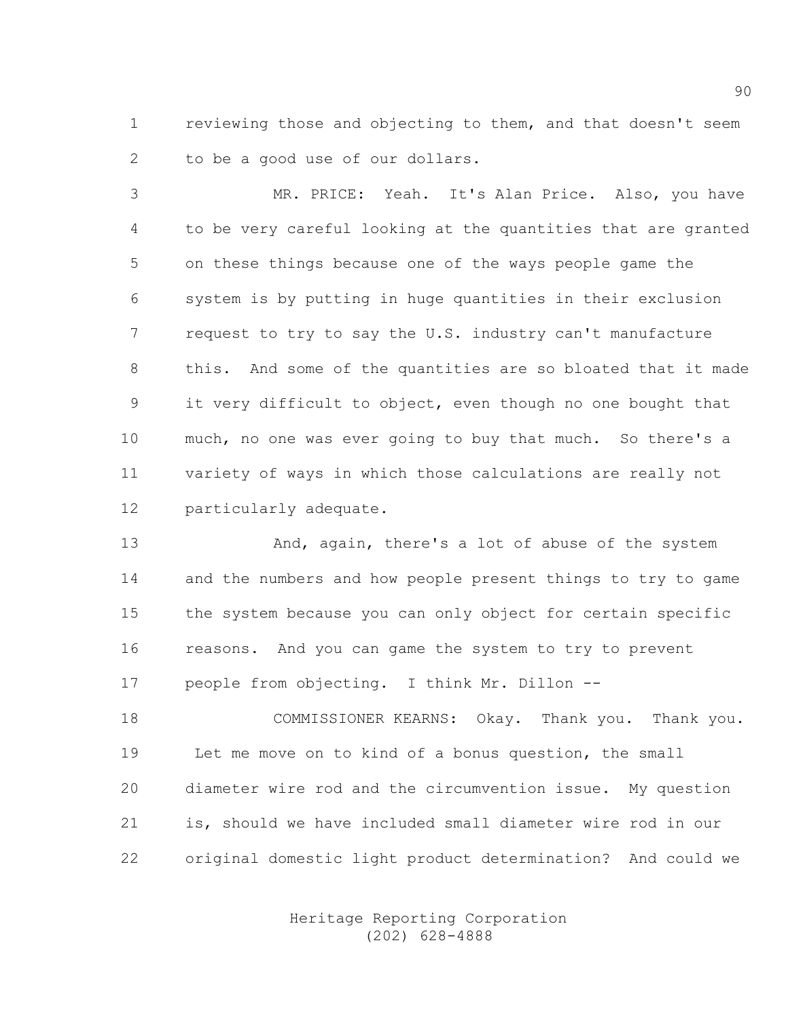1 reviewing those and objecting to them, and that doesn't seem 2 to be a good use of our dollars.

3 MR. PRICE: Yeah. It's Alan Price. Also, you have 4 to be very careful looking at the quantities that are granted 5 on these things because one of the ways people game the 6 system is by putting in huge quantities in their exclusion 7 request to try to say the U.S. industry can't manufacture 8 this. And some of the quantities are so bloated that it made 9 it very difficult to object, even though no one bought that 10 much, no one was ever going to buy that much. So there's a 11 variety of ways in which those calculations are really not 12 particularly adequate.

13 And, again, there's a lot of abuse of the system 14 and the numbers and how people present things to try to game 15 the system because you can only object for certain specific 16 reasons. And you can game the system to try to prevent 17 people from objecting. I think Mr. Dillon --

18 COMMISSIONER KEARNS: Okay. Thank you. Thank you. 19 Let me move on to kind of a bonus question, the small 20 diameter wire rod and the circumvention issue. My question 21 is, should we have included small diameter wire rod in our 22 original domestic light product determination? And could we

> Heritage Reporting Corporation (202) 628-4888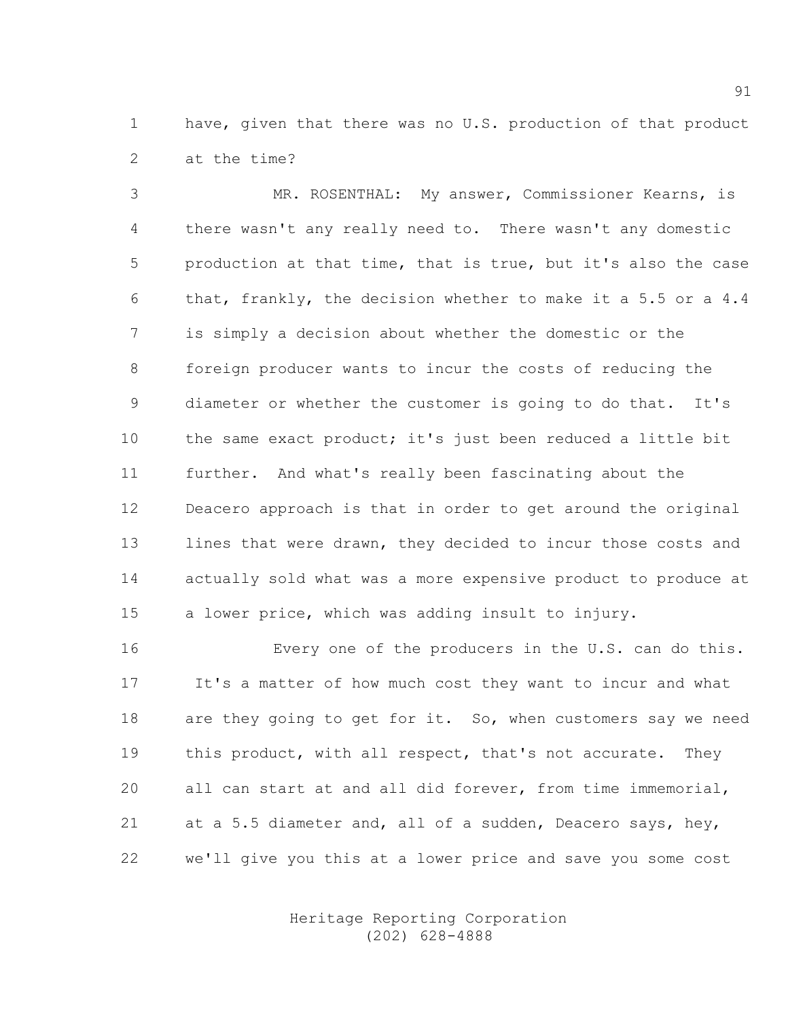1 have, given that there was no U.S. production of that product 2 at the time?

3 MR. ROSENTHAL: My answer, Commissioner Kearns, is 4 there wasn't any really need to. There wasn't any domestic 5 production at that time, that is true, but it's also the case 6 that, frankly, the decision whether to make it a 5.5 or a 4.4 7 is simply a decision about whether the domestic or the 8 foreign producer wants to incur the costs of reducing the 9 diameter or whether the customer is going to do that. It's 10 the same exact product; it's just been reduced a little bit 11 further. And what's really been fascinating about the 12 Deacero approach is that in order to get around the original 13 lines that were drawn, they decided to incur those costs and 14 actually sold what was a more expensive product to produce at 15 a lower price, which was adding insult to injury.

16 Every one of the producers in the U.S. can do this. 17 It's a matter of how much cost they want to incur and what 18 are they going to get for it. So, when customers say we need 19 this product, with all respect, that's not accurate. They 20 all can start at and all did forever, from time immemorial, 21 at a 5.5 diameter and, all of a sudden, Deacero says, hey, 22 we'll give you this at a lower price and save you some cost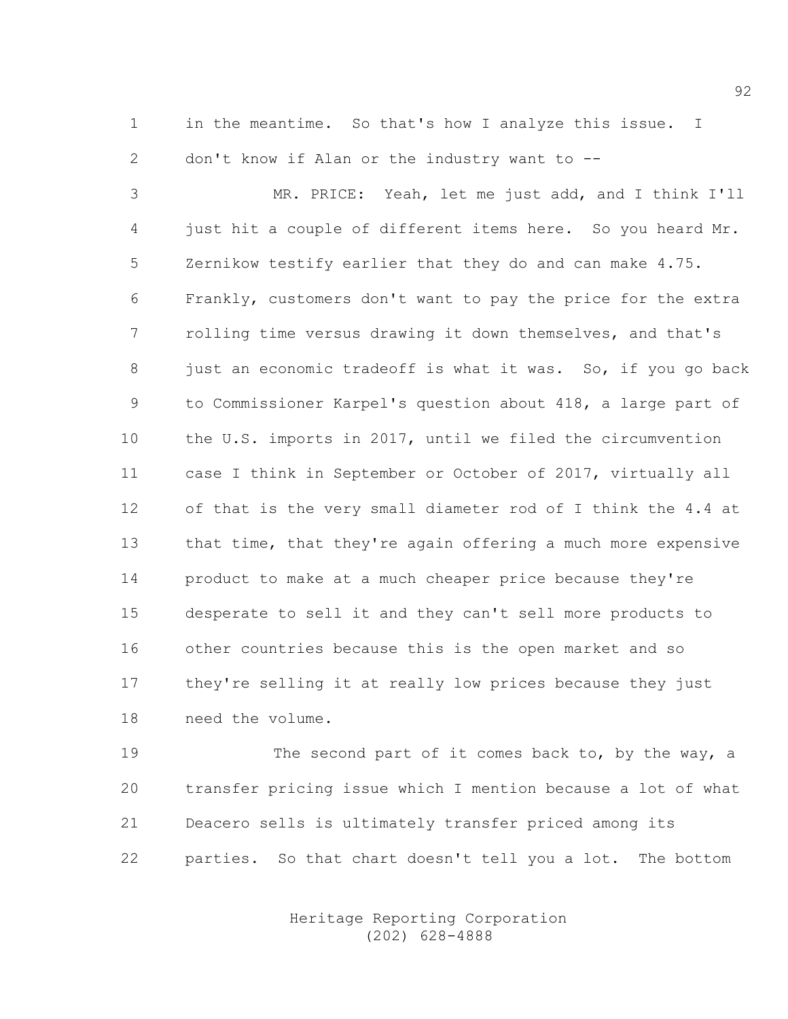1 in the meantime. So that's how I analyze this issue. I 2 don't know if Alan or the industry want to --

3 MR. PRICE: Yeah, let me just add, and I think I'll 4 just hit a couple of different items here. So you heard Mr. 5 Zernikow testify earlier that they do and can make 4.75. 6 Frankly, customers don't want to pay the price for the extra 7 rolling time versus drawing it down themselves, and that's 8 just an economic tradeoff is what it was. So, if you go back 9 to Commissioner Karpel's question about 418, a large part of 10 the U.S. imports in 2017, until we filed the circumvention 11 case I think in September or October of 2017, virtually all 12 of that is the very small diameter rod of I think the 4.4 at 13 that time, that they're again offering a much more expensive 14 product to make at a much cheaper price because they're 15 desperate to sell it and they can't sell more products to 16 other countries because this is the open market and so 17 they're selling it at really low prices because they just 18 need the volume.

19 The second part of it comes back to, by the way, a 20 transfer pricing issue which I mention because a lot of what 21 Deacero sells is ultimately transfer priced among its 22 parties. So that chart doesn't tell you a lot. The bottom

> Heritage Reporting Corporation (202) 628-4888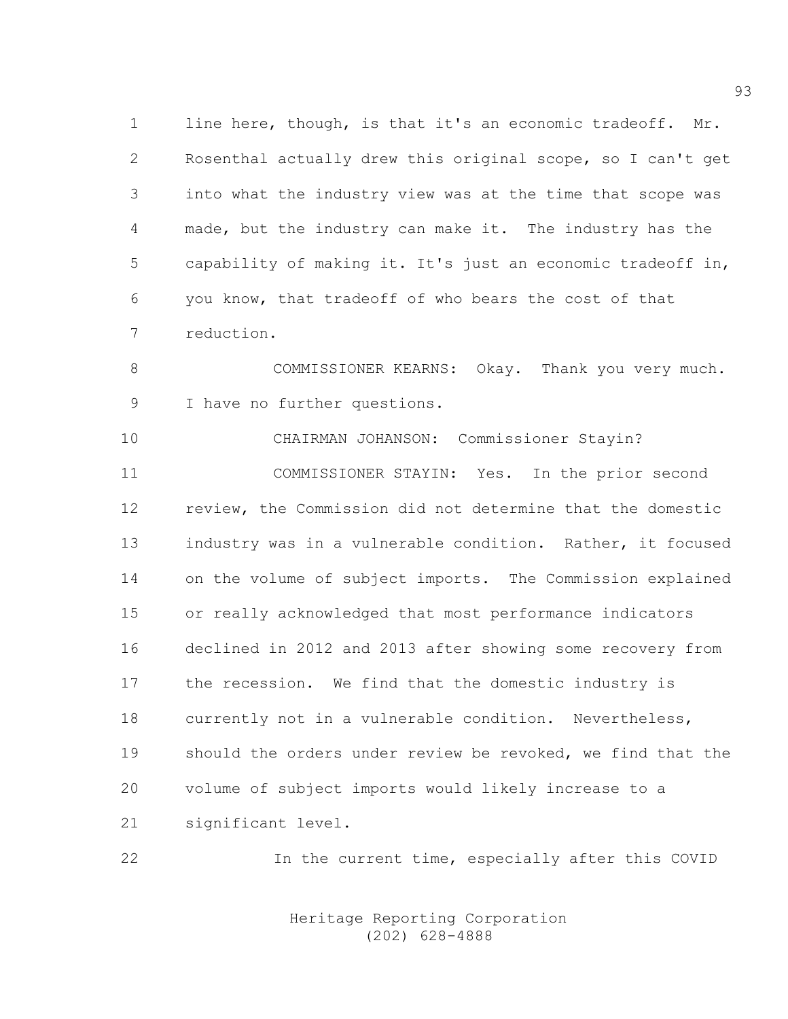1 line here, though, is that it's an economic tradeoff. Mr. 2 Rosenthal actually drew this original scope, so I can't get 3 into what the industry view was at the time that scope was 4 made, but the industry can make it. The industry has the 5 capability of making it. It's just an economic tradeoff in, 6 you know, that tradeoff of who bears the cost of that 7 reduction.

8 COMMISSIONER KEARNS: Okay. Thank you very much. 9 I have no further questions.

10 CHAIRMAN JOHANSON: Commissioner Stayin? 11 COMMISSIONER STAYIN: Yes. In the prior second 12 review, the Commission did not determine that the domestic 13 industry was in a vulnerable condition. Rather, it focused 14 on the volume of subject imports. The Commission explained 15 or really acknowledged that most performance indicators 16 declined in 2012 and 2013 after showing some recovery from 17 the recession. We find that the domestic industry is 18 currently not in a vulnerable condition. Nevertheless, 19 should the orders under review be revoked, we find that the 20 volume of subject imports would likely increase to a 21 significant level.

22 In the current time, especially after this COVID

 Heritage Reporting Corporation (202) 628-4888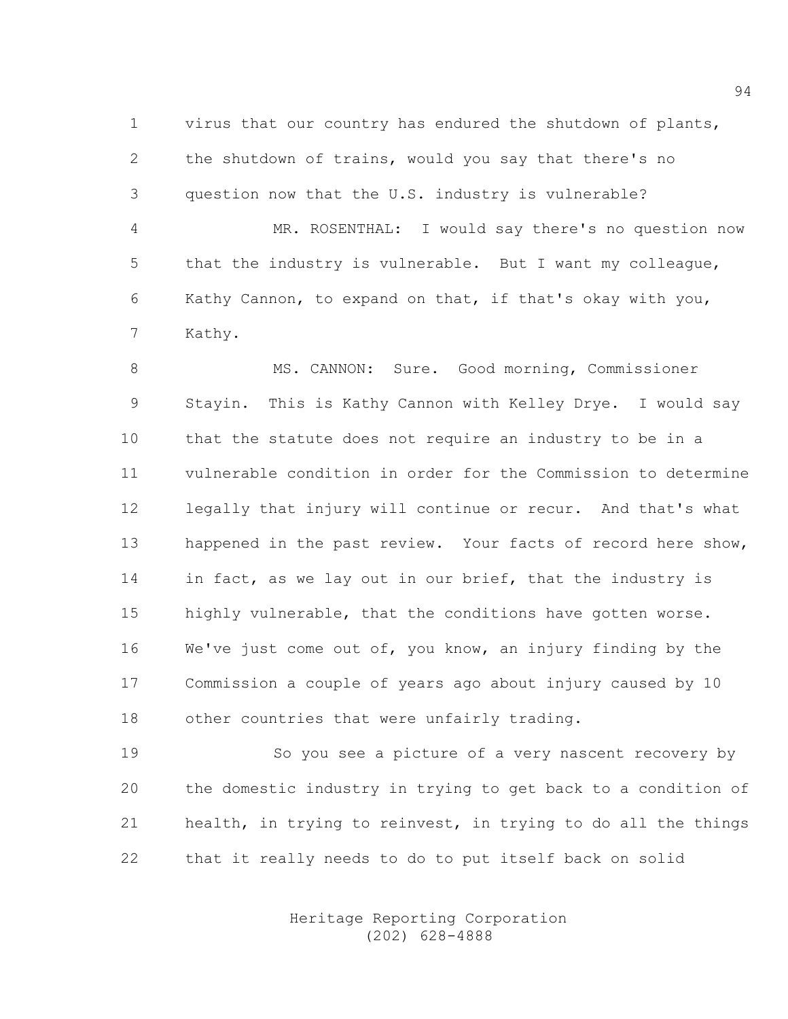1 virus that our country has endured the shutdown of plants, 2 the shutdown of trains, would you say that there's no 3 question now that the U.S. industry is vulnerable?

4 MR. ROSENTHAL: I would say there's no question now 5 that the industry is vulnerable. But I want my colleague, 6 Kathy Cannon, to expand on that, if that's okay with you, 7 Kathy.

8 MS. CANNON: Sure. Good morning, Commissioner 9 Stayin. This is Kathy Cannon with Kelley Drye. I would say 10 that the statute does not require an industry to be in a 11 vulnerable condition in order for the Commission to determine 12 legally that injury will continue or recur. And that's what 13 happened in the past review. Your facts of record here show, 14 in fact, as we lay out in our brief, that the industry is 15 highly vulnerable, that the conditions have gotten worse. 16 We've just come out of, you know, an injury finding by the 17 Commission a couple of years ago about injury caused by 10 18 other countries that were unfairly trading.

19 So you see a picture of a very nascent recovery by 20 the domestic industry in trying to get back to a condition of 21 health, in trying to reinvest, in trying to do all the things 22 that it really needs to do to put itself back on solid

> Heritage Reporting Corporation (202) 628-4888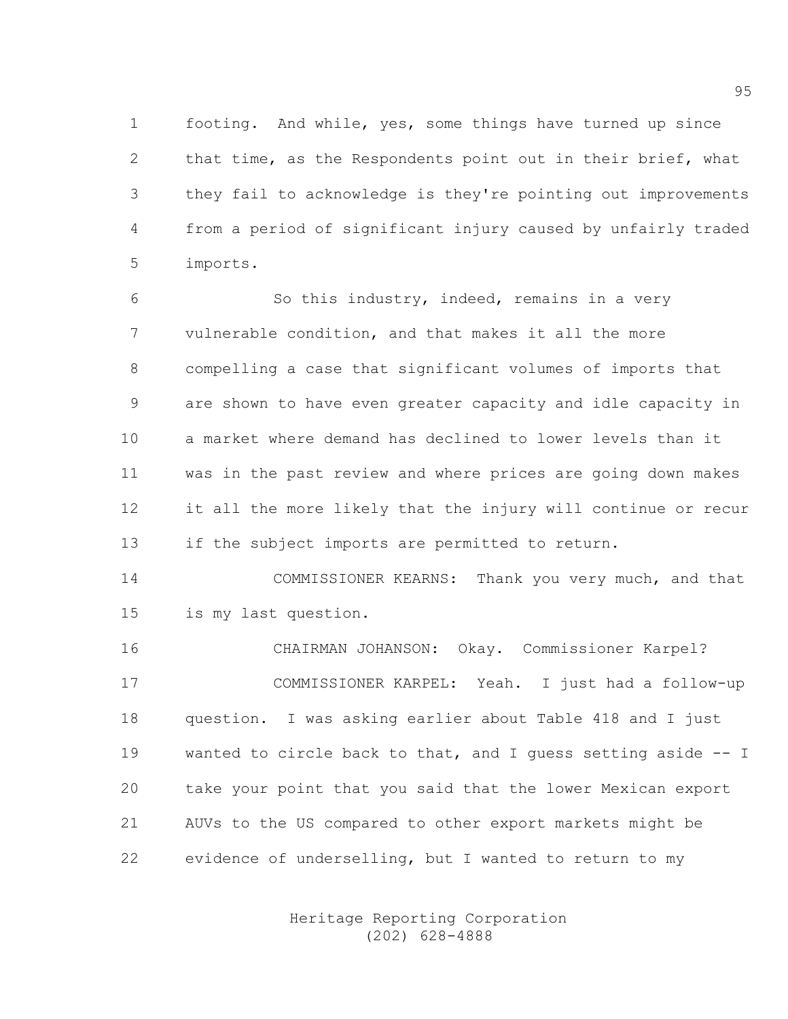1 footing. And while, yes, some things have turned up since 2 that time, as the Respondents point out in their brief, what 3 they fail to acknowledge is they're pointing out improvements 4 from a period of significant injury caused by unfairly traded 5 imports.

6 So this industry, indeed, remains in a very 7 vulnerable condition, and that makes it all the more 8 compelling a case that significant volumes of imports that 9 are shown to have even greater capacity and idle capacity in 10 a market where demand has declined to lower levels than it 11 was in the past review and where prices are going down makes 12 it all the more likely that the injury will continue or recur 13 if the subject imports are permitted to return.

14 COMMISSIONER KEARNS: Thank you very much, and that 15 is my last question.

16 CHAIRMAN JOHANSON: Okay. Commissioner Karpel? 17 COMMISSIONER KARPEL: Yeah. I just had a follow-up 18 question. I was asking earlier about Table 418 and I just 19 wanted to circle back to that, and I guess setting aside -- I 20 take your point that you said that the lower Mexican export 21 AUVs to the US compared to other export markets might be 22 evidence of underselling, but I wanted to return to my

> Heritage Reporting Corporation (202) 628-4888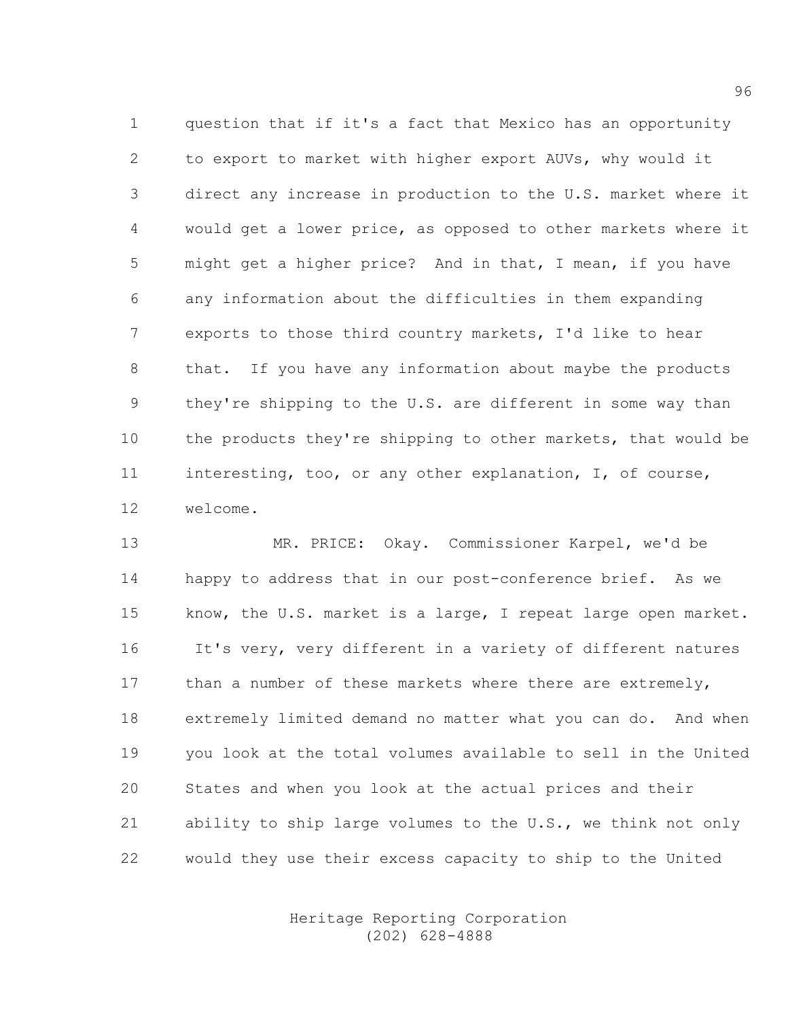1 question that if it's a fact that Mexico has an opportunity 2 to export to market with higher export AUVs, why would it 3 direct any increase in production to the U.S. market where it 4 would get a lower price, as opposed to other markets where it 5 might get a higher price? And in that, I mean, if you have 6 any information about the difficulties in them expanding 7 exports to those third country markets, I'd like to hear 8 that. If you have any information about maybe the products 9 they're shipping to the U.S. are different in some way than 10 the products they're shipping to other markets, that would be 11 interesting, too, or any other explanation, I, of course, 12 welcome.

13 MR. PRICE: Okay. Commissioner Karpel, we'd be 14 happy to address that in our post-conference brief. As we 15 know, the U.S. market is a large, I repeat large open market. 16 It's very, very different in a variety of different natures 17 than a number of these markets where there are extremely, 18 extremely limited demand no matter what you can do. And when 19 you look at the total volumes available to sell in the United 20 States and when you look at the actual prices and their 21 ability to ship large volumes to the U.S., we think not only 22 would they use their excess capacity to ship to the United

> Heritage Reporting Corporation (202) 628-4888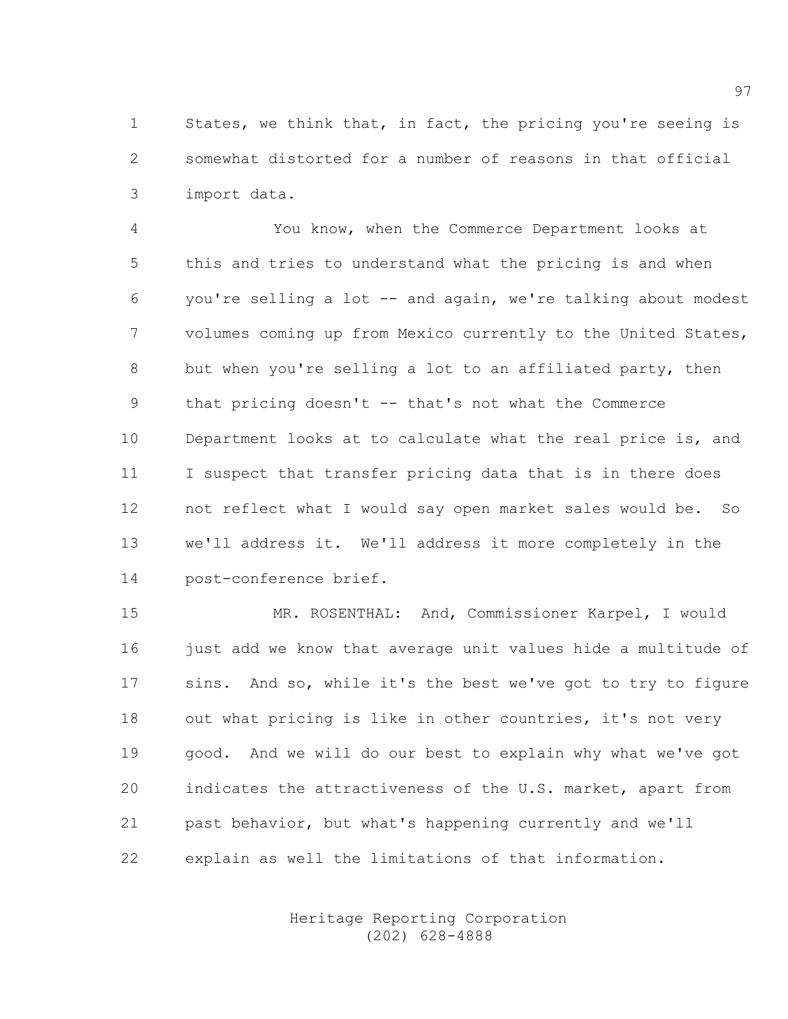1 States, we think that, in fact, the pricing you're seeing is 2 somewhat distorted for a number of reasons in that official 3 import data.

4 You know, when the Commerce Department looks at 5 this and tries to understand what the pricing is and when 6 you're selling a lot -- and again, we're talking about modest 7 volumes coming up from Mexico currently to the United States, 8 but when you're selling a lot to an affiliated party, then 9 that pricing doesn't -- that's not what the Commerce 10 Department looks at to calculate what the real price is, and 11 I suspect that transfer pricing data that is in there does 12 not reflect what I would say open market sales would be. So 13 we'll address it. We'll address it more completely in the 14 post-conference brief.

15 MR. ROSENTHAL: And, Commissioner Karpel, I would 16 just add we know that average unit values hide a multitude of 17 sins. And so, while it's the best we've got to try to figure 18 out what pricing is like in other countries, it's not very 19 good. And we will do our best to explain why what we've got 20 indicates the attractiveness of the U.S. market, apart from 21 past behavior, but what's happening currently and we'll 22 explain as well the limitations of that information.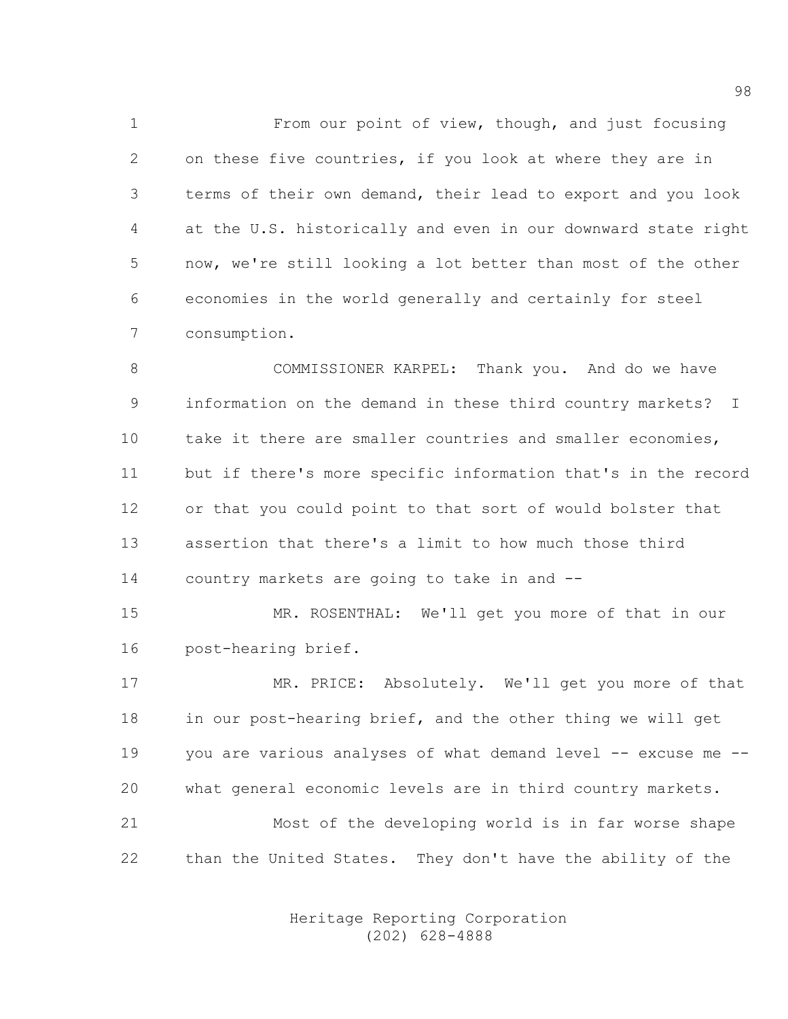1 From our point of view, though, and just focusing 2 on these five countries, if you look at where they are in 3 terms of their own demand, their lead to export and you look 4 at the U.S. historically and even in our downward state right 5 now, we're still looking a lot better than most of the other 6 economies in the world generally and certainly for steel 7 consumption.

8 COMMISSIONER KARPEL: Thank you. And do we have 9 information on the demand in these third country markets? I 10 take it there are smaller countries and smaller economies, 11 but if there's more specific information that's in the record 12 or that you could point to that sort of would bolster that 13 assertion that there's a limit to how much those third 14 country markets are going to take in and --

15 MR. ROSENTHAL: We'll get you more of that in our 16 post-hearing brief.

17 MR. PRICE: Absolutely. We'll get you more of that 18 in our post-hearing brief, and the other thing we will get 19 you are various analyses of what demand level -- excuse me --20 what general economic levels are in third country markets. 21 Most of the developing world is in far worse shape 22 than the United States. They don't have the ability of the

> Heritage Reporting Corporation (202) 628-4888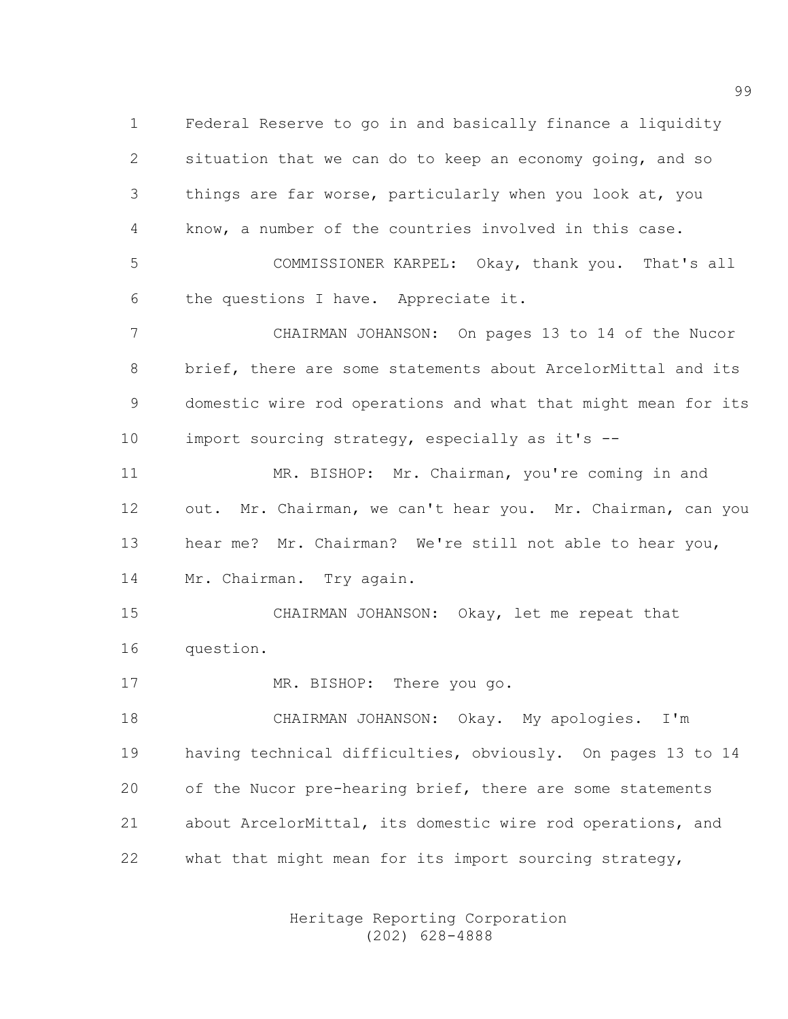1 Federal Reserve to go in and basically finance a liquidity 2 situation that we can do to keep an economy going, and so 3 things are far worse, particularly when you look at, you 4 know, a number of the countries involved in this case.

5 COMMISSIONER KARPEL: Okay, thank you. That's all 6 the questions I have. Appreciate it.

7 CHAIRMAN JOHANSON: On pages 13 to 14 of the Nucor 8 brief, there are some statements about ArcelorMittal and its 9 domestic wire rod operations and what that might mean for its 10 import sourcing strategy, especially as it's --

11 MR. BISHOP: Mr. Chairman, you're coming in and 12 out. Mr. Chairman, we can't hear you. Mr. Chairman, can you 13 hear me? Mr. Chairman? We're still not able to hear you, 14 Mr. Chairman. Try again.

15 CHAIRMAN JOHANSON: Okay, let me repeat that 16 question.

17 MR. BISHOP: There you go.

18 CHAIRMAN JOHANSON: Okay. My apologies. I'm 19 having technical difficulties, obviously. On pages 13 to 14 20 of the Nucor pre-hearing brief, there are some statements 21 about ArcelorMittal, its domestic wire rod operations, and 22 what that might mean for its import sourcing strategy,

> Heritage Reporting Corporation (202) 628-4888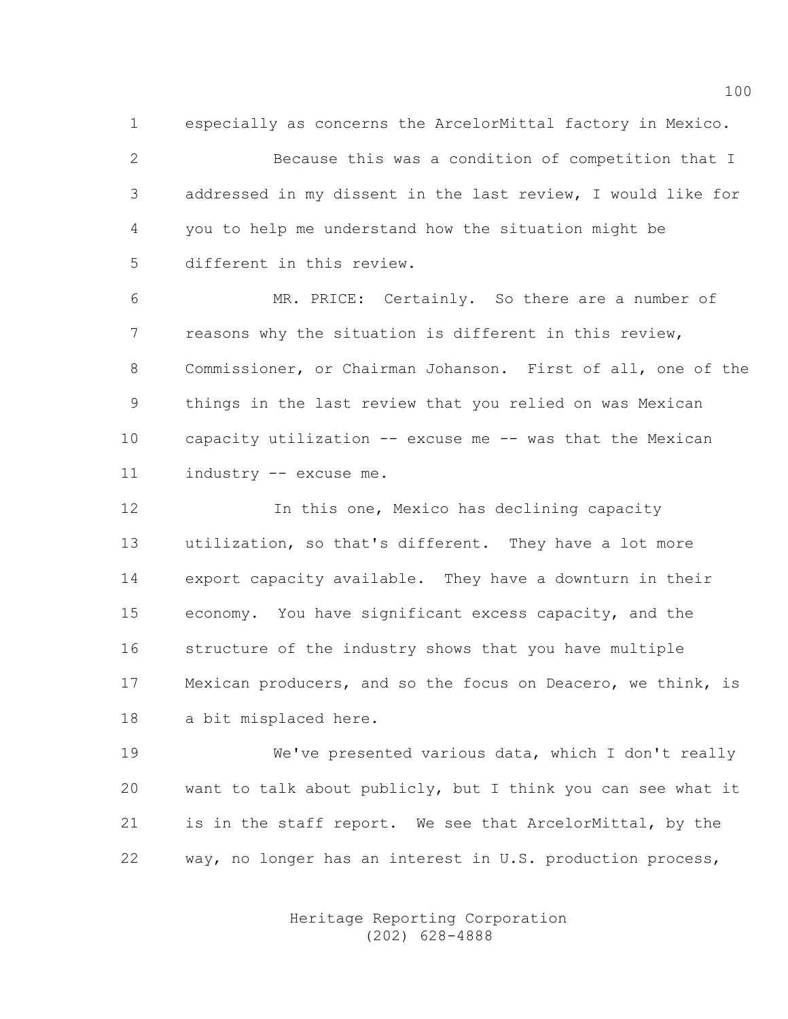1 especially as concerns the ArcelorMittal factory in Mexico.

2 Because this was a condition of competition that I 3 addressed in my dissent in the last review, I would like for 4 you to help me understand how the situation might be 5 different in this review.

6 MR. PRICE: Certainly. So there are a number of 7 reasons why the situation is different in this review, 8 Commissioner, or Chairman Johanson. First of all, one of the 9 things in the last review that you relied on was Mexican 10 capacity utilization -- excuse me -- was that the Mexican 11 industry -- excuse me.

12 12 In this one, Mexico has declining capacity 13 utilization, so that's different. They have a lot more 14 export capacity available. They have a downturn in their 15 economy. You have significant excess capacity, and the 16 structure of the industry shows that you have multiple 17 Mexican producers, and so the focus on Deacero, we think, is 18 a bit misplaced here.

19 We've presented various data, which I don't really 20 want to talk about publicly, but I think you can see what it 21 is in the staff report. We see that ArcelorMittal, by the 22 way, no longer has an interest in U.S. production process,

> Heritage Reporting Corporation (202) 628-4888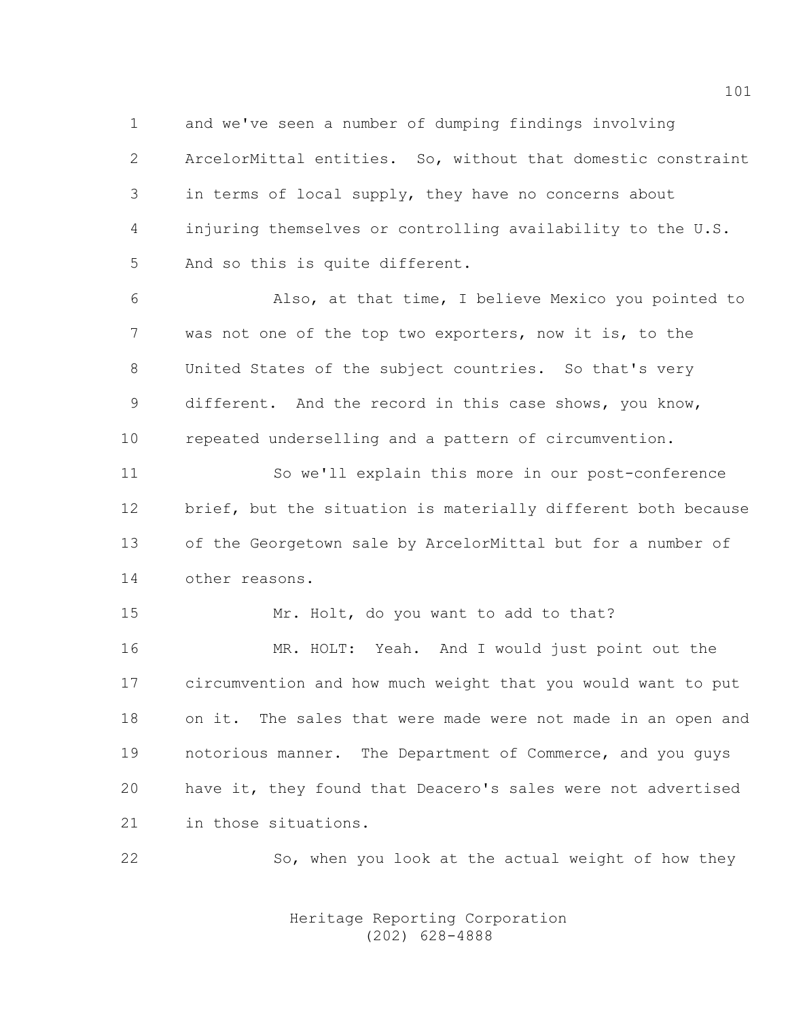1 and we've seen a number of dumping findings involving 2 ArcelorMittal entities. So, without that domestic constraint 3 in terms of local supply, they have no concerns about 4 injuring themselves or controlling availability to the U.S. 5 And so this is quite different.

6 Also, at that time, I believe Mexico you pointed to 7 was not one of the top two exporters, now it is, to the 8 United States of the subject countries. So that's very 9 different. And the record in this case shows, you know, 10 repeated underselling and a pattern of circumvention.

11 So we'll explain this more in our post-conference 12 brief, but the situation is materially different both because 13 of the Georgetown sale by ArcelorMittal but for a number of 14 other reasons.

15 Mr. Holt, do you want to add to that?

16 MR. HOLT: Yeah. And I would just point out the 17 circumvention and how much weight that you would want to put 18 on it. The sales that were made were not made in an open and 19 notorious manner. The Department of Commerce, and you guys 20 have it, they found that Deacero's sales were not advertised 21 in those situations.

22 So, when you look at the actual weight of how they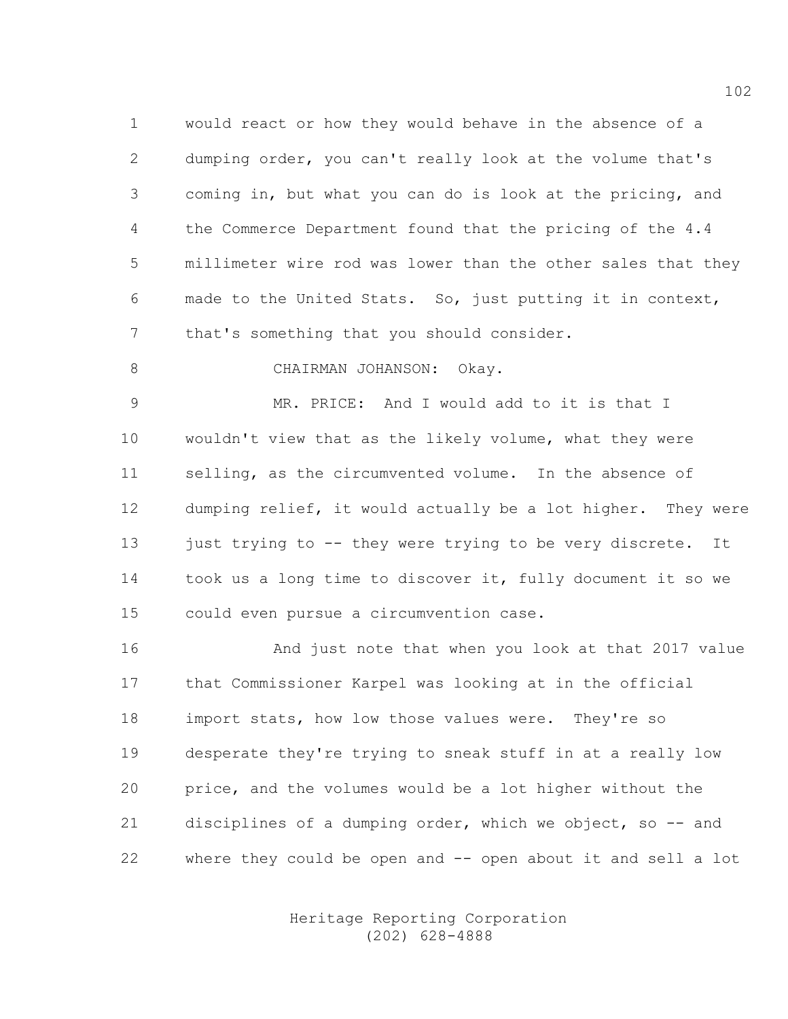1 would react or how they would behave in the absence of a 2 dumping order, you can't really look at the volume that's 3 coming in, but what you can do is look at the pricing, and 4 the Commerce Department found that the pricing of the 4.4 5 millimeter wire rod was lower than the other sales that they 6 made to the United Stats. So, just putting it in context, 7 that's something that you should consider.

8 CHAIRMAN JOHANSON: Okay.

9 MR. PRICE: And I would add to it is that I 10 wouldn't view that as the likely volume, what they were 11 selling, as the circumvented volume. In the absence of 12 dumping relief, it would actually be a lot higher. They were 13 just trying to -- they were trying to be very discrete. It 14 took us a long time to discover it, fully document it so we 15 could even pursue a circumvention case.

16 And just note that when you look at that 2017 value 17 that Commissioner Karpel was looking at in the official 18 import stats, how low those values were. They're so 19 desperate they're trying to sneak stuff in at a really low 20 price, and the volumes would be a lot higher without the 21 disciplines of a dumping order, which we object, so -- and 22 where they could be open and -- open about it and sell a lot

> Heritage Reporting Corporation (202) 628-4888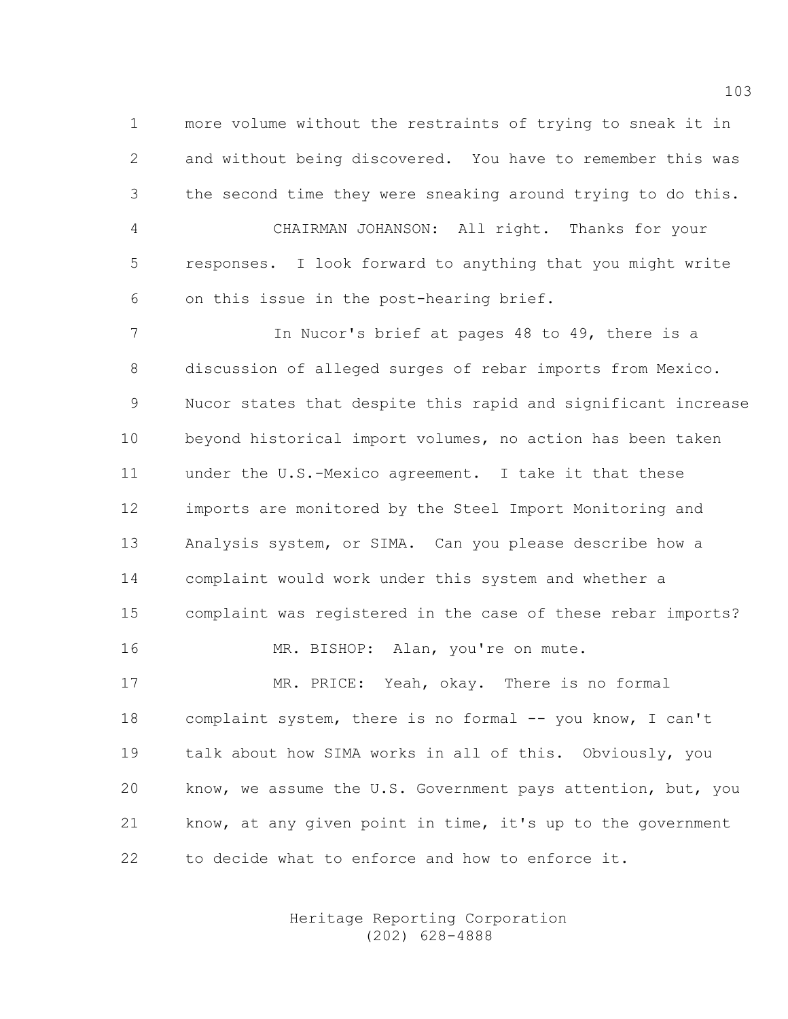1 more volume without the restraints of trying to sneak it in 2 and without being discovered. You have to remember this was 3 the second time they were sneaking around trying to do this. 4 CHAIRMAN JOHANSON: All right. Thanks for your 5 responses. I look forward to anything that you might write 6 on this issue in the post-hearing brief.

7 In Nucor's brief at pages 48 to 49, there is a 8 discussion of alleged surges of rebar imports from Mexico. 9 Nucor states that despite this rapid and significant increase 10 beyond historical import volumes, no action has been taken 11 under the U.S.-Mexico agreement. I take it that these 12 imports are monitored by the Steel Import Monitoring and 13 Analysis system, or SIMA. Can you please describe how a 14 complaint would work under this system and whether a 15 complaint was registered in the case of these rebar imports? 16 MR. BISHOP: Alan, you're on mute. 17 MR. PRICE: Yeah, okay. There is no formal 18 complaint system, there is no formal -- you know, I can't

19 talk about how SIMA works in all of this. Obviously, you 20 know, we assume the U.S. Government pays attention, but, you 21 know, at any given point in time, it's up to the government 22 to decide what to enforce and how to enforce it.

> Heritage Reporting Corporation (202) 628-4888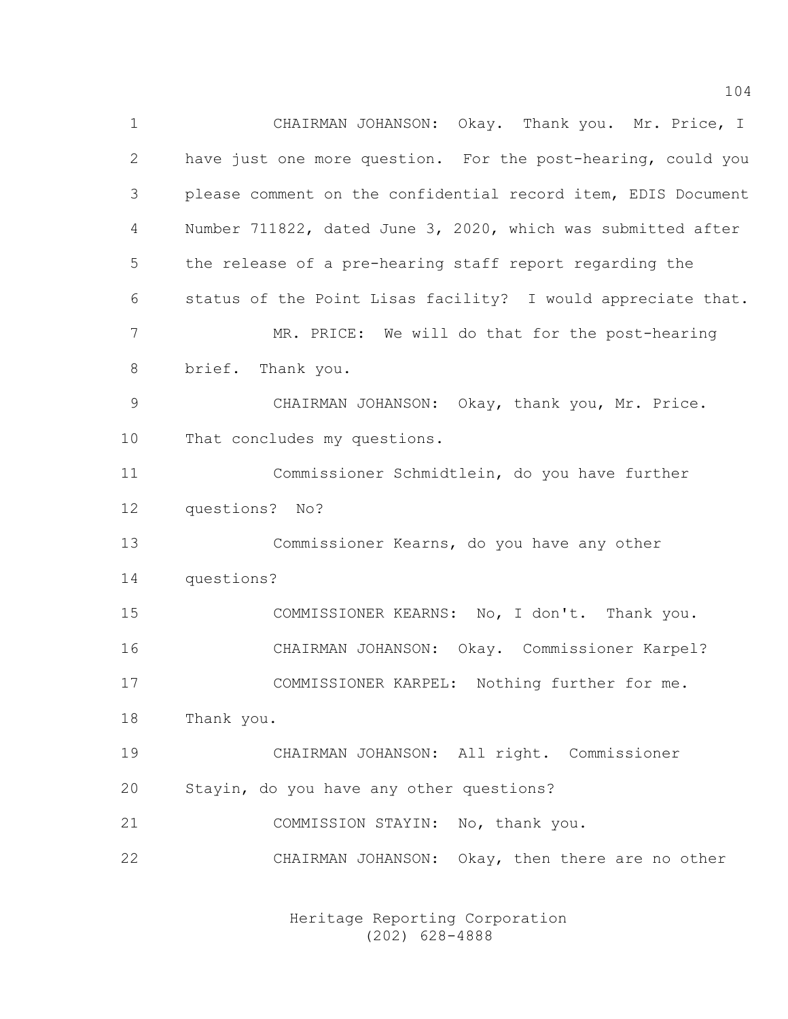1 CHAIRMAN JOHANSON: Okay. Thank you. Mr. Price, I 2 have just one more question. For the post-hearing, could you 3 please comment on the confidential record item, EDIS Document 4 Number 711822, dated June 3, 2020, which was submitted after 5 the release of a pre-hearing staff report regarding the 6 status of the Point Lisas facility? I would appreciate that. 7 MR. PRICE: We will do that for the post-hearing 8 brief. Thank you. 9 CHAIRMAN JOHANSON: Okay, thank you, Mr. Price. 10 That concludes my questions. 11 Commissioner Schmidtlein, do you have further 12 questions? No? 13 Commissioner Kearns, do you have any other 14 questions? 15 COMMISSIONER KEARNS: No, I don't. Thank you. 16 CHAIRMAN JOHANSON: Okay. Commissioner Karpel? 17 COMMISSIONER KARPEL: Nothing further for me. 18 Thank you. 19 CHAIRMAN JOHANSON: All right. Commissioner 20 Stayin, do you have any other questions? 21 COMMISSION STAYIN: No, thank you. 22 CHAIRMAN JOHANSON: Okay, then there are no other

> Heritage Reporting Corporation (202) 628-4888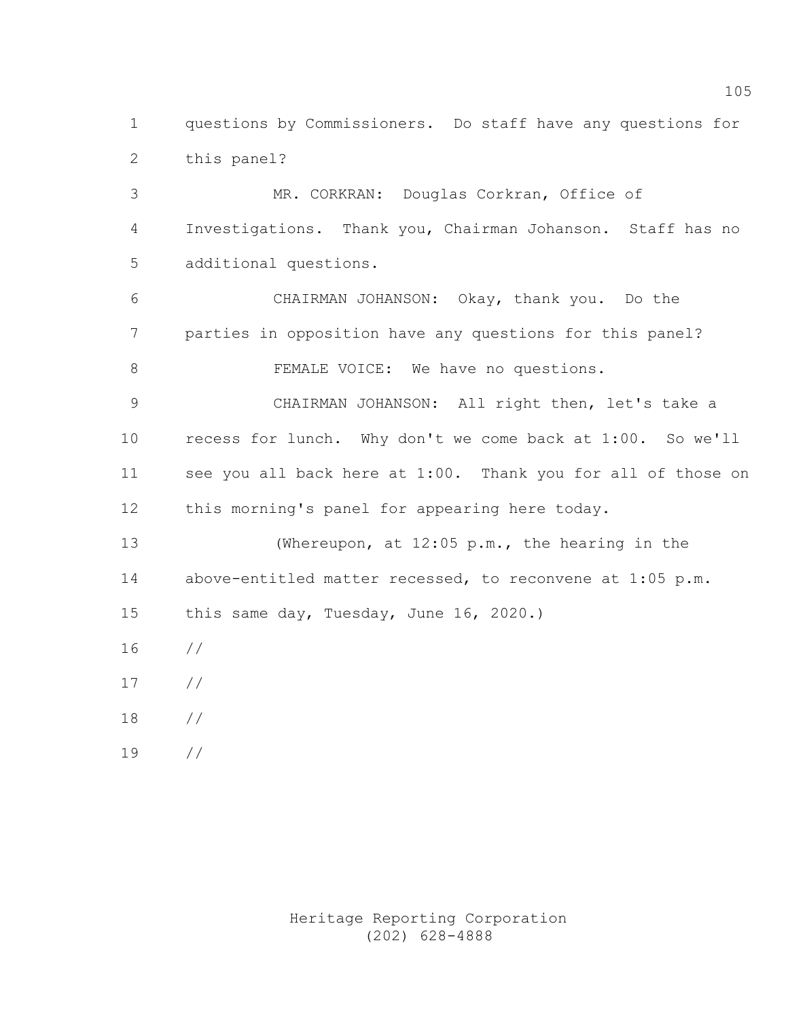1 questions by Commissioners. Do staff have any questions for 2 this panel?

3 MR. CORKRAN: Douglas Corkran, Office of 4 Investigations. Thank you, Chairman Johanson. Staff has no 5 additional questions.

6 CHAIRMAN JOHANSON: Okay, thank you. Do the 7 parties in opposition have any questions for this panel? 8 FEMALE VOICE: We have no questions.

9 CHAIRMAN JOHANSON: All right then, let's take a 10 recess for lunch. Why don't we come back at 1:00. So we'll 11 see you all back here at 1:00. Thank you for all of those on 12 this morning's panel for appearing here today.

13 (Whereupon, at 12:05 p.m., the hearing in the 14 above-entitled matter recessed, to reconvene at 1:05 p.m. 15 this same day, Tuesday, June 16, 2020.)

16 //

- 17 //
- 18 //
- 19 //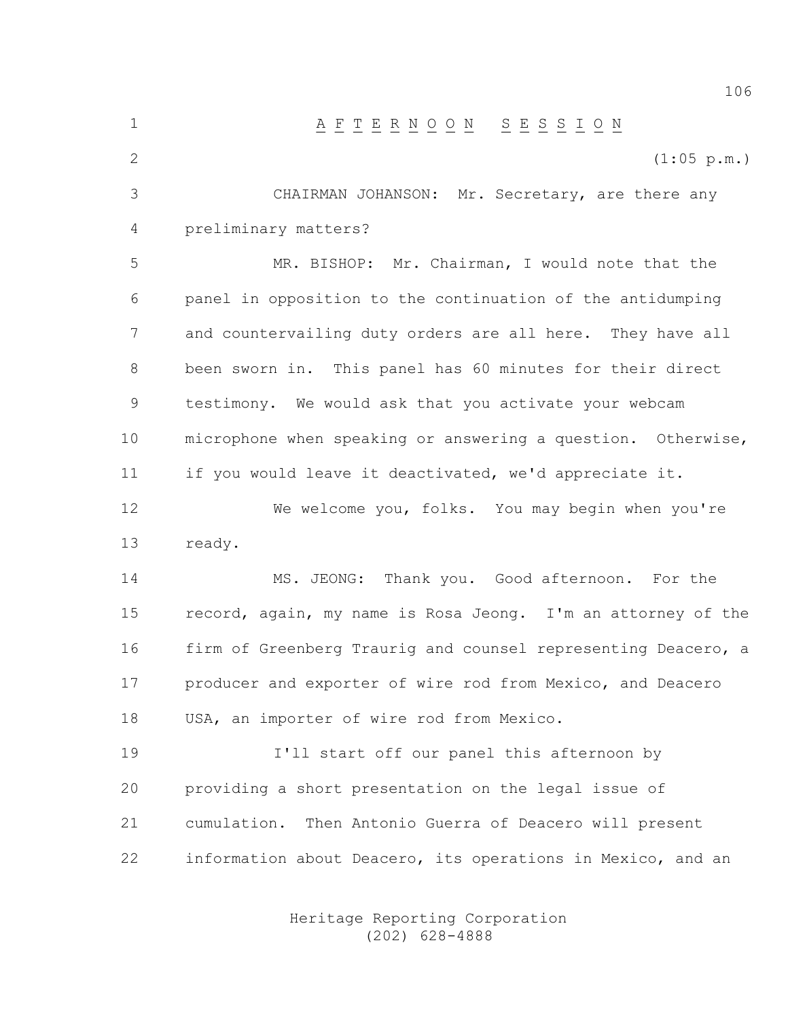1 A F T E R N O O N S E S S I O N 2 (1:05 p.m.) 3 CHAIRMAN JOHANSON: Mr. Secretary, are there any 4 preliminary matters? 5 MR. BISHOP: Mr. Chairman, I would note that the 6 panel in opposition to the continuation of the antidumping 7 and countervailing duty orders are all here. They have all 8 been sworn in. This panel has 60 minutes for their direct 9 testimony. We would ask that you activate your webcam 10 microphone when speaking or answering a question. Otherwise, 11 if you would leave it deactivated, we'd appreciate it. 12 We welcome you, folks. You may begin when you're 13 ready. 14 MS. JEONG: Thank you. Good afternoon. For the 15 record, again, my name is Rosa Jeong. I'm an attorney of the 16 firm of Greenberg Traurig and counsel representing Deacero, a 17 producer and exporter of wire rod from Mexico, and Deacero 18 USA, an importer of wire rod from Mexico. 19 I'll start off our panel this afternoon by 20 providing a short presentation on the legal issue of

21 cumulation. Then Antonio Guerra of Deacero will present 22 information about Deacero, its operations in Mexico, and an

> Heritage Reporting Corporation (202) 628-4888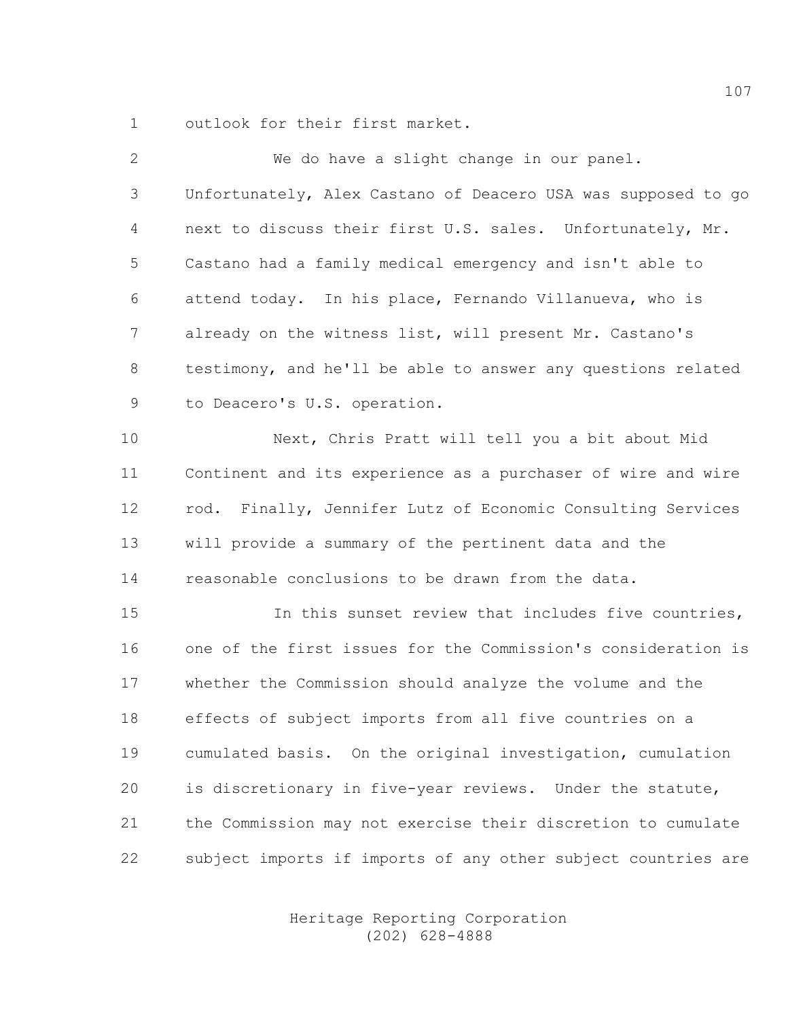1 outlook for their first market.

| 2              | We do have a slight change in our panel.                      |
|----------------|---------------------------------------------------------------|
| 3              | Unfortunately, Alex Castano of Deacero USA was supposed to go |
| 4              | next to discuss their first U.S. sales. Unfortunately, Mr.    |
| 5              | Castano had a family medical emergency and isn't able to      |
| 6              | attend today. In his place, Fernando Villanueva, who is       |
| $\overline{7}$ | already on the witness list, will present Mr. Castano's       |
| 8              | testimony, and he'll be able to answer any questions related  |
| 9              | to Deacero's U.S. operation.                                  |
| 10             | Next, Chris Pratt will tell you a bit about Mid               |
| 11             | Continent and its experience as a purchaser of wire and wire  |
| 12             | rod. Finally, Jennifer Lutz of Economic Consulting Services   |
| 13             | will provide a summary of the pertinent data and the          |
| 14             | reasonable conclusions to be drawn from the data.             |
| 15             | In this sunset review that includes five countries,           |
| 16             | one of the first issues for the Commission's consideration is |
| 17             | whether the Commission should analyze the volume and the      |
| 18             | effects of subject imports from all five countries on a       |
| 19             | cumulated basis. On the original investigation, cumulation    |
| 20             | is discretionary in five-year reviews. Under the statute,     |
| 21             | the Commission may not exercise their discretion to cumulate  |
| 22             | subject imports if imports of any other subject countries are |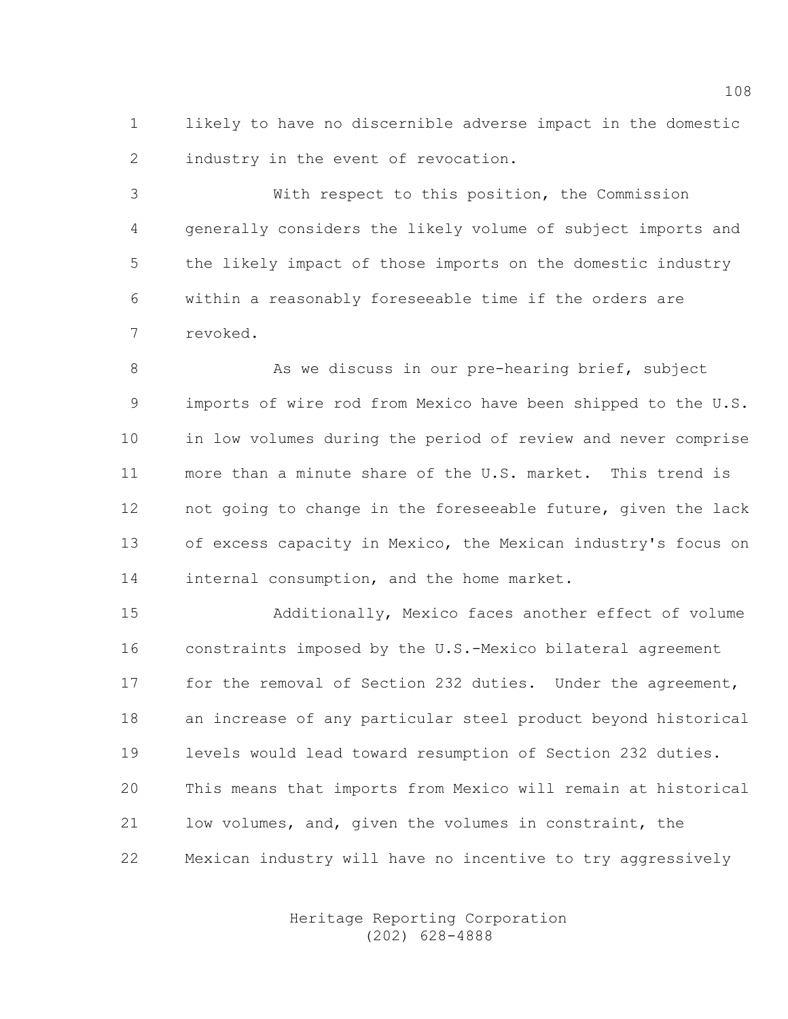1 likely to have no discernible adverse impact in the domestic 2 industry in the event of revocation.

3 With respect to this position, the Commission 4 generally considers the likely volume of subject imports and 5 the likely impact of those imports on the domestic industry 6 within a reasonably foreseeable time if the orders are 7 revoked.

8 As we discuss in our pre-hearing brief, subject 9 imports of wire rod from Mexico have been shipped to the U.S. 10 in low volumes during the period of review and never comprise 11 more than a minute share of the U.S. market. This trend is 12 not going to change in the foreseeable future, given the lack 13 of excess capacity in Mexico, the Mexican industry's focus on 14 internal consumption, and the home market.

15 Additionally, Mexico faces another effect of volume 16 constraints imposed by the U.S.-Mexico bilateral agreement 17 for the removal of Section 232 duties. Under the agreement, 18 an increase of any particular steel product beyond historical 19 levels would lead toward resumption of Section 232 duties. 20 This means that imports from Mexico will remain at historical 21 low volumes, and, given the volumes in constraint, the 22 Mexican industry will have no incentive to try aggressively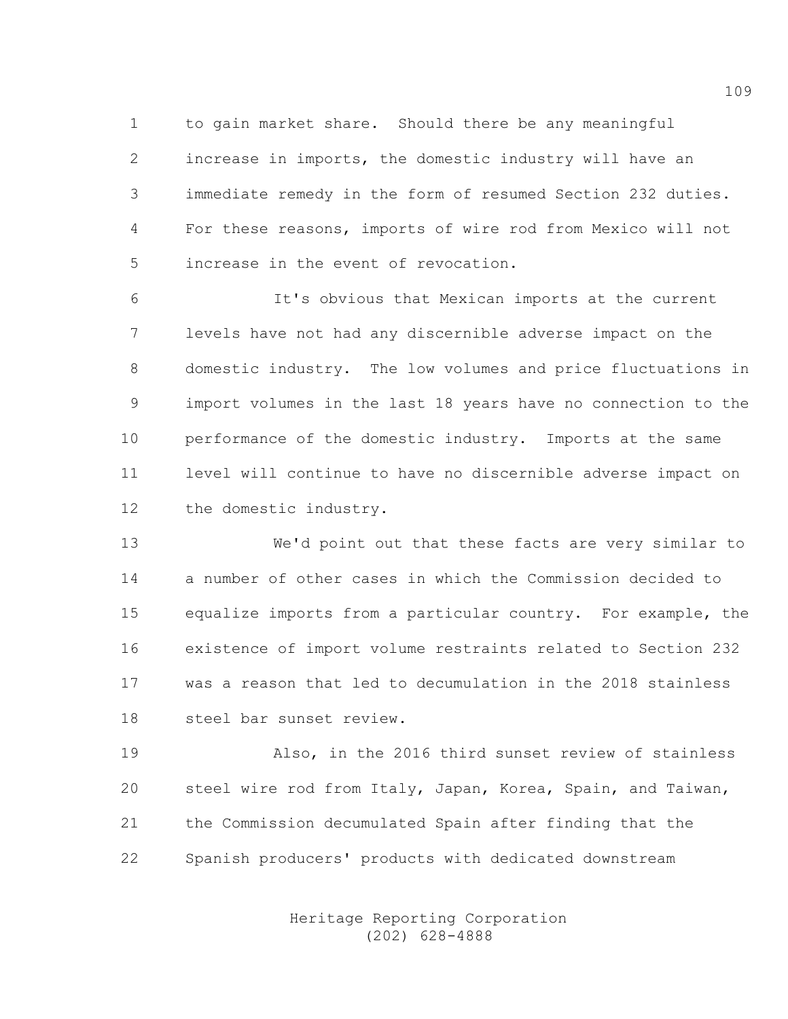1 to gain market share. Should there be any meaningful 2 increase in imports, the domestic industry will have an 3 immediate remedy in the form of resumed Section 232 duties. 4 For these reasons, imports of wire rod from Mexico will not 5 increase in the event of revocation.

6 It's obvious that Mexican imports at the current 7 levels have not had any discernible adverse impact on the 8 domestic industry. The low volumes and price fluctuations in 9 import volumes in the last 18 years have no connection to the 10 performance of the domestic industry. Imports at the same 11 level will continue to have no discernible adverse impact on 12 the domestic industry.

13 We'd point out that these facts are very similar to 14 a number of other cases in which the Commission decided to 15 equalize imports from a particular country. For example, the 16 existence of import volume restraints related to Section 232 17 was a reason that led to decumulation in the 2018 stainless 18 steel bar sunset review.

19 Also, in the 2016 third sunset review of stainless 20 steel wire rod from Italy, Japan, Korea, Spain, and Taiwan, 21 the Commission decumulated Spain after finding that the 22 Spanish producers' products with dedicated downstream

> Heritage Reporting Corporation (202) 628-4888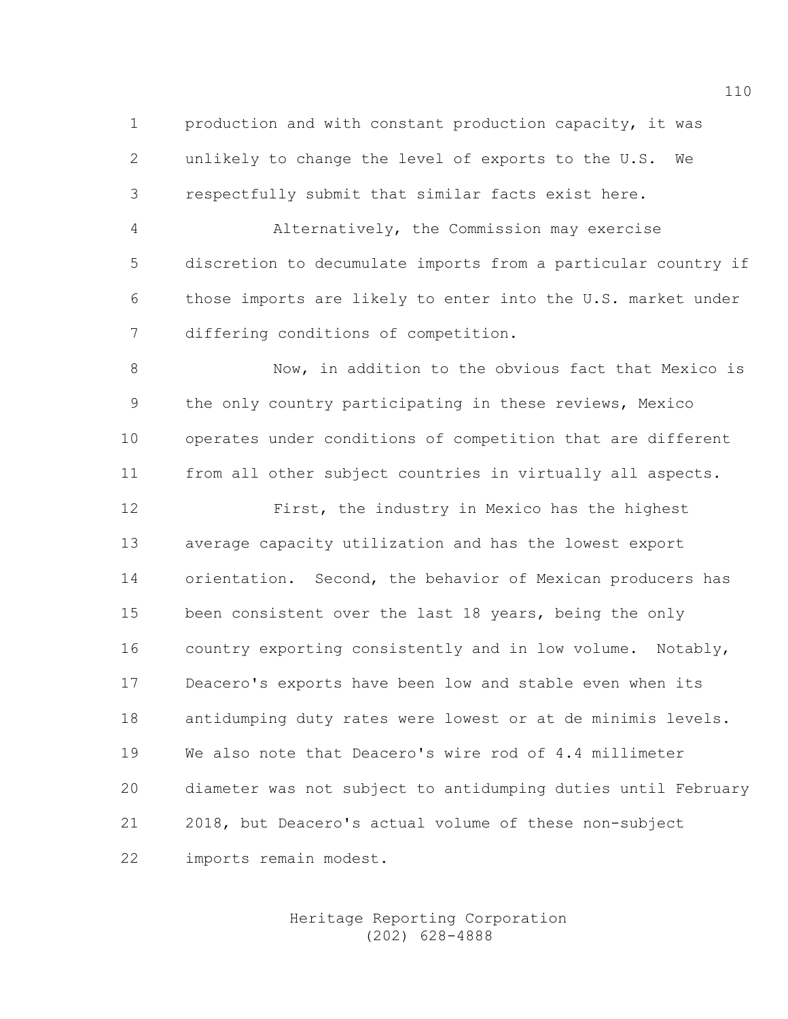1 production and with constant production capacity, it was 2 unlikely to change the level of exports to the U.S. We 3 respectfully submit that similar facts exist here.

4 Alternatively, the Commission may exercise 5 discretion to decumulate imports from a particular country if 6 those imports are likely to enter into the U.S. market under 7 differing conditions of competition.

8 Now, in addition to the obvious fact that Mexico is 9 the only country participating in these reviews, Mexico 10 operates under conditions of competition that are different 11 from all other subject countries in virtually all aspects.

12 First, the industry in Mexico has the highest 13 average capacity utilization and has the lowest export 14 orientation. Second, the behavior of Mexican producers has 15 been consistent over the last 18 years, being the only 16 country exporting consistently and in low volume. Notably, 17 Deacero's exports have been low and stable even when its 18 antidumping duty rates were lowest or at de minimis levels. 19 We also note that Deacero's wire rod of 4.4 millimeter 20 diameter was not subject to antidumping duties until February 21 2018, but Deacero's actual volume of these non-subject 22 imports remain modest.

## Heritage Reporting Corporation (202) 628-4888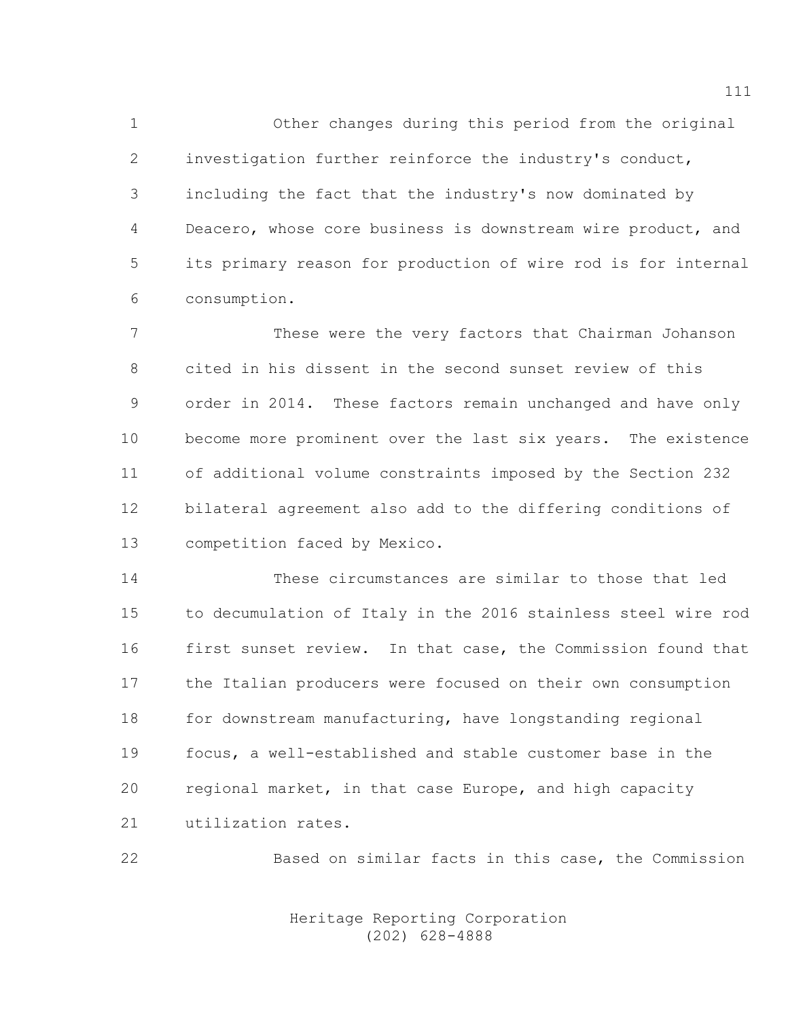1 Other changes during this period from the original 2 investigation further reinforce the industry's conduct, 3 including the fact that the industry's now dominated by 4 Deacero, whose core business is downstream wire product, and 5 its primary reason for production of wire rod is for internal 6 consumption.

7 These were the very factors that Chairman Johanson 8 cited in his dissent in the second sunset review of this 9 order in 2014. These factors remain unchanged and have only 10 become more prominent over the last six years. The existence 11 of additional volume constraints imposed by the Section 232 12 bilateral agreement also add to the differing conditions of 13 competition faced by Mexico.

14 These circumstances are similar to those that led 15 to decumulation of Italy in the 2016 stainless steel wire rod 16 first sunset review. In that case, the Commission found that 17 the Italian producers were focused on their own consumption 18 for downstream manufacturing, have longstanding regional 19 focus, a well-established and stable customer base in the 20 regional market, in that case Europe, and high capacity 21 utilization rates.

22 Based on similar facts in this case, the Commission

 Heritage Reporting Corporation (202) 628-4888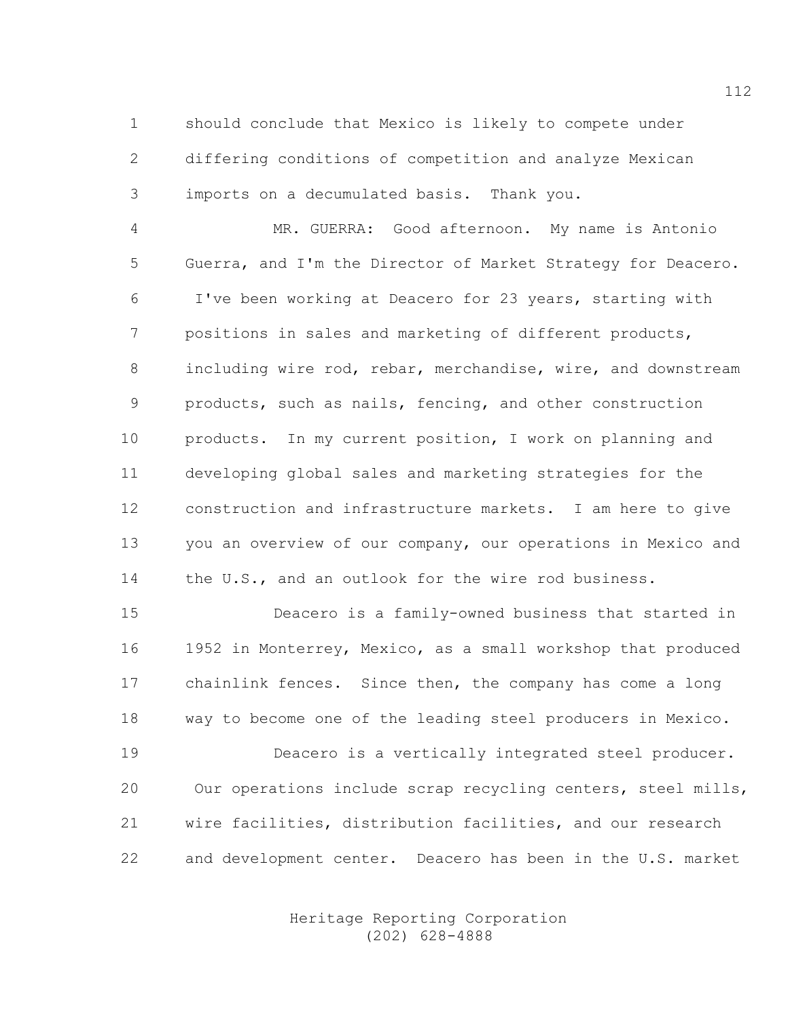1 should conclude that Mexico is likely to compete under 2 differing conditions of competition and analyze Mexican 3 imports on a decumulated basis. Thank you.

4 MR. GUERRA: Good afternoon. My name is Antonio 5 Guerra, and I'm the Director of Market Strategy for Deacero. 6 I've been working at Deacero for 23 years, starting with 7 positions in sales and marketing of different products, 8 including wire rod, rebar, merchandise, wire, and downstream 9 products, such as nails, fencing, and other construction 10 products. In my current position, I work on planning and 11 developing global sales and marketing strategies for the 12 construction and infrastructure markets. I am here to give 13 you an overview of our company, our operations in Mexico and 14 the U.S., and an outlook for the wire rod business.

15 Deacero is a family-owned business that started in 16 1952 in Monterrey, Mexico, as a small workshop that produced 17 chainlink fences. Since then, the company has come a long 18 way to become one of the leading steel producers in Mexico.

19 Deacero is a vertically integrated steel producer. 20 Our operations include scrap recycling centers, steel mills, 21 wire facilities, distribution facilities, and our research 22 and development center. Deacero has been in the U.S. market

> Heritage Reporting Corporation (202) 628-4888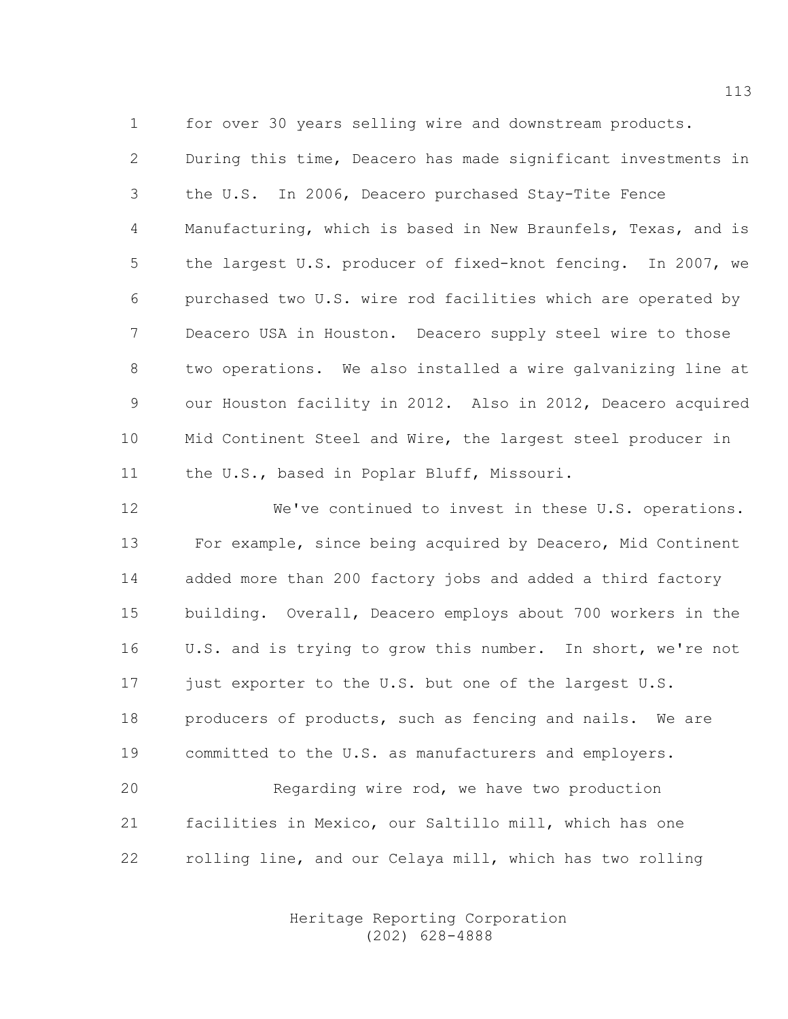1 for over 30 years selling wire and downstream products.

2 During this time, Deacero has made significant investments in 3 the U.S. In 2006, Deacero purchased Stay-Tite Fence 4 Manufacturing, which is based in New Braunfels, Texas, and is 5 the largest U.S. producer of fixed-knot fencing. In 2007, we 6 purchased two U.S. wire rod facilities which are operated by 7 Deacero USA in Houston. Deacero supply steel wire to those 8 two operations. We also installed a wire galvanizing line at 9 our Houston facility in 2012. Also in 2012, Deacero acquired 10 Mid Continent Steel and Wire, the largest steel producer in 11 the U.S., based in Poplar Bluff, Missouri.

12 We've continued to invest in these U.S. operations. 13 For example, since being acquired by Deacero, Mid Continent 14 added more than 200 factory jobs and added a third factory 15 building. Overall, Deacero employs about 700 workers in the 16 U.S. and is trying to grow this number. In short, we're not 17 just exporter to the U.S. but one of the largest U.S. 18 producers of products, such as fencing and nails. We are 19 committed to the U.S. as manufacturers and employers. 20 Regarding wire rod, we have two production

21 facilities in Mexico, our Saltillo mill, which has one 22 rolling line, and our Celaya mill, which has two rolling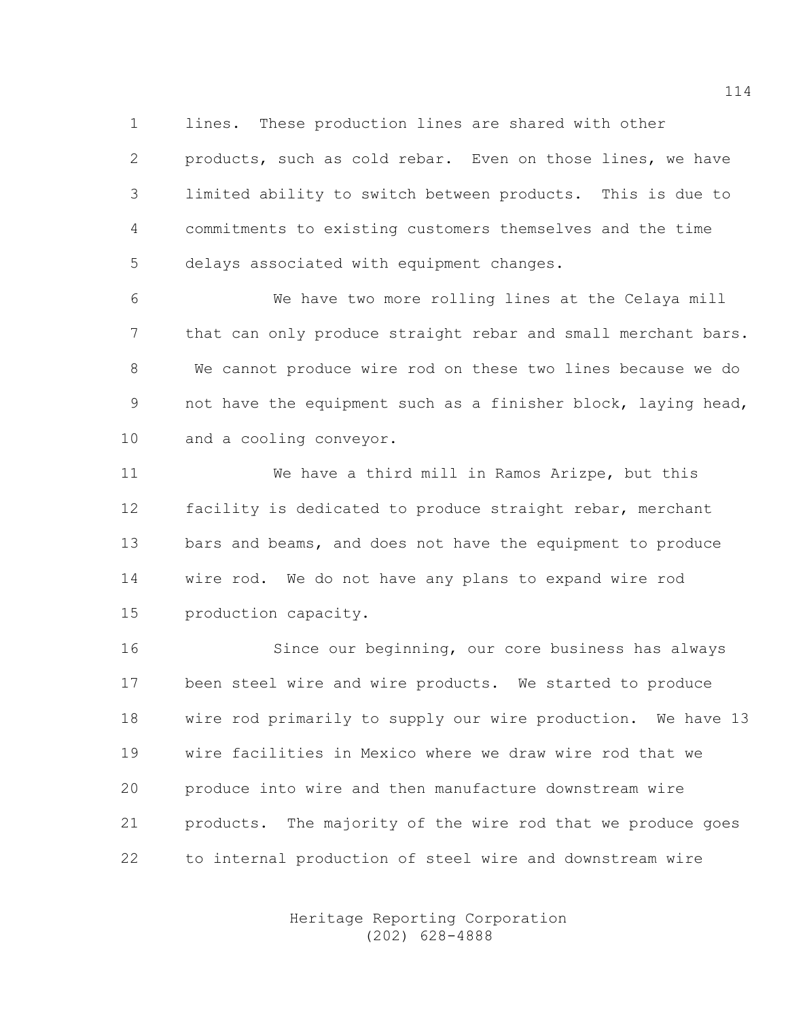1 lines. These production lines are shared with other

2 products, such as cold rebar. Even on those lines, we have 3 limited ability to switch between products. This is due to 4 commitments to existing customers themselves and the time 5 delays associated with equipment changes.

6 We have two more rolling lines at the Celaya mill 7 that can only produce straight rebar and small merchant bars. 8 We cannot produce wire rod on these two lines because we do 9 not have the equipment such as a finisher block, laying head, 10 and a cooling conveyor.

11 We have a third mill in Ramos Arizpe, but this 12 facility is dedicated to produce straight rebar, merchant 13 bars and beams, and does not have the equipment to produce 14 wire rod. We do not have any plans to expand wire rod 15 production capacity.

16 Since our beginning, our core business has always 17 been steel wire and wire products. We started to produce 18 wire rod primarily to supply our wire production. We have 13 19 wire facilities in Mexico where we draw wire rod that we 20 produce into wire and then manufacture downstream wire 21 products. The majority of the wire rod that we produce goes 22 to internal production of steel wire and downstream wire

> Heritage Reporting Corporation (202) 628-4888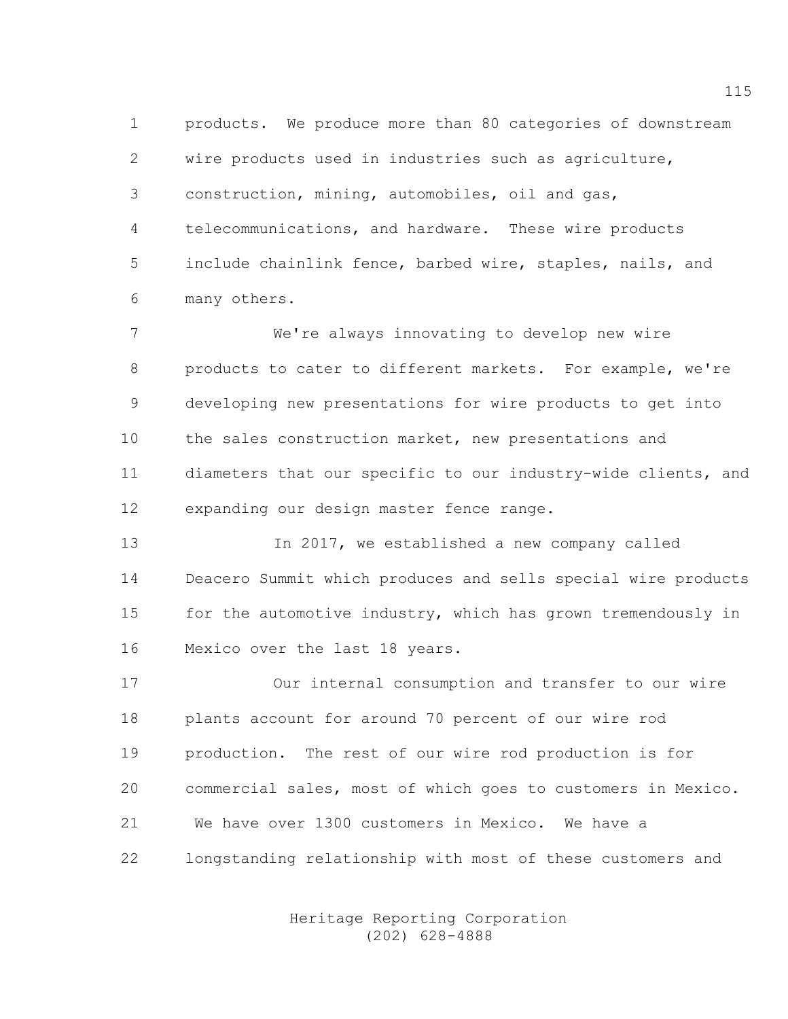1 products. We produce more than 80 categories of downstream 2 wire products used in industries such as agriculture, 3 construction, mining, automobiles, oil and gas, 4 telecommunications, and hardware. These wire products 5 include chainlink fence, barbed wire, staples, nails, and 6 many others.

7 We're always innovating to develop new wire 8 products to cater to different markets. For example, we're 9 developing new presentations for wire products to get into 10 the sales construction market, new presentations and 11 diameters that our specific to our industry-wide clients, and 12 expanding our design master fence range.

13 In 2017, we established a new company called 14 Deacero Summit which produces and sells special wire products 15 for the automotive industry, which has grown tremendously in 16 Mexico over the last 18 years.

17 Our internal consumption and transfer to our wire 18 plants account for around 70 percent of our wire rod 19 production. The rest of our wire rod production is for 20 commercial sales, most of which goes to customers in Mexico. 21 We have over 1300 customers in Mexico. We have a 22 longstanding relationship with most of these customers and

> Heritage Reporting Corporation (202) 628-4888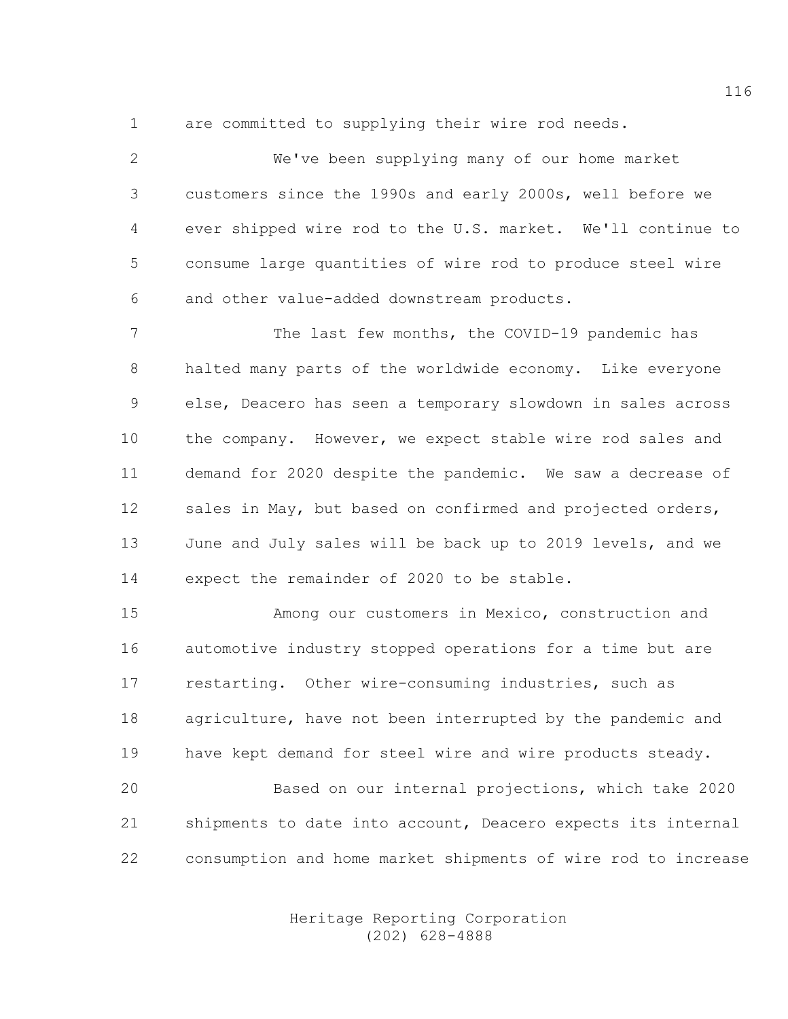1 are committed to supplying their wire rod needs.

2 We've been supplying many of our home market 3 customers since the 1990s and early 2000s, well before we 4 ever shipped wire rod to the U.S. market. We'll continue to 5 consume large quantities of wire rod to produce steel wire 6 and other value-added downstream products.

7 The last few months, the COVID-19 pandemic has 8 halted many parts of the worldwide economy. Like everyone 9 else, Deacero has seen a temporary slowdown in sales across 10 the company. However, we expect stable wire rod sales and 11 demand for 2020 despite the pandemic. We saw a decrease of 12 sales in May, but based on confirmed and projected orders, 13 June and July sales will be back up to 2019 levels, and we 14 expect the remainder of 2020 to be stable.

15 Among our customers in Mexico, construction and 16 automotive industry stopped operations for a time but are 17 restarting. Other wire-consuming industries, such as 18 agriculture, have not been interrupted by the pandemic and 19 have kept demand for steel wire and wire products steady.

20 Based on our internal projections, which take 2020 21 shipments to date into account, Deacero expects its internal 22 consumption and home market shipments of wire rod to increase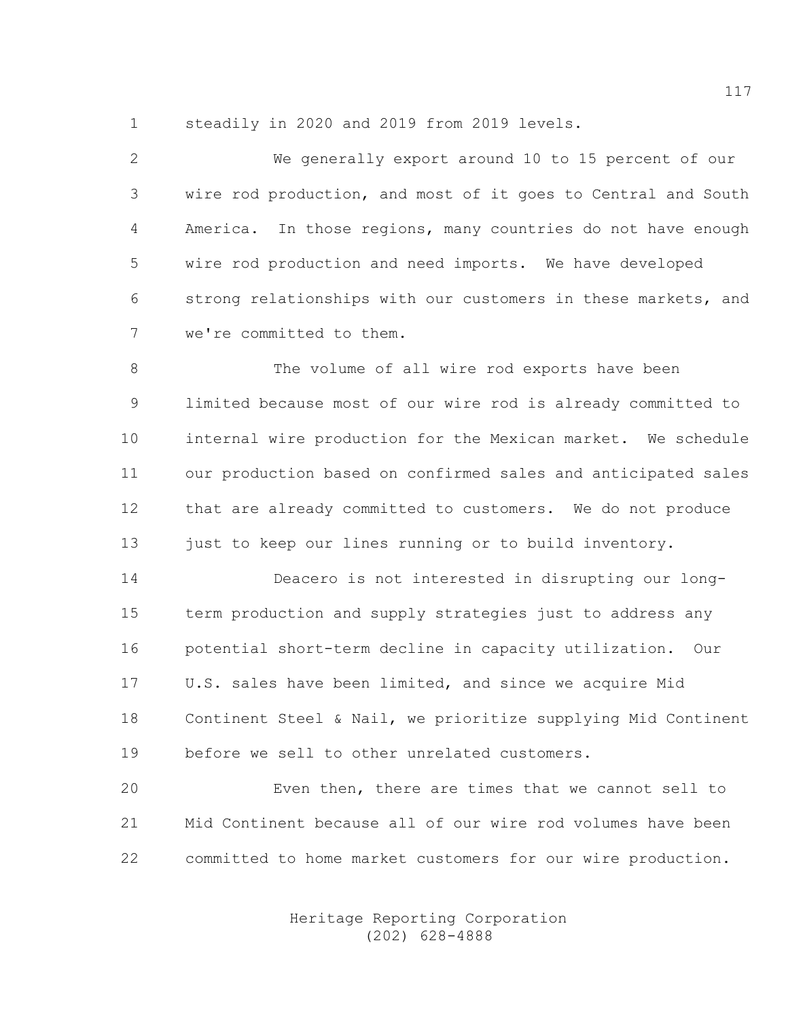1 steadily in 2020 and 2019 from 2019 levels.

| 2              | We generally export around 10 to 15 percent of our            |
|----------------|---------------------------------------------------------------|
| 3              | wire rod production, and most of it goes to Central and South |
| $\overline{4}$ | America. In those regions, many countries do not have enough  |
| 5              | wire rod production and need imports. We have developed       |
| 6              | strong relationships with our customers in these markets, and |
| 7              | we're committed to them.                                      |
| 8              | The volume of all wire rod exports have been                  |
| 9              | limited because most of our wire rod is already committed to  |
| 10             | internal wire production for the Mexican market. We schedule  |
| 11             | our production based on confirmed sales and anticipated sales |
| 12             | that are already committed to customers. We do not produce    |
| 13             | just to keep our lines running or to build inventory.         |
| 14             | Deacero is not interested in disrupting our long-             |

15 term production and supply strategies just to address any 16 potential short-term decline in capacity utilization. Our 17 U.S. sales have been limited, and since we acquire Mid 18 Continent Steel & Nail, we prioritize supplying Mid Continent 19 before we sell to other unrelated customers.

20 Even then, there are times that we cannot sell to 21 Mid Continent because all of our wire rod volumes have been 22 committed to home market customers for our wire production.

> Heritage Reporting Corporation (202) 628-4888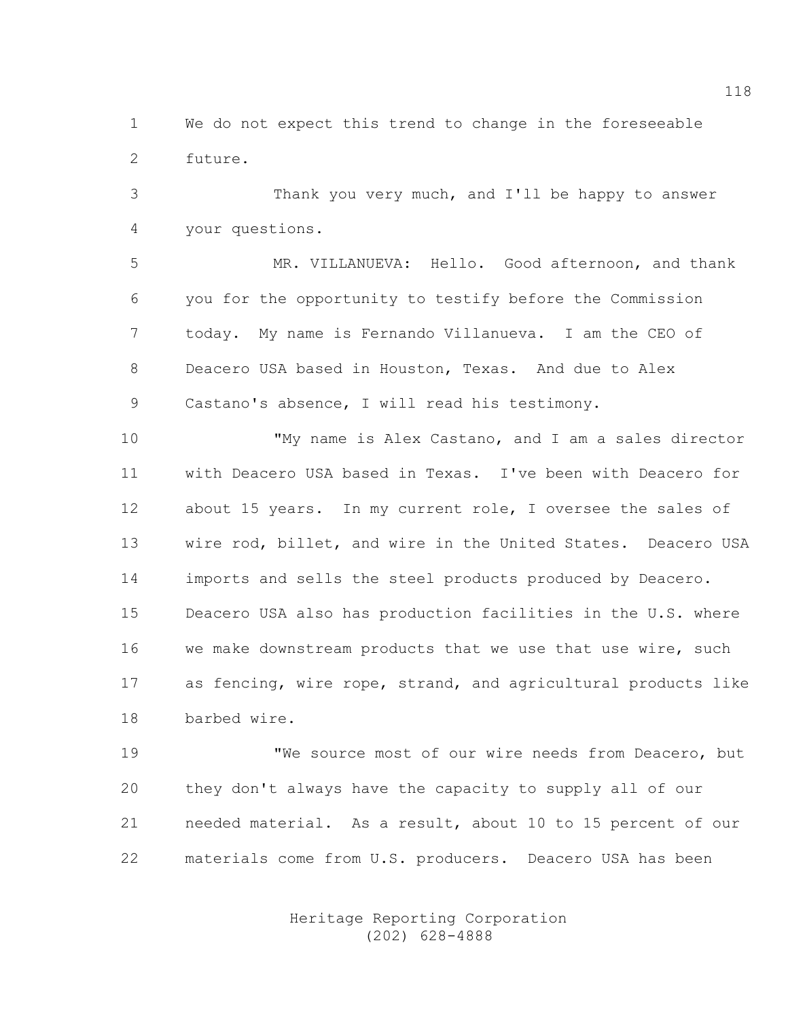1 We do not expect this trend to change in the foreseeable 2 future.

3 Thank you very much, and I'll be happy to answer 4 your questions.

5 MR. VILLANUEVA: Hello. Good afternoon, and thank 6 you for the opportunity to testify before the Commission 7 today. My name is Fernando Villanueva. I am the CEO of 8 Deacero USA based in Houston, Texas. And due to Alex 9 Castano's absence, I will read his testimony.

10 "My name is Alex Castano, and I am a sales director 11 with Deacero USA based in Texas. I've been with Deacero for 12 about 15 years. In my current role, I oversee the sales of 13 wire rod, billet, and wire in the United States. Deacero USA 14 imports and sells the steel products produced by Deacero. 15 Deacero USA also has production facilities in the U.S. where 16 we make downstream products that we use that use wire, such 17 as fencing, wire rope, strand, and agricultural products like 18 barbed wire.

19 TWe source most of our wire needs from Deacero, but 20 they don't always have the capacity to supply all of our 21 needed material. As a result, about 10 to 15 percent of our 22 materials come from U.S. producers. Deacero USA has been

> Heritage Reporting Corporation (202) 628-4888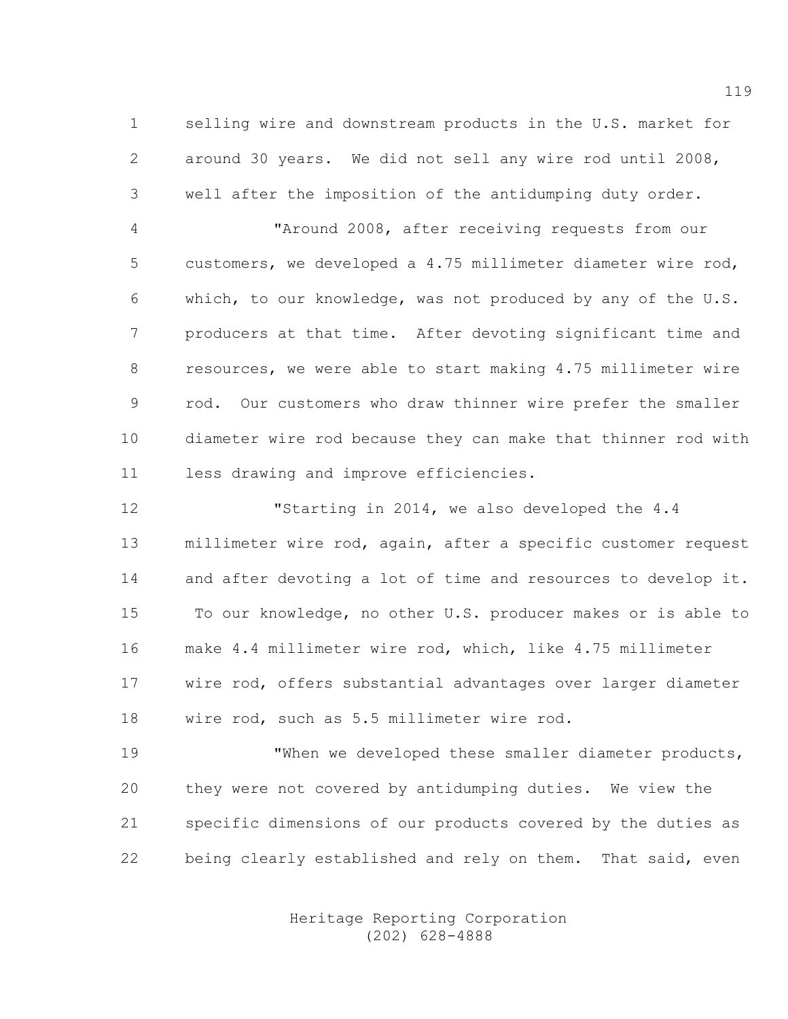1 selling wire and downstream products in the U.S. market for 2 around 30 years. We did not sell any wire rod until 2008, 3 well after the imposition of the antidumping duty order.

4 "Around 2008, after receiving requests from our 5 customers, we developed a 4.75 millimeter diameter wire rod, 6 which, to our knowledge, was not produced by any of the U.S. 7 producers at that time. After devoting significant time and 8 resources, we were able to start making 4.75 millimeter wire 9 rod. Our customers who draw thinner wire prefer the smaller 10 diameter wire rod because they can make that thinner rod with 11 less drawing and improve efficiencies.

12 "Starting in 2014, we also developed the 4.4 13 millimeter wire rod, again, after a specific customer request 14 and after devoting a lot of time and resources to develop it. 15 To our knowledge, no other U.S. producer makes or is able to 16 make 4.4 millimeter wire rod, which, like 4.75 millimeter 17 wire rod, offers substantial advantages over larger diameter 18 wire rod, such as 5.5 millimeter wire rod.

19 TWhen we developed these smaller diameter products, 20 they were not covered by antidumping duties. We view the 21 specific dimensions of our products covered by the duties as 22 being clearly established and rely on them. That said, even

> Heritage Reporting Corporation (202) 628-4888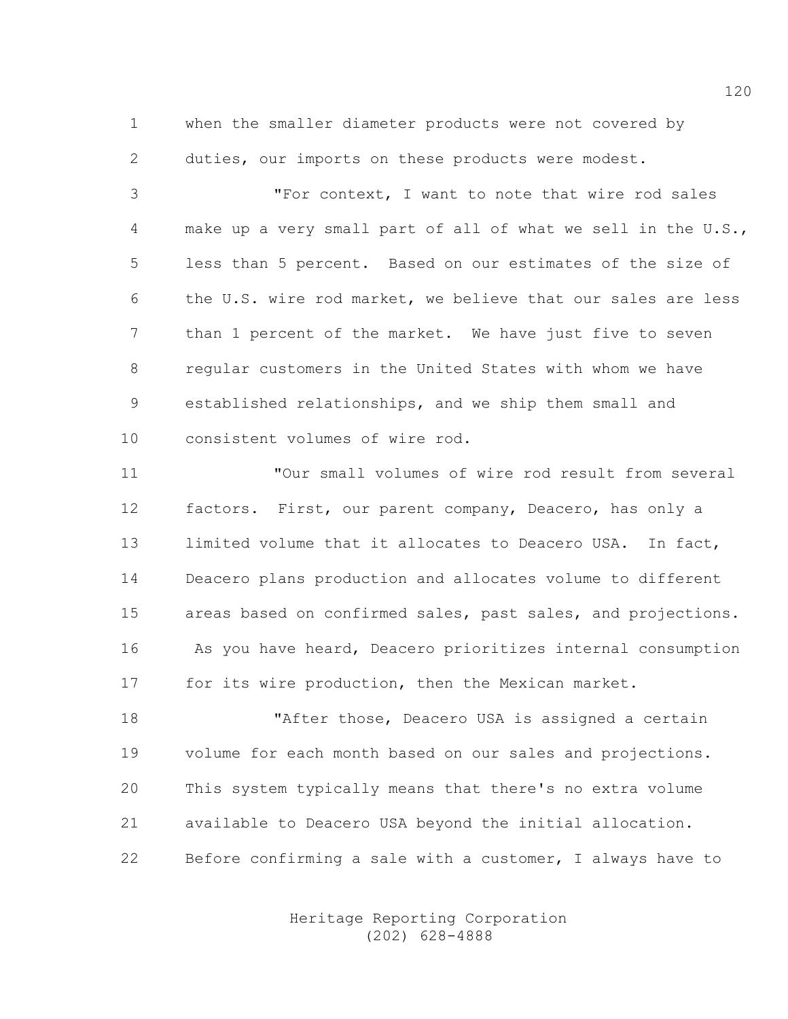1 when the smaller diameter products were not covered by 2 duties, our imports on these products were modest.

3 "For context, I want to note that wire rod sales 4 make up a very small part of all of what we sell in the U.S., 5 less than 5 percent. Based on our estimates of the size of 6 the U.S. wire rod market, we believe that our sales are less 7 than 1 percent of the market. We have just five to seven 8 regular customers in the United States with whom we have 9 established relationships, and we ship them small and 10 consistent volumes of wire rod.

11 "Our small volumes of wire rod result from several 12 factors. First, our parent company, Deacero, has only a 13 limited volume that it allocates to Deacero USA. In fact, 14 Deacero plans production and allocates volume to different 15 areas based on confirmed sales, past sales, and projections. 16 As you have heard, Deacero prioritizes internal consumption 17 for its wire production, then the Mexican market.

18 TAfter those, Deacero USA is assigned a certain 19 volume for each month based on our sales and projections. 20 This system typically means that there's no extra volume 21 available to Deacero USA beyond the initial allocation. 22 Before confirming a sale with a customer, I always have to

> Heritage Reporting Corporation (202) 628-4888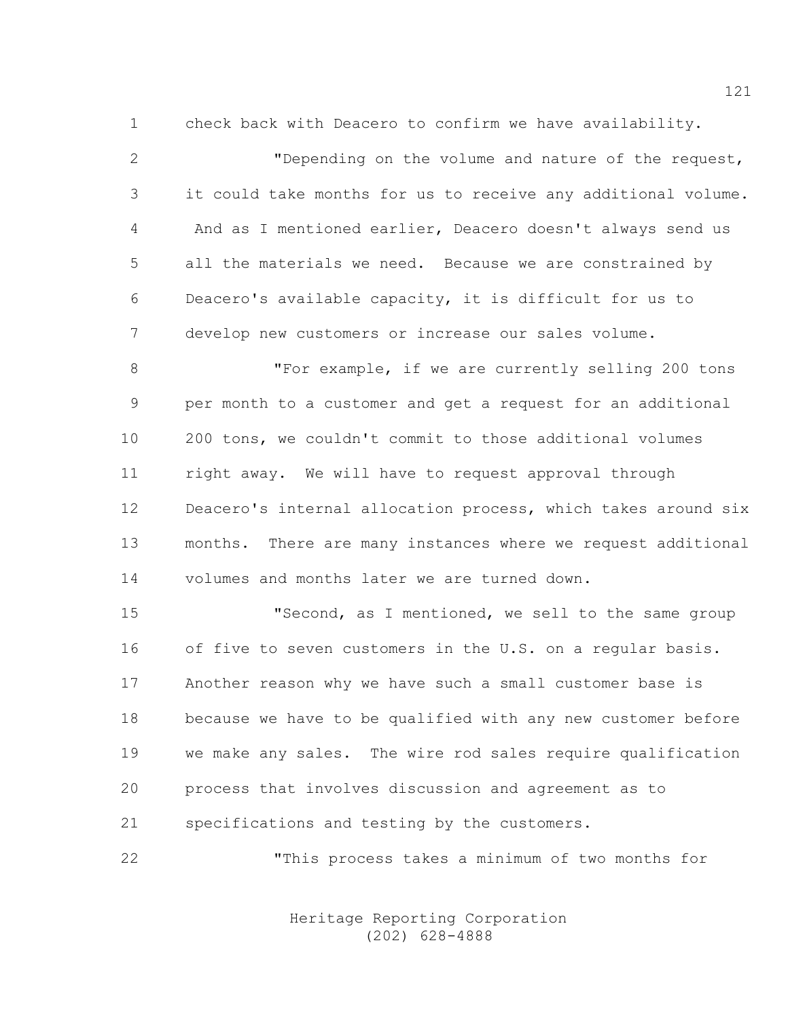1 check back with Deacero to confirm we have availability.

2 "Depending on the volume and nature of the request, 3 it could take months for us to receive any additional volume. 4 And as I mentioned earlier, Deacero doesn't always send us 5 all the materials we need. Because we are constrained by 6 Deacero's available capacity, it is difficult for us to 7 develop new customers or increase our sales volume.

8 "For example, if we are currently selling 200 tons 9 per month to a customer and get a request for an additional 10 200 tons, we couldn't commit to those additional volumes 11 right away. We will have to request approval through 12 Deacero's internal allocation process, which takes around six 13 months. There are many instances where we request additional 14 volumes and months later we are turned down.

15 "Second, as I mentioned, we sell to the same group 16 of five to seven customers in the U.S. on a regular basis. 17 Another reason why we have such a small customer base is 18 because we have to be qualified with any new customer before 19 we make any sales. The wire rod sales require qualification 20 process that involves discussion and agreement as to 21 specifications and testing by the customers.

22 "This process takes a minimum of two months for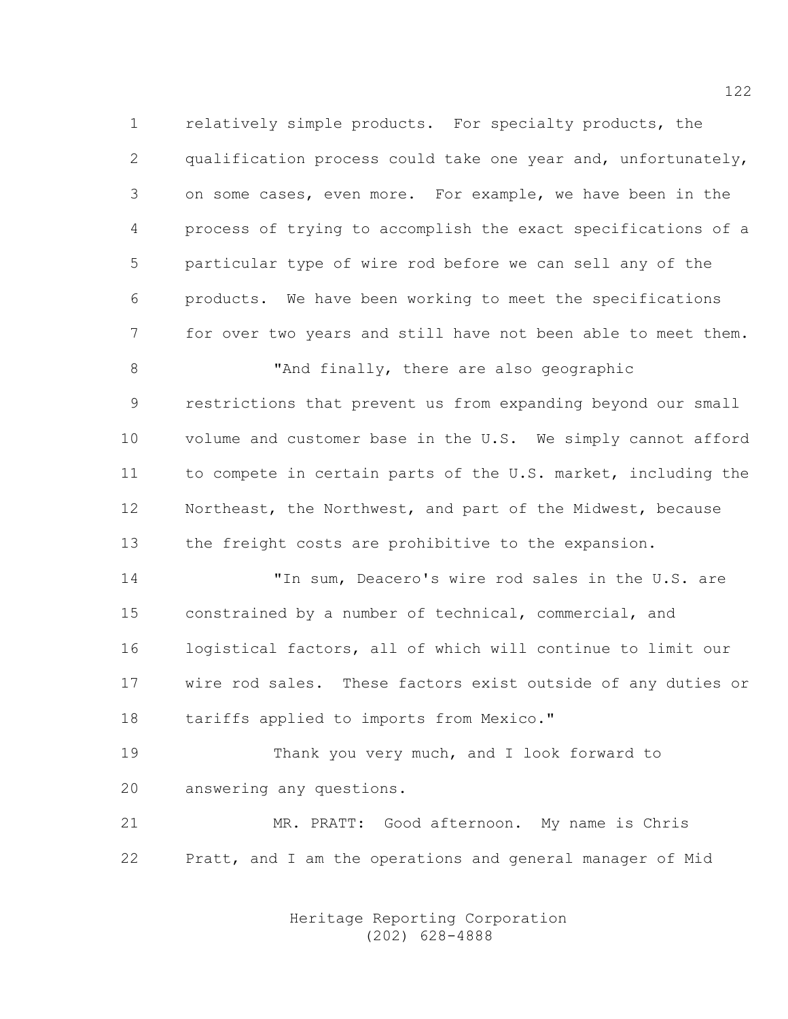1 relatively simple products. For specialty products, the 2 qualification process could take one year and, unfortunately, 3 on some cases, even more. For example, we have been in the 4 process of trying to accomplish the exact specifications of a 5 particular type of wire rod before we can sell any of the 6 products. We have been working to meet the specifications 7 for over two years and still have not been able to meet them. 8 "And finally, there are also geographic 9 restrictions that prevent us from expanding beyond our small 10 volume and customer base in the U.S. We simply cannot afford 11 to compete in certain parts of the U.S. market, including the 12 Northeast, the Northwest, and part of the Midwest, because 13 the freight costs are prohibitive to the expansion. 14 "In sum, Deacero's wire rod sales in the U.S. are 15 constrained by a number of technical, commercial, and 16 logistical factors, all of which will continue to limit our 17 wire rod sales. These factors exist outside of any duties or

18 tariffs applied to imports from Mexico."

19 Thank you very much, and I look forward to 20 answering any questions.

21 MR. PRATT: Good afternoon. My name is Chris 22 Pratt, and I am the operations and general manager of Mid

> Heritage Reporting Corporation (202) 628-4888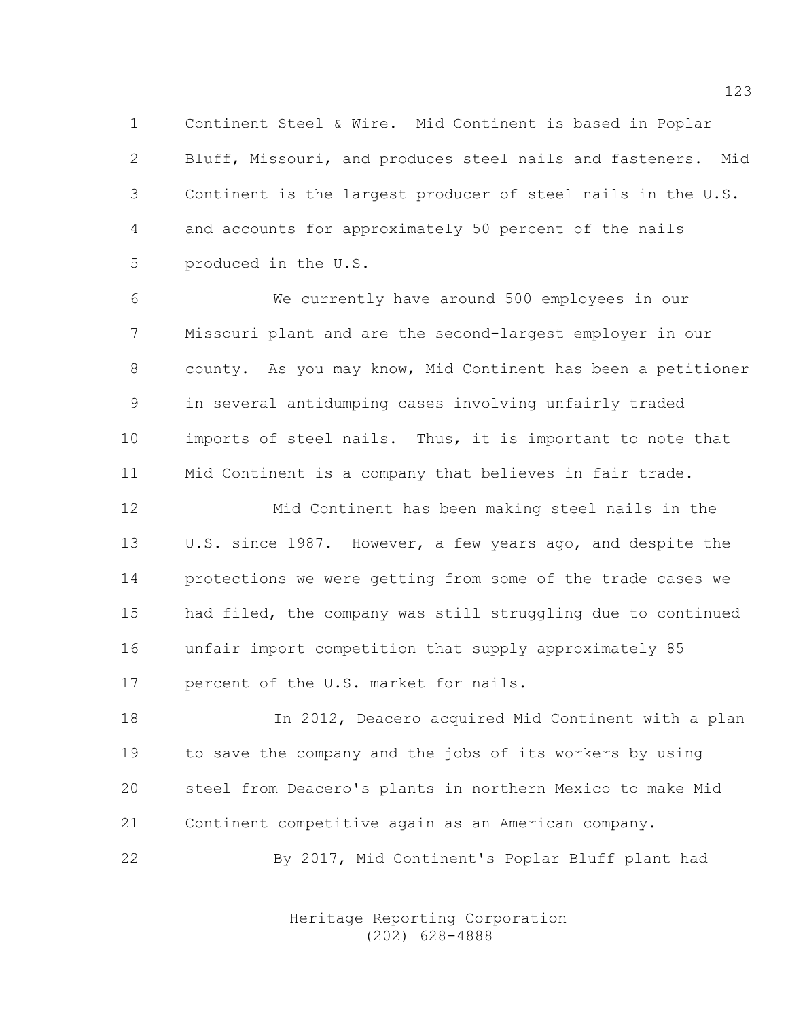1 Continent Steel & Wire. Mid Continent is based in Poplar 2 Bluff, Missouri, and produces steel nails and fasteners. Mid 3 Continent is the largest producer of steel nails in the U.S. 4 and accounts for approximately 50 percent of the nails 5 produced in the U.S.

6 We currently have around 500 employees in our 7 Missouri plant and are the second-largest employer in our 8 county. As you may know, Mid Continent has been a petitioner 9 in several antidumping cases involving unfairly traded 10 imports of steel nails. Thus, it is important to note that 11 Mid Continent is a company that believes in fair trade.

12 Mid Continent has been making steel nails in the 13 U.S. since 1987. However, a few years ago, and despite the 14 protections we were getting from some of the trade cases we 15 had filed, the company was still struggling due to continued 16 unfair import competition that supply approximately 85 17 percent of the U.S. market for nails.

18 In 2012, Deacero acquired Mid Continent with a plan 19 to save the company and the jobs of its workers by using 20 steel from Deacero's plants in northern Mexico to make Mid 21 Continent competitive again as an American company.

22 By 2017, Mid Continent's Poplar Bluff plant had

 Heritage Reporting Corporation (202) 628-4888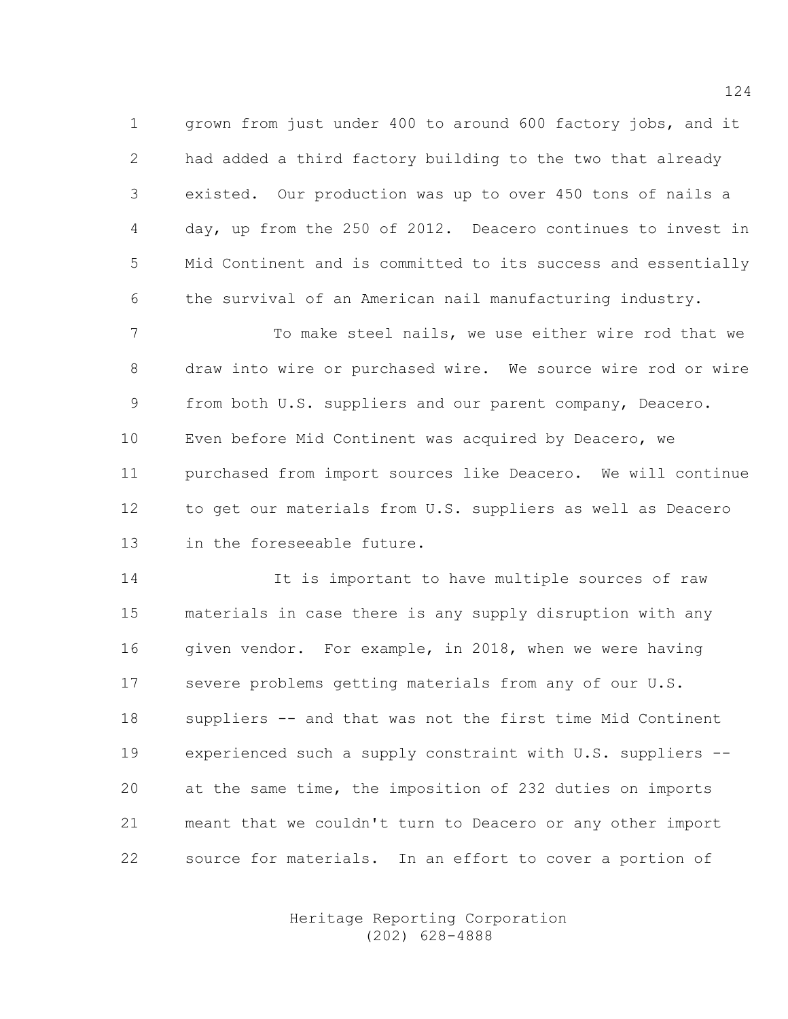1 grown from just under 400 to around 600 factory jobs, and it 2 had added a third factory building to the two that already 3 existed. Our production was up to over 450 tons of nails a 4 day, up from the 250 of 2012. Deacero continues to invest in 5 Mid Continent and is committed to its success and essentially 6 the survival of an American nail manufacturing industry.

7 To make steel nails, we use either wire rod that we 8 draw into wire or purchased wire. We source wire rod or wire 9 from both U.S. suppliers and our parent company, Deacero. 10 Even before Mid Continent was acquired by Deacero, we 11 purchased from import sources like Deacero. We will continue 12 to get our materials from U.S. suppliers as well as Deacero 13 in the foreseeable future.

14 It is important to have multiple sources of raw 15 materials in case there is any supply disruption with any 16 given vendor. For example, in 2018, when we were having 17 severe problems getting materials from any of our U.S. 18 suppliers -- and that was not the first time Mid Continent 19 experienced such a supply constraint with U.S. suppliers -- 20 at the same time, the imposition of 232 duties on imports 21 meant that we couldn't turn to Deacero or any other import 22 source for materials. In an effort to cover a portion of

> Heritage Reporting Corporation (202) 628-4888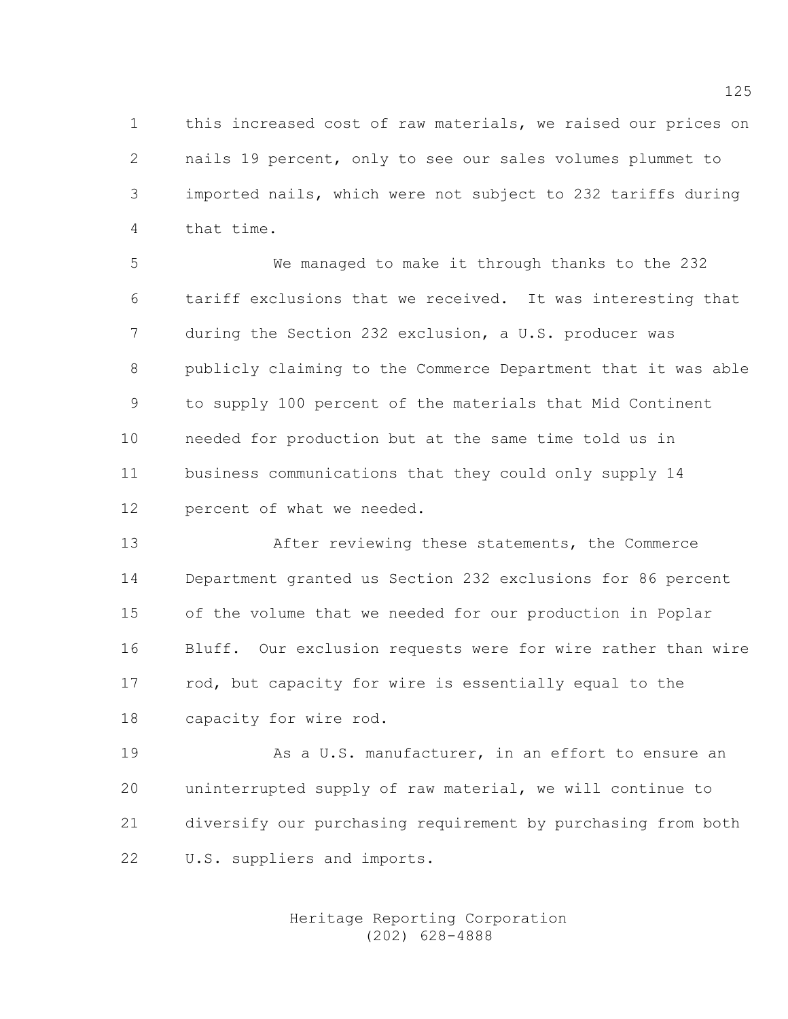1 this increased cost of raw materials, we raised our prices on 2 nails 19 percent, only to see our sales volumes plummet to 3 imported nails, which were not subject to 232 tariffs during 4 that time.

5 We managed to make it through thanks to the 232 6 tariff exclusions that we received. It was interesting that 7 during the Section 232 exclusion, a U.S. producer was 8 publicly claiming to the Commerce Department that it was able 9 to supply 100 percent of the materials that Mid Continent 10 needed for production but at the same time told us in 11 business communications that they could only supply 14 12 percent of what we needed.

13 After reviewing these statements, the Commerce 14 Department granted us Section 232 exclusions for 86 percent 15 of the volume that we needed for our production in Poplar 16 Bluff. Our exclusion requests were for wire rather than wire 17 rod, but capacity for wire is essentially equal to the 18 capacity for wire rod.

19 As a U.S. manufacturer, in an effort to ensure an 20 uninterrupted supply of raw material, we will continue to 21 diversify our purchasing requirement by purchasing from both 22 U.S. suppliers and imports.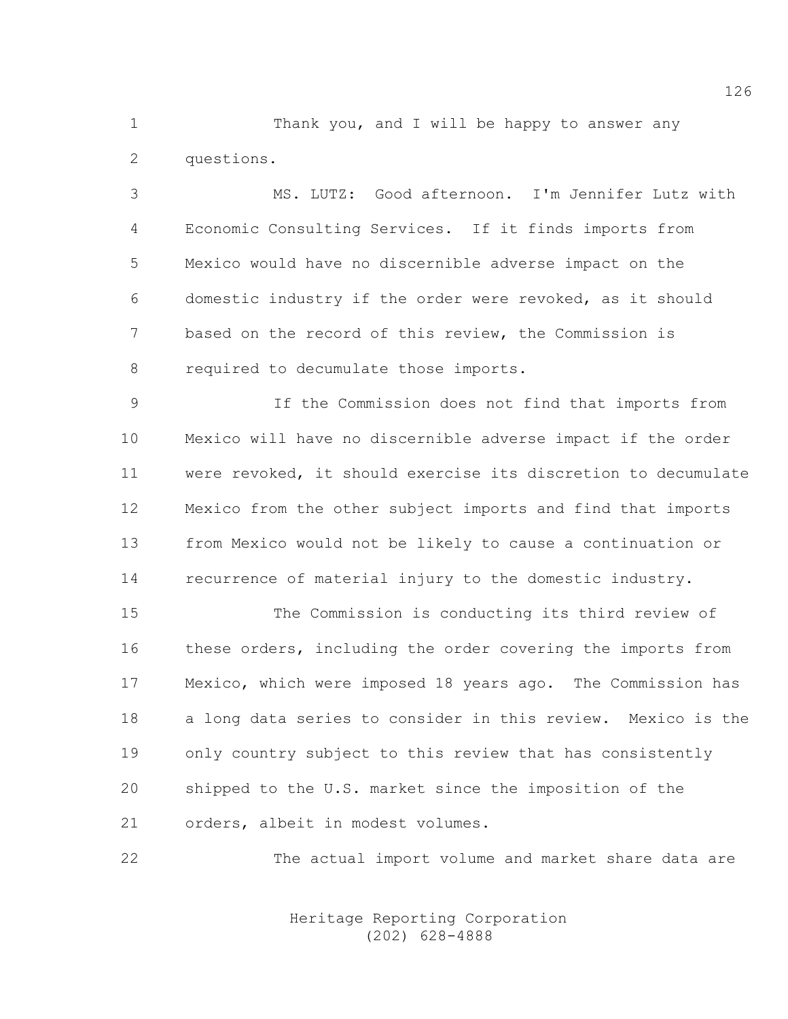1 Thank you, and I will be happy to answer any 2 questions.

3 MS. LUTZ: Good afternoon. I'm Jennifer Lutz with 4 Economic Consulting Services. If it finds imports from 5 Mexico would have no discernible adverse impact on the 6 domestic industry if the order were revoked, as it should 7 based on the record of this review, the Commission is 8 required to decumulate those imports.

9 If the Commission does not find that imports from 10 Mexico will have no discernible adverse impact if the order 11 were revoked, it should exercise its discretion to decumulate 12 Mexico from the other subject imports and find that imports 13 from Mexico would not be likely to cause a continuation or 14 recurrence of material injury to the domestic industry.

15 The Commission is conducting its third review of 16 these orders, including the order covering the imports from 17 Mexico, which were imposed 18 years ago. The Commission has 18 a long data series to consider in this review. Mexico is the 19 only country subject to this review that has consistently 20 shipped to the U.S. market since the imposition of the 21 orders, albeit in modest volumes.

22 The actual import volume and market share data are

 Heritage Reporting Corporation (202) 628-4888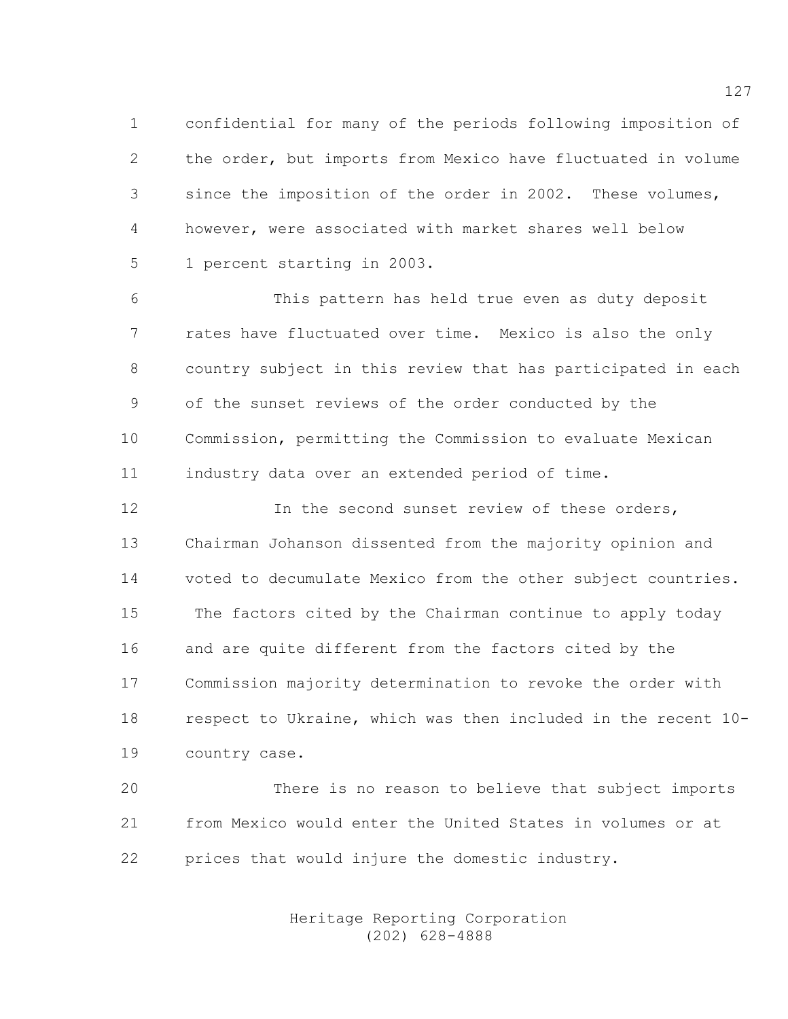1 confidential for many of the periods following imposition of 2 the order, but imports from Mexico have fluctuated in volume 3 since the imposition of the order in 2002. These volumes, 4 however, were associated with market shares well below 5 1 percent starting in 2003.

6 This pattern has held true even as duty deposit 7 rates have fluctuated over time. Mexico is also the only 8 country subject in this review that has participated in each 9 of the sunset reviews of the order conducted by the 10 Commission, permitting the Commission to evaluate Mexican 11 industry data over an extended period of time.

12 In the second sunset review of these orders, 13 Chairman Johanson dissented from the majority opinion and 14 voted to decumulate Mexico from the other subject countries. 15 The factors cited by the Chairman continue to apply today 16 and are quite different from the factors cited by the 17 Commission majority determination to revoke the order with 18 respect to Ukraine, which was then included in the recent 10- 19 country case.

20 There is no reason to believe that subject imports 21 from Mexico would enter the United States in volumes or at 22 prices that would injure the domestic industry.

> Heritage Reporting Corporation (202) 628-4888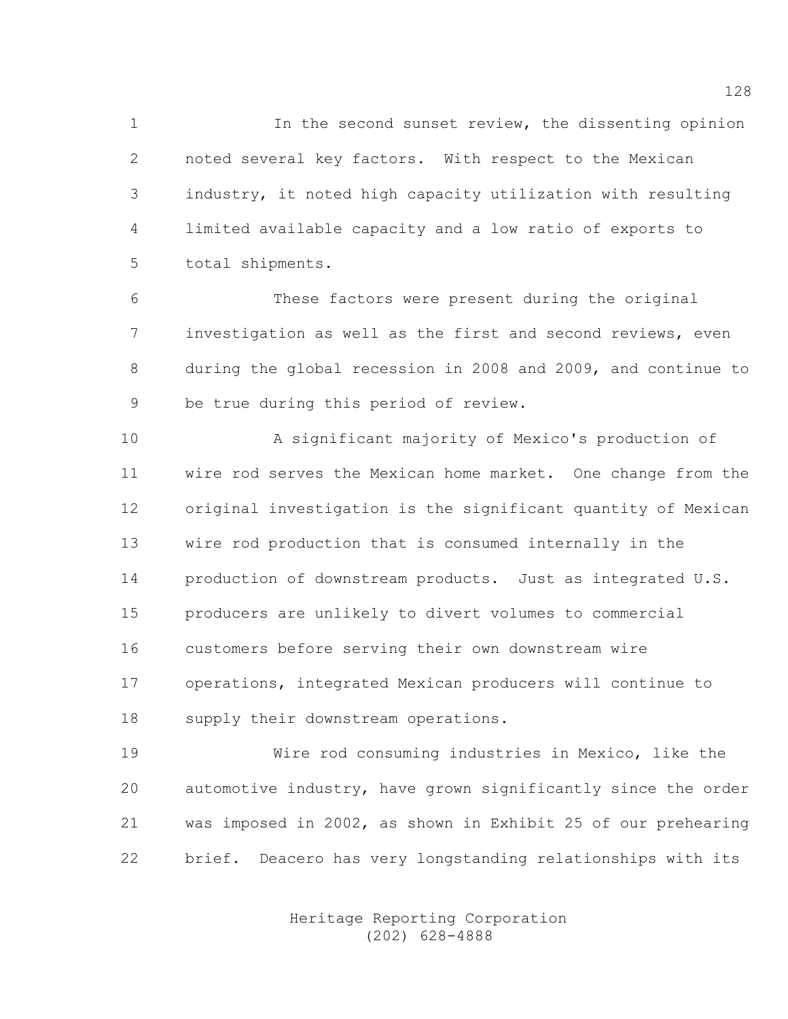1 In the second sunset review, the dissenting opinion 2 noted several key factors. With respect to the Mexican 3 industry, it noted high capacity utilization with resulting 4 limited available capacity and a low ratio of exports to 5 total shipments.

6 These factors were present during the original 7 investigation as well as the first and second reviews, even 8 during the global recession in 2008 and 2009, and continue to 9 be true during this period of review.

10 A significant majority of Mexico's production of 11 wire rod serves the Mexican home market. One change from the 12 original investigation is the significant quantity of Mexican 13 wire rod production that is consumed internally in the 14 production of downstream products. Just as integrated U.S. 15 producers are unlikely to divert volumes to commercial 16 customers before serving their own downstream wire 17 operations, integrated Mexican producers will continue to 18 supply their downstream operations.

19 Wire rod consuming industries in Mexico, like the 20 automotive industry, have grown significantly since the order 21 was imposed in 2002, as shown in Exhibit 25 of our prehearing 22 brief. Deacero has very longstanding relationships with its

> Heritage Reporting Corporation (202) 628-4888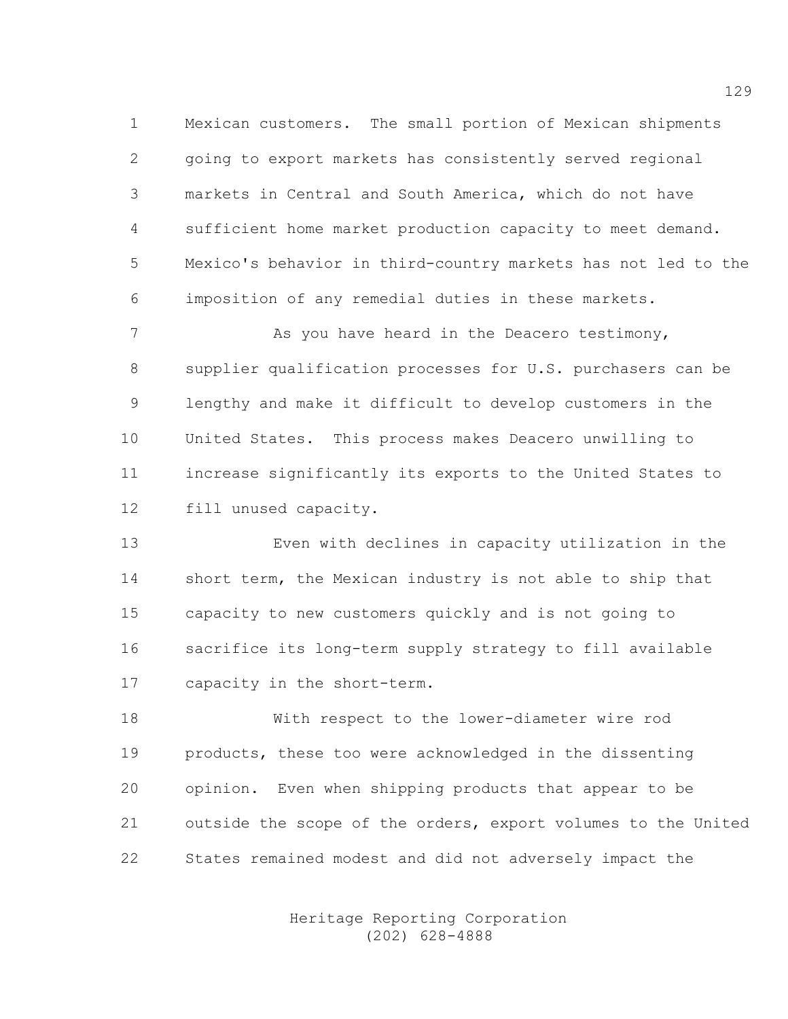1 Mexican customers. The small portion of Mexican shipments 2 going to export markets has consistently served regional 3 markets in Central and South America, which do not have 4 sufficient home market production capacity to meet demand. 5 Mexico's behavior in third-country markets has not led to the 6 imposition of any remedial duties in these markets.

7 As you have heard in the Deacero testimony, 8 supplier qualification processes for U.S. purchasers can be 9 lengthy and make it difficult to develop customers in the 10 United States. This process makes Deacero unwilling to 11 increase significantly its exports to the United States to 12 fill unused capacity.

13 Even with declines in capacity utilization in the 14 short term, the Mexican industry is not able to ship that 15 capacity to new customers quickly and is not going to 16 sacrifice its long-term supply strategy to fill available 17 capacity in the short-term.

18 With respect to the lower-diameter wire rod 19 products, these too were acknowledged in the dissenting 20 opinion. Even when shipping products that appear to be 21 outside the scope of the orders, export volumes to the United 22 States remained modest and did not adversely impact the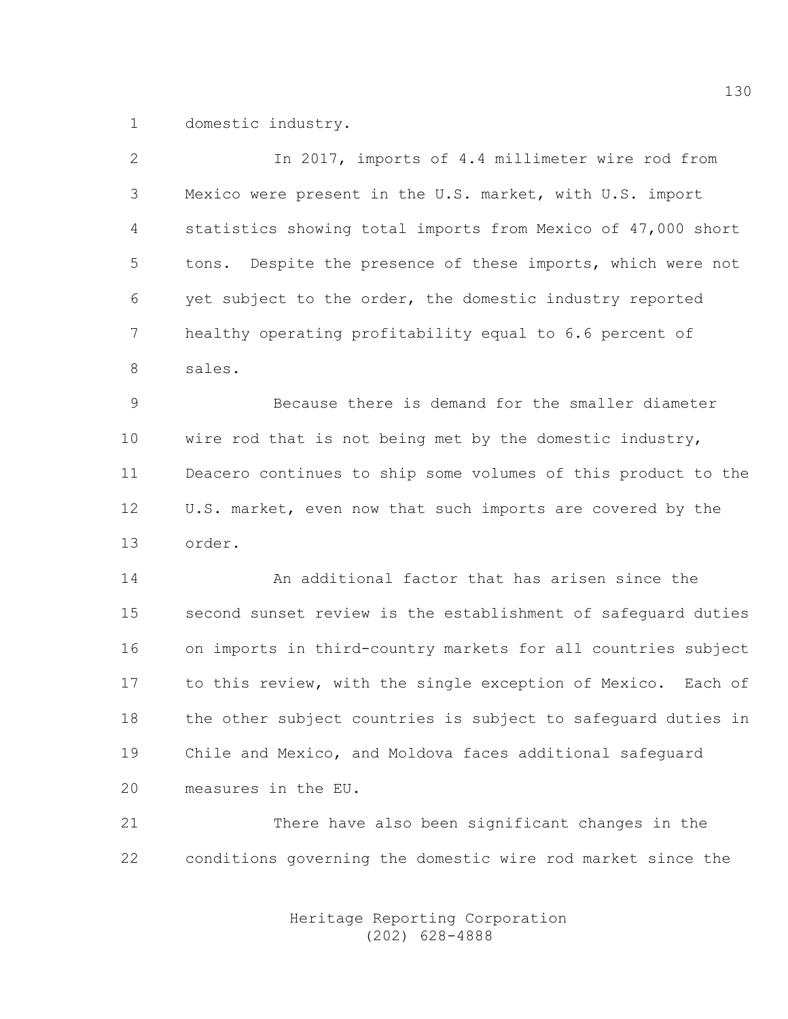1 domestic industry.

| $\mathbf{2}$ | In 2017, imports of 4.4 millimeter wire rod from               |
|--------------|----------------------------------------------------------------|
| 3            | Mexico were present in the U.S. market, with U.S. import       |
| 4            | statistics showing total imports from Mexico of 47,000 short   |
| 5            | Despite the presence of these imports, which were not<br>tons. |
| 6            | yet subject to the order, the domestic industry reported       |
| 7            | healthy operating profitability equal to 6.6 percent of        |
| 8            | sales.                                                         |
| 9            | Because there is demand for the smaller diameter               |
| 10           | wire rod that is not being met by the domestic industry,       |
| 11           | Deacero continues to ship some volumes of this product to the  |
| 12           | U.S. market, even now that such imports are covered by the     |
| 13           | order.                                                         |
| 14           | An additional factor that has arisen since the                 |
| 15           | second sunset review is the establishment of safeguard duties  |
| 16           | on imports in third-country markets for all countries subject  |
| 17           | to this review, with the single exception of Mexico. Each of   |
| 18           | the other subject countries is subject to safequard duties in  |
| 19           | Chile and Mexico, and Moldova faces additional safequard       |
| 20           | measures in the EU.                                            |
|              |                                                                |

21 There have also been significant changes in the 22 conditions governing the domestic wire rod market since the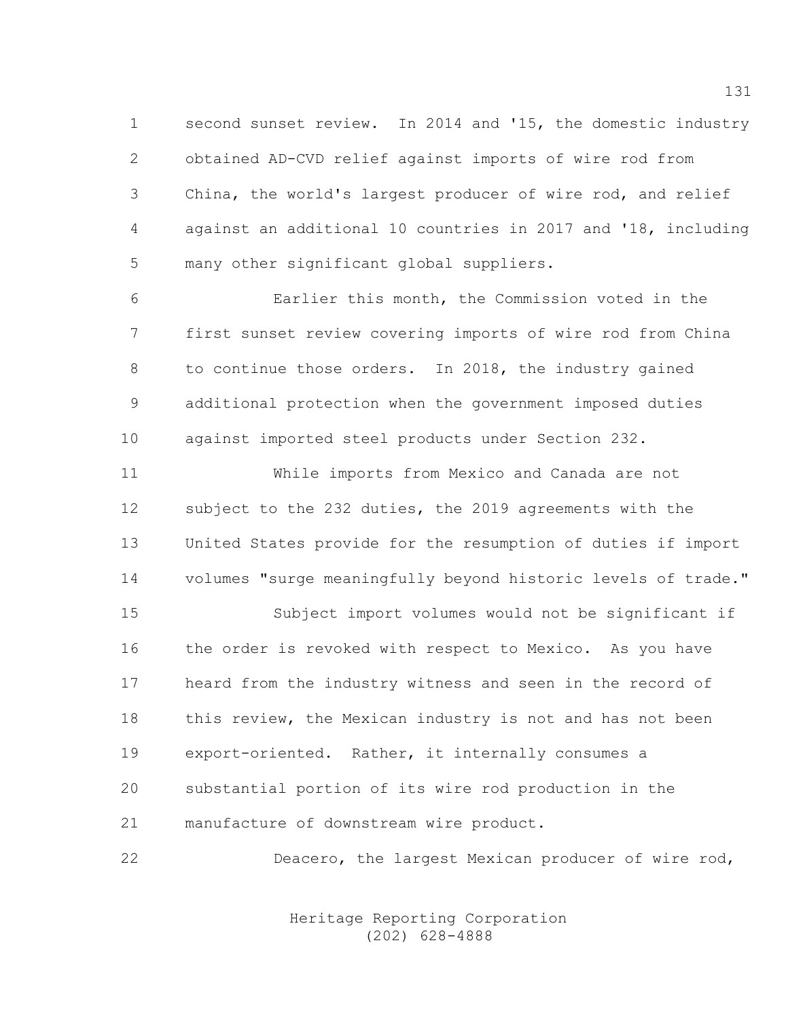1 second sunset review. In 2014 and '15, the domestic industry 2 obtained AD-CVD relief against imports of wire rod from 3 China, the world's largest producer of wire rod, and relief 4 against an additional 10 countries in 2017 and '18, including 5 many other significant global suppliers.

6 Earlier this month, the Commission voted in the 7 first sunset review covering imports of wire rod from China 8 to continue those orders. In 2018, the industry gained 9 additional protection when the government imposed duties 10 against imported steel products under Section 232.

11 While imports from Mexico and Canada are not 12 subject to the 232 duties, the 2019 agreements with the 13 United States provide for the resumption of duties if import 14 volumes "surge meaningfully beyond historic levels of trade."

15 Subject import volumes would not be significant if 16 the order is revoked with respect to Mexico. As you have 17 heard from the industry witness and seen in the record of 18 this review, the Mexican industry is not and has not been 19 export-oriented. Rather, it internally consumes a 20 substantial portion of its wire rod production in the 21 manufacture of downstream wire product.

22 Deacero, the largest Mexican producer of wire rod,

 Heritage Reporting Corporation (202) 628-4888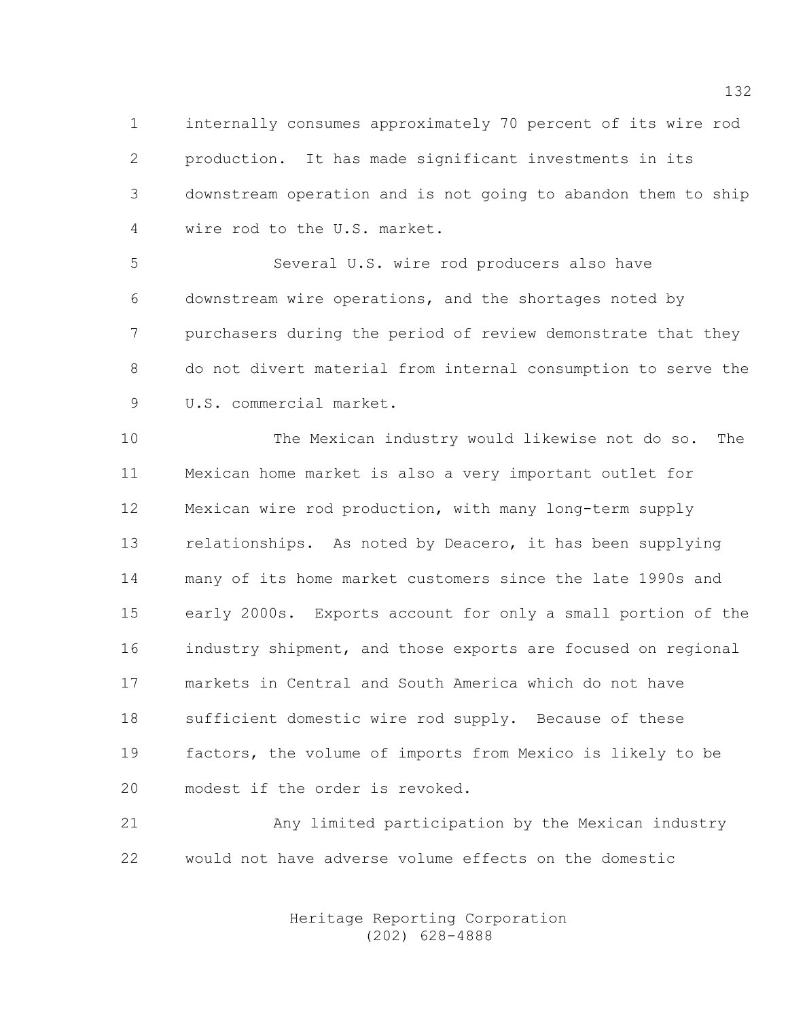1 internally consumes approximately 70 percent of its wire rod 2 production. It has made significant investments in its 3 downstream operation and is not going to abandon them to ship 4 wire rod to the U.S. market.

5 Several U.S. wire rod producers also have 6 downstream wire operations, and the shortages noted by 7 purchasers during the period of review demonstrate that they 8 do not divert material from internal consumption to serve the 9 U.S. commercial market.

10 The Mexican industry would likewise not do so. The 11 Mexican home market is also a very important outlet for 12 Mexican wire rod production, with many long-term supply 13 relationships. As noted by Deacero, it has been supplying 14 many of its home market customers since the late 1990s and 15 early 2000s. Exports account for only a small portion of the 16 industry shipment, and those exports are focused on regional 17 markets in Central and South America which do not have 18 sufficient domestic wire rod supply. Because of these 19 factors, the volume of imports from Mexico is likely to be 20 modest if the order is revoked.

21 Any limited participation by the Mexican industry 22 would not have adverse volume effects on the domestic

> Heritage Reporting Corporation (202) 628-4888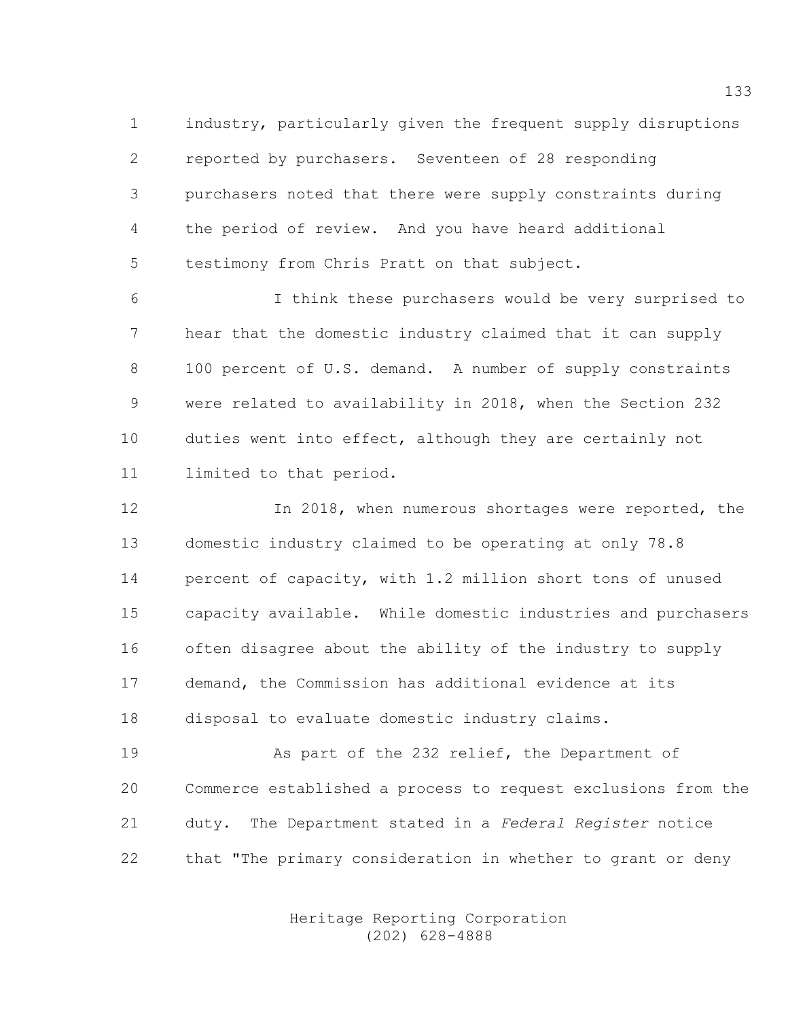1 industry, particularly given the frequent supply disruptions 2 reported by purchasers. Seventeen of 28 responding 3 purchasers noted that there were supply constraints during 4 the period of review. And you have heard additional 5 testimony from Chris Pratt on that subject.

6 I think these purchasers would be very surprised to 7 hear that the domestic industry claimed that it can supply 8 100 percent of U.S. demand. A number of supply constraints 9 were related to availability in 2018, when the Section 232 10 duties went into effect, although they are certainly not 11 limited to that period.

12 In 2018, when numerous shortages were reported, the 13 domestic industry claimed to be operating at only 78.8 14 percent of capacity, with 1.2 million short tons of unused 15 capacity available. While domestic industries and purchasers 16 often disagree about the ability of the industry to supply 17 demand, the Commission has additional evidence at its 18 disposal to evaluate domestic industry claims.

19 As part of the 232 relief, the Department of 20 Commerce established a process to request exclusions from the 21 duty. The Department stated in a Federal Register notice 22 that "The primary consideration in whether to grant or deny

> Heritage Reporting Corporation (202) 628-4888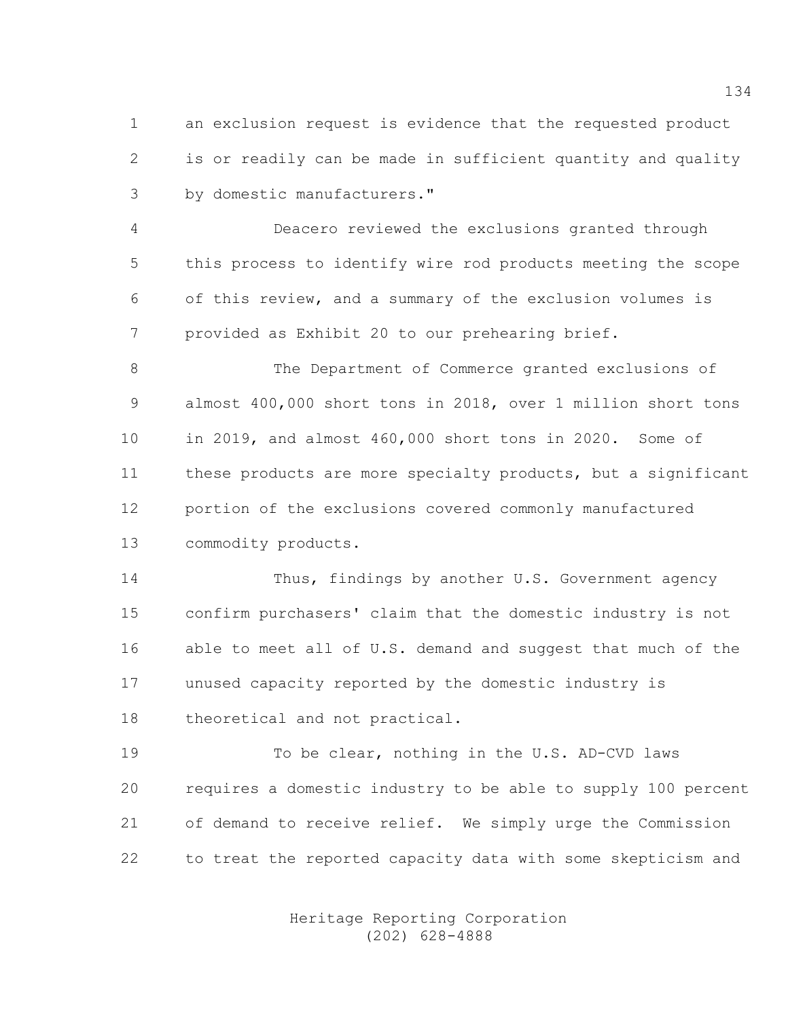1 an exclusion request is evidence that the requested product 2 is or readily can be made in sufficient quantity and quality 3 by domestic manufacturers."

4 Deacero reviewed the exclusions granted through 5 this process to identify wire rod products meeting the scope 6 of this review, and a summary of the exclusion volumes is 7 provided as Exhibit 20 to our prehearing brief.

8 The Department of Commerce granted exclusions of 9 almost 400,000 short tons in 2018, over 1 million short tons 10 in 2019, and almost 460,000 short tons in 2020. Some of 11 these products are more specialty products, but a significant 12 portion of the exclusions covered commonly manufactured 13 commodity products.

14 Thus, findings by another U.S. Government agency 15 confirm purchasers' claim that the domestic industry is not 16 able to meet all of U.S. demand and suggest that much of the 17 unused capacity reported by the domestic industry is 18 theoretical and not practical.

19 To be clear, nothing in the U.S. AD-CVD laws 20 requires a domestic industry to be able to supply 100 percent 21 of demand to receive relief. We simply urge the Commission 22 to treat the reported capacity data with some skepticism and

> Heritage Reporting Corporation (202) 628-4888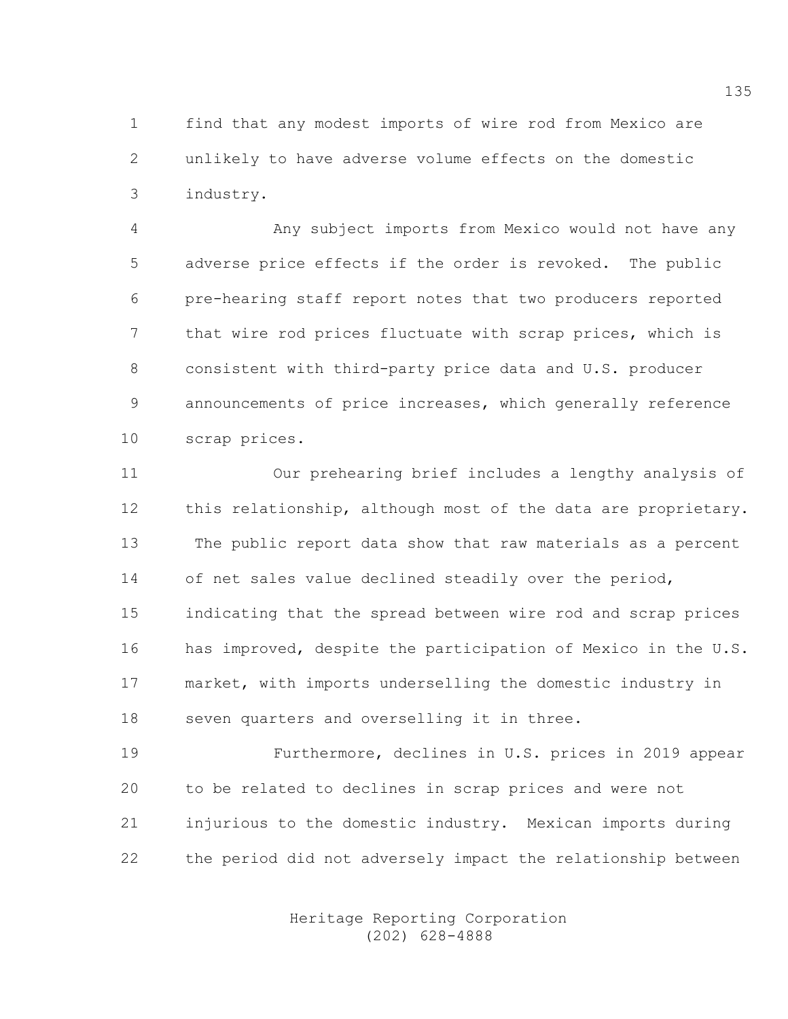1 find that any modest imports of wire rod from Mexico are 2 unlikely to have adverse volume effects on the domestic 3 industry.

4 Any subject imports from Mexico would not have any 5 adverse price effects if the order is revoked. The public 6 pre-hearing staff report notes that two producers reported 7 that wire rod prices fluctuate with scrap prices, which is 8 consistent with third-party price data and U.S. producer 9 announcements of price increases, which generally reference 10 scrap prices.

11 Our prehearing brief includes a lengthy analysis of 12 this relationship, although most of the data are proprietary. 13 The public report data show that raw materials as a percent 14 of net sales value declined steadily over the period, 15 indicating that the spread between wire rod and scrap prices 16 has improved, despite the participation of Mexico in the U.S. 17 market, with imports underselling the domestic industry in 18 seven quarters and overselling it in three.

19 Furthermore, declines in U.S. prices in 2019 appear 20 to be related to declines in scrap prices and were not 21 injurious to the domestic industry. Mexican imports during 22 the period did not adversely impact the relationship between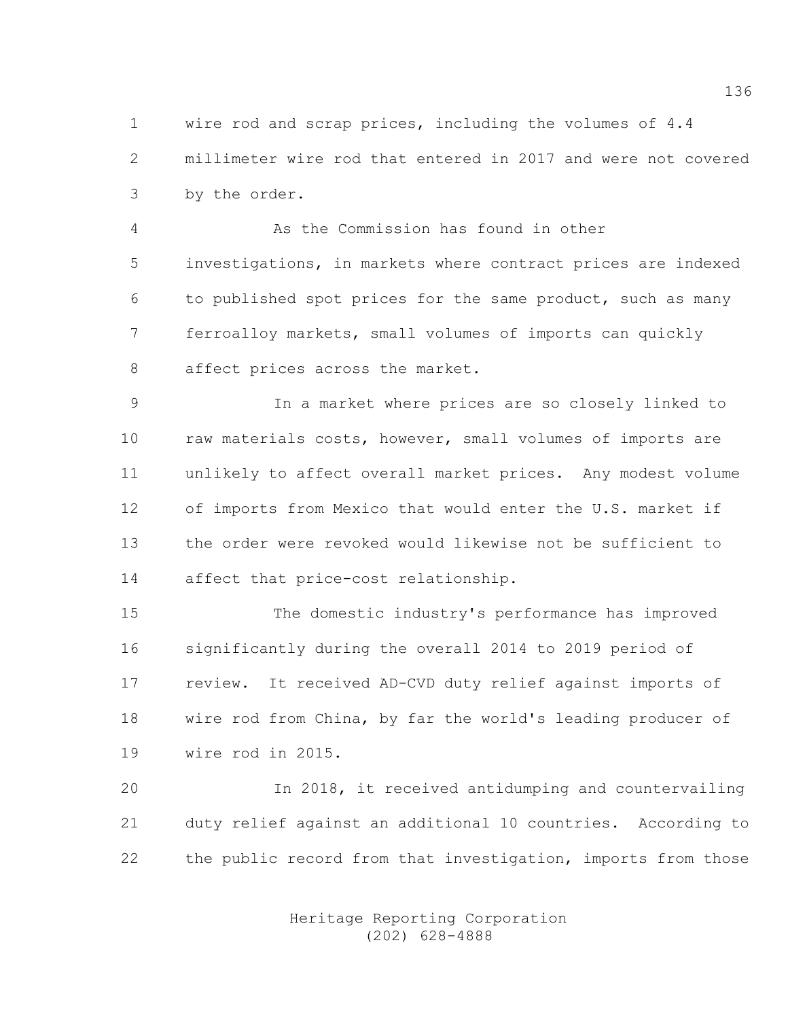1 wire rod and scrap prices, including the volumes of 4.4 2 millimeter wire rod that entered in 2017 and were not covered 3 by the order.

4 As the Commission has found in other 5 investigations, in markets where contract prices are indexed 6 to published spot prices for the same product, such as many 7 ferroalloy markets, small volumes of imports can quickly 8 affect prices across the market.

9 In a market where prices are so closely linked to 10 raw materials costs, however, small volumes of imports are 11 unlikely to affect overall market prices. Any modest volume 12 of imports from Mexico that would enter the U.S. market if 13 the order were revoked would likewise not be sufficient to 14 affect that price-cost relationship.

15 The domestic industry's performance has improved 16 significantly during the overall 2014 to 2019 period of 17 review. It received AD-CVD duty relief against imports of 18 wire rod from China, by far the world's leading producer of 19 wire rod in 2015.

20 In 2018, it received antidumping and countervailing 21 duty relief against an additional 10 countries. According to 22 the public record from that investigation, imports from those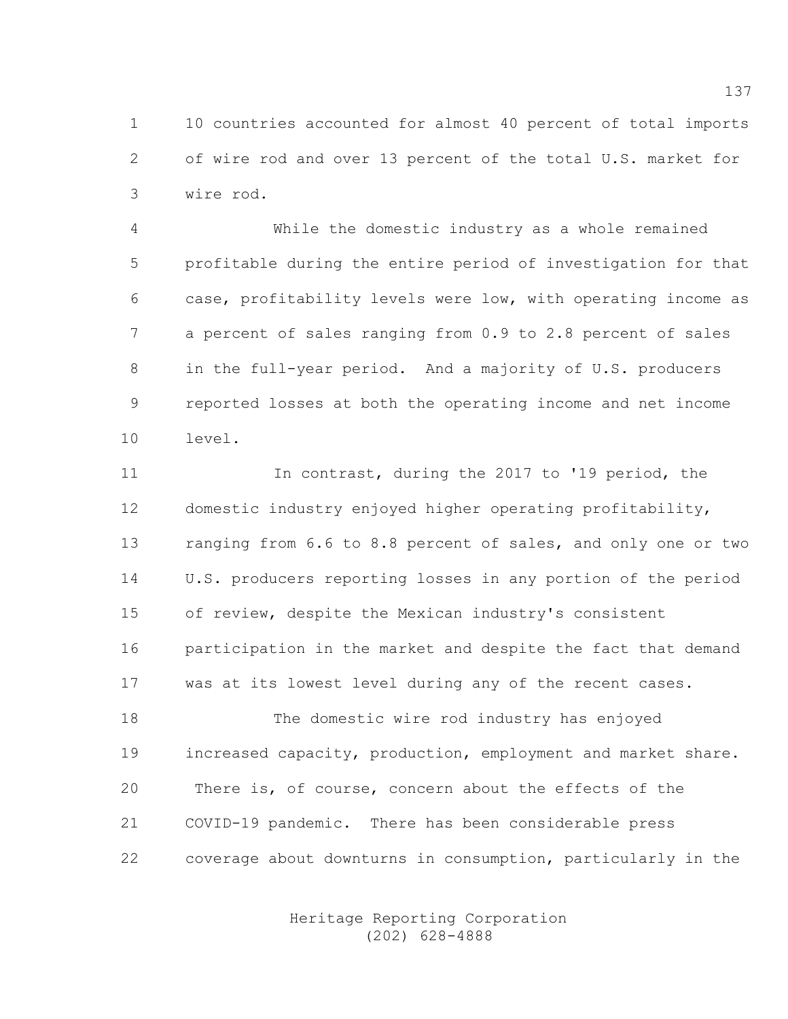1 10 countries accounted for almost 40 percent of total imports 2 of wire rod and over 13 percent of the total U.S. market for 3 wire rod.

4 While the domestic industry as a whole remained 5 profitable during the entire period of investigation for that 6 case, profitability levels were low, with operating income as 7 a percent of sales ranging from 0.9 to 2.8 percent of sales 8 in the full-year period. And a majority of U.S. producers 9 reported losses at both the operating income and net income 10 level.

11 In contrast, during the 2017 to '19 period, the 12 domestic industry enjoyed higher operating profitability, 13 ranging from 6.6 to 8.8 percent of sales, and only one or two 14 U.S. producers reporting losses in any portion of the period 15 of review, despite the Mexican industry's consistent 16 participation in the market and despite the fact that demand 17 was at its lowest level during any of the recent cases.

18 The domestic wire rod industry has enjoyed 19 increased capacity, production, employment and market share. 20 There is, of course, concern about the effects of the 21 COVID-19 pandemic. There has been considerable press 22 coverage about downturns in consumption, particularly in the

> Heritage Reporting Corporation (202) 628-4888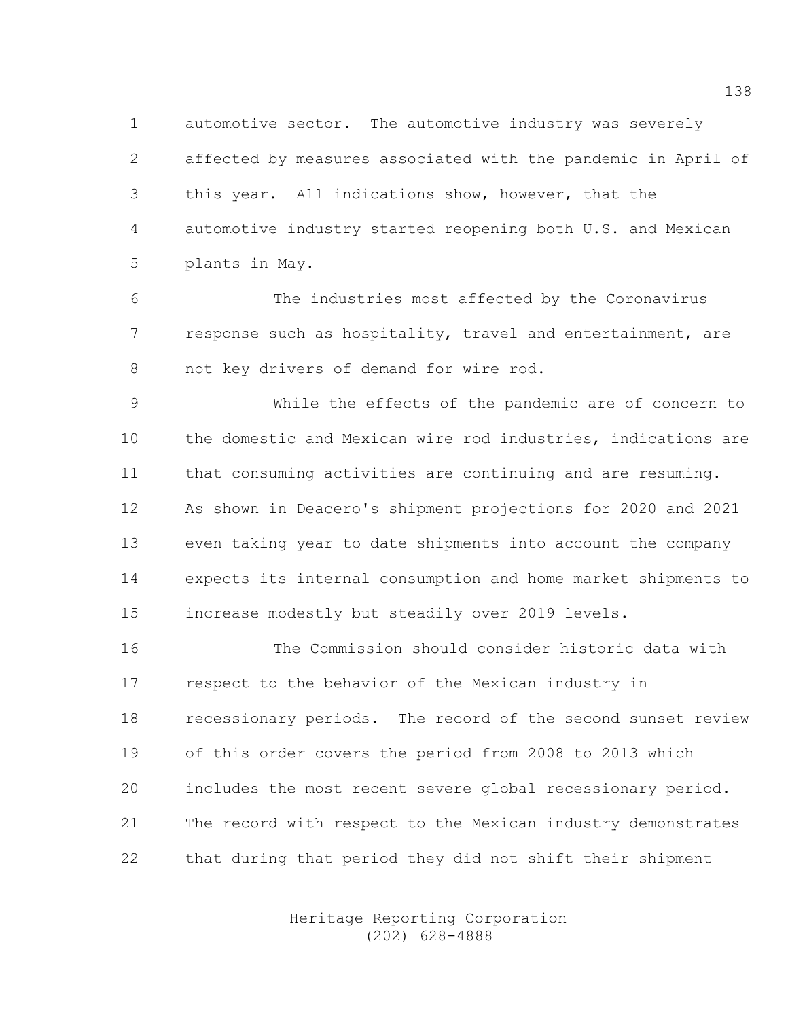1 automotive sector. The automotive industry was severely 2 affected by measures associated with the pandemic in April of 3 this year. All indications show, however, that the 4 automotive industry started reopening both U.S. and Mexican 5 plants in May.

6 The industries most affected by the Coronavirus 7 response such as hospitality, travel and entertainment, are 8 not key drivers of demand for wire rod.

9 While the effects of the pandemic are of concern to 10 the domestic and Mexican wire rod industries, indications are 11 that consuming activities are continuing and are resuming. 12 As shown in Deacero's shipment projections for 2020 and 2021 13 even taking year to date shipments into account the company 14 expects its internal consumption and home market shipments to 15 increase modestly but steadily over 2019 levels.

16 The Commission should consider historic data with 17 respect to the behavior of the Mexican industry in 18 recessionary periods. The record of the second sunset review 19 of this order covers the period from 2008 to 2013 which 20 includes the most recent severe global recessionary period. 21 The record with respect to the Mexican industry demonstrates 22 that during that period they did not shift their shipment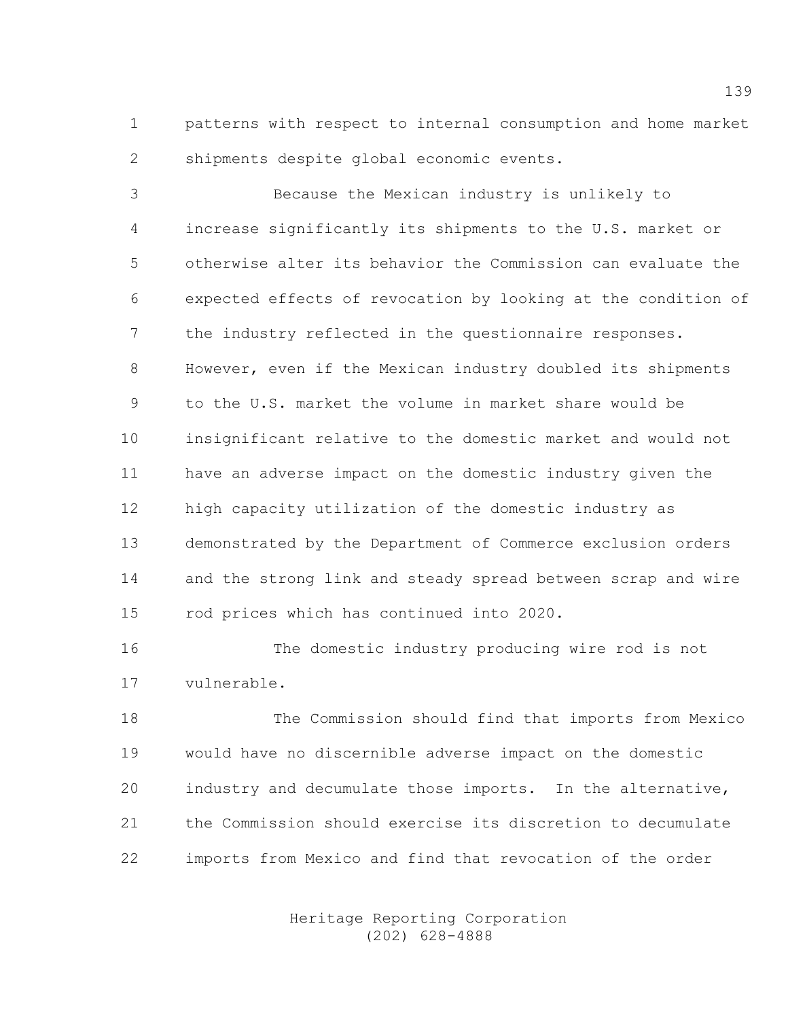1 patterns with respect to internal consumption and home market 2 shipments despite global economic events.

3 Because the Mexican industry is unlikely to 4 increase significantly its shipments to the U.S. market or 5 otherwise alter its behavior the Commission can evaluate the 6 expected effects of revocation by looking at the condition of 7 the industry reflected in the questionnaire responses. 8 However, even if the Mexican industry doubled its shipments 9 to the U.S. market the volume in market share would be 10 insignificant relative to the domestic market and would not 11 have an adverse impact on the domestic industry given the 12 high capacity utilization of the domestic industry as 13 demonstrated by the Department of Commerce exclusion orders 14 and the strong link and steady spread between scrap and wire 15 rod prices which has continued into 2020.

16 The domestic industry producing wire rod is not 17 vulnerable.

18 The Commission should find that imports from Mexico 19 would have no discernible adverse impact on the domestic 20 industry and decumulate those imports. In the alternative, 21 the Commission should exercise its discretion to decumulate 22 imports from Mexico and find that revocation of the order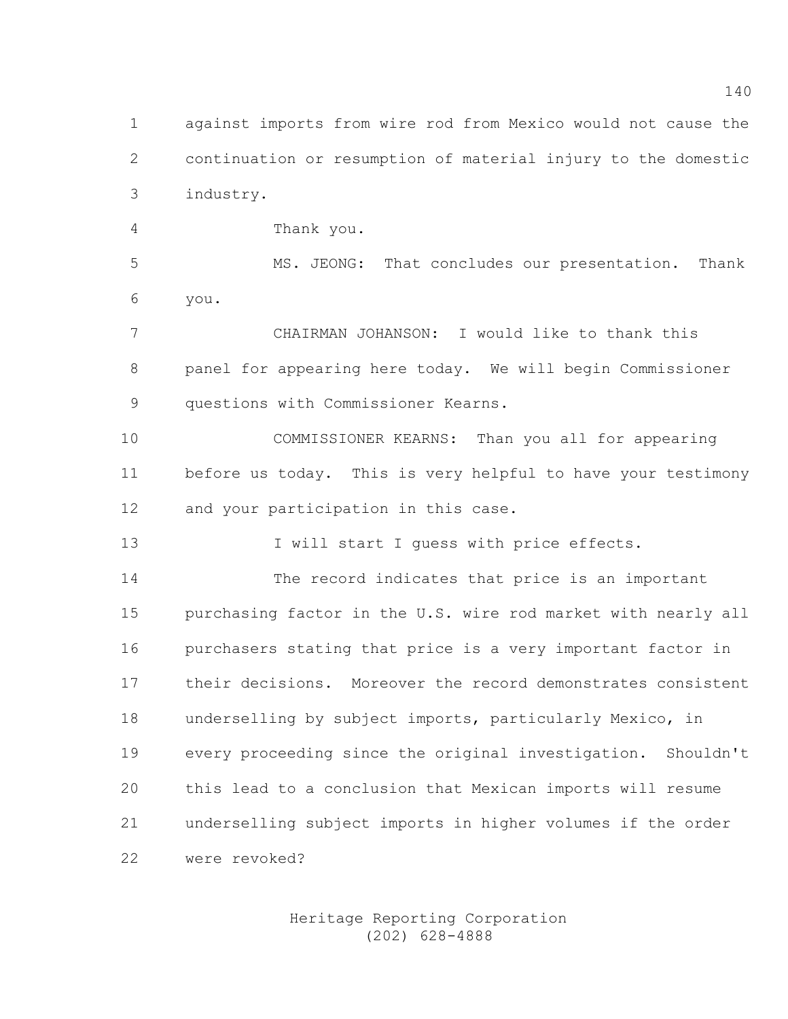1 against imports from wire rod from Mexico would not cause the 2 continuation or resumption of material injury to the domestic 3 industry.

4 Thank you.

5 MS. JEONG: That concludes our presentation. Thank 6 you.

7 CHAIRMAN JOHANSON: I would like to thank this 8 panel for appearing here today. We will begin Commissioner 9 questions with Commissioner Kearns.

10 COMMISSIONER KEARNS: Than you all for appearing 11 before us today. This is very helpful to have your testimony 12 and your participation in this case.

13 I will start I guess with price effects.

14 The record indicates that price is an important 15 purchasing factor in the U.S. wire rod market with nearly all 16 purchasers stating that price is a very important factor in 17 their decisions. Moreover the record demonstrates consistent 18 underselling by subject imports, particularly Mexico, in 19 every proceeding since the original investigation. Shouldn't 20 this lead to a conclusion that Mexican imports will resume 21 underselling subject imports in higher volumes if the order 22 were revoked?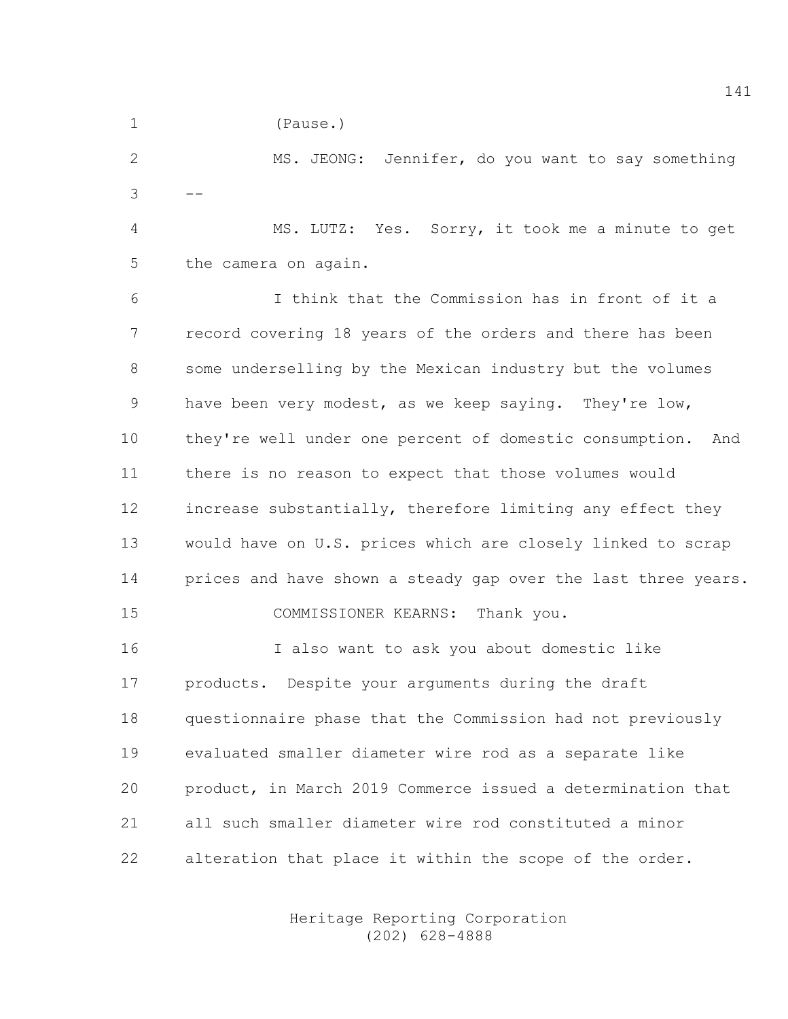1 (Pause.)

2 MS. JEONG: Jennifer, do you want to say something  $3 - -$ 

4 MS. LUTZ: Yes. Sorry, it took me a minute to get 5 the camera on again.

6 I think that the Commission has in front of it a 7 record covering 18 years of the orders and there has been 8 some underselling by the Mexican industry but the volumes 9 have been very modest, as we keep saying. They're low, 10 they're well under one percent of domestic consumption. And 11 there is no reason to expect that those volumes would 12 increase substantially, therefore limiting any effect they 13 would have on U.S. prices which are closely linked to scrap 14 prices and have shown a steady gap over the last three years. 15 COMMISSIONER KEARNS: Thank you.

16 I also want to ask you about domestic like 17 products. Despite your arguments during the draft 18 questionnaire phase that the Commission had not previously 19 evaluated smaller diameter wire rod as a separate like 20 product, in March 2019 Commerce issued a determination that 21 all such smaller diameter wire rod constituted a minor 22 alteration that place it within the scope of the order.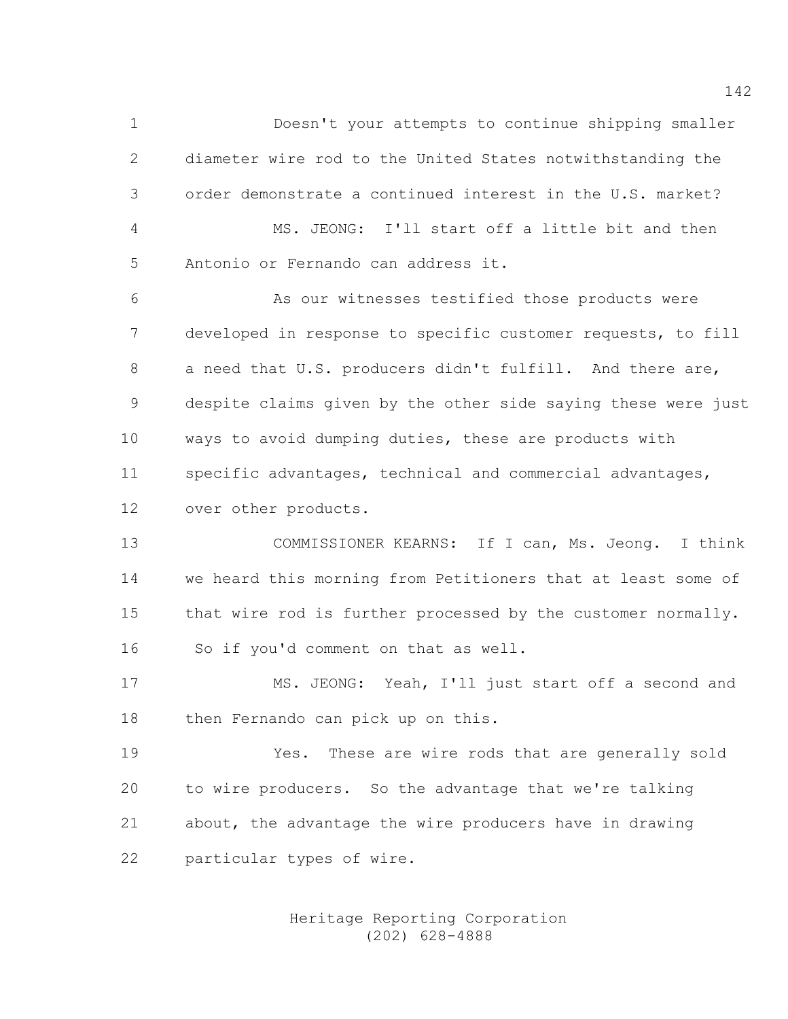1 Doesn't your attempts to continue shipping smaller 2 diameter wire rod to the United States notwithstanding the 3 order demonstrate a continued interest in the U.S. market? 4 MS. JEONG: I'll start off a little bit and then 5 Antonio or Fernando can address it. 6 As our witnesses testified those products were 7 developed in response to specific customer requests, to fill 8 a need that U.S. producers didn't fulfill. And there are, 9 despite claims given by the other side saying these were just 10 ways to avoid dumping duties, these are products with 11 specific advantages, technical and commercial advantages,

12 over other products.

13 COMMISSIONER KEARNS: If I can, Ms. Jeong. I think 14 we heard this morning from Petitioners that at least some of 15 that wire rod is further processed by the customer normally. 16 So if you'd comment on that as well.

17 MS. JEONG: Yeah, I'll just start off a second and 18 then Fernando can pick up on this.

19 Yes. These are wire rods that are generally sold 20 to wire producers. So the advantage that we're talking 21 about, the advantage the wire producers have in drawing 22 particular types of wire.

> Heritage Reporting Corporation (202) 628-4888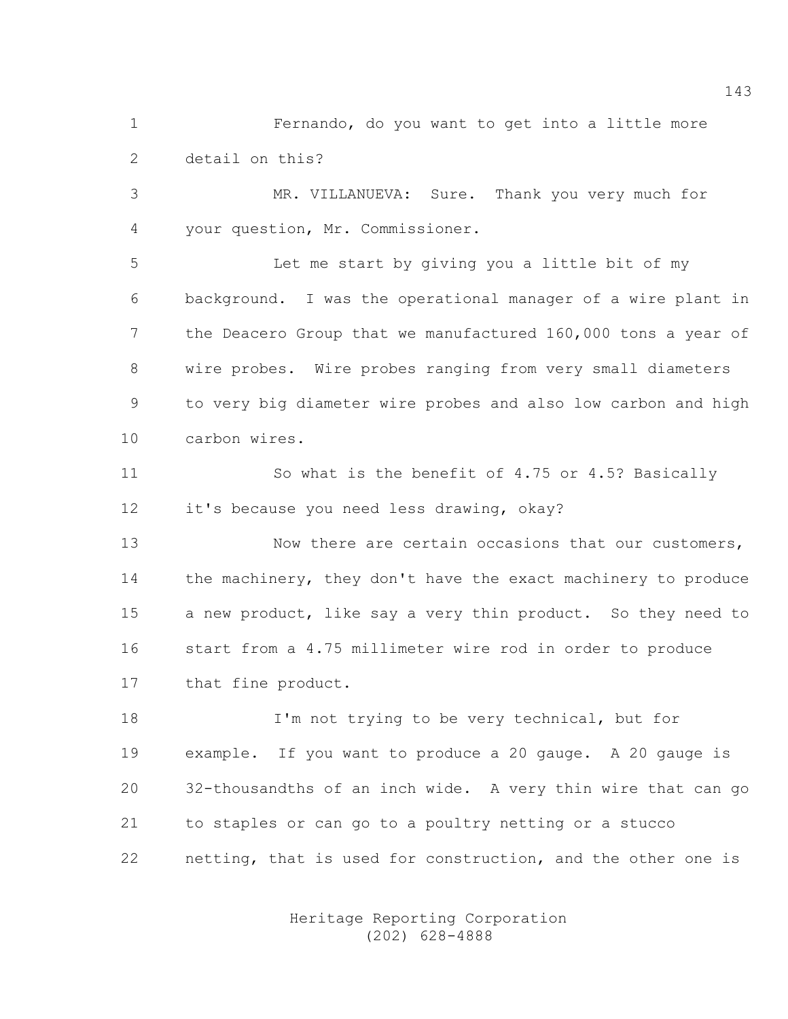1 Fernando, do you want to get into a little more 2 detail on this?

3 MR. VILLANUEVA: Sure. Thank you very much for 4 your question, Mr. Commissioner.

5 Let me start by giving you a little bit of my 6 background. I was the operational manager of a wire plant in 7 the Deacero Group that we manufactured 160,000 tons a year of 8 wire probes. Wire probes ranging from very small diameters 9 to very big diameter wire probes and also low carbon and high 10 carbon wires.

11 So what is the benefit of 4.75 or 4.5? Basically 12 it's because you need less drawing, okay?

13 Now there are certain occasions that our customers, 14 the machinery, they don't have the exact machinery to produce 15 a new product, like say a very thin product. So they need to 16 start from a 4.75 millimeter wire rod in order to produce 17 that fine product.

18 I'm not trying to be very technical, but for 19 example. If you want to produce a 20 gauge. A 20 gauge is 20 32-thousandths of an inch wide. A very thin wire that can go 21 to staples or can go to a poultry netting or a stucco 22 netting, that is used for construction, and the other one is

> Heritage Reporting Corporation (202) 628-4888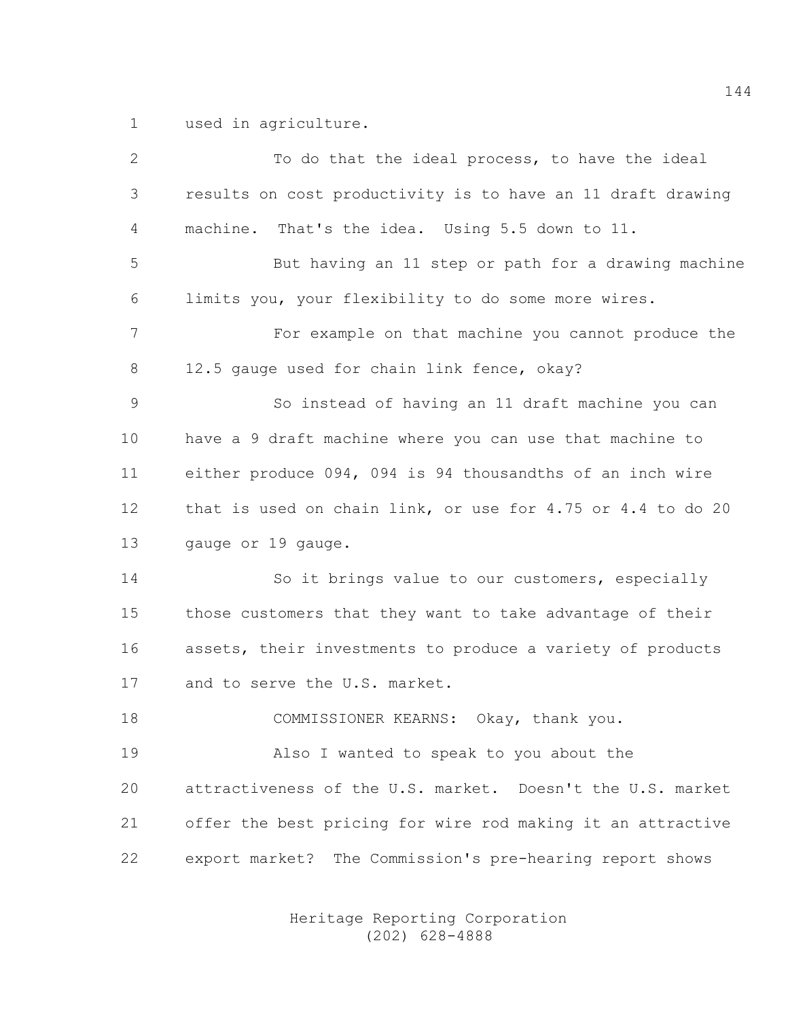1 used in agriculture.

| $\mathbf{2}$ | To do that the ideal process, to have the ideal             |
|--------------|-------------------------------------------------------------|
| 3            | results on cost productivity is to have an 11 draft drawing |
| 4            | machine. That's the idea. Using 5.5 down to 11.             |
| 5            | But having an 11 step or path for a drawing machine         |
| 6            | limits you, your flexibility to do some more wires.         |
| 7            | For example on that machine you cannot produce the          |
| 8            | 12.5 gauge used for chain link fence, okay?                 |
| 9            | So instead of having an 11 draft machine you can            |
| 10           | have a 9 draft machine where you can use that machine to    |
| 11           | either produce 094, 094 is 94 thousandths of an inch wire   |
| 12           | that is used on chain link, or use for 4.75 or 4.4 to do 20 |
| 13           | gauge or 19 gauge.                                          |
| 14           | So it brings value to our customers, especially             |
| 15           | those customers that they want to take advantage of their   |
| 16           | assets, their investments to produce a variety of products  |
| 17           | and to serve the U.S. market.                               |
| 18           | COMMISSIONER KEARNS: Okay, thank you.                       |
| 19           | Also I wanted to speak to you about the                     |
| 20           | attractiveness of the U.S. market. Doesn't the U.S. market  |
| 21           | offer the best pricing for wire rod making it an attractive |
| 22           | export market? The Commission's pre-hearing report shows    |
|              |                                                             |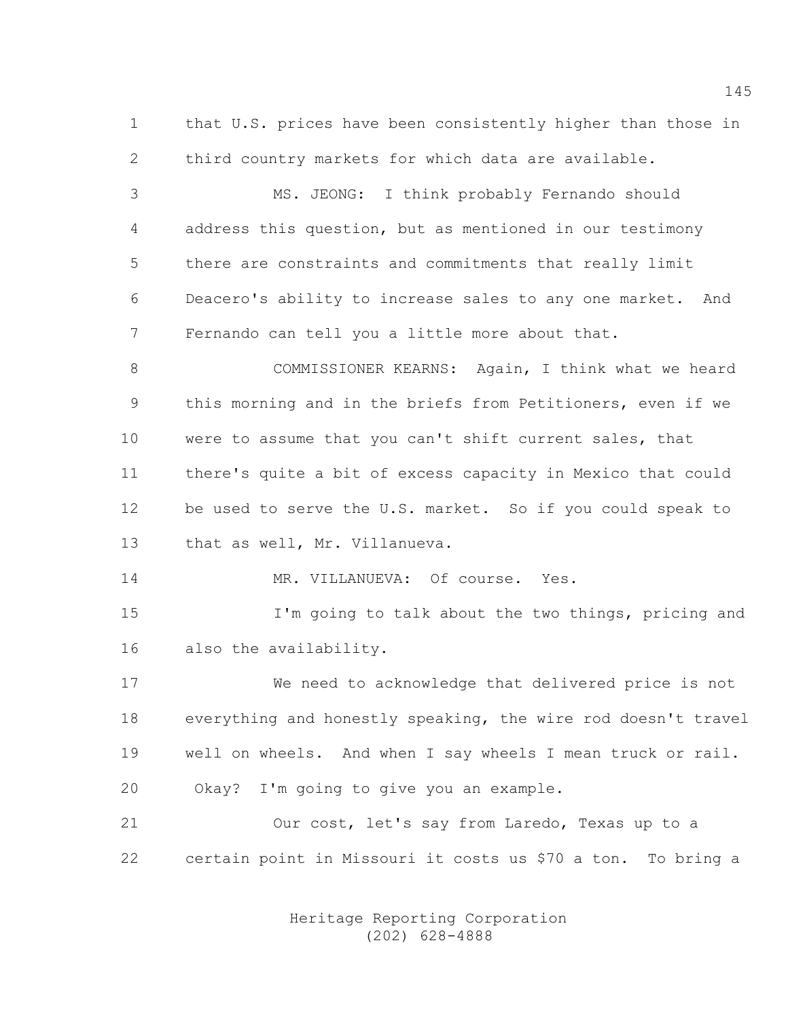1 that U.S. prices have been consistently higher than those in 2 third country markets for which data are available.

3 MS. JEONG: I think probably Fernando should 4 address this question, but as mentioned in our testimony 5 there are constraints and commitments that really limit 6 Deacero's ability to increase sales to any one market. And 7 Fernando can tell you a little more about that.

8 COMMISSIONER KEARNS: Again, I think what we heard 9 this morning and in the briefs from Petitioners, even if we 10 were to assume that you can't shift current sales, that 11 there's quite a bit of excess capacity in Mexico that could 12 be used to serve the U.S. market. So if you could speak to 13 that as well, Mr. Villanueva.

14 MR. VILLANUEVA: Of course. Yes.

15 I'm going to talk about the two things, pricing and 16 also the availability.

17 We need to acknowledge that delivered price is not 18 everything and honestly speaking, the wire rod doesn't travel 19 well on wheels. And when I say wheels I mean truck or rail. 20 Okay? I'm going to give you an example.

21 Our cost, let's say from Laredo, Texas up to a 22 certain point in Missouri it costs us \$70 a ton. To bring a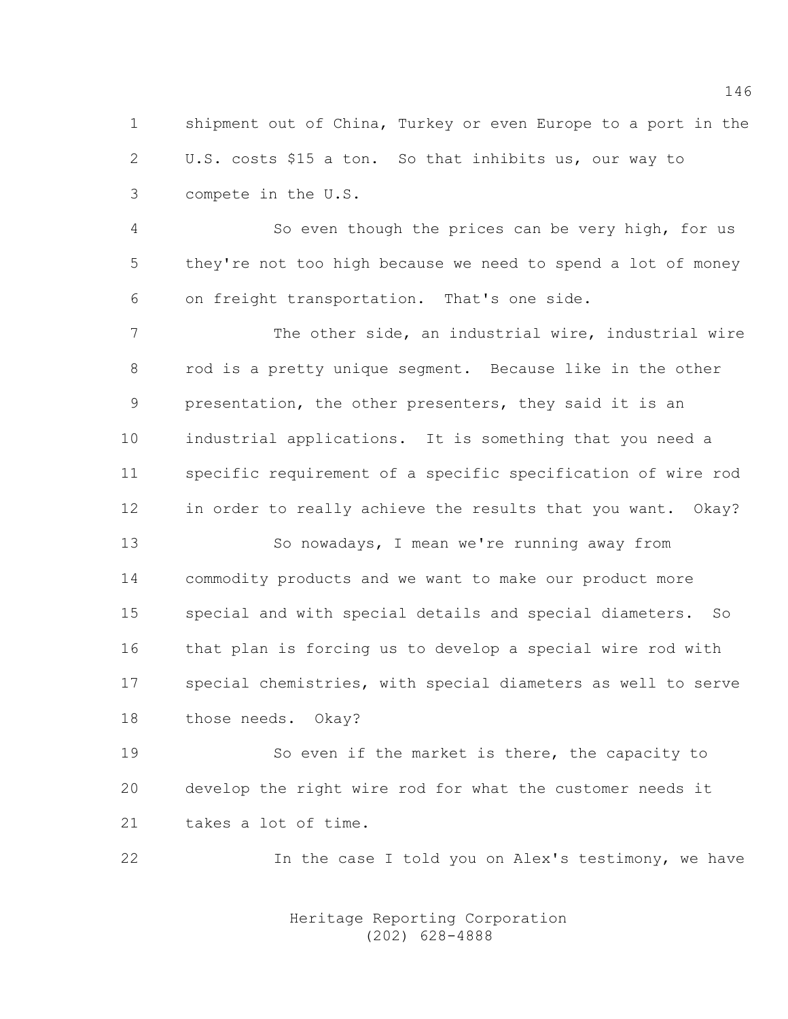1 shipment out of China, Turkey or even Europe to a port in the 2 U.S. costs \$15 a ton. So that inhibits us, our way to 3 compete in the U.S.

4 So even though the prices can be very high, for us 5 they're not too high because we need to spend a lot of money 6 on freight transportation. That's one side.

7 The other side, an industrial wire, industrial wire 8 rod is a pretty unique segment. Because like in the other 9 presentation, the other presenters, they said it is an 10 industrial applications. It is something that you need a 11 specific requirement of a specific specification of wire rod 12 in order to really achieve the results that you want. Okay?

13 So nowadays, I mean we're running away from 14 commodity products and we want to make our product more 15 special and with special details and special diameters. So 16 that plan is forcing us to develop a special wire rod with 17 special chemistries, with special diameters as well to serve 18 those needs. Okay?

19 So even if the market is there, the capacity to 20 develop the right wire rod for what the customer needs it 21 takes a lot of time.

22 12 In the case I told you on Alex's testimony, we have

 Heritage Reporting Corporation (202) 628-4888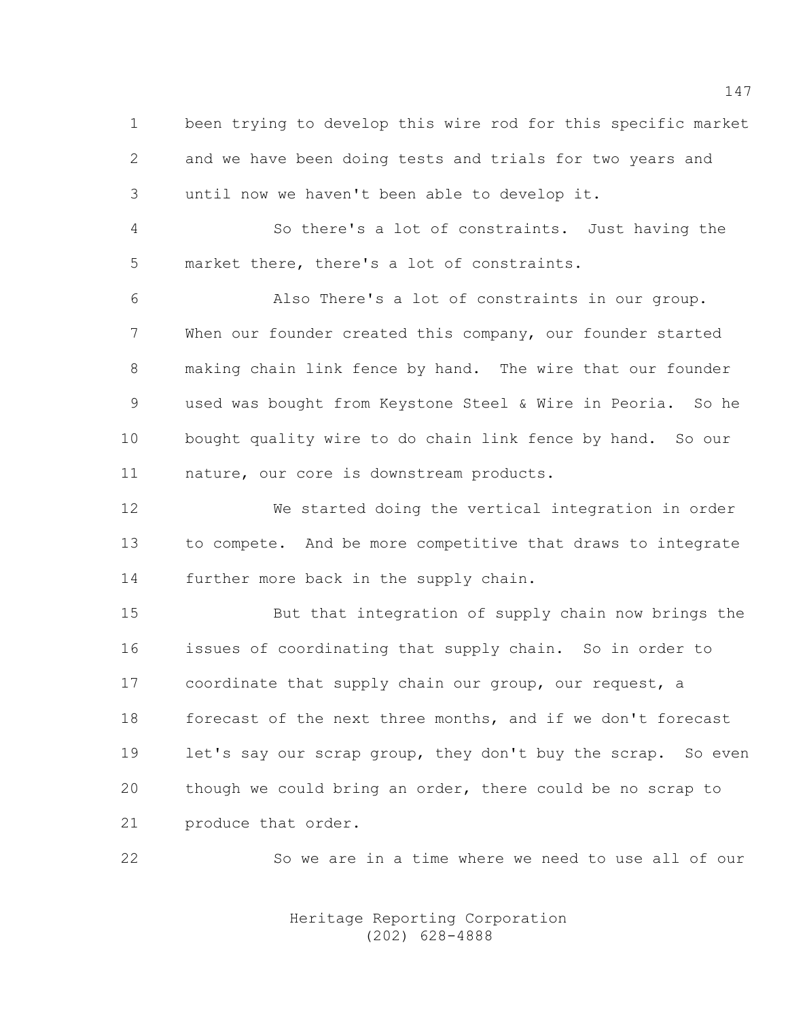1 been trying to develop this wire rod for this specific market 2 and we have been doing tests and trials for two years and 3 until now we haven't been able to develop it.

4 So there's a lot of constraints. Just having the 5 market there, there's a lot of constraints.

6 Also There's a lot of constraints in our group. 7 When our founder created this company, our founder started 8 making chain link fence by hand. The wire that our founder 9 used was bought from Keystone Steel & Wire in Peoria. So he 10 bought quality wire to do chain link fence by hand. So our 11 nature, our core is downstream products.

12 We started doing the vertical integration in order 13 to compete. And be more competitive that draws to integrate 14 further more back in the supply chain.

15 But that integration of supply chain now brings the 16 issues of coordinating that supply chain. So in order to 17 coordinate that supply chain our group, our request, a 18 forecast of the next three months, and if we don't forecast 19 let's say our scrap group, they don't buy the scrap. So even 20 though we could bring an order, there could be no scrap to 21 produce that order.

22 So we are in a time where we need to use all of our

 Heritage Reporting Corporation (202) 628-4888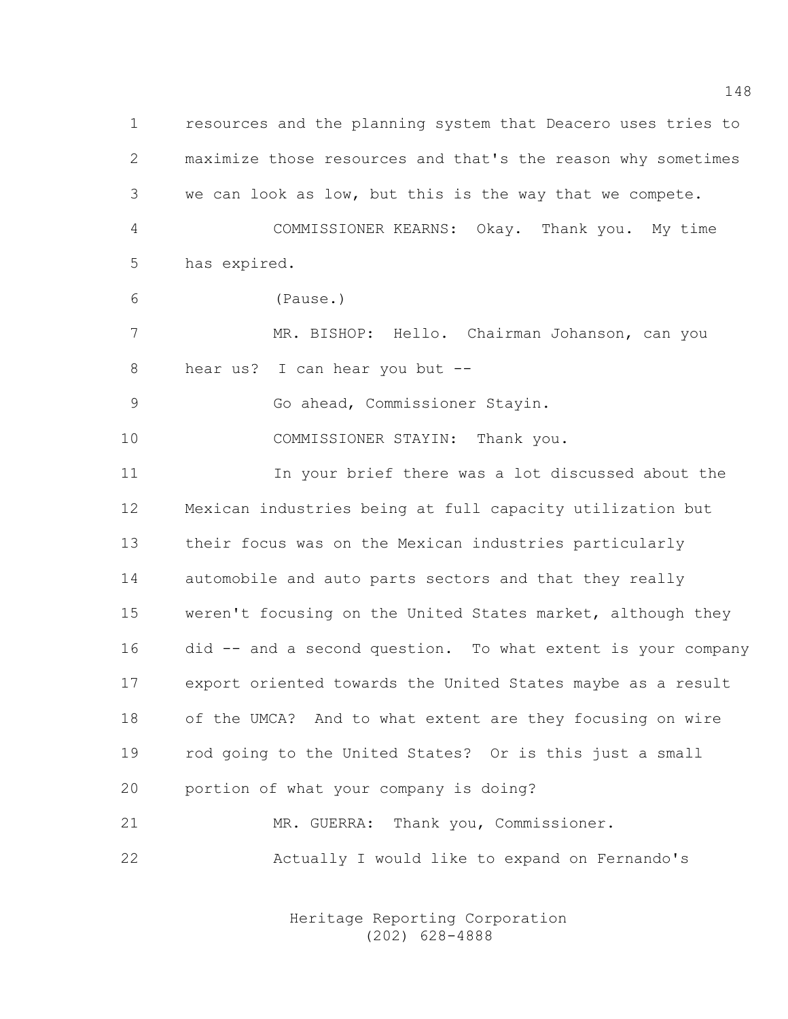1 resources and the planning system that Deacero uses tries to 2 maximize those resources and that's the reason why sometimes 3 we can look as low, but this is the way that we compete. 4 COMMISSIONER KEARNS: Okay. Thank you. My time 5 has expired. 6 (Pause.) 7 MR. BISHOP: Hello. Chairman Johanson, can you 8 hear us? I can hear you but -- 9 Go ahead, Commissioner Stayin. 10 COMMISSIONER STAYIN: Thank you. 11 In your brief there was a lot discussed about the 12 Mexican industries being at full capacity utilization but 13 their focus was on the Mexican industries particularly 14 automobile and auto parts sectors and that they really 15 weren't focusing on the United States market, although they 16 did -- and a second question. To what extent is your company 17 export oriented towards the United States maybe as a result 18 of the UMCA? And to what extent are they focusing on wire 19 rod going to the United States? Or is this just a small 20 portion of what your company is doing? 21 MR. GUERRA: Thank you, Commissioner. 22 Actually I would like to expand on Fernando's

> Heritage Reporting Corporation (202) 628-4888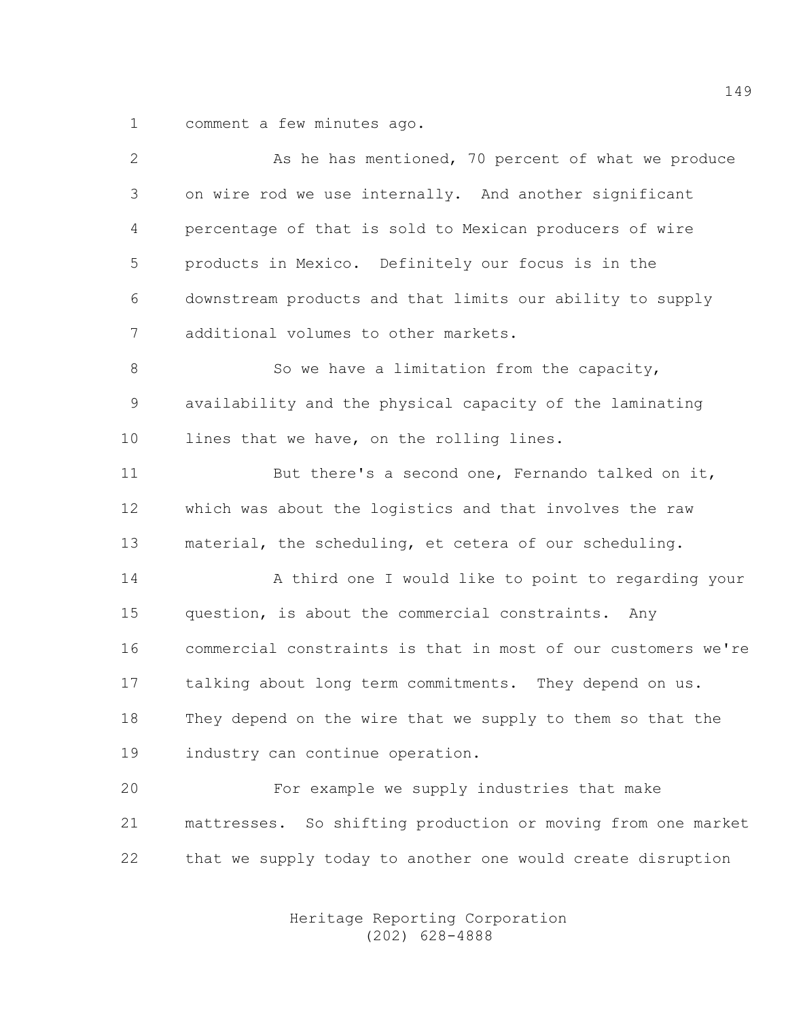1 comment a few minutes ago.

| $\mathbf{2}$ | As he has mentioned, 70 percent of what we produce            |
|--------------|---------------------------------------------------------------|
| 3            | on wire rod we use internally. And another significant        |
| 4            | percentage of that is sold to Mexican producers of wire       |
| 5            | products in Mexico. Definitely our focus is in the            |
| 6            | downstream products and that limits our ability to supply     |
| 7            | additional volumes to other markets.                          |
| $8\,$        | So we have a limitation from the capacity,                    |
| 9            | availability and the physical capacity of the laminating      |
| 10           | lines that we have, on the rolling lines.                     |
| 11           | But there's a second one, Fernando talked on it,              |
| 12           | which was about the logistics and that involves the raw       |
| 13           | material, the scheduling, et cetera of our scheduling.        |
| 14           | A third one I would like to point to regarding your           |
| 15           | question, is about the commercial constraints. Any            |
| 16           | commercial constraints is that in most of our customers we're |
| 17           | talking about long term commitments. They depend on us.       |
| 18           | They depend on the wire that we supply to them so that the    |
| 19           | industry can continue operation.                              |
| 20           | For example we supply industries that make                    |
| 21           | mattresses. So shifting production or moving from one market  |
| 22           | that we supply today to another one would create disruption   |
|              |                                                               |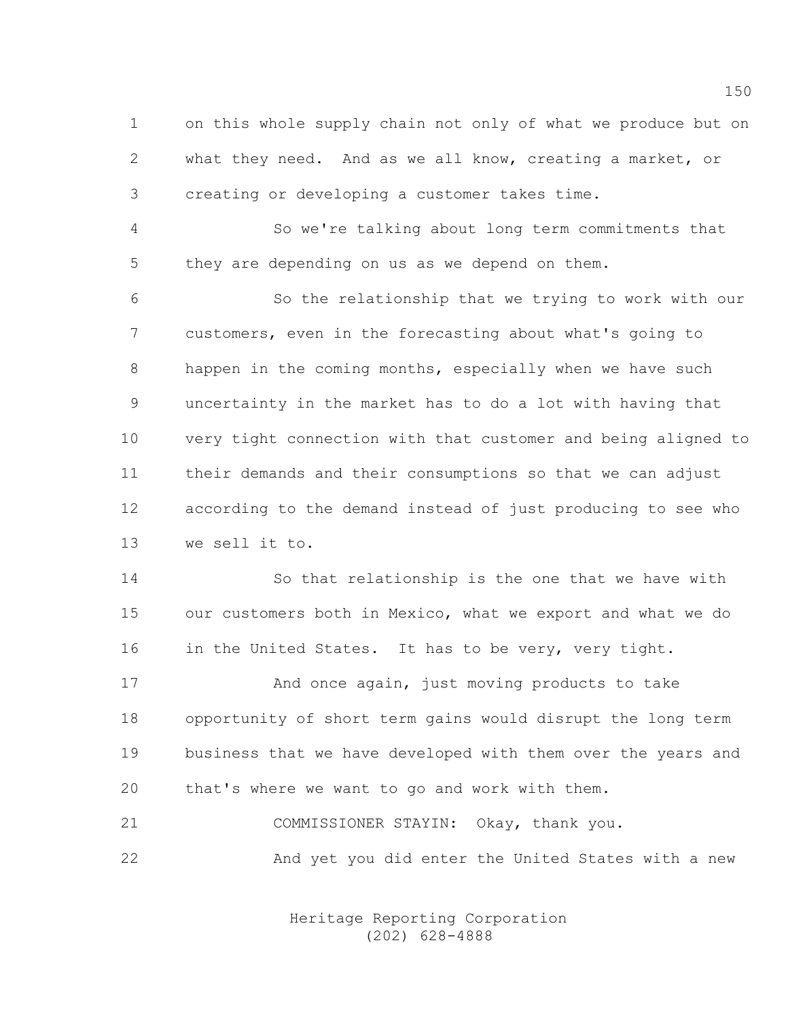1 on this whole supply chain not only of what we produce but on 2 what they need. And as we all know, creating a market, or 3 creating or developing a customer takes time.

4 So we're talking about long term commitments that 5 they are depending on us as we depend on them.

6 So the relationship that we trying to work with our 7 customers, even in the forecasting about what's going to 8 happen in the coming months, especially when we have such 9 uncertainty in the market has to do a lot with having that 10 very tight connection with that customer and being aligned to 11 their demands and their consumptions so that we can adjust 12 according to the demand instead of just producing to see who 13 we sell it to.

14 So that relationship is the one that we have with 15 our customers both in Mexico, what we export and what we do 16 in the United States. It has to be very, very tight.

17 And once again, just moving products to take 18 opportunity of short term gains would disrupt the long term 19 business that we have developed with them over the years and 20 that's where we want to go and work with them.

21 COMMISSIONER STAYIN: Okay, thank you. 22 And yet you did enter the United States with a new

> Heritage Reporting Corporation (202) 628-4888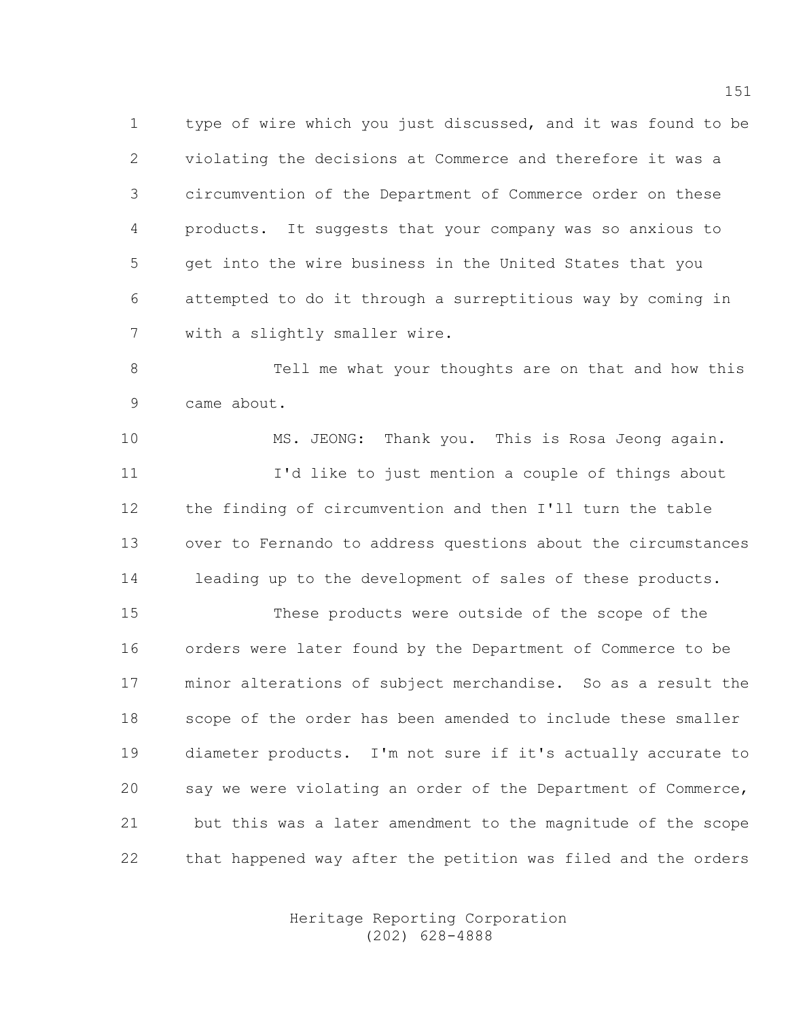1 type of wire which you just discussed, and it was found to be 2 violating the decisions at Commerce and therefore it was a 3 circumvention of the Department of Commerce order on these 4 products. It suggests that your company was so anxious to 5 get into the wire business in the United States that you 6 attempted to do it through a surreptitious way by coming in 7 with a slightly smaller wire.

8 Tell me what your thoughts are on that and how this 9 came about.

10 MS. JEONG: Thank you. This is Rosa Jeong again. 11 I'd like to just mention a couple of things about 12 the finding of circumvention and then I'll turn the table 13 over to Fernando to address questions about the circumstances 14 leading up to the development of sales of these products.

15 These products were outside of the scope of the 16 orders were later found by the Department of Commerce to be 17 minor alterations of subject merchandise. So as a result the 18 scope of the order has been amended to include these smaller 19 diameter products. I'm not sure if it's actually accurate to 20 say we were violating an order of the Department of Commerce, 21 but this was a later amendment to the magnitude of the scope 22 that happened way after the petition was filed and the orders

> Heritage Reporting Corporation (202) 628-4888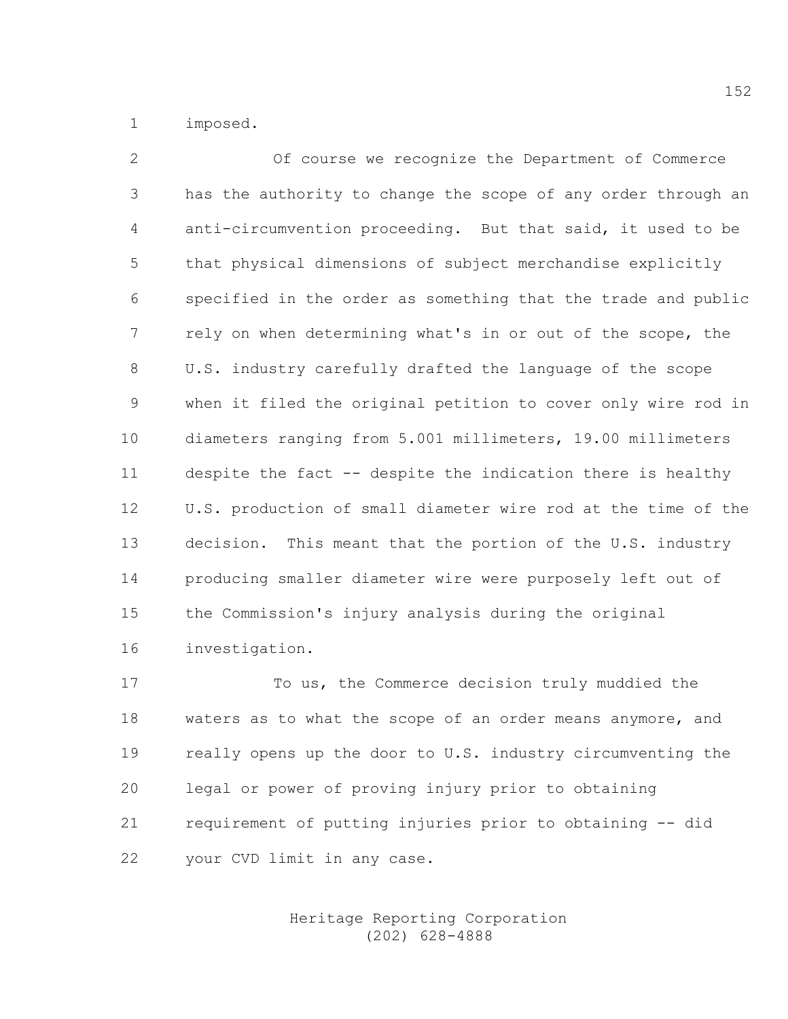1 imposed.

2 Of course we recognize the Department of Commerce 3 has the authority to change the scope of any order through an 4 anti-circumvention proceeding. But that said, it used to be 5 that physical dimensions of subject merchandise explicitly 6 specified in the order as something that the trade and public 7 rely on when determining what's in or out of the scope, the 8 U.S. industry carefully drafted the language of the scope 9 when it filed the original petition to cover only wire rod in 10 diameters ranging from 5.001 millimeters, 19.00 millimeters 11 despite the fact -- despite the indication there is healthy 12 U.S. production of small diameter wire rod at the time of the 13 decision. This meant that the portion of the U.S. industry 14 producing smaller diameter wire were purposely left out of 15 the Commission's injury analysis during the original 16 investigation.

17 To us, the Commerce decision truly muddied the 18 waters as to what the scope of an order means anymore, and 19 really opens up the door to U.S. industry circumventing the 20 legal or power of proving injury prior to obtaining 21 requirement of putting injuries prior to obtaining -- did 22 your CVD limit in any case.

> Heritage Reporting Corporation (202) 628-4888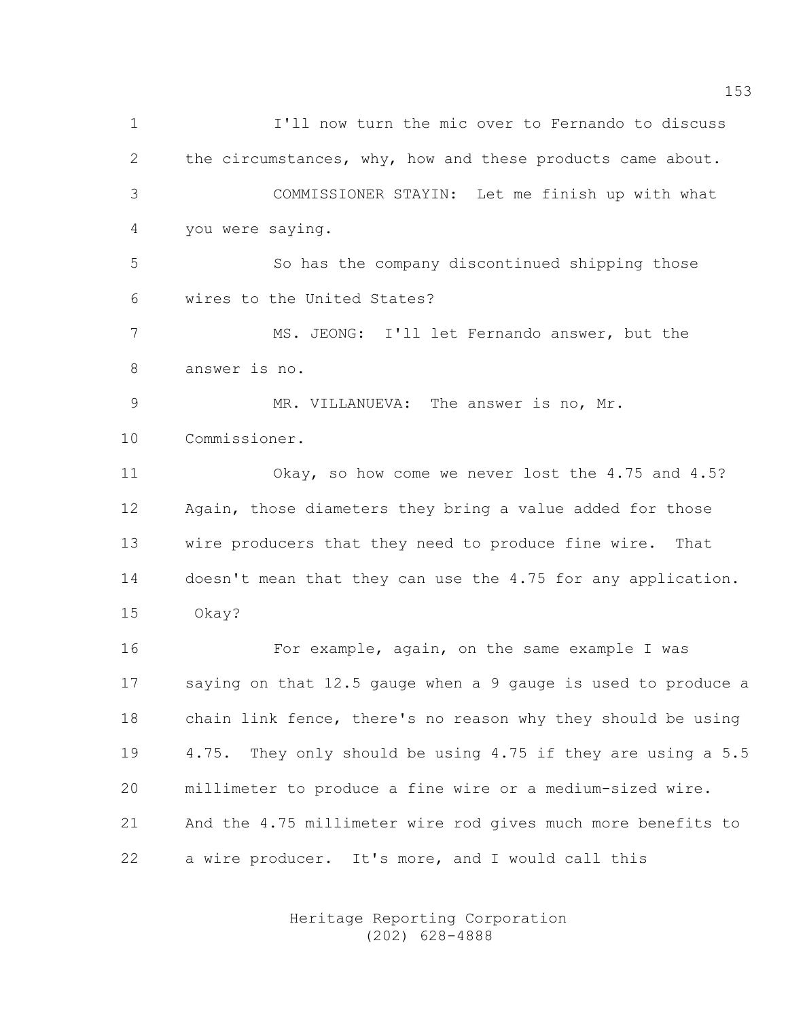1 I'll now turn the mic over to Fernando to discuss 2 the circumstances, why, how and these products came about. 3 COMMISSIONER STAYIN: Let me finish up with what 4 you were saying. 5 So has the company discontinued shipping those 6 wires to the United States? 7 MS. JEONG: I'll let Fernando answer, but the 8 answer is no. 9 MR. VILLANUEVA: The answer is no, Mr. 10 Commissioner. 11 Okay, so how come we never lost the 4.75 and 4.5? 12 Again, those diameters they bring a value added for those 13 wire producers that they need to produce fine wire. That 14 doesn't mean that they can use the 4.75 for any application. 15 Okay? 16 For example, again, on the same example I was 17 saying on that 12.5 gauge when a 9 gauge is used to produce a 18 chain link fence, there's no reason why they should be using 19 4.75. They only should be using 4.75 if they are using a 5.5 20 millimeter to produce a fine wire or a medium-sized wire. 21 And the 4.75 millimeter wire rod gives much more benefits to 22 a wire producer. It's more, and I would call this

> Heritage Reporting Corporation (202) 628-4888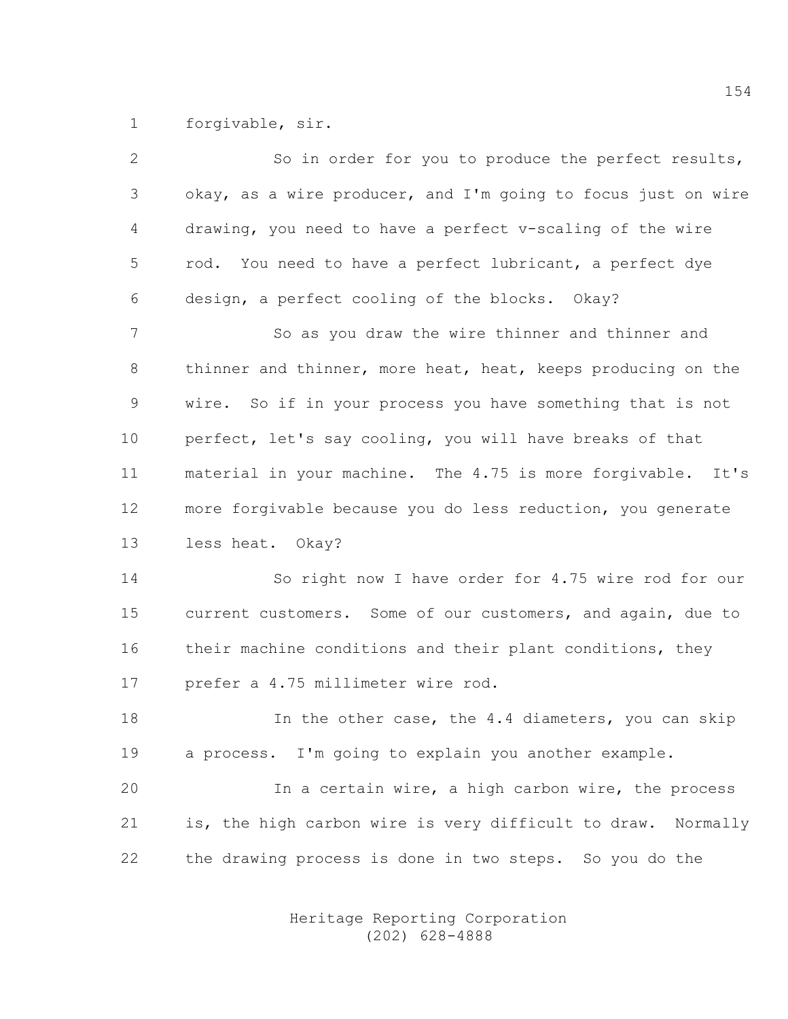1 forgivable, sir.

2 So in order for you to produce the perfect results, 3 okay, as a wire producer, and I'm going to focus just on wire 4 drawing, you need to have a perfect v-scaling of the wire 5 rod. You need to have a perfect lubricant, a perfect dye 6 design, a perfect cooling of the blocks. Okay? 7 So as you draw the wire thinner and thinner and 8 thinner and thinner, more heat, heat, keeps producing on the 9 wire. So if in your process you have something that is not 10 perfect, let's say cooling, you will have breaks of that 11 material in your machine. The 4.75 is more forgivable. It's 12 more forgivable because you do less reduction, you generate 13 less heat. Okay? 14 So right now I have order for 4.75 wire rod for our 15 current customers. Some of our customers, and again, due to 16 their machine conditions and their plant conditions, they 17 prefer a 4.75 millimeter wire rod. 18 In the other case, the 4.4 diameters, you can skip 19 a process. I'm going to explain you another example. 20 In a certain wire, a high carbon wire, the process 21 is, the high carbon wire is very difficult to draw. Normally 22 the drawing process is done in two steps. So you do the

> Heritage Reporting Corporation (202) 628-4888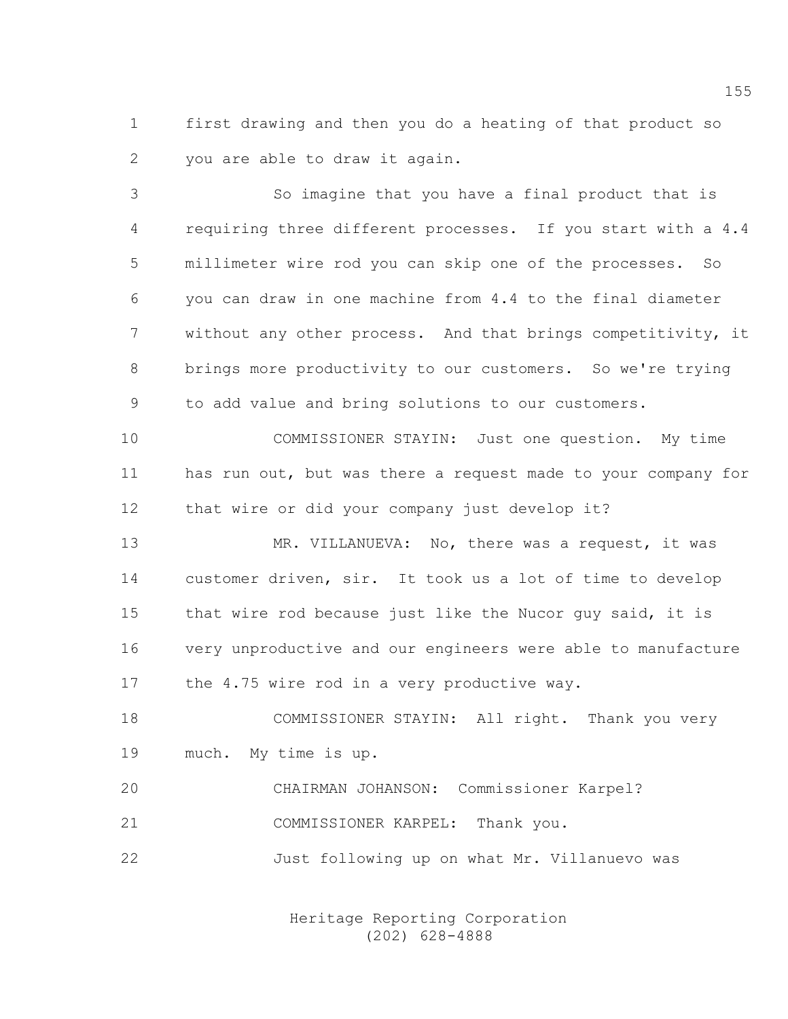1 first drawing and then you do a heating of that product so 2 you are able to draw it again.

3 So imagine that you have a final product that is 4 requiring three different processes. If you start with a 4.4 5 millimeter wire rod you can skip one of the processes. So 6 you can draw in one machine from 4.4 to the final diameter 7 without any other process. And that brings competitivity, it 8 brings more productivity to our customers. So we're trying 9 to add value and bring solutions to our customers.

10 COMMISSIONER STAYIN: Just one question. My time 11 has run out, but was there a request made to your company for 12 that wire or did your company just develop it?

13 MR. VILLANUEVA: No, there was a request, it was 14 customer driven, sir. It took us a lot of time to develop 15 that wire rod because just like the Nucor guy said, it is 16 very unproductive and our engineers were able to manufacture 17 the 4.75 wire rod in a very productive way.

18 COMMISSIONER STAYIN: All right. Thank you very 19 much. My time is up.

20 CHAIRMAN JOHANSON: Commissioner Karpel? 21 COMMISSIONER KARPEL: Thank you. 22 Just following up on what Mr. Villanuevo was

> Heritage Reporting Corporation (202) 628-4888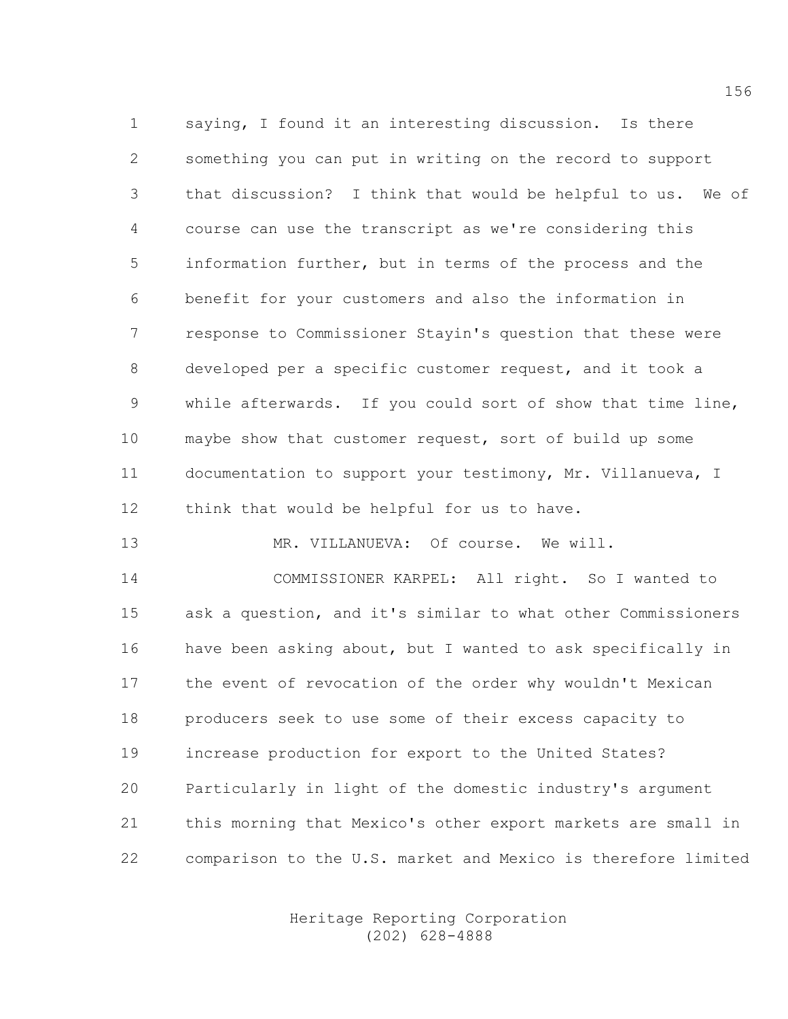1 saying, I found it an interesting discussion. Is there 2 something you can put in writing on the record to support 3 that discussion? I think that would be helpful to us. We of 4 course can use the transcript as we're considering this 5 information further, but in terms of the process and the 6 benefit for your customers and also the information in 7 response to Commissioner Stayin's question that these were 8 developed per a specific customer request, and it took a 9 while afterwards. If you could sort of show that time line, 10 maybe show that customer request, sort of build up some 11 documentation to support your testimony, Mr. Villanueva, I 12 think that would be helpful for us to have.

13 MR. VILLANUEVA: Of course. We will. 14 COMMISSIONER KARPEL: All right. So I wanted to 15 ask a question, and it's similar to what other Commissioners 16 have been asking about, but I wanted to ask specifically in 17 the event of revocation of the order why wouldn't Mexican 18 producers seek to use some of their excess capacity to 19 increase production for export to the United States? 20 Particularly in light of the domestic industry's argument 21 this morning that Mexico's other export markets are small in 22 comparison to the U.S. market and Mexico is therefore limited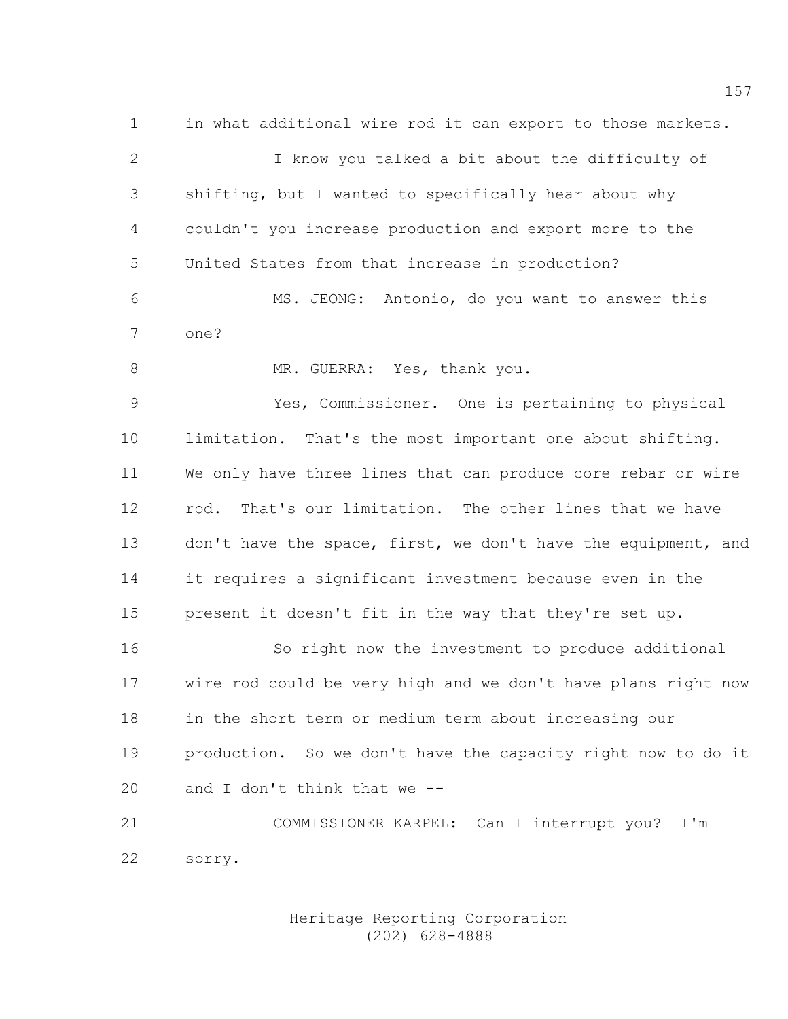1 in what additional wire rod it can export to those markets. 2 I know you talked a bit about the difficulty of 3 shifting, but I wanted to specifically hear about why 4 couldn't you increase production and export more to the 5 United States from that increase in production? 6 MS. JEONG: Antonio, do you want to answer this 7 one? 8 MR. GUERRA: Yes, thank you. 9 Yes, Commissioner. One is pertaining to physical 10 limitation. That's the most important one about shifting. 11 We only have three lines that can produce core rebar or wire 12 rod. That's our limitation. The other lines that we have 13 don't have the space, first, we don't have the equipment, and 14 it requires a significant investment because even in the 15 present it doesn't fit in the way that they're set up. 16 So right now the investment to produce additional 17 wire rod could be very high and we don't have plans right now 18 in the short term or medium term about increasing our 19 production. So we don't have the capacity right now to do it 20 and I don't think that we -- 21 COMMISSIONER KARPEL: Can I interrupt you? I'm 22 sorry.

> Heritage Reporting Corporation (202) 628-4888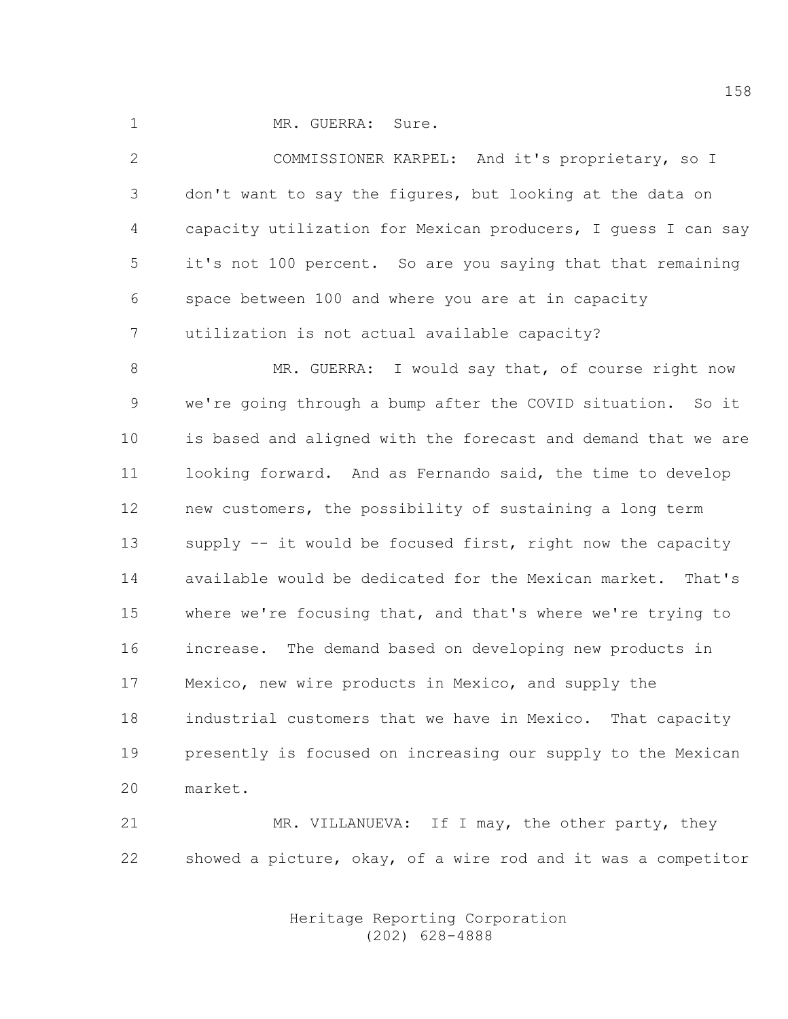1 MR. GUERRA: Sure.

2 COMMISSIONER KARPEL: And it's proprietary, so I 3 don't want to say the figures, but looking at the data on 4 capacity utilization for Mexican producers, I guess I can say 5 it's not 100 percent. So are you saying that that remaining 6 space between 100 and where you are at in capacity 7 utilization is not actual available capacity?

8 MR. GUERRA: I would say that, of course right now 9 we're going through a bump after the COVID situation. So it 10 is based and aligned with the forecast and demand that we are 11 looking forward. And as Fernando said, the time to develop 12 new customers, the possibility of sustaining a long term 13 supply -- it would be focused first, right now the capacity 14 available would be dedicated for the Mexican market. That's 15 where we're focusing that, and that's where we're trying to 16 increase. The demand based on developing new products in 17 Mexico, new wire products in Mexico, and supply the 18 industrial customers that we have in Mexico. That capacity 19 presently is focused on increasing our supply to the Mexican 20 market.

21 MR. VILLANUEVA: If I may, the other party, they 22 showed a picture, okay, of a wire rod and it was a competitor

> Heritage Reporting Corporation (202) 628-4888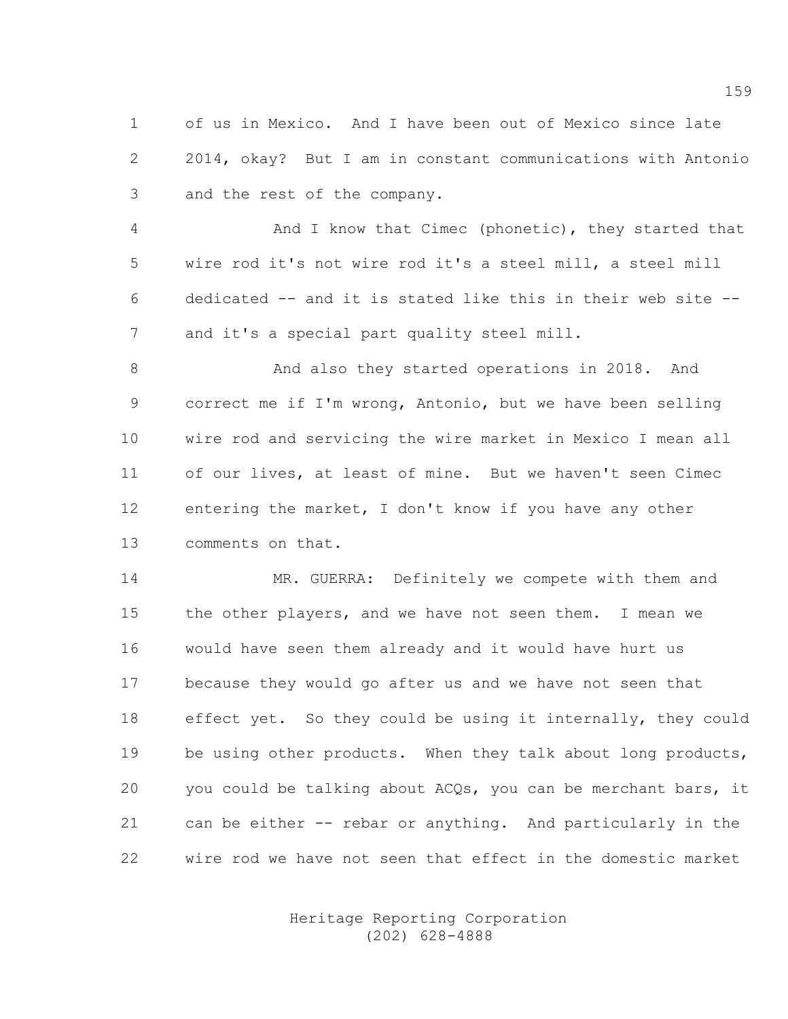1 of us in Mexico. And I have been out of Mexico since late 2 2014, okay? But I am in constant communications with Antonio 3 and the rest of the company.

4 And I know that Cimec (phonetic), they started that 5 wire rod it's not wire rod it's a steel mill, a steel mill 6 dedicated -- and it is stated like this in their web site -- 7 and it's a special part quality steel mill.

8 And also they started operations in 2018. And 9 correct me if I'm wrong, Antonio, but we have been selling 10 wire rod and servicing the wire market in Mexico I mean all 11 of our lives, at least of mine. But we haven't seen Cimec 12 entering the market, I don't know if you have any other 13 comments on that.

14 MR. GUERRA: Definitely we compete with them and 15 the other players, and we have not seen them. I mean we 16 would have seen them already and it would have hurt us 17 because they would go after us and we have not seen that 18 effect yet. So they could be using it internally, they could 19 be using other products. When they talk about long products, 20 you could be talking about ACQs, you can be merchant bars, it 21 can be either -- rebar or anything. And particularly in the 22 wire rod we have not seen that effect in the domestic market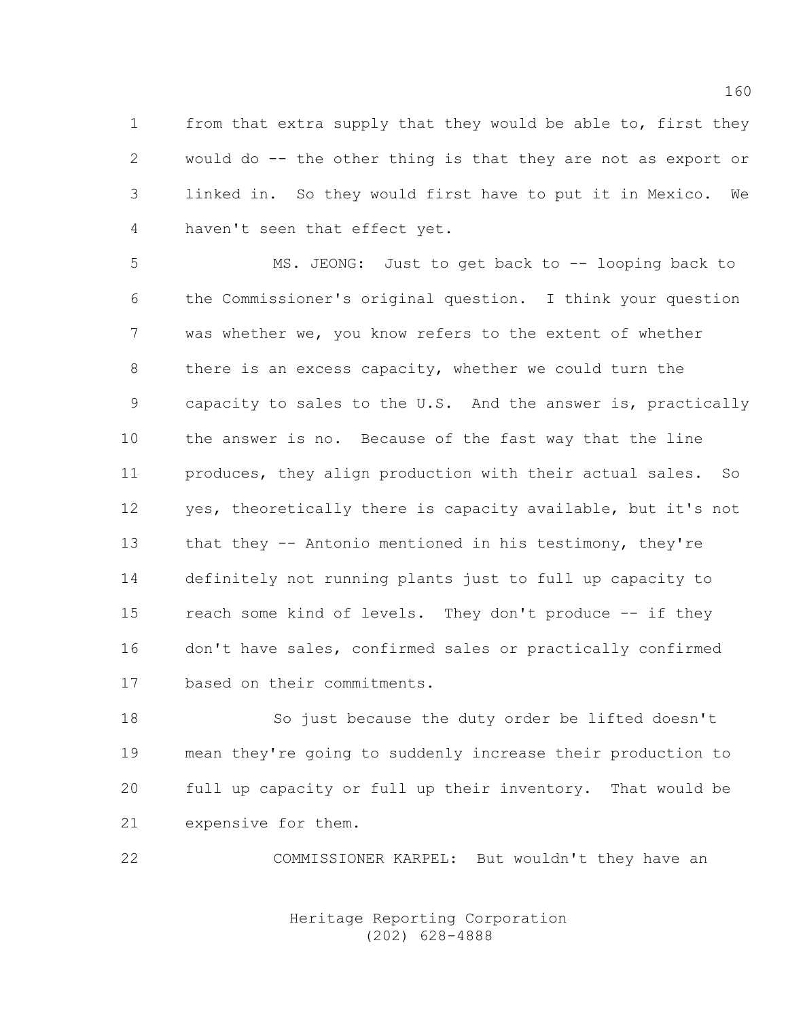1 from that extra supply that they would be able to, first they 2 would do -- the other thing is that they are not as export or 3 linked in. So they would first have to put it in Mexico. We 4 haven't seen that effect yet.

5 MS. JEONG: Just to get back to -- looping back to 6 the Commissioner's original question. I think your question 7 was whether we, you know refers to the extent of whether 8 there is an excess capacity, whether we could turn the 9 capacity to sales to the U.S. And the answer is, practically 10 the answer is no. Because of the fast way that the line 11 produces, they align production with their actual sales. So 12 yes, theoretically there is capacity available, but it's not 13 that they -- Antonio mentioned in his testimony, they're 14 definitely not running plants just to full up capacity to 15 reach some kind of levels. They don't produce -- if they 16 don't have sales, confirmed sales or practically confirmed 17 based on their commitments.

18 So just because the duty order be lifted doesn't 19 mean they're going to suddenly increase their production to 20 full up capacity or full up their inventory. That would be 21 expensive for them.

22 COMMISSIONER KARPEL: But wouldn't they have an

 Heritage Reporting Corporation (202) 628-4888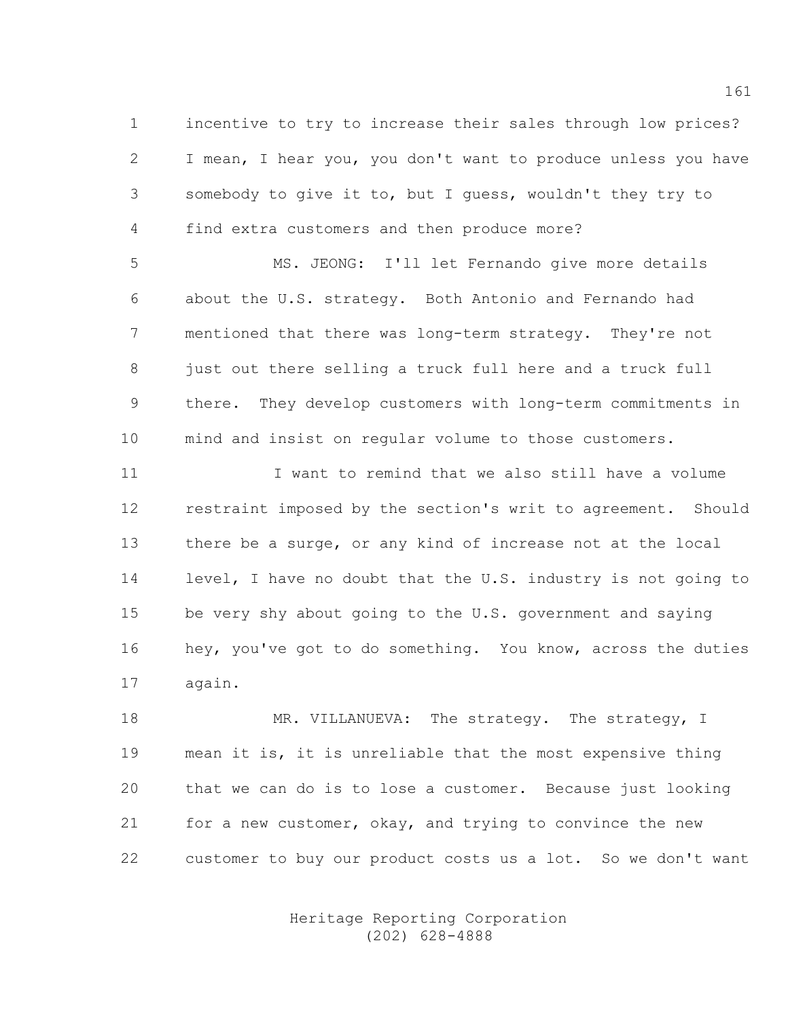1 incentive to try to increase their sales through low prices? 2 I mean, I hear you, you don't want to produce unless you have 3 somebody to give it to, but I guess, wouldn't they try to 4 find extra customers and then produce more?

5 MS. JEONG: I'll let Fernando give more details 6 about the U.S. strategy. Both Antonio and Fernando had 7 mentioned that there was long-term strategy. They're not 8 just out there selling a truck full here and a truck full 9 there. They develop customers with long-term commitments in 10 mind and insist on regular volume to those customers.

11 I want to remind that we also still have a volume 12 restraint imposed by the section's writ to agreement. Should 13 there be a surge, or any kind of increase not at the local 14 level, I have no doubt that the U.S. industry is not going to 15 be very shy about going to the U.S. government and saying 16 hey, you've got to do something. You know, across the duties 17 again.

18 MR. VILLANUEVA: The strategy. The strategy, I 19 mean it is, it is unreliable that the most expensive thing 20 that we can do is to lose a customer. Because just looking 21 for a new customer, okay, and trying to convince the new 22 customer to buy our product costs us a lot. So we don't want

> Heritage Reporting Corporation (202) 628-4888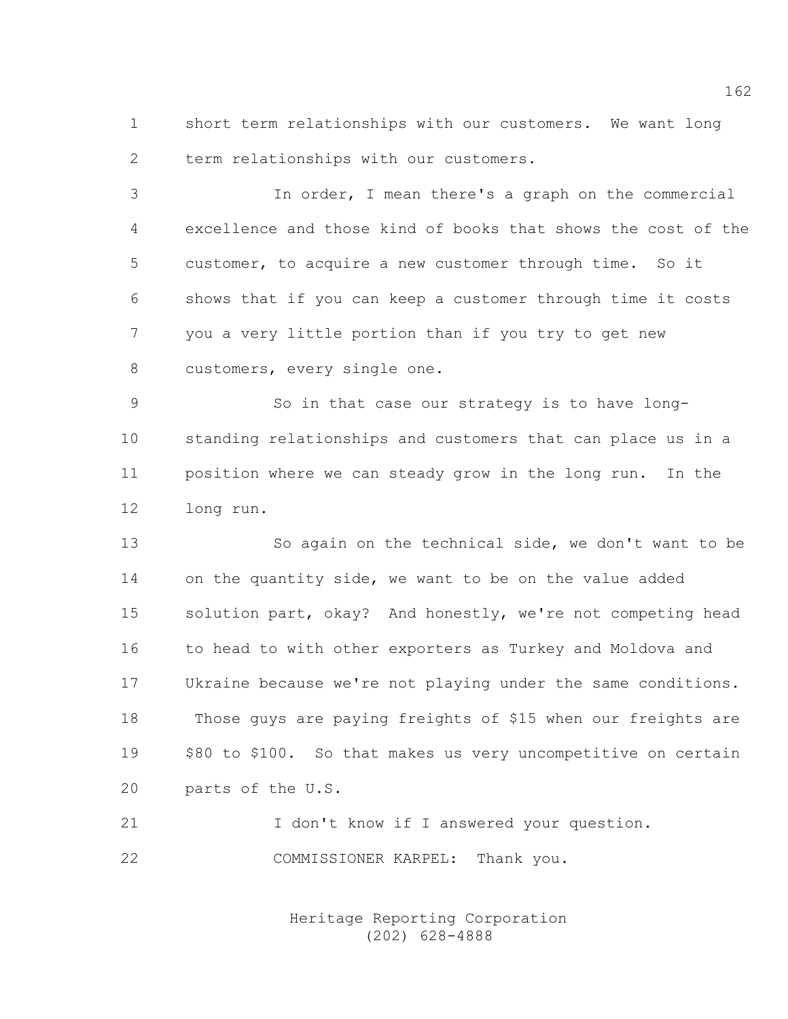1 short term relationships with our customers. We want long 2 term relationships with our customers.

3 In order, I mean there's a graph on the commercial 4 excellence and those kind of books that shows the cost of the 5 customer, to acquire a new customer through time. So it 6 shows that if you can keep a customer through time it costs 7 you a very little portion than if you try to get new 8 customers, every single one.

9 So in that case our strategy is to have long-10 standing relationships and customers that can place us in a 11 position where we can steady grow in the long run. In the 12 long run.

13 So again on the technical side, we don't want to be 14 on the quantity side, we want to be on the value added 15 solution part, okay? And honestly, we're not competing head 16 to head to with other exporters as Turkey and Moldova and 17 Ukraine because we're not playing under the same conditions. 18 Those guys are paying freights of \$15 when our freights are 19 \$80 to \$100. So that makes us very uncompetitive on certain 20 parts of the U.S.

21 I don't know if I answered your question. 22 COMMISSIONER KARPEL: Thank you.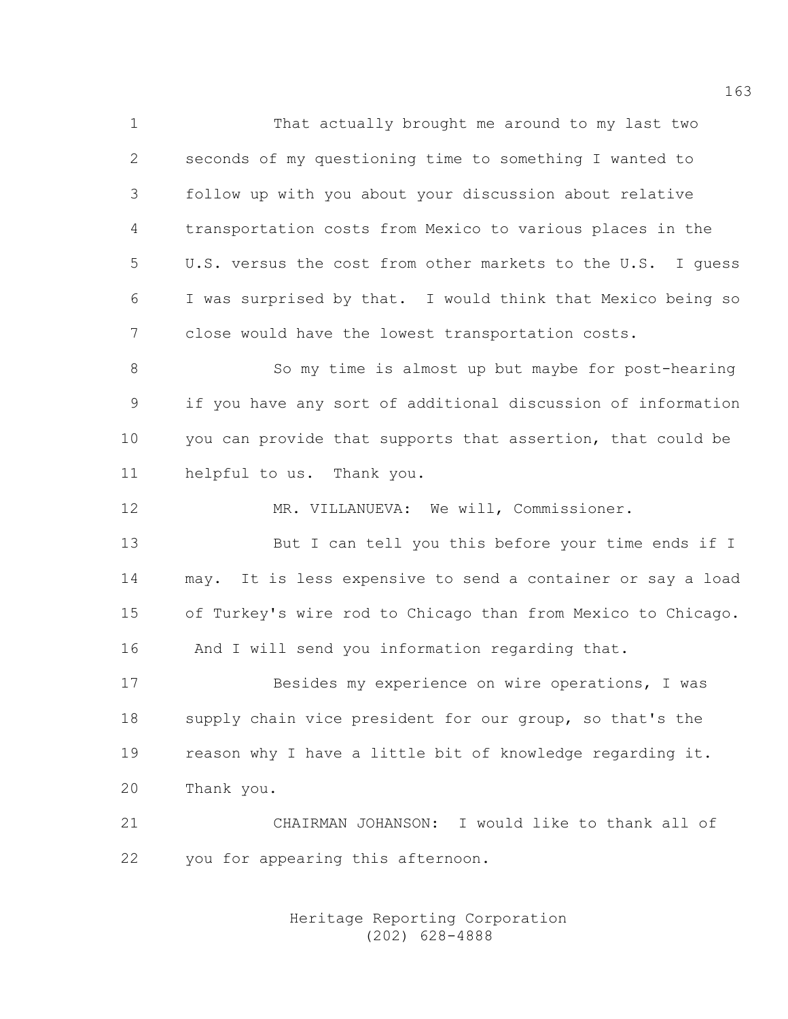1 That actually brought me around to my last two 2 seconds of my questioning time to something I wanted to 3 follow up with you about your discussion about relative 4 transportation costs from Mexico to various places in the 5 U.S. versus the cost from other markets to the U.S. I guess 6 I was surprised by that. I would think that Mexico being so 7 close would have the lowest transportation costs. 8 So my time is almost up but maybe for post-hearing 9 if you have any sort of additional discussion of information 10 you can provide that supports that assertion, that could be 11 helpful to us. Thank you.

12 MR. VILLANUEVA: We will, Commissioner.

13 But I can tell you this before your time ends if I 14 may. It is less expensive to send a container or say a load 15 of Turkey's wire rod to Chicago than from Mexico to Chicago. 16 And I will send you information regarding that.

17 Besides my experience on wire operations, I was 18 supply chain vice president for our group, so that's the 19 reason why I have a little bit of knowledge regarding it. 20 Thank you.

21 CHAIRMAN JOHANSON: I would like to thank all of 22 you for appearing this afternoon.

> Heritage Reporting Corporation (202) 628-4888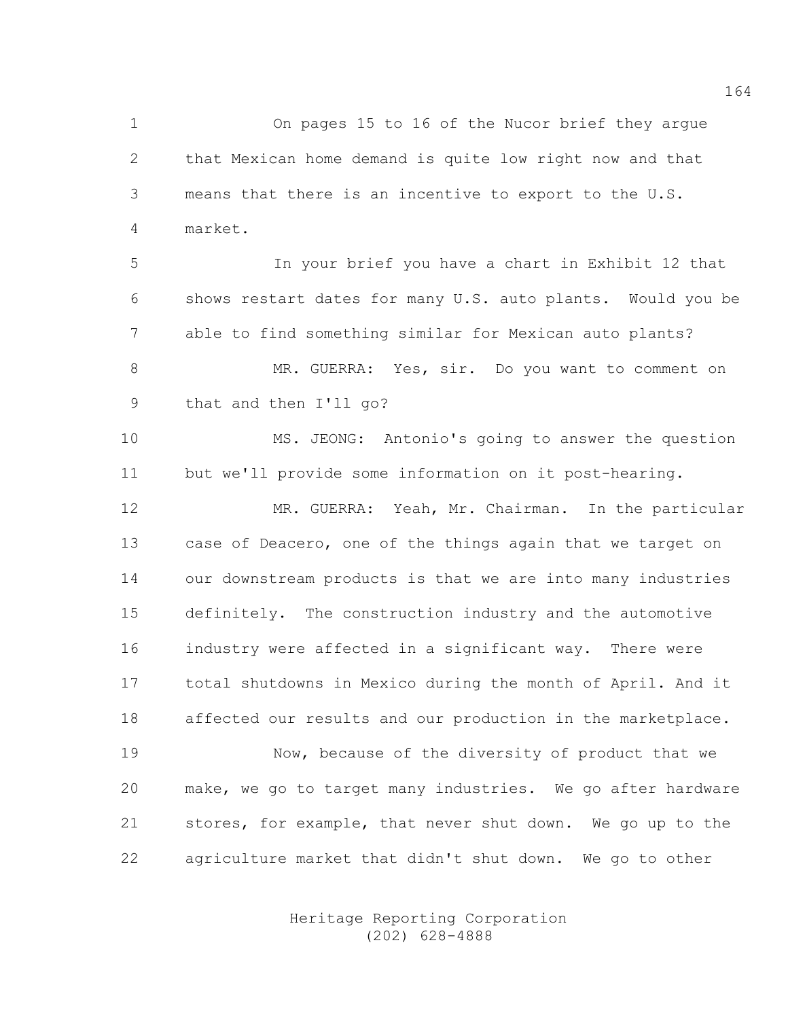1 On pages 15 to 16 of the Nucor brief they argue 2 that Mexican home demand is quite low right now and that 3 means that there is an incentive to export to the U.S. 4 market.

5 In your brief you have a chart in Exhibit 12 that 6 shows restart dates for many U.S. auto plants. Would you be 7 able to find something similar for Mexican auto plants? 8 MR. GUERRA: Yes, sir. Do you want to comment on 9 that and then I'll go?

10 MS. JEONG: Antonio's going to answer the question 11 but we'll provide some information on it post-hearing.

12 MR. GUERRA: Yeah, Mr. Chairman. In the particular 13 case of Deacero, one of the things again that we target on 14 our downstream products is that we are into many industries 15 definitely. The construction industry and the automotive 16 industry were affected in a significant way. There were 17 total shutdowns in Mexico during the month of April. And it 18 affected our results and our production in the marketplace.

19 Now, because of the diversity of product that we 20 make, we go to target many industries. We go after hardware 21 stores, for example, that never shut down. We go up to the 22 agriculture market that didn't shut down. We go to other

> Heritage Reporting Corporation (202) 628-4888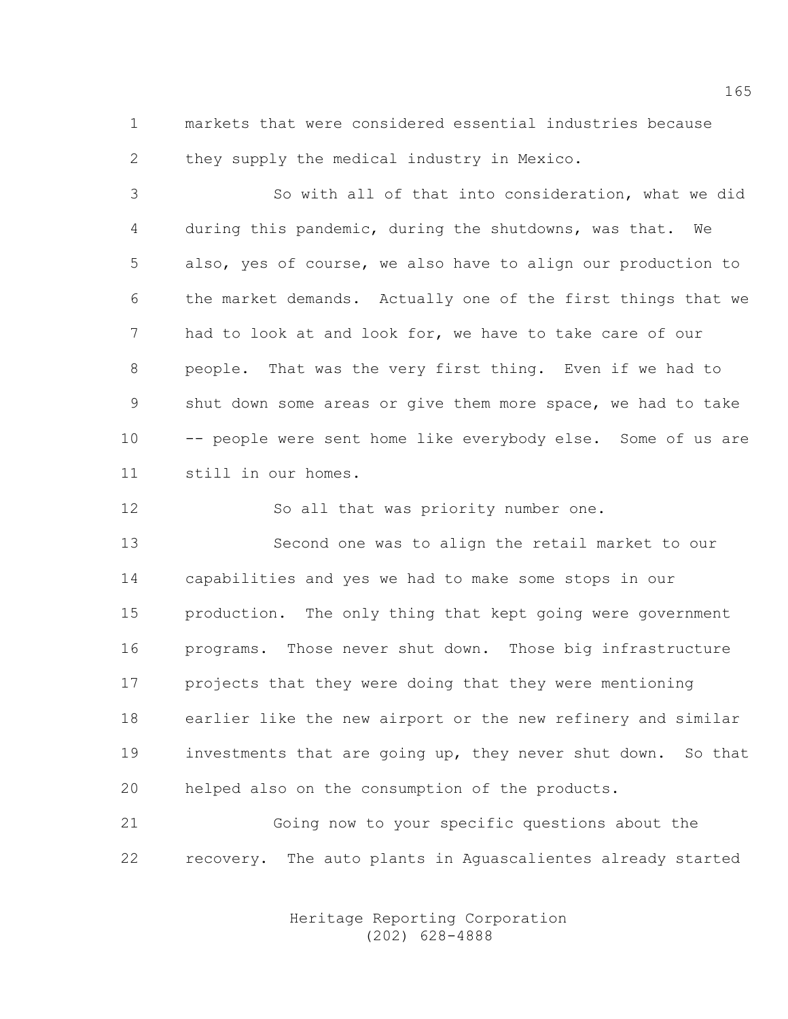1 markets that were considered essential industries because 2 they supply the medical industry in Mexico.

3 So with all of that into consideration, what we did 4 during this pandemic, during the shutdowns, was that. We 5 also, yes of course, we also have to align our production to 6 the market demands. Actually one of the first things that we 7 had to look at and look for, we have to take care of our 8 people. That was the very first thing. Even if we had to 9 shut down some areas or give them more space, we had to take 10 -- people were sent home like everybody else. Some of us are 11 still in our homes.

12 So all that was priority number one.

13 Second one was to align the retail market to our 14 capabilities and yes we had to make some stops in our 15 production. The only thing that kept going were government 16 programs. Those never shut down. Those big infrastructure 17 projects that they were doing that they were mentioning 18 earlier like the new airport or the new refinery and similar 19 investments that are going up, they never shut down. So that 20 helped also on the consumption of the products.

21 Going now to your specific questions about the 22 recovery. The auto plants in Aguascalientes already started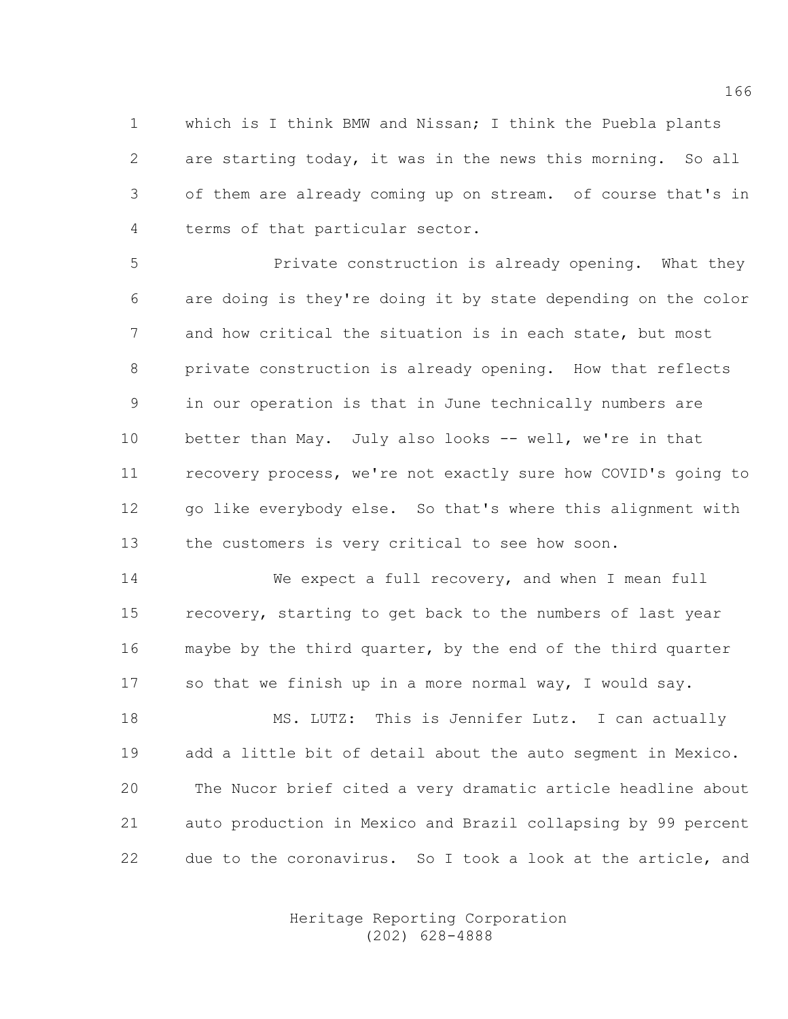1 which is I think BMW and Nissan; I think the Puebla plants 2 are starting today, it was in the news this morning. So all 3 of them are already coming up on stream. of course that's in 4 terms of that particular sector.

5 **Private construction is already opening.** What they 6 are doing is they're doing it by state depending on the color 7 and how critical the situation is in each state, but most 8 private construction is already opening. How that reflects 9 in our operation is that in June technically numbers are 10 better than May. July also looks -- well, we're in that 11 recovery process, we're not exactly sure how COVID's going to 12 go like everybody else. So that's where this alignment with 13 the customers is very critical to see how soon.

14 We expect a full recovery, and when I mean full 15 recovery, starting to get back to the numbers of last year 16 maybe by the third quarter, by the end of the third quarter 17 so that we finish up in a more normal way, I would say.

18 MS. LUTZ: This is Jennifer Lutz. I can actually 19 add a little bit of detail about the auto segment in Mexico. 20 The Nucor brief cited a very dramatic article headline about 21 auto production in Mexico and Brazil collapsing by 99 percent 22 due to the coronavirus. So I took a look at the article, and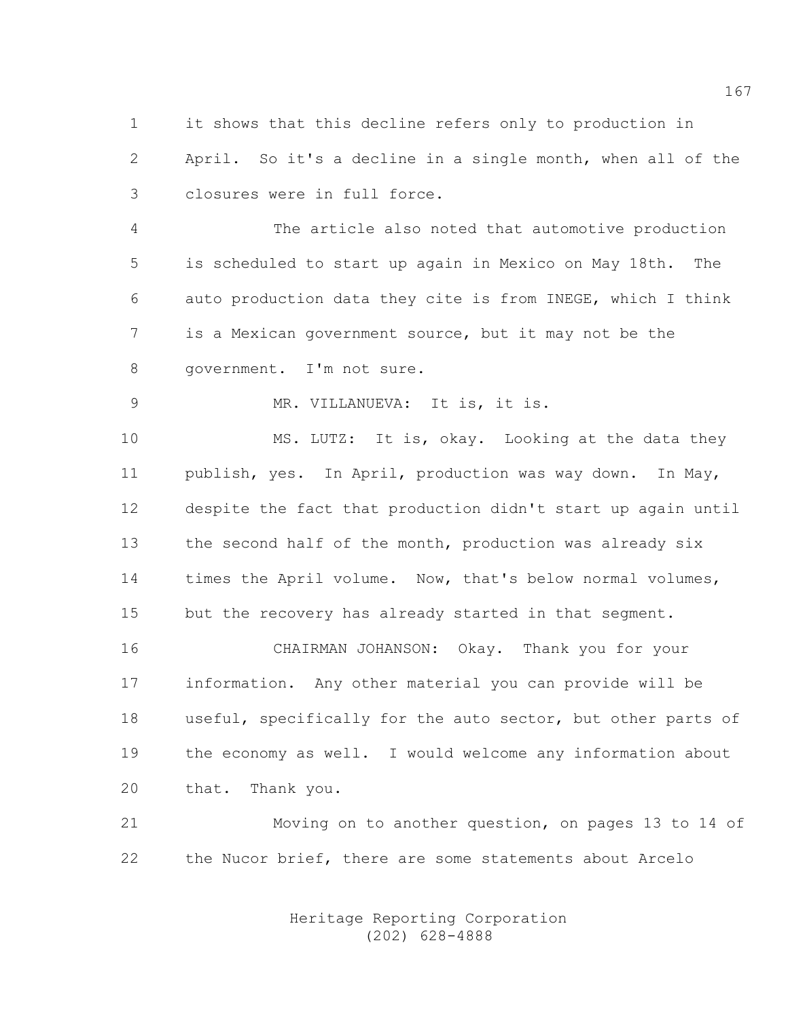1 it shows that this decline refers only to production in 2 April. So it's a decline in a single month, when all of the 3 closures were in full force.

4 The article also noted that automotive production 5 is scheduled to start up again in Mexico on May 18th. The 6 auto production data they cite is from INEGE, which I think 7 is a Mexican government source, but it may not be the 8 government. I'm not sure.

9 MR. VILLANUEVA: It is, it is.

10 MS. LUTZ: It is, okay. Looking at the data they 11 publish, yes. In April, production was way down. In May, 12 despite the fact that production didn't start up again until 13 the second half of the month, production was already six 14 times the April volume. Now, that's below normal volumes, 15 but the recovery has already started in that segment.

16 CHAIRMAN JOHANSON: Okay. Thank you for your 17 information. Any other material you can provide will be 18 useful, specifically for the auto sector, but other parts of 19 the economy as well. I would welcome any information about 20 that. Thank you.

21 Moving on to another question, on pages 13 to 14 of 22 the Nucor brief, there are some statements about Arcelo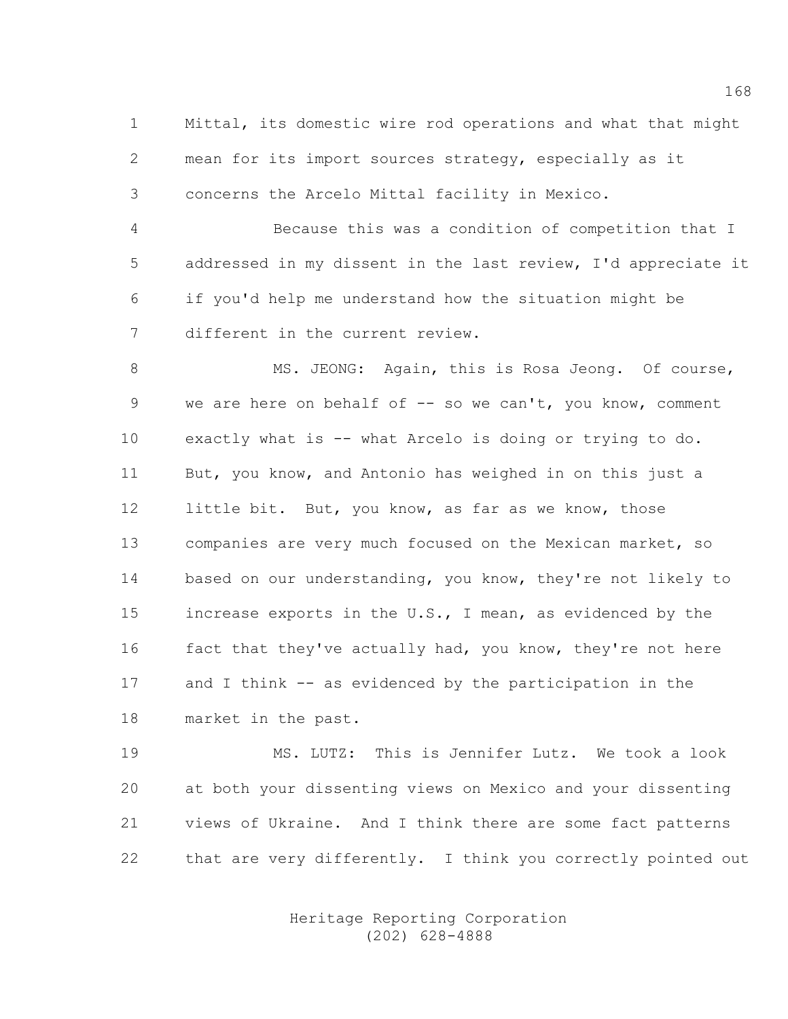1 Mittal, its domestic wire rod operations and what that might 2 mean for its import sources strategy, especially as it 3 concerns the Arcelo Mittal facility in Mexico.

4 Because this was a condition of competition that I 5 addressed in my dissent in the last review, I'd appreciate it 6 if you'd help me understand how the situation might be 7 different in the current review.

8 MS. JEONG: Again, this is Rosa Jeong. Of course, 9 we are here on behalf of -- so we can't, you know, comment 10 exactly what is -- what Arcelo is doing or trying to do. 11 But, you know, and Antonio has weighed in on this just a 12 little bit. But, you know, as far as we know, those 13 companies are very much focused on the Mexican market, so 14 based on our understanding, you know, they're not likely to 15 increase exports in the U.S., I mean, as evidenced by the 16 fact that they've actually had, you know, they're not here 17 and I think -- as evidenced by the participation in the 18 market in the past.

19 MS. LUTZ: This is Jennifer Lutz. We took a look 20 at both your dissenting views on Mexico and your dissenting 21 views of Ukraine. And I think there are some fact patterns 22 that are very differently. I think you correctly pointed out

> Heritage Reporting Corporation (202) 628-4888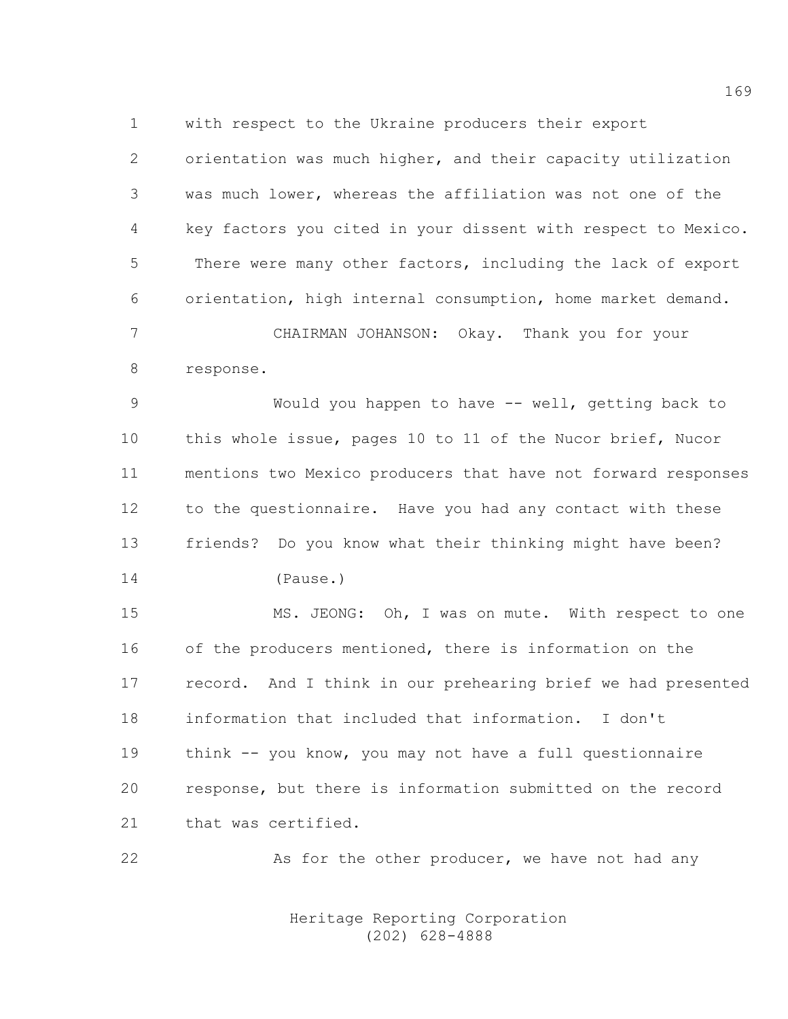1 with respect to the Ukraine producers their export

2 orientation was much higher, and their capacity utilization 3 was much lower, whereas the affiliation was not one of the 4 key factors you cited in your dissent with respect to Mexico. 5 There were many other factors, including the lack of export 6 orientation, high internal consumption, home market demand.

7 CHAIRMAN JOHANSON: Okay. Thank you for your 8 response.

9 Would you happen to have -- well, getting back to 10 this whole issue, pages 10 to 11 of the Nucor brief, Nucor 11 mentions two Mexico producers that have not forward responses 12 to the questionnaire. Have you had any contact with these 13 friends? Do you know what their thinking might have been? 14 (Pause.)

15 MS. JEONG: Oh, I was on mute. With respect to one 16 of the producers mentioned, there is information on the 17 record. And I think in our prehearing brief we had presented 18 information that included that information. I don't 19 think -- you know, you may not have a full questionnaire 20 response, but there is information submitted on the record 21 that was certified.

22 As for the other producer, we have not had any

 Heritage Reporting Corporation (202) 628-4888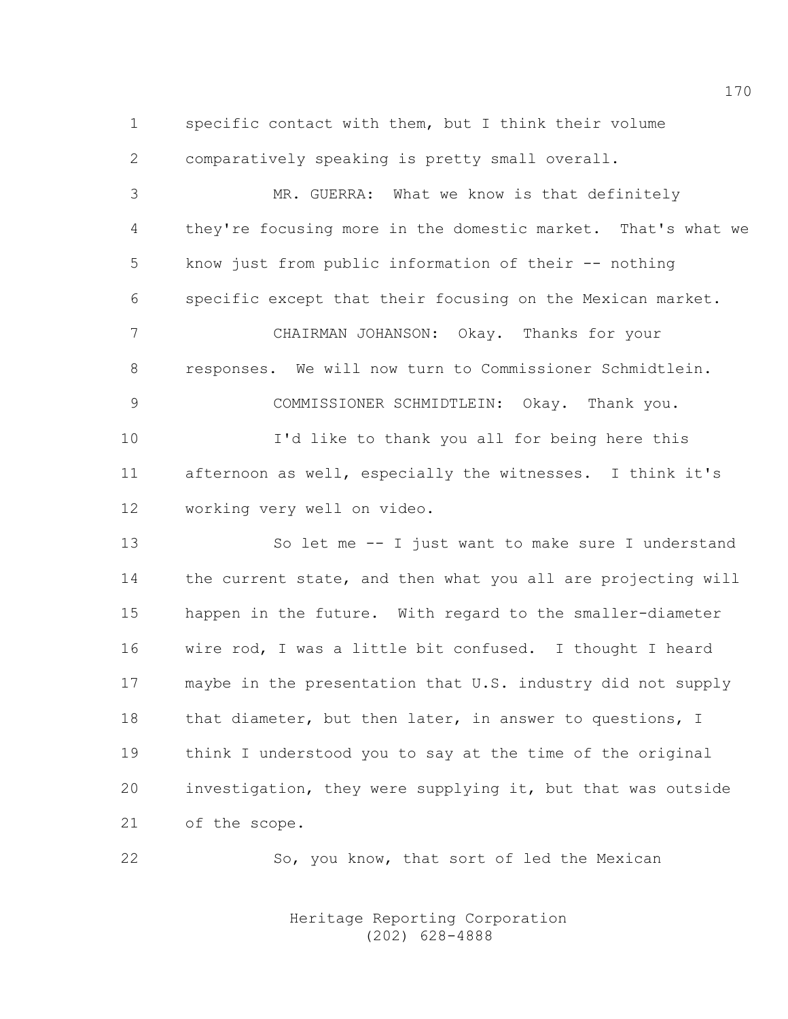1 specific contact with them, but I think their volume 2 comparatively speaking is pretty small overall.

3 MR. GUERRA: What we know is that definitely 4 they're focusing more in the domestic market. That's what we 5 know just from public information of their -- nothing 6 specific except that their focusing on the Mexican market. 7 CHAIRMAN JOHANSON: Okay. Thanks for your 8 responses. We will now turn to Commissioner Schmidtlein.

10 I'd like to thank you all for being here this 11 afternoon as well, especially the witnesses. I think it's 12 working very well on video.

9 COMMISSIONER SCHMIDTLEIN: Okay. Thank you.

13 So let me -- I just want to make sure I understand 14 the current state, and then what you all are projecting will 15 happen in the future. With regard to the smaller-diameter 16 wire rod, I was a little bit confused. I thought I heard 17 maybe in the presentation that U.S. industry did not supply 18 that diameter, but then later, in answer to questions, I 19 think I understood you to say at the time of the original 20 investigation, they were supplying it, but that was outside 21 of the scope.

22 So, you know, that sort of led the Mexican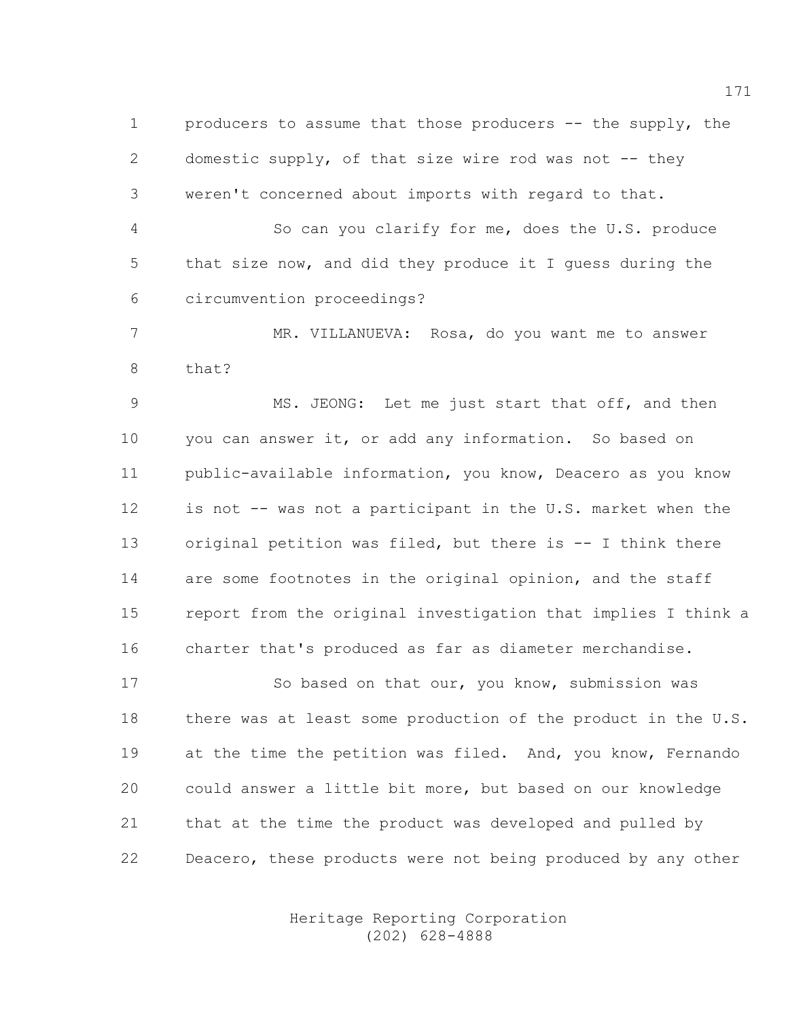1 producers to assume that those producers -- the supply, the 2 domestic supply, of that size wire rod was not -- they 3 weren't concerned about imports with regard to that.

4 So can you clarify for me, does the U.S. produce 5 that size now, and did they produce it I guess during the 6 circumvention proceedings?

7 MR. VILLANUEVA: Rosa, do you want me to answer 8 that?

9 MS. JEONG: Let me just start that off, and then 10 you can answer it, or add any information. So based on 11 public-available information, you know, Deacero as you know 12 is not -- was not a participant in the U.S. market when the 13 original petition was filed, but there is -- I think there 14 are some footnotes in the original opinion, and the staff 15 report from the original investigation that implies I think a 16 charter that's produced as far as diameter merchandise.

17 So based on that our, you know, submission was 18 there was at least some production of the product in the U.S. 19 at the time the petition was filed. And, you know, Fernando 20 could answer a little bit more, but based on our knowledge 21 that at the time the product was developed and pulled by 22 Deacero, these products were not being produced by any other

> Heritage Reporting Corporation (202) 628-4888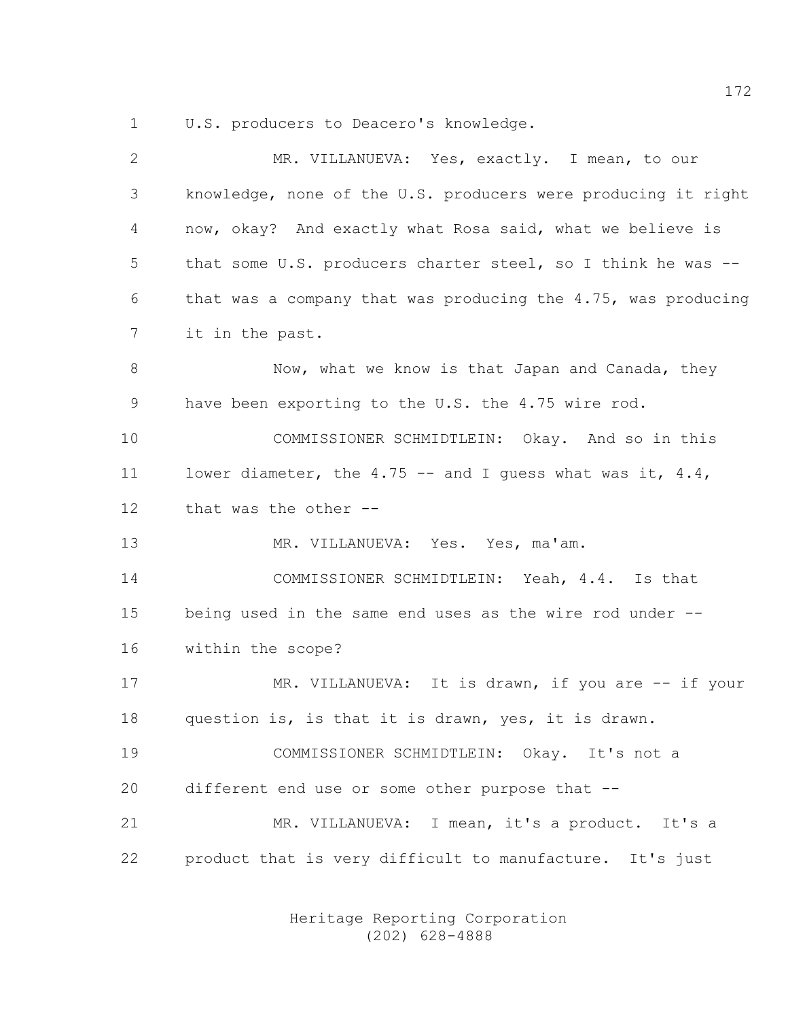1 U.S. producers to Deacero's knowledge.

| $\mathbf{2}$ | MR. VILLANUEVA: Yes, exactly. I mean, to our                  |
|--------------|---------------------------------------------------------------|
| 3            | knowledge, none of the U.S. producers were producing it right |
| 4            | now, okay? And exactly what Rosa said, what we believe is     |
| 5            | that some U.S. producers charter steel, so I think he was --  |
| 6            | that was a company that was producing the 4.75, was producing |
| 7            | it in the past.                                               |
| $\,8\,$      | Now, what we know is that Japan and Canada, they              |
| 9            | have been exporting to the U.S. the 4.75 wire rod.            |
| 10           | COMMISSIONER SCHMIDTLEIN: Okay. And so in this                |
| 11           | lower diameter, the 4.75 -- and I quess what was it, $4.4$ ,  |
| $12 \,$      | that was the other --                                         |
| 13           | MR. VILLANUEVA: Yes. Yes, ma'am.                              |
| 14           | COMMISSIONER SCHMIDTLEIN: Yeah, 4.4. Is that                  |
| 15           | being used in the same end uses as the wire rod under --      |
| 16           | within the scope?                                             |
| 17           | MR. VILLANUEVA: It is drawn, if you are -- if your            |
| 18           | question is, is that it is drawn, yes, it is drawn.           |
| 19           | COMMISSIONER SCHMIDTLEIN: Okay. It's not a                    |
| 20           | different end use or some other purpose that --               |
| 21           | MR. VILLANUEVA: I mean, it's a product. It's a                |
| 22           | product that is very difficult to manufacture. It's just      |
|              |                                                               |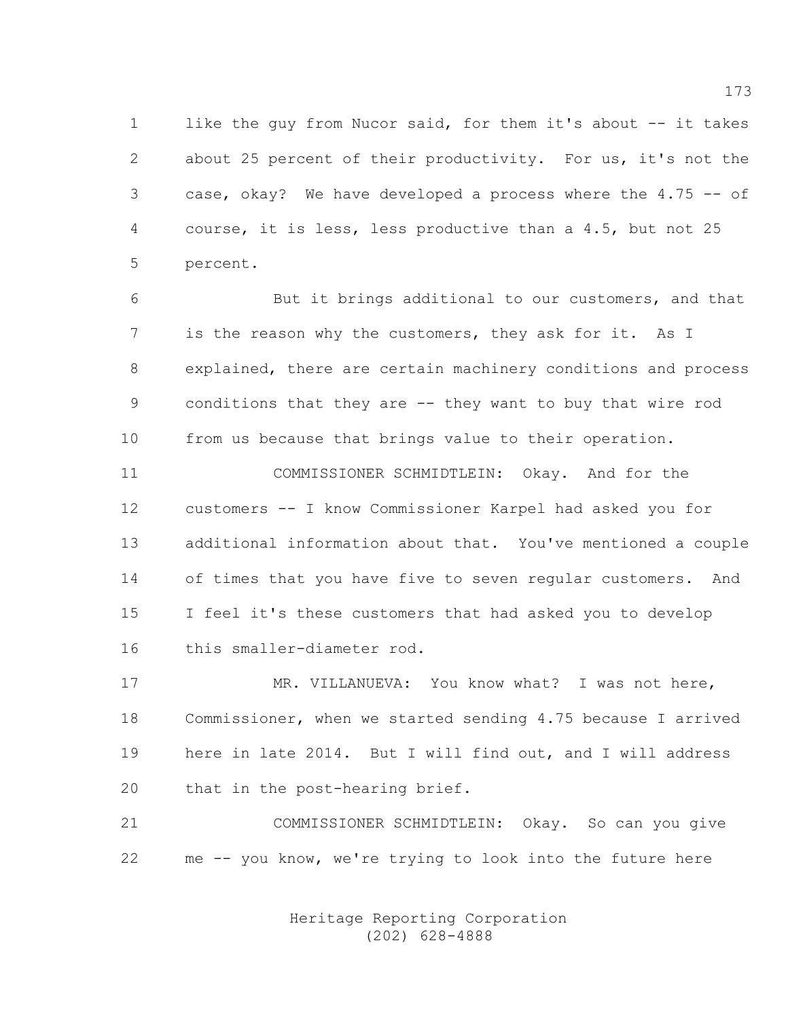1 like the guy from Nucor said, for them it's about -- it takes 2 about 25 percent of their productivity. For us, it's not the 3 case, okay? We have developed a process where the 4.75 -- of 4 course, it is less, less productive than a 4.5, but not 25 5 percent.

6 But it brings additional to our customers, and that 7 is the reason why the customers, they ask for it. As I 8 explained, there are certain machinery conditions and process 9 conditions that they are -- they want to buy that wire rod 10 from us because that brings value to their operation.

11 COMMISSIONER SCHMIDTLEIN: Okay. And for the 12 customers -- I know Commissioner Karpel had asked you for 13 additional information about that. You've mentioned a couple 14 of times that you have five to seven regular customers. And 15 I feel it's these customers that had asked you to develop 16 this smaller-diameter rod.

17 MR. VILLANUEVA: You know what? I was not here, 18 Commissioner, when we started sending 4.75 because I arrived 19 here in late 2014. But I will find out, and I will address 20 that in the post-hearing brief.

21 COMMISSIONER SCHMIDTLEIN: Okay. So can you give 22 me -- you know, we're trying to look into the future here

> Heritage Reporting Corporation (202) 628-4888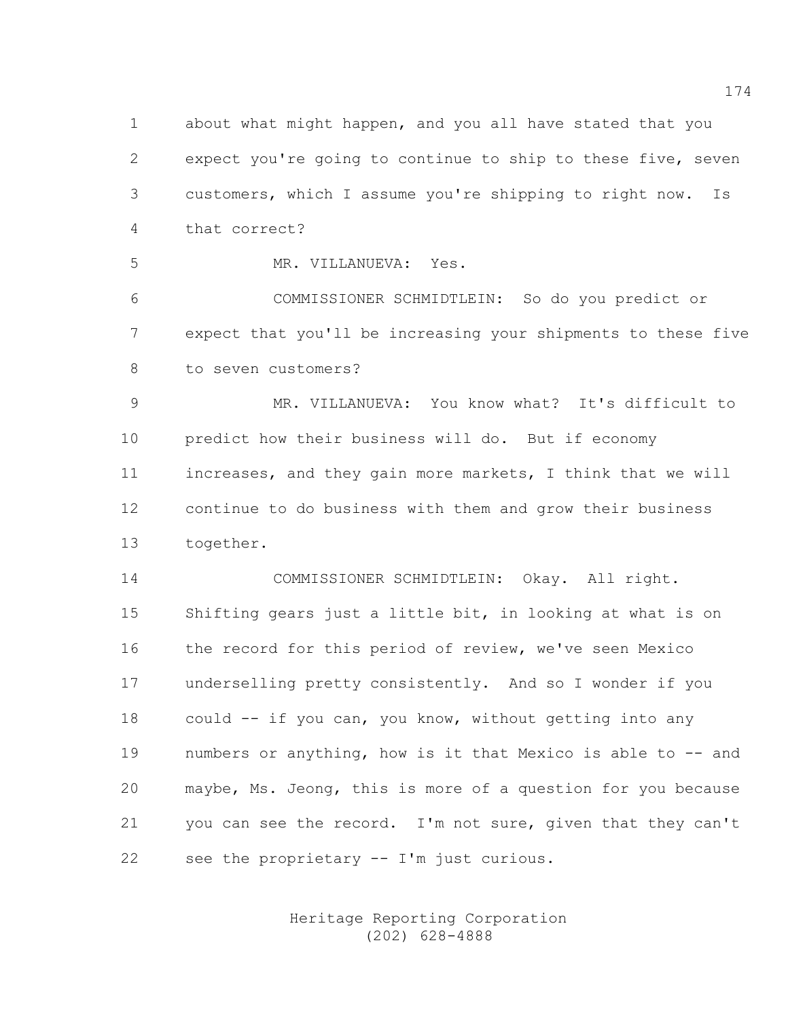1 about what might happen, and you all have stated that you 2 expect you're going to continue to ship to these five, seven 3 customers, which I assume you're shipping to right now. Is 4 that correct?

5 MR. VILLANUEVA: Yes.

6 COMMISSIONER SCHMIDTLEIN: So do you predict or 7 expect that you'll be increasing your shipments to these five 8 to seven customers?

9 MR. VILLANUEVA: You know what? It's difficult to 10 predict how their business will do. But if economy 11 increases, and they gain more markets, I think that we will 12 continue to do business with them and grow their business 13 together.

14 COMMISSIONER SCHMIDTLEIN: Okay. All right. 15 Shifting gears just a little bit, in looking at what is on 16 the record for this period of review, we've seen Mexico 17 underselling pretty consistently. And so I wonder if you 18 could -- if you can, you know, without getting into any 19 numbers or anything, how is it that Mexico is able to -- and 20 maybe, Ms. Jeong, this is more of a question for you because 21 you can see the record. I'm not sure, given that they can't 22 see the proprietary -- I'm just curious.

> Heritage Reporting Corporation (202) 628-4888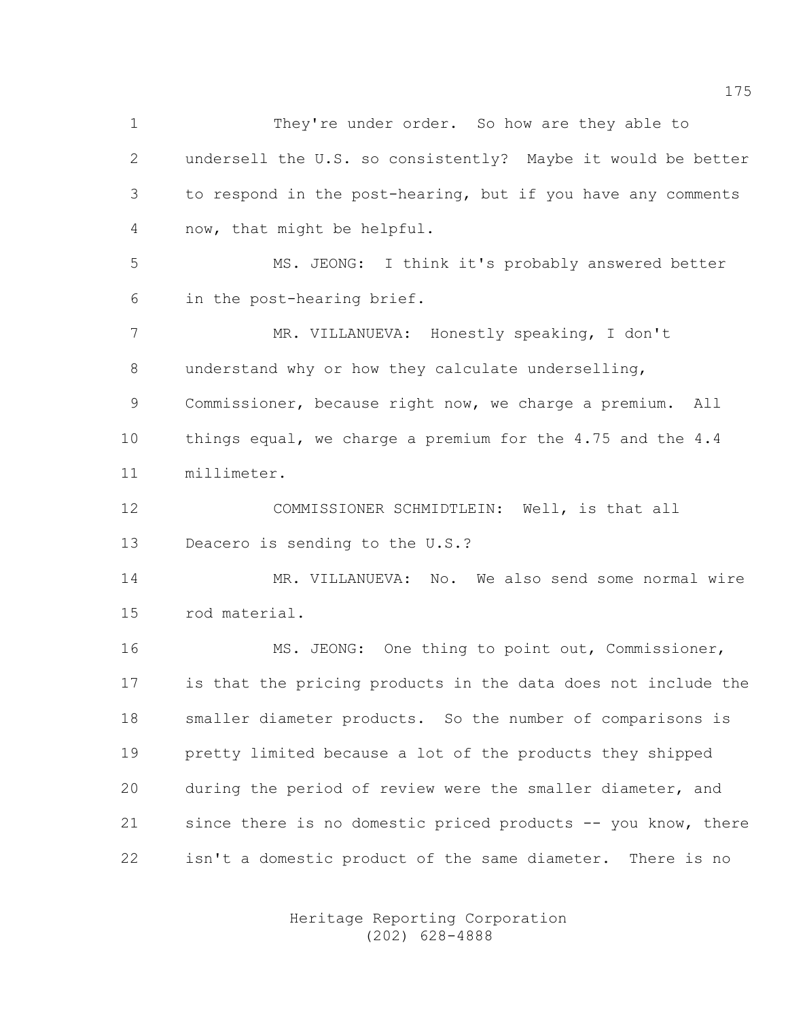1 They're under order. So how are they able to 2 undersell the U.S. so consistently? Maybe it would be better 3 to respond in the post-hearing, but if you have any comments 4 now, that might be helpful. 5 MS. JEONG: I think it's probably answered better 6 in the post-hearing brief. 7 MR. VILLANUEVA: Honestly speaking, I don't 8 understand why or how they calculate underselling, 9 Commissioner, because right now, we charge a premium. All 10 things equal, we charge a premium for the 4.75 and the 4.4 11 millimeter. 12 COMMISSIONER SCHMIDTLEIN: Well, is that all 13 Deacero is sending to the U.S.? 14 MR. VILLANUEVA: No. We also send some normal wire 15 rod material. 16 MS. JEONG: One thing to point out, Commissioner, 17 is that the pricing products in the data does not include the 18 smaller diameter products. So the number of comparisons is 19 pretty limited because a lot of the products they shipped 20 during the period of review were the smaller diameter, and 21 since there is no domestic priced products -- you know, there 22 isn't a domestic product of the same diameter. There is no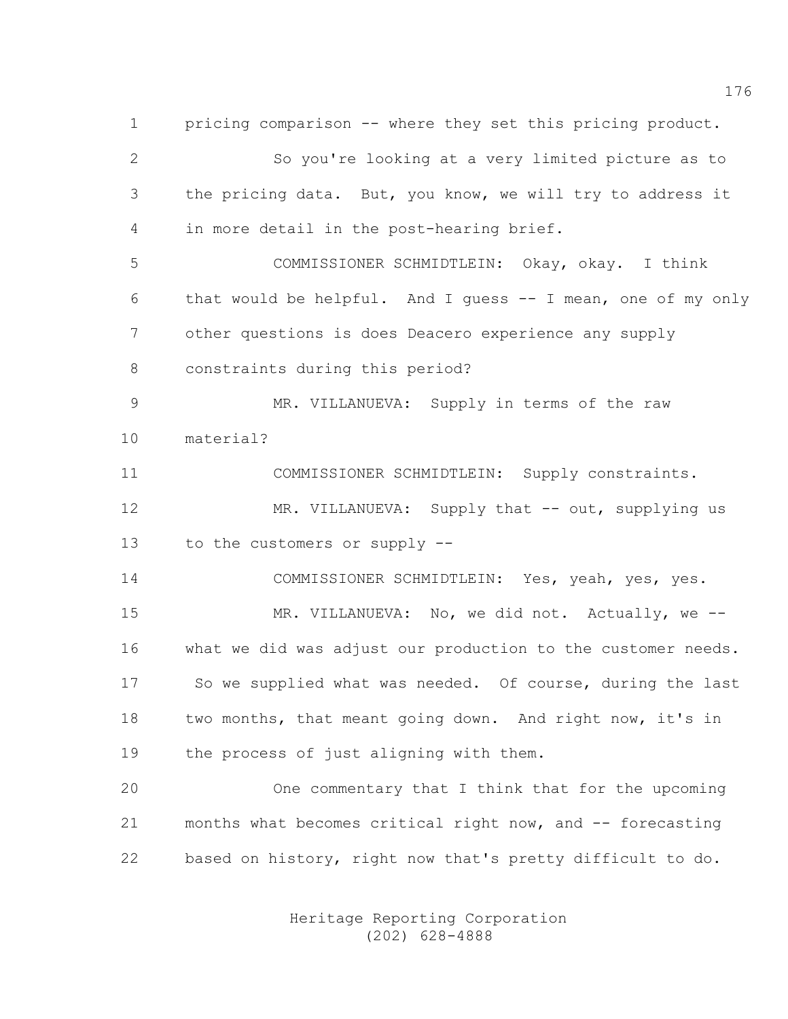1 pricing comparison -- where they set this pricing product. 2 So you're looking at a very limited picture as to 3 the pricing data. But, you know, we will try to address it 4 in more detail in the post-hearing brief. 5 COMMISSIONER SCHMIDTLEIN: Okay, okay. I think 6 that would be helpful. And I guess -- I mean, one of my only 7 other questions is does Deacero experience any supply 8 constraints during this period? 9 MR. VILLANUEVA: Supply in terms of the raw 10 material? 11 COMMISSIONER SCHMIDTLEIN: Supply constraints. 12 MR. VILLANUEVA: Supply that -- out, supplying us 13 to the customers or supply -- 14 COMMISSIONER SCHMIDTLEIN: Yes, yeah, yes, yes. 15 MR. VILLANUEVA: No, we did not. Actually, we -- 16 what we did was adjust our production to the customer needs. 17 So we supplied what was needed. Of course, during the last 18 two months, that meant going down. And right now, it's in 19 the process of just aligning with them. 20 One commentary that I think that for the upcoming 21 months what becomes critical right now, and -- forecasting 22 based on history, right now that's pretty difficult to do.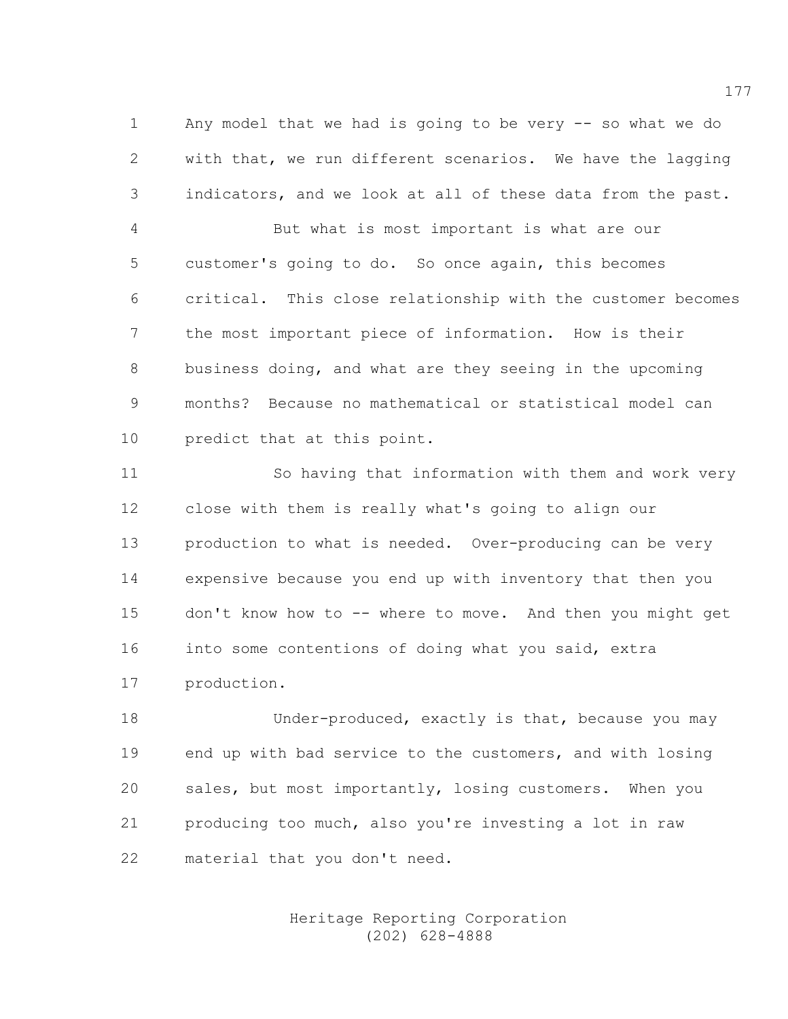1 Any model that we had is going to be very -- so what we do 2 with that, we run different scenarios. We have the lagging 3 indicators, and we look at all of these data from the past.

4 But what is most important is what are our 5 customer's going to do. So once again, this becomes 6 critical. This close relationship with the customer becomes 7 the most important piece of information. How is their 8 business doing, and what are they seeing in the upcoming 9 months? Because no mathematical or statistical model can 10 predict that at this point.

11 So having that information with them and work very 12 close with them is really what's going to align our 13 production to what is needed. Over-producing can be very 14 expensive because you end up with inventory that then you 15 don't know how to -- where to move. And then you might get 16 into some contentions of doing what you said, extra 17 production.

18 Under-produced, exactly is that, because you may 19 end up with bad service to the customers, and with losing 20 sales, but most importantly, losing customers. When you 21 producing too much, also you're investing a lot in raw 22 material that you don't need.

> Heritage Reporting Corporation (202) 628-4888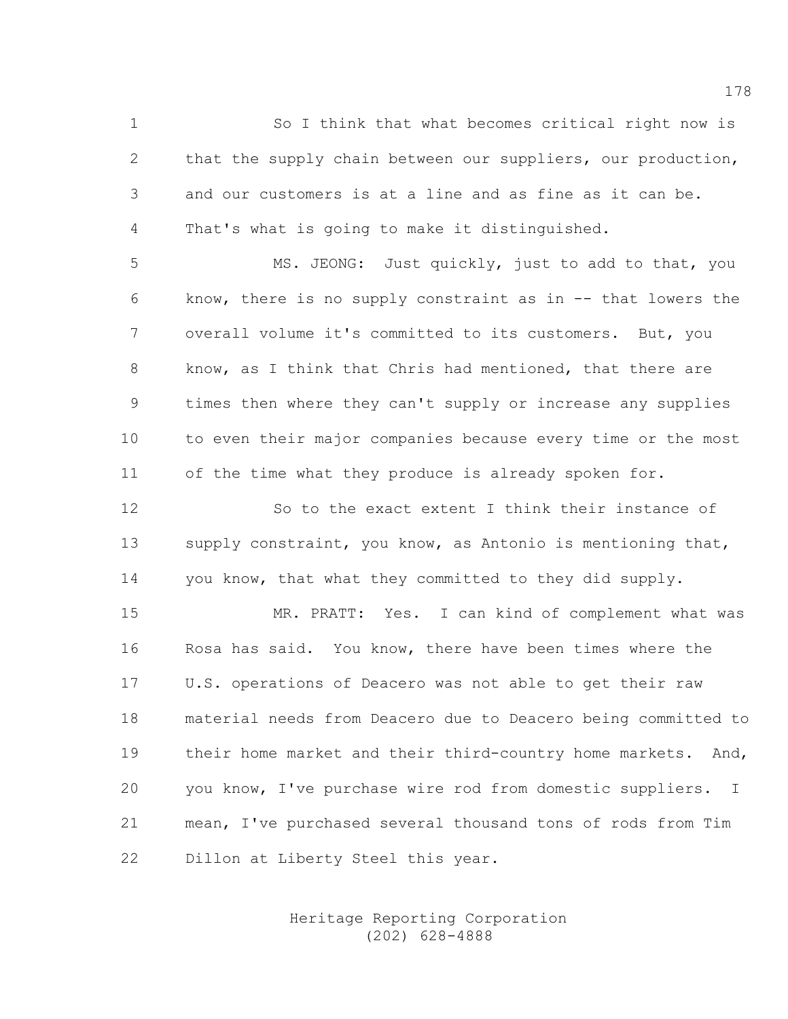1 So I think that what becomes critical right now is 2 that the supply chain between our suppliers, our production, 3 and our customers is at a line and as fine as it can be. 4 That's what is going to make it distinguished.

5 MS. JEONG: Just quickly, just to add to that, you 6 know, there is no supply constraint as in -- that lowers the 7 overall volume it's committed to its customers. But, you 8 know, as I think that Chris had mentioned, that there are 9 times then where they can't supply or increase any supplies 10 to even their major companies because every time or the most 11 of the time what they produce is already spoken for.

12 So to the exact extent I think their instance of 13 supply constraint, you know, as Antonio is mentioning that, 14 you know, that what they committed to they did supply.

15 MR. PRATT: Yes. I can kind of complement what was 16 Rosa has said. You know, there have been times where the 17 U.S. operations of Deacero was not able to get their raw 18 material needs from Deacero due to Deacero being committed to 19 their home market and their third-country home markets. And, 20 you know, I've purchase wire rod from domestic suppliers. I 21 mean, I've purchased several thousand tons of rods from Tim 22 Dillon at Liberty Steel this year.

> Heritage Reporting Corporation (202) 628-4888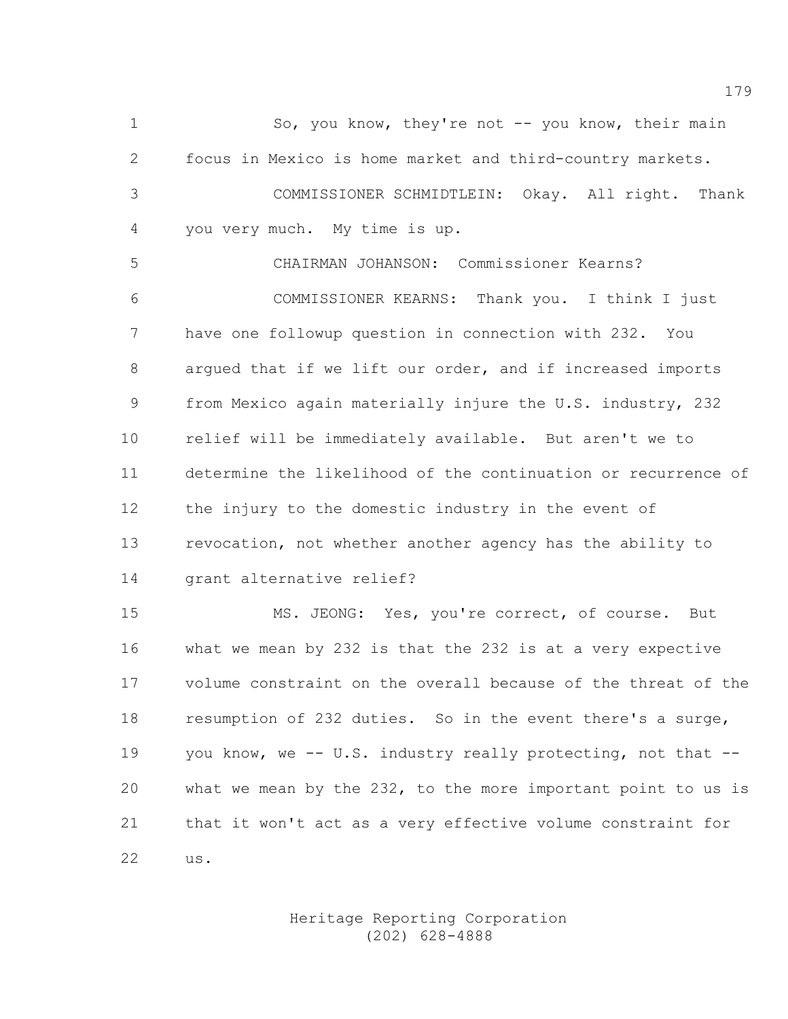1 So, you know, they're not -- you know, their main 2 focus in Mexico is home market and third-country markets. 3 COMMISSIONER SCHMIDTLEIN: Okay. All right. Thank 4 you very much. My time is up. 5 CHAIRMAN JOHANSON: Commissioner Kearns?

6 COMMISSIONER KEARNS: Thank you. I think I just 7 have one followup question in connection with 232. You 8 argued that if we lift our order, and if increased imports 9 from Mexico again materially injure the U.S. industry, 232 10 relief will be immediately available. But aren't we to 11 determine the likelihood of the continuation or recurrence of 12 the injury to the domestic industry in the event of 13 revocation, not whether another agency has the ability to 14 grant alternative relief?

15 MS. JEONG: Yes, you're correct, of course. But 16 what we mean by 232 is that the 232 is at a very expective 17 volume constraint on the overall because of the threat of the 18 resumption of 232 duties. So in the event there's a surge, 19 you know, we -- U.S. industry really protecting, not that -- 20 what we mean by the 232, to the more important point to us is 21 that it won't act as a very effective volume constraint for 22 us.

> Heritage Reporting Corporation (202) 628-4888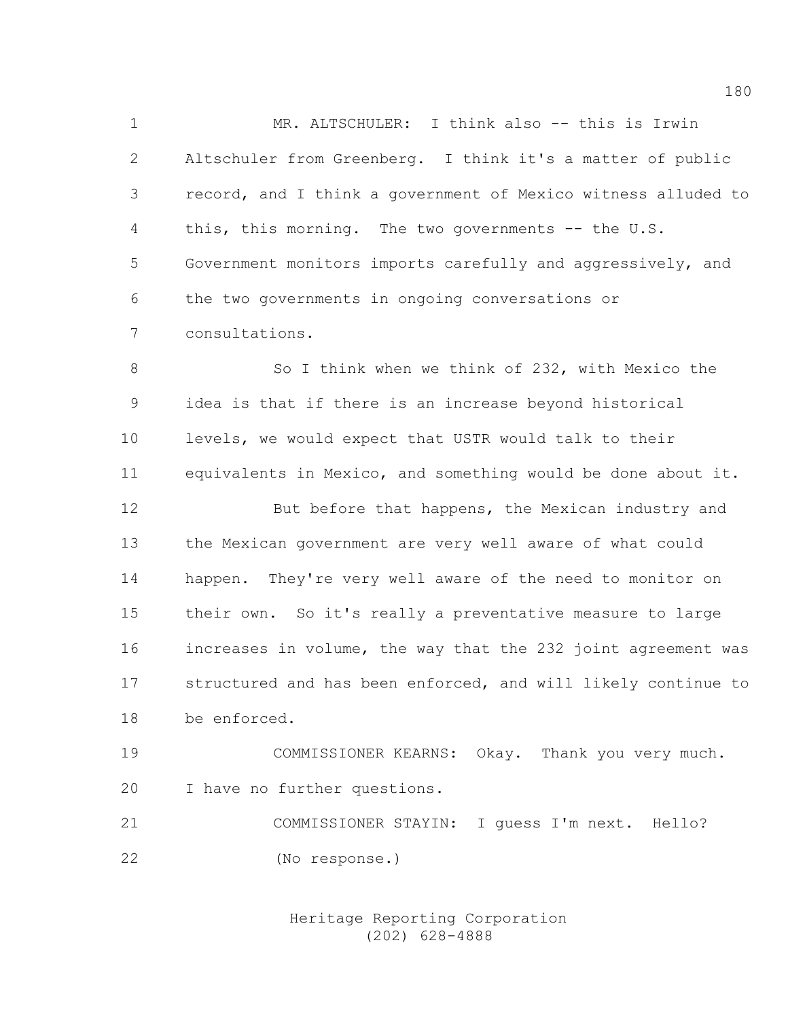1 MR. ALTSCHULER: I think also -- this is Irwin 2 Altschuler from Greenberg. I think it's a matter of public 3 record, and I think a government of Mexico witness alluded to 4 this, this morning. The two governments -- the U.S. 5 Government monitors imports carefully and aggressively, and 6 the two governments in ongoing conversations or 7 consultations.

8 So I think when we think of 232, with Mexico the 9 idea is that if there is an increase beyond historical 10 levels, we would expect that USTR would talk to their 11 equivalents in Mexico, and something would be done about it. 12 But before that happens, the Mexican industry and 13 the Mexican government are very well aware of what could 14 happen. They're very well aware of the need to monitor on 15 their own. So it's really a preventative measure to large 16 increases in volume, the way that the 232 joint agreement was 17 structured and has been enforced, and will likely continue to 18 be enforced.

19 COMMISSIONER KEARNS: Okay. Thank you very much. 20 I have no further questions.

21 COMMISSIONER STAYIN: I guess I'm next. Hello? 22 (No response.)

> Heritage Reporting Corporation (202) 628-4888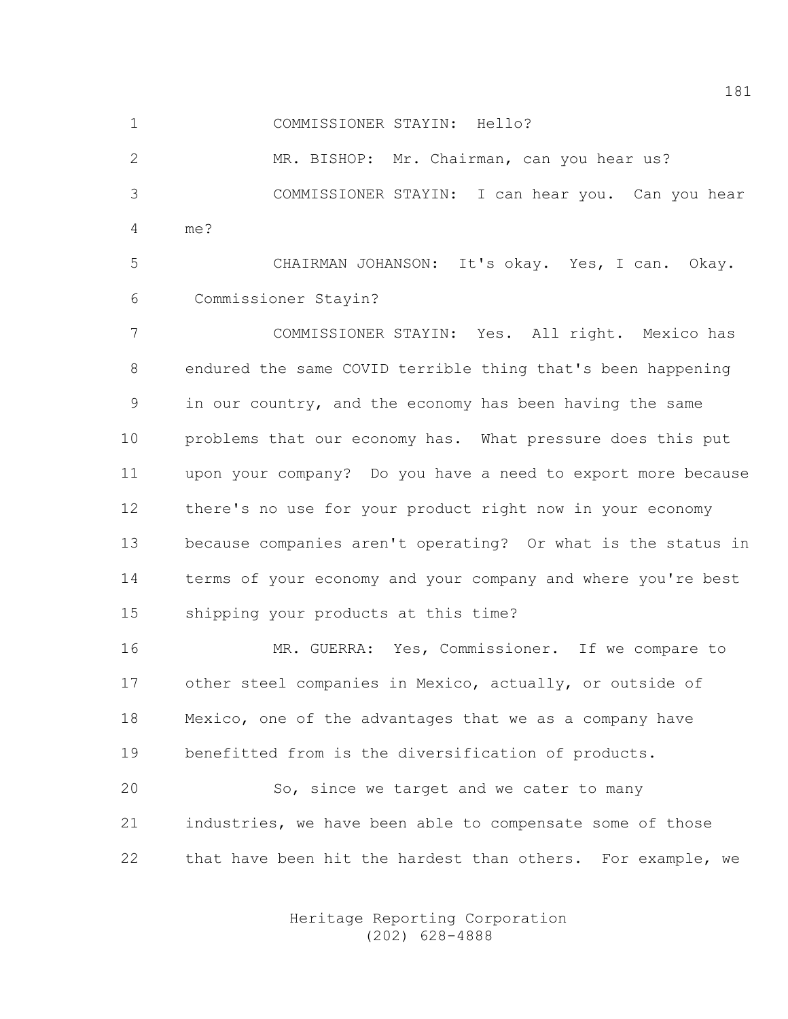1 COMMISSIONER STAYIN: Hello?

2 MR. BISHOP: Mr. Chairman, can you hear us? 3 COMMISSIONER STAYIN: I can hear you. Can you hear 4 me?

5 CHAIRMAN JOHANSON: It's okay. Yes, I can. Okay. 6 Commissioner Stayin?

7 COMMISSIONER STAYIN: Yes. All right. Mexico has 8 endured the same COVID terrible thing that's been happening 9 in our country, and the economy has been having the same 10 problems that our economy has. What pressure does this put 11 upon your company? Do you have a need to export more because 12 there's no use for your product right now in your economy 13 because companies aren't operating? Or what is the status in 14 terms of your economy and your company and where you're best 15 shipping your products at this time?

16 MR. GUERRA: Yes, Commissioner. If we compare to 17 other steel companies in Mexico, actually, or outside of 18 Mexico, one of the advantages that we as a company have 19 benefitted from is the diversification of products.

20 So, since we target and we cater to many 21 industries, we have been able to compensate some of those 22 that have been hit the hardest than others. For example, we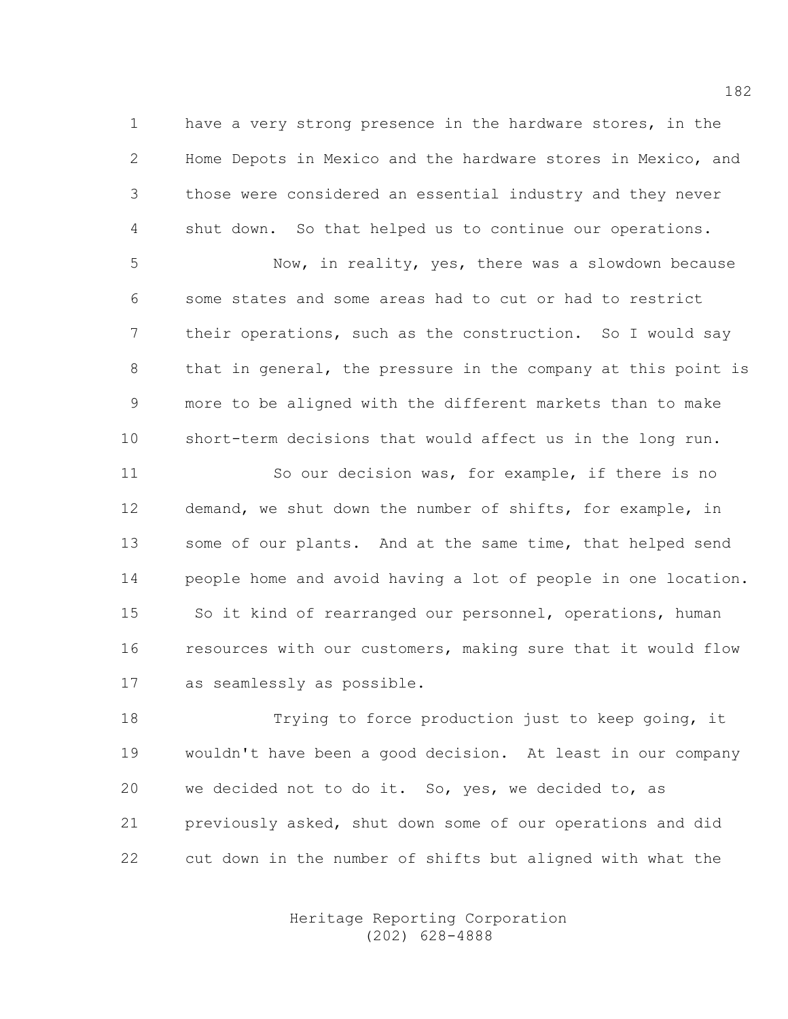1 have a very strong presence in the hardware stores, in the 2 Home Depots in Mexico and the hardware stores in Mexico, and 3 those were considered an essential industry and they never 4 shut down. So that helped us to continue our operations.

5 Now, in reality, yes, there was a slowdown because 6 some states and some areas had to cut or had to restrict 7 their operations, such as the construction. So I would say 8 that in general, the pressure in the company at this point is 9 more to be aligned with the different markets than to make 10 short-term decisions that would affect us in the long run.

11 So our decision was, for example, if there is no 12 demand, we shut down the number of shifts, for example, in 13 some of our plants. And at the same time, that helped send 14 people home and avoid having a lot of people in one location. 15 So it kind of rearranged our personnel, operations, human 16 resources with our customers, making sure that it would flow 17 as seamlessly as possible.

18 Trying to force production just to keep going, it 19 wouldn't have been a good decision. At least in our company 20 we decided not to do it. So, yes, we decided to, as 21 previously asked, shut down some of our operations and did 22 cut down in the number of shifts but aligned with what the

> Heritage Reporting Corporation (202) 628-4888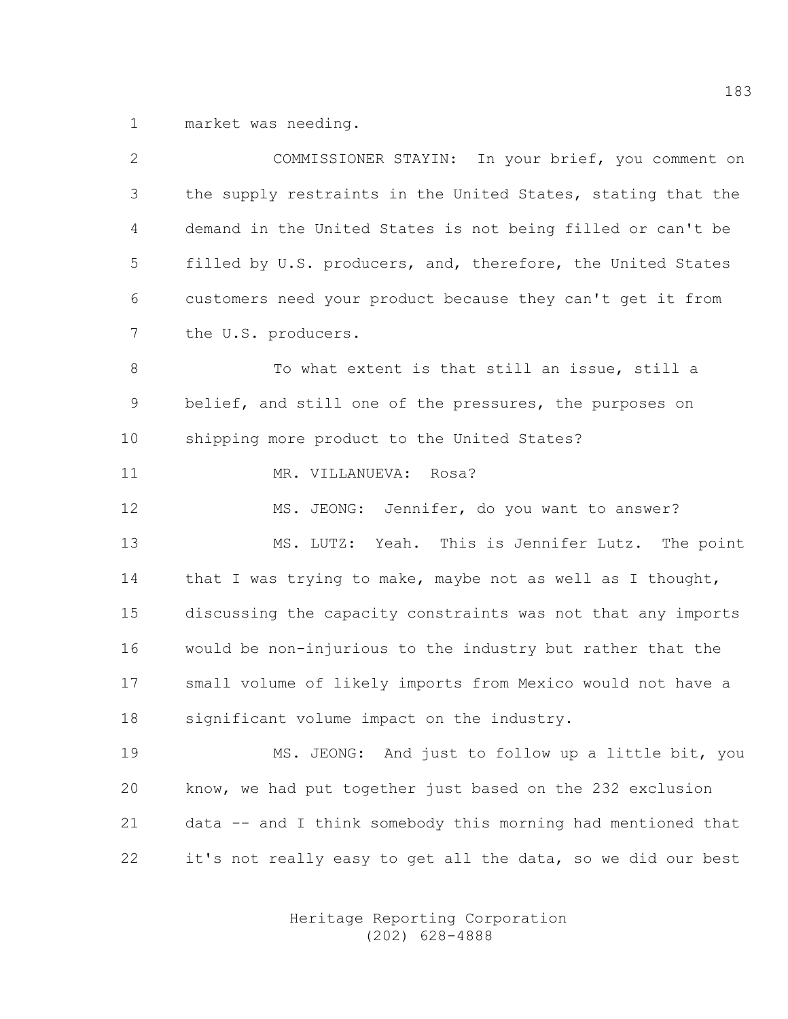1 market was needing.

| $\mathbf{2}$ | COMMISSIONER STAYIN: In your brief, you comment on           |
|--------------|--------------------------------------------------------------|
| 3            | the supply restraints in the United States, stating that the |
| 4            | demand in the United States is not being filled or can't be  |
| 5            | filled by U.S. producers, and, therefore, the United States  |
| 6            | customers need your product because they can't get it from   |
| 7            | the U.S. producers.                                          |
| 8            | To what extent is that still an issue, still a               |
| 9            | belief, and still one of the pressures, the purposes on      |
| 10           | shipping more product to the United States?                  |
| 11           | MR. VILLANUEVA: Rosa?                                        |
| 12           | MS. JEONG: Jennifer, do you want to answer?                  |
| 13           | MS. LUTZ: Yeah. This is Jennifer Lutz. The point             |
| 14           | that I was trying to make, maybe not as well as I thought,   |
| 15           | discussing the capacity constraints was not that any imports |
| 16           | would be non-injurious to the industry but rather that the   |
| 17           | small volume of likely imports from Mexico would not have a  |
| 18           | significant volume impact on the industry.                   |
| 19           | MS. JEONG: And just to follow up a little bit, you           |
| 20           | know, we had put together just based on the 232 exclusion    |
| 21           | data -- and I think somebody this morning had mentioned that |
| 22           | it's not really easy to get all the data, so we did our best |
|              |                                                              |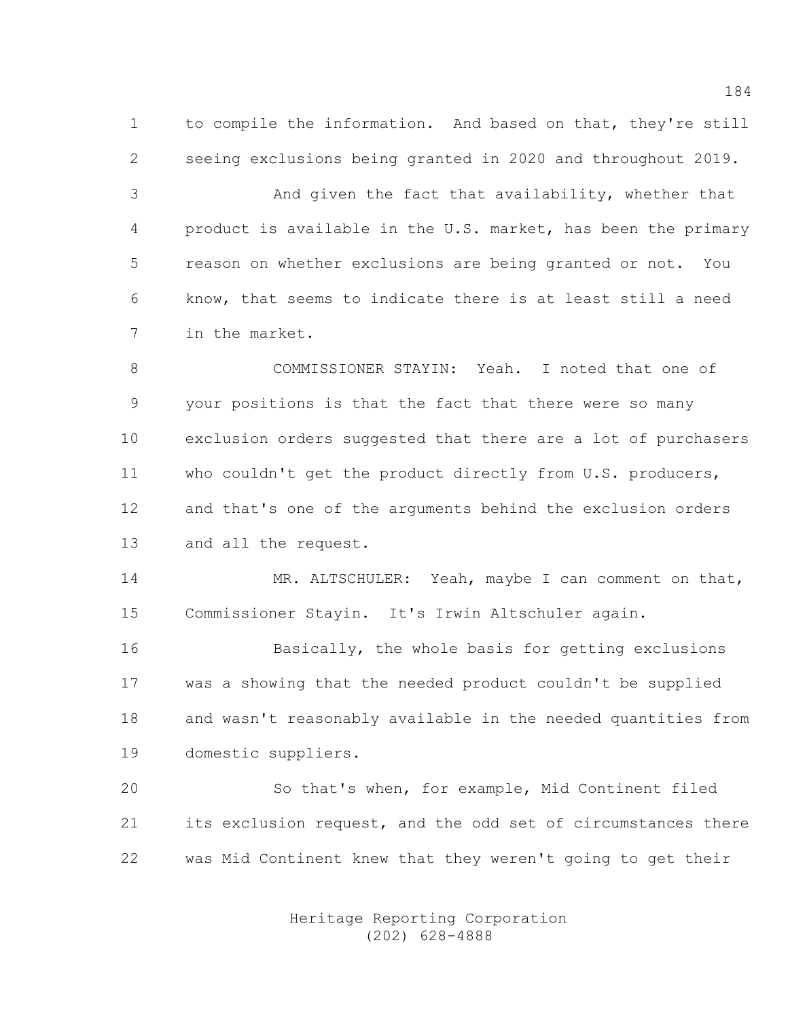1 to compile the information. And based on that, they're still 2 seeing exclusions being granted in 2020 and throughout 2019.

3 And given the fact that availability, whether that 4 product is available in the U.S. market, has been the primary 5 reason on whether exclusions are being granted or not. You 6 know, that seems to indicate there is at least still a need 7 in the market.

8 COMMISSIONER STAYIN: Yeah. I noted that one of 9 your positions is that the fact that there were so many 10 exclusion orders suggested that there are a lot of purchasers 11 who couldn't get the product directly from U.S. producers, 12 and that's one of the arguments behind the exclusion orders 13 and all the request.

14 MR. ALTSCHULER: Yeah, maybe I can comment on that, 15 Commissioner Stayin. It's Irwin Altschuler again.

16 Basically, the whole basis for getting exclusions 17 was a showing that the needed product couldn't be supplied 18 and wasn't reasonably available in the needed quantities from 19 domestic suppliers.

20 So that's when, for example, Mid Continent filed 21 its exclusion request, and the odd set of circumstances there 22 was Mid Continent knew that they weren't going to get their

> Heritage Reporting Corporation (202) 628-4888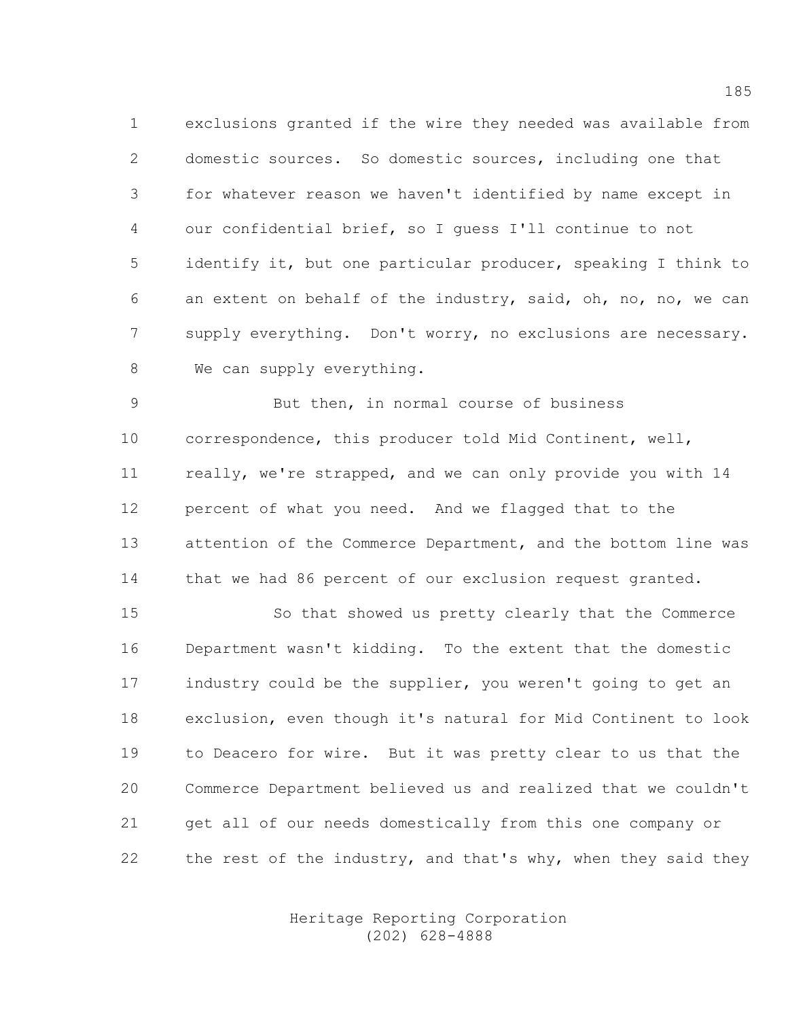1 exclusions granted if the wire they needed was available from 2 domestic sources. So domestic sources, including one that 3 for whatever reason we haven't identified by name except in 4 our confidential brief, so I guess I'll continue to not 5 identify it, but one particular producer, speaking I think to 6 an extent on behalf of the industry, said, oh, no, no, we can 7 supply everything. Don't worry, no exclusions are necessary. 8 We can supply everything.

9 But then, in normal course of business 10 correspondence, this producer told Mid Continent, well, 11 really, we're strapped, and we can only provide you with 14 12 percent of what you need. And we flagged that to the 13 attention of the Commerce Department, and the bottom line was 14 that we had 86 percent of our exclusion request granted.

15 So that showed us pretty clearly that the Commerce 16 Department wasn't kidding. To the extent that the domestic 17 industry could be the supplier, you weren't going to get an 18 exclusion, even though it's natural for Mid Continent to look 19 to Deacero for wire. But it was pretty clear to us that the 20 Commerce Department believed us and realized that we couldn't 21 get all of our needs domestically from this one company or 22 the rest of the industry, and that's why, when they said they

> Heritage Reporting Corporation (202) 628-4888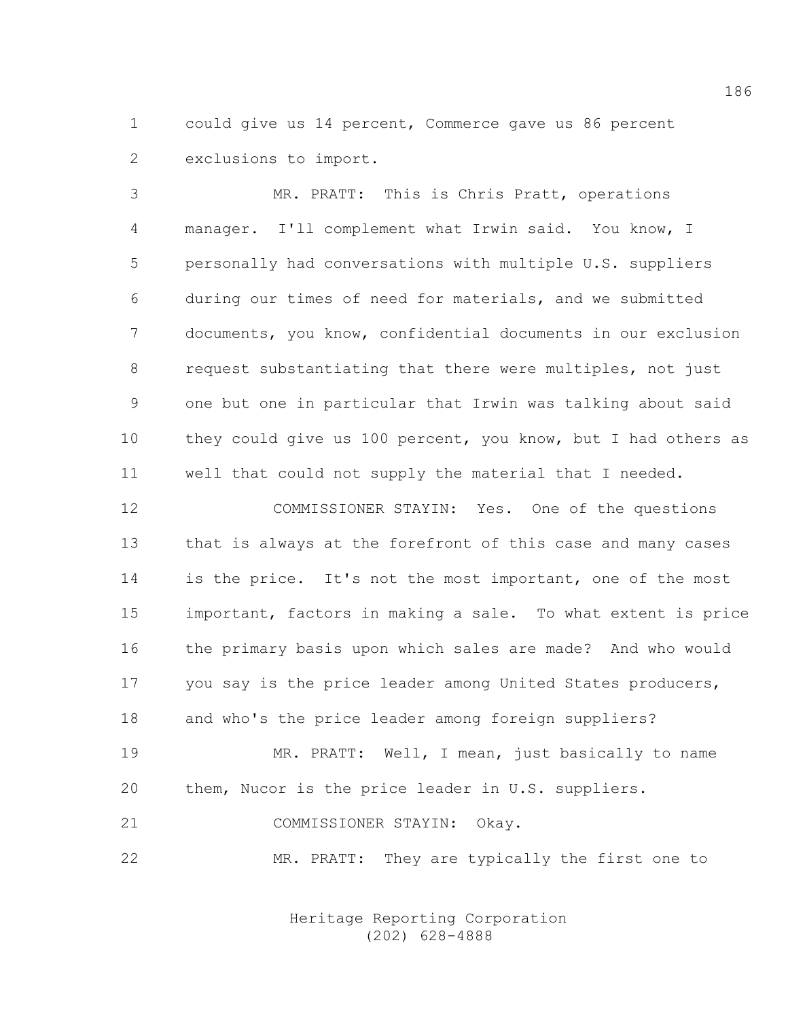1 could give us 14 percent, Commerce gave us 86 percent 2 exclusions to import.

3 MR. PRATT: This is Chris Pratt, operations 4 manager. I'll complement what Irwin said. You know, I 5 personally had conversations with multiple U.S. suppliers 6 during our times of need for materials, and we submitted 7 documents, you know, confidential documents in our exclusion 8 request substantiating that there were multiples, not just 9 one but one in particular that Irwin was talking about said 10 they could give us 100 percent, you know, but I had others as 11 well that could not supply the material that I needed.

12 COMMISSIONER STAYIN: Yes. One of the questions 13 that is always at the forefront of this case and many cases 14 is the price. It's not the most important, one of the most 15 important, factors in making a sale. To what extent is price 16 the primary basis upon which sales are made? And who would 17 you say is the price leader among United States producers, 18 and who's the price leader among foreign suppliers?

19 MR. PRATT: Well, I mean, just basically to name 20 them, Nucor is the price leader in U.S. suppliers.

21 COMMISSIONER STAYIN: Okay.

22 MR. PRATT: They are typically the first one to

 Heritage Reporting Corporation (202) 628-4888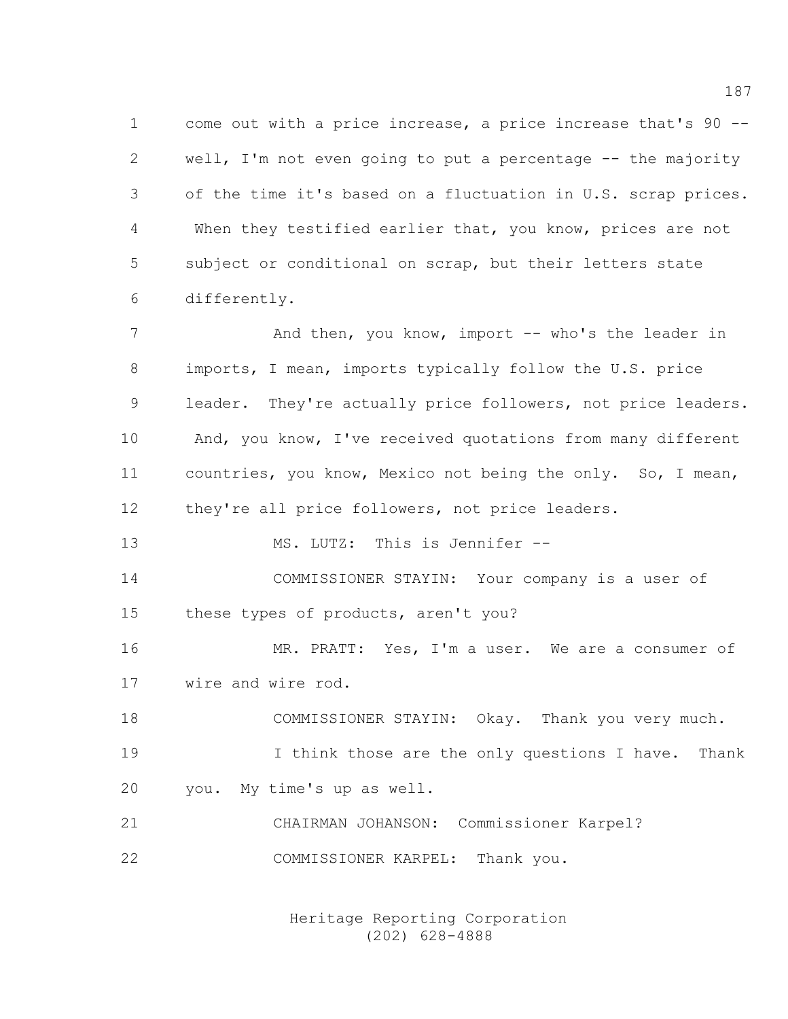1 come out with a price increase, a price increase that's 90 -- 2 well, I'm not even going to put a percentage -- the majority 3 of the time it's based on a fluctuation in U.S. scrap prices. 4 When they testified earlier that, you know, prices are not 5 subject or conditional on scrap, but their letters state 6 differently.

7 And then, you know, import -- who's the leader in 8 imports, I mean, imports typically follow the U.S. price 9 leader. They're actually price followers, not price leaders. 10 And, you know, I've received quotations from many different 11 countries, you know, Mexico not being the only. So, I mean, 12 they're all price followers, not price leaders.

13 MS. LUTZ: This is Jennifer --

14 COMMISSIONER STAYIN: Your company is a user of 15 these types of products, aren't you?

16 MR. PRATT: Yes, I'm a user. We are a consumer of 17 wire and wire rod.

18 COMMISSIONER STAYIN: Okay. Thank you very much. 19 19 I think those are the only questions I have. Thank 20 you. My time's up as well.

21 CHAIRMAN JOHANSON: Commissioner Karpel? 22 COMMISSIONER KARPEL: Thank you.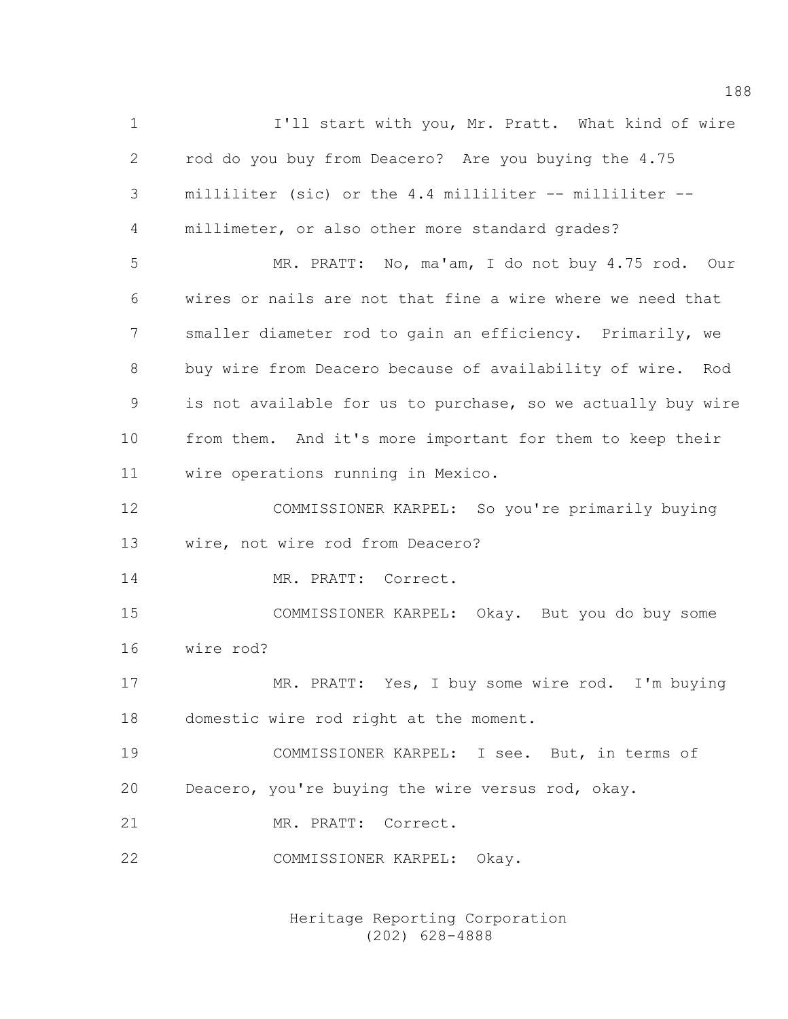1 I'll start with you, Mr. Pratt. What kind of wire 2 rod do you buy from Deacero? Are you buying the 4.75 3 milliliter (sic) or the 4.4 milliliter -- milliliter -- 4 millimeter, or also other more standard grades? 5 MR. PRATT: No, ma'am, I do not buy 4.75 rod. Our 6 wires or nails are not that fine a wire where we need that 7 smaller diameter rod to gain an efficiency. Primarily, we 8 buy wire from Deacero because of availability of wire. Rod 9 is not available for us to purchase, so we actually buy wire 10 from them. And it's more important for them to keep their 11 wire operations running in Mexico. 12 COMMISSIONER KARPEL: So you're primarily buying 13 wire, not wire rod from Deacero? 14 MR. PRATT: Correct. 15 COMMISSIONER KARPEL: Okay. But you do buy some 16 wire rod? 17 MR. PRATT: Yes, I buy some wire rod. I'm buying 18 domestic wire rod right at the moment. 19 COMMISSIONER KARPEL: I see. But, in terms of 20 Deacero, you're buying the wire versus rod, okay. 21 MR. PRATT: Correct. 22 COMMISSIONER KARPEL: Okay.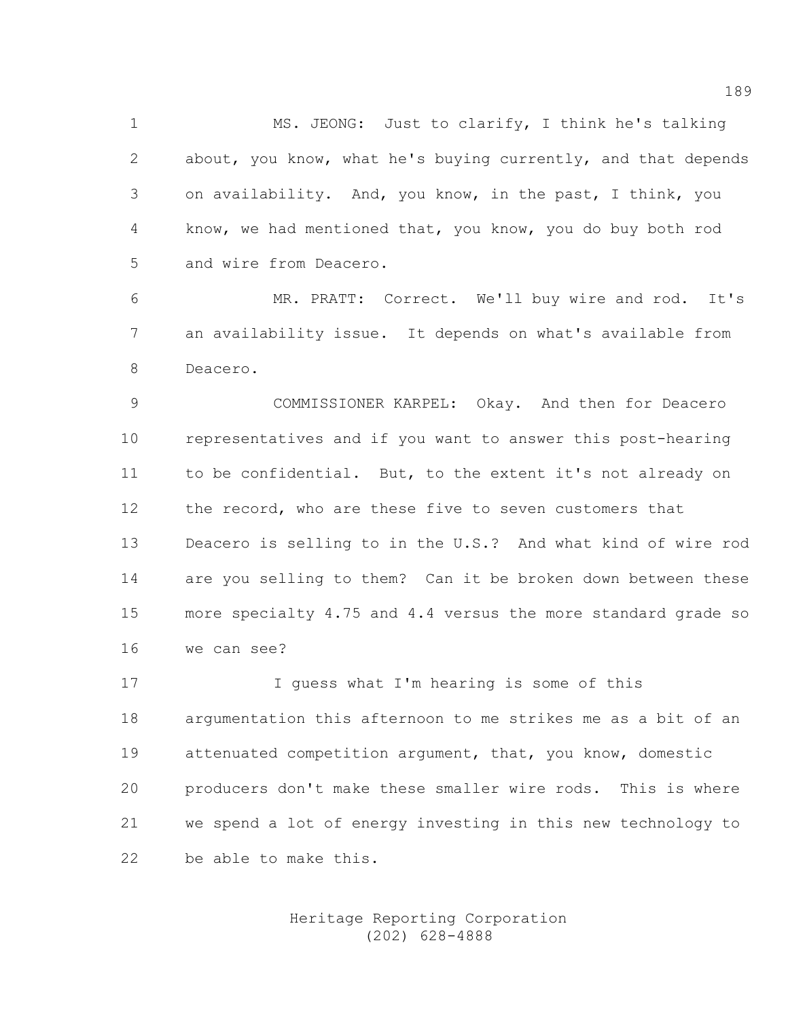1 MS. JEONG: Just to clarify, I think he's talking 2 about, you know, what he's buying currently, and that depends 3 on availability. And, you know, in the past, I think, you 4 know, we had mentioned that, you know, you do buy both rod 5 and wire from Deacero.

6 MR. PRATT: Correct. We'll buy wire and rod. It's 7 an availability issue. It depends on what's available from 8 Deacero.

9 COMMISSIONER KARPEL: Okay. And then for Deacero 10 representatives and if you want to answer this post-hearing 11 to be confidential. But, to the extent it's not already on 12 the record, who are these five to seven customers that 13 Deacero is selling to in the U.S.? And what kind of wire rod 14 are you selling to them? Can it be broken down between these 15 more specialty 4.75 and 4.4 versus the more standard grade so 16 we can see?

17 I guess what I'm hearing is some of this 18 argumentation this afternoon to me strikes me as a bit of an 19 attenuated competition argument, that, you know, domestic 20 producers don't make these smaller wire rods. This is where 21 we spend a lot of energy investing in this new technology to 22 be able to make this.

## Heritage Reporting Corporation (202) 628-4888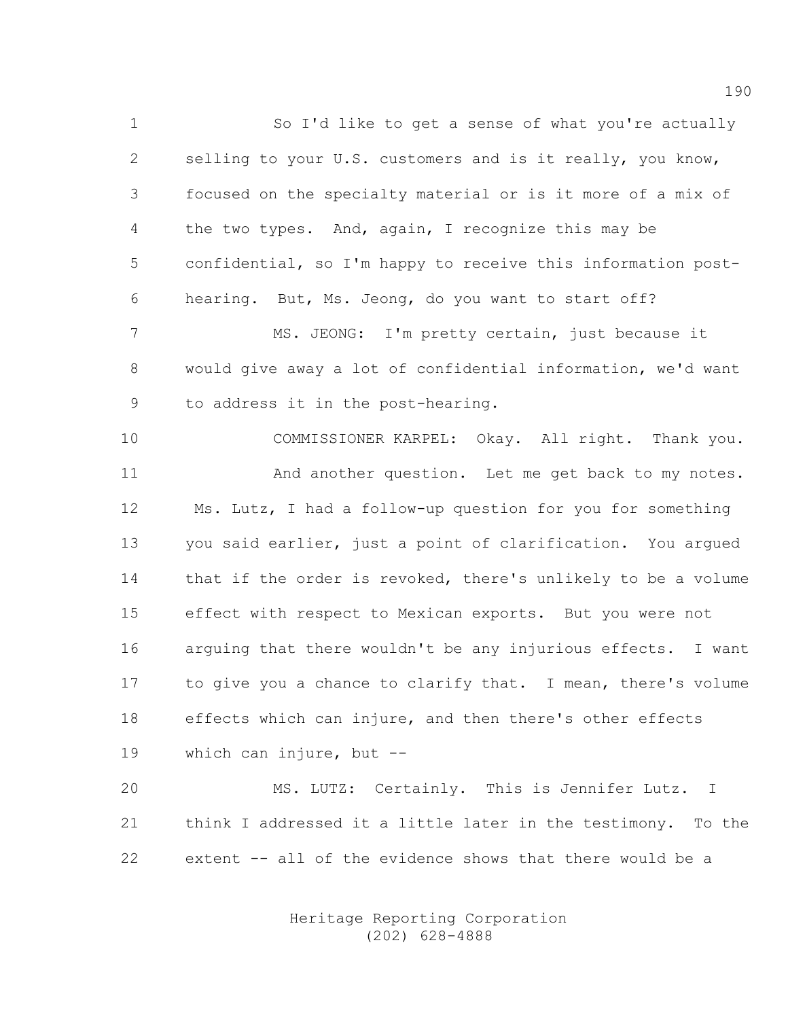1 So I'd like to get a sense of what you're actually 2 selling to your U.S. customers and is it really, you know, 3 focused on the specialty material or is it more of a mix of 4 the two types. And, again, I recognize this may be 5 confidential, so I'm happy to receive this information post-6 hearing. But, Ms. Jeong, do you want to start off?

7 MS. JEONG: I'm pretty certain, just because it 8 would give away a lot of confidential information, we'd want 9 to address it in the post-hearing.

10 COMMISSIONER KARPEL: Okay. All right. Thank you. 11 And another question. Let me get back to my notes. 12 Ms. Lutz, I had a follow-up question for you for something 13 you said earlier, just a point of clarification. You argued 14 that if the order is revoked, there's unlikely to be a volume 15 effect with respect to Mexican exports. But you were not 16 arguing that there wouldn't be any injurious effects. I want 17 to give you a chance to clarify that. I mean, there's volume 18 effects which can injure, and then there's other effects 19 which can injure, but --

20 MS. LUTZ: Certainly. This is Jennifer Lutz. I 21 think I addressed it a little later in the testimony. To the 22 extent -- all of the evidence shows that there would be a

> Heritage Reporting Corporation (202) 628-4888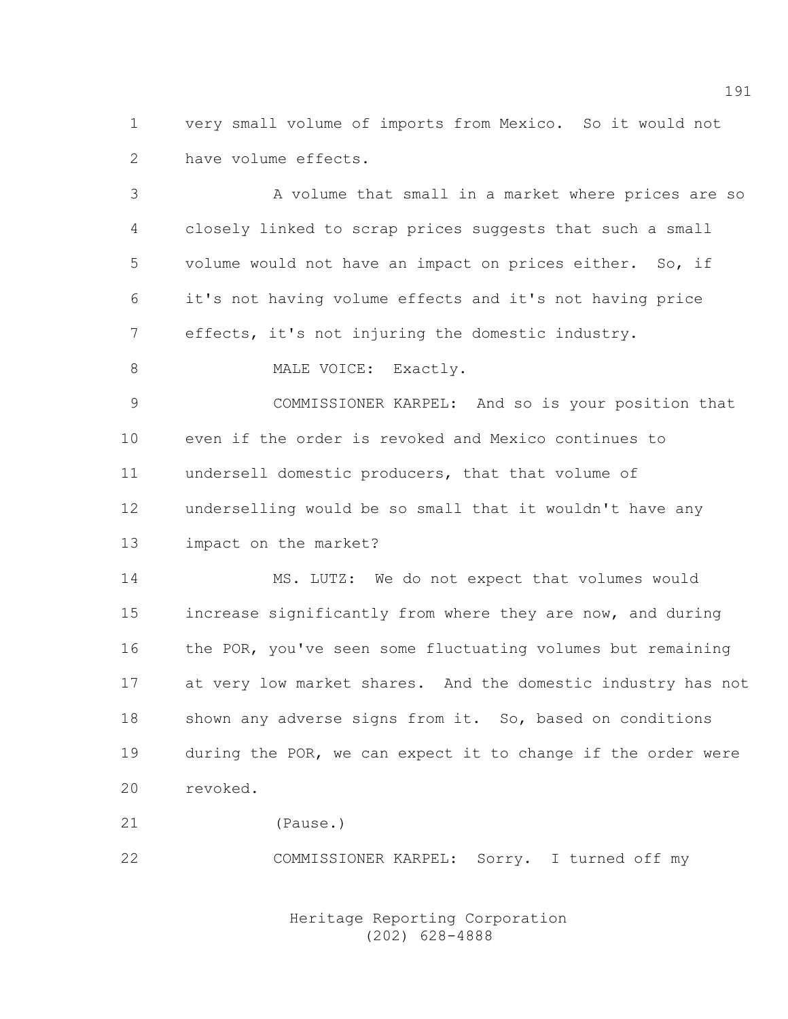1 very small volume of imports from Mexico. So it would not 2 have volume effects.

3 A volume that small in a market where prices are so 4 closely linked to scrap prices suggests that such a small 5 volume would not have an impact on prices either. So, if 6 it's not having volume effects and it's not having price 7 effects, it's not injuring the domestic industry.

8 MALE VOICE: Exactly.

9 COMMISSIONER KARPEL: And so is your position that 10 even if the order is revoked and Mexico continues to 11 undersell domestic producers, that that volume of 12 underselling would be so small that it wouldn't have any 13 impact on the market?

14 MS. LUTZ: We do not expect that volumes would 15 increase significantly from where they are now, and during 16 the POR, you've seen some fluctuating volumes but remaining 17 at very low market shares. And the domestic industry has not 18 shown any adverse signs from it. So, based on conditions 19 during the POR, we can expect it to change if the order were 20 revoked.

21 (Pause.)

22 COMMISSIONER KARPEL: Sorry. I turned off my

 Heritage Reporting Corporation (202) 628-4888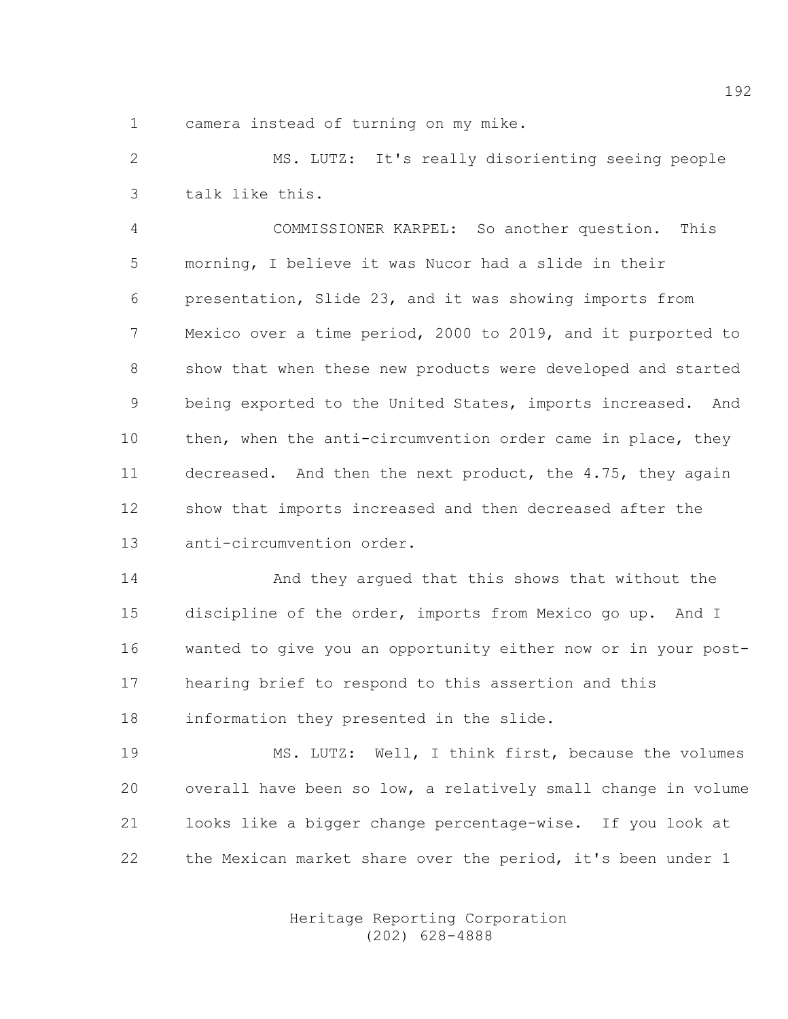1 camera instead of turning on my mike.

2 MS. LUTZ: It's really disorienting seeing people 3 talk like this.

4 COMMISSIONER KARPEL: So another question. This 5 morning, I believe it was Nucor had a slide in their 6 presentation, Slide 23, and it was showing imports from 7 Mexico over a time period, 2000 to 2019, and it purported to 8 show that when these new products were developed and started 9 being exported to the United States, imports increased. And 10 then, when the anti-circumvention order came in place, they 11 decreased. And then the next product, the 4.75, they again 12 show that imports increased and then decreased after the 13 anti-circumvention order.

14 And they argued that this shows that without the 15 discipline of the order, imports from Mexico go up. And I 16 wanted to give you an opportunity either now or in your post-17 hearing brief to respond to this assertion and this 18 information they presented in the slide.

19 MS. LUTZ: Well, I think first, because the volumes 20 overall have been so low, a relatively small change in volume 21 looks like a bigger change percentage-wise. If you look at 22 the Mexican market share over the period, it's been under 1

> Heritage Reporting Corporation (202) 628-4888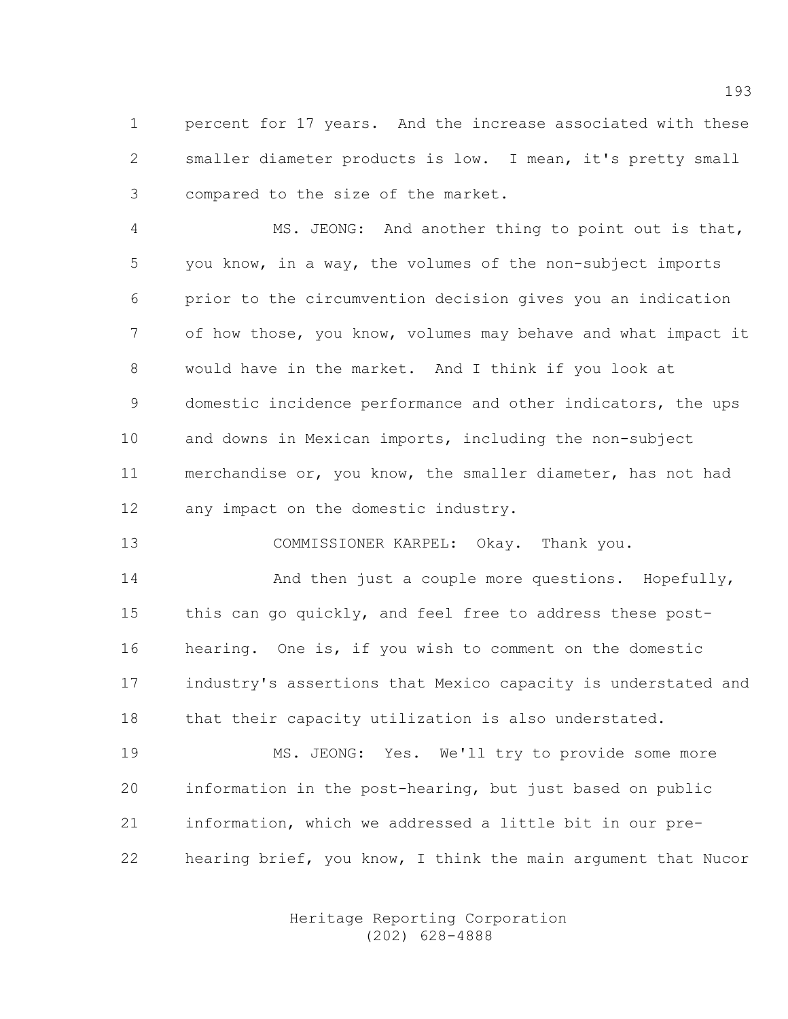1 percent for 17 years. And the increase associated with these 2 smaller diameter products is low. I mean, it's pretty small 3 compared to the size of the market.

4 MS. JEONG: And another thing to point out is that, 5 you know, in a way, the volumes of the non-subject imports 6 prior to the circumvention decision gives you an indication 7 of how those, you know, volumes may behave and what impact it 8 would have in the market. And I think if you look at 9 domestic incidence performance and other indicators, the ups 10 and downs in Mexican imports, including the non-subject 11 merchandise or, you know, the smaller diameter, has not had 12 any impact on the domestic industry.

13 COMMISSIONER KARPEL: Okay. Thank you.

14 And then just a couple more questions. Hopefully, 15 this can go quickly, and feel free to address these post-16 hearing. One is, if you wish to comment on the domestic 17 industry's assertions that Mexico capacity is understated and 18 that their capacity utilization is also understated.

19 MS. JEONG: Yes. We'll try to provide some more 20 information in the post-hearing, but just based on public 21 information, which we addressed a little bit in our pre-22 hearing brief, you know, I think the main argument that Nucor

> Heritage Reporting Corporation (202) 628-4888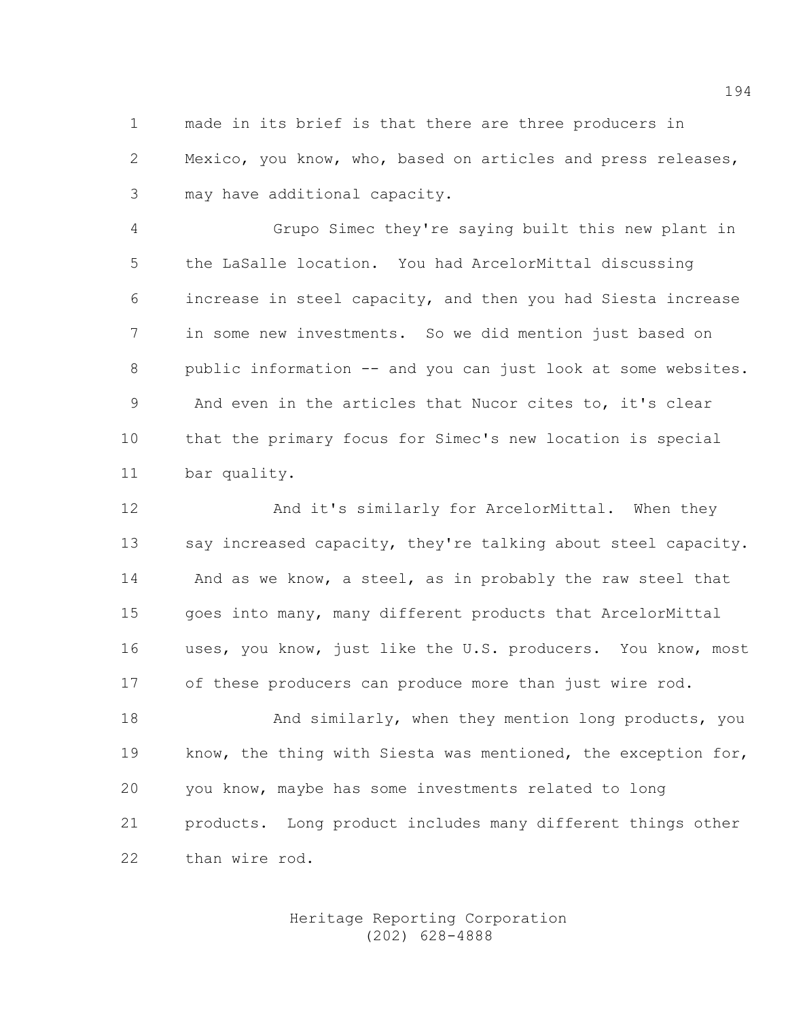1 made in its brief is that there are three producers in 2 Mexico, you know, who, based on articles and press releases, 3 may have additional capacity.

4 Grupo Simec they're saying built this new plant in 5 the LaSalle location. You had ArcelorMittal discussing 6 increase in steel capacity, and then you had Siesta increase 7 in some new investments. So we did mention just based on 8 public information -- and you can just look at some websites. 9 And even in the articles that Nucor cites to, it's clear 10 that the primary focus for Simec's new location is special 11 bar quality.

12 And it's similarly for ArcelorMittal. When they 13 say increased capacity, they're talking about steel capacity. 14 And as we know, a steel, as in probably the raw steel that 15 goes into many, many different products that ArcelorMittal 16 uses, you know, just like the U.S. producers. You know, most 17 of these producers can produce more than just wire rod.

18 And similarly, when they mention long products, you 19 know, the thing with Siesta was mentioned, the exception for, 20 you know, maybe has some investments related to long 21 products. Long product includes many different things other 22 than wire rod.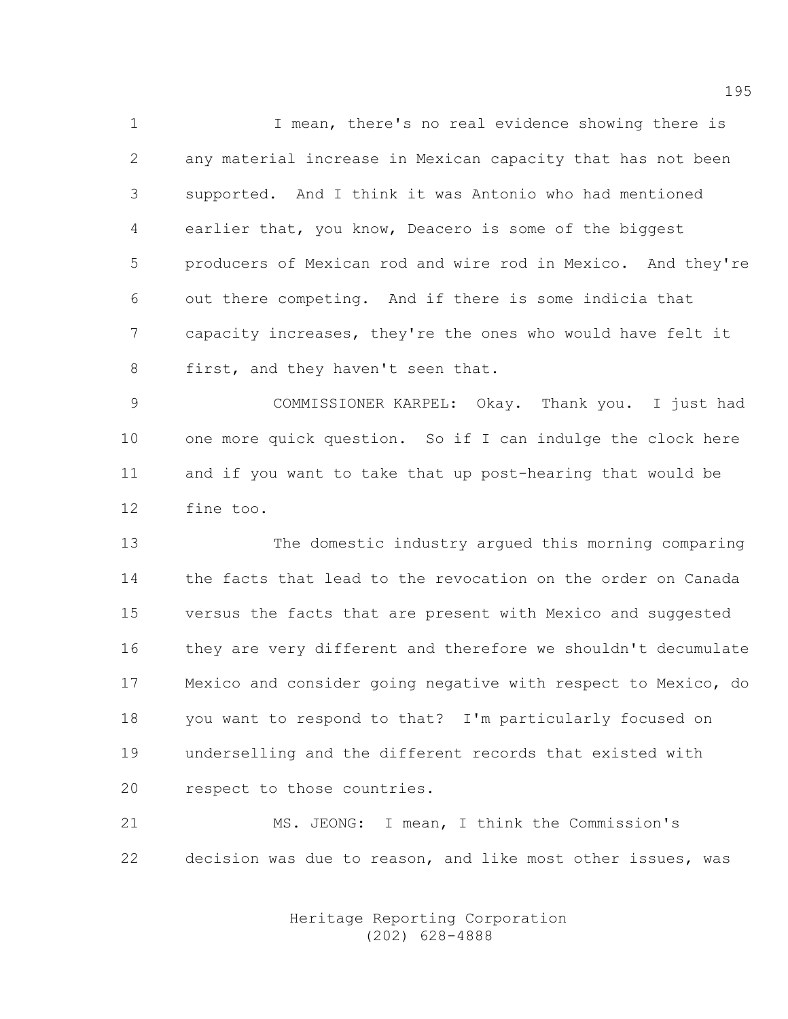1 I mean, there's no real evidence showing there is 2 any material increase in Mexican capacity that has not been 3 supported. And I think it was Antonio who had mentioned 4 earlier that, you know, Deacero is some of the biggest 5 producers of Mexican rod and wire rod in Mexico. And they're 6 out there competing. And if there is some indicia that 7 capacity increases, they're the ones who would have felt it 8 first, and they haven't seen that.

9 COMMISSIONER KARPEL: Okay. Thank you. I just had 10 one more quick question. So if I can indulge the clock here 11 and if you want to take that up post-hearing that would be 12 fine too.

13 The domestic industry argued this morning comparing 14 the facts that lead to the revocation on the order on Canada 15 versus the facts that are present with Mexico and suggested 16 they are very different and therefore we shouldn't decumulate 17 Mexico and consider going negative with respect to Mexico, do 18 you want to respond to that? I'm particularly focused on 19 underselling and the different records that existed with 20 respect to those countries.

21 MS. JEONG: I mean, I think the Commission's 22 decision was due to reason, and like most other issues, was

> Heritage Reporting Corporation (202) 628-4888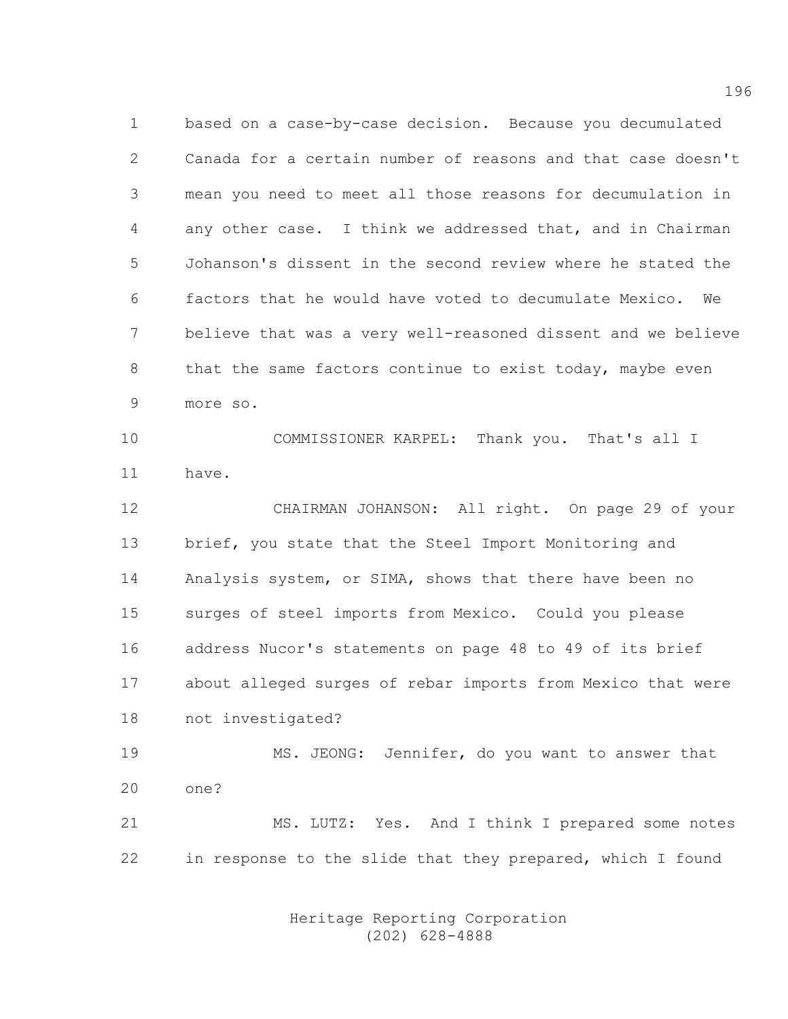1 based on a case-by-case decision. Because you decumulated 2 Canada for a certain number of reasons and that case doesn't 3 mean you need to meet all those reasons for decumulation in 4 any other case. I think we addressed that, and in Chairman 5 Johanson's dissent in the second review where he stated the 6 factors that he would have voted to decumulate Mexico. We 7 believe that was a very well-reasoned dissent and we believe 8 that the same factors continue to exist today, maybe even 9 more so.

10 COMMISSIONER KARPEL: Thank you. That's all I 11 have.

12 CHAIRMAN JOHANSON: All right. On page 29 of your 13 brief, you state that the Steel Import Monitoring and 14 Analysis system, or SIMA, shows that there have been no 15 surges of steel imports from Mexico. Could you please 16 address Nucor's statements on page 48 to 49 of its brief 17 about alleged surges of rebar imports from Mexico that were 18 not investigated?

19 MS. JEONG: Jennifer, do you want to answer that 20 one?

21 MS. LUTZ: Yes. And I think I prepared some notes 22 in response to the slide that they prepared, which I found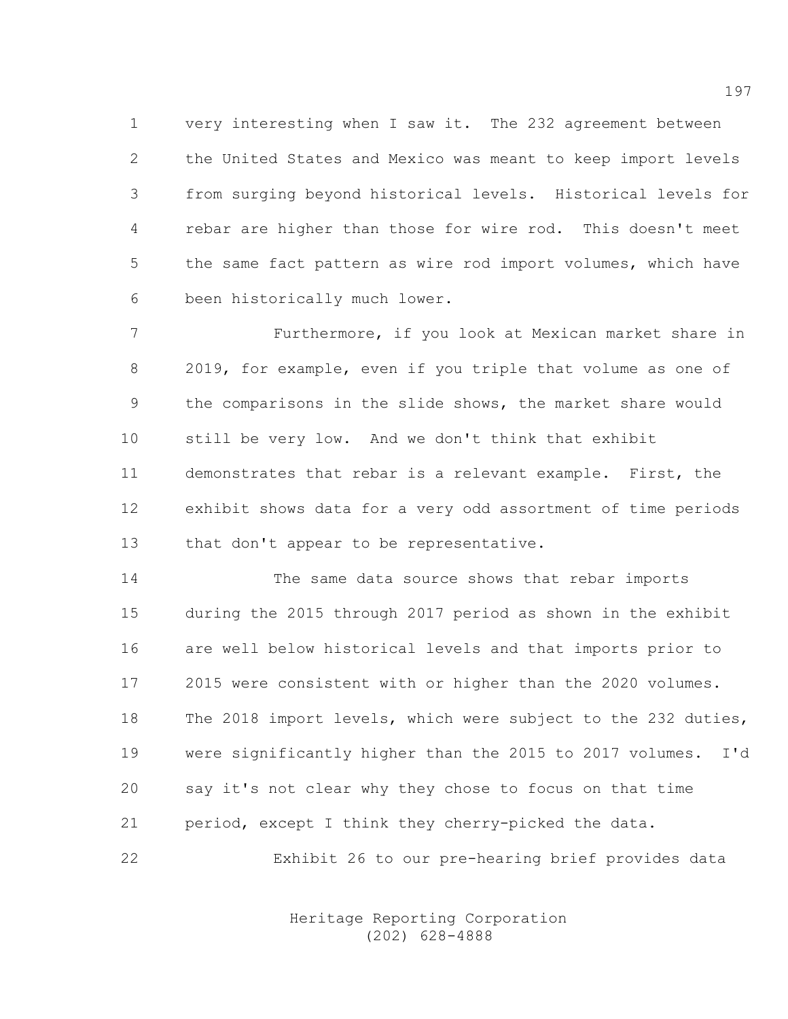1 very interesting when I saw it. The 232 agreement between 2 the United States and Mexico was meant to keep import levels 3 from surging beyond historical levels. Historical levels for 4 rebar are higher than those for wire rod. This doesn't meet 5 the same fact pattern as wire rod import volumes, which have 6 been historically much lower.

7 Furthermore, if you look at Mexican market share in 8 2019, for example, even if you triple that volume as one of 9 the comparisons in the slide shows, the market share would 10 still be very low. And we don't think that exhibit 11 demonstrates that rebar is a relevant example. First, the 12 exhibit shows data for a very odd assortment of time periods 13 that don't appear to be representative.

14 The same data source shows that rebar imports 15 during the 2015 through 2017 period as shown in the exhibit 16 are well below historical levels and that imports prior to 17 2015 were consistent with or higher than the 2020 volumes. 18 The 2018 import levels, which were subject to the 232 duties, 19 were significantly higher than the 2015 to 2017 volumes. I'd 20 say it's not clear why they chose to focus on that time 21 period, except I think they cherry-picked the data.

22 Exhibit 26 to our pre-hearing brief provides data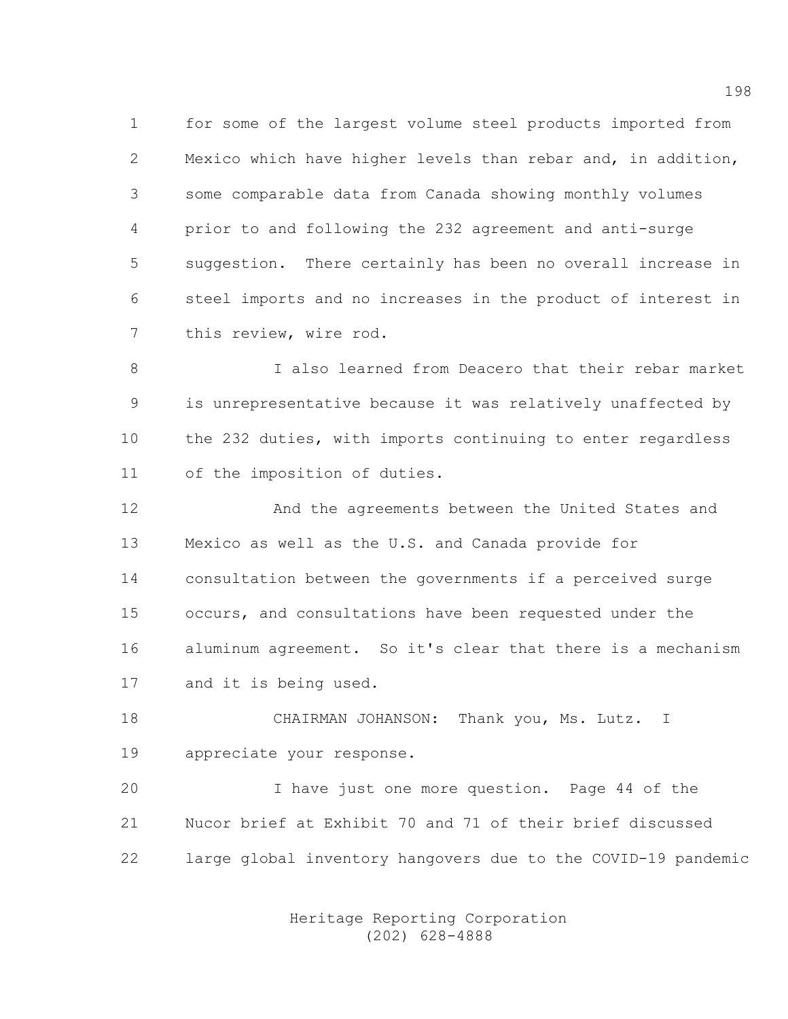1 for some of the largest volume steel products imported from 2 Mexico which have higher levels than rebar and, in addition, 3 some comparable data from Canada showing monthly volumes 4 prior to and following the 232 agreement and anti-surge 5 suggestion. There certainly has been no overall increase in 6 steel imports and no increases in the product of interest in 7 this review, wire rod.

8 I also learned from Deacero that their rebar market 9 is unrepresentative because it was relatively unaffected by 10 the 232 duties, with imports continuing to enter regardless 11 of the imposition of duties.

12 And the agreements between the United States and 13 Mexico as well as the U.S. and Canada provide for 14 consultation between the governments if a perceived surge 15 occurs, and consultations have been requested under the 16 aluminum agreement. So it's clear that there is a mechanism 17 and it is being used.

18 CHAIRMAN JOHANSON: Thank you, Ms. Lutz. I 19 appreciate your response.

20 I have just one more question. Page 44 of the 21 Nucor brief at Exhibit 70 and 71 of their brief discussed 22 large global inventory hangovers due to the COVID-19 pandemic

> Heritage Reporting Corporation (202) 628-4888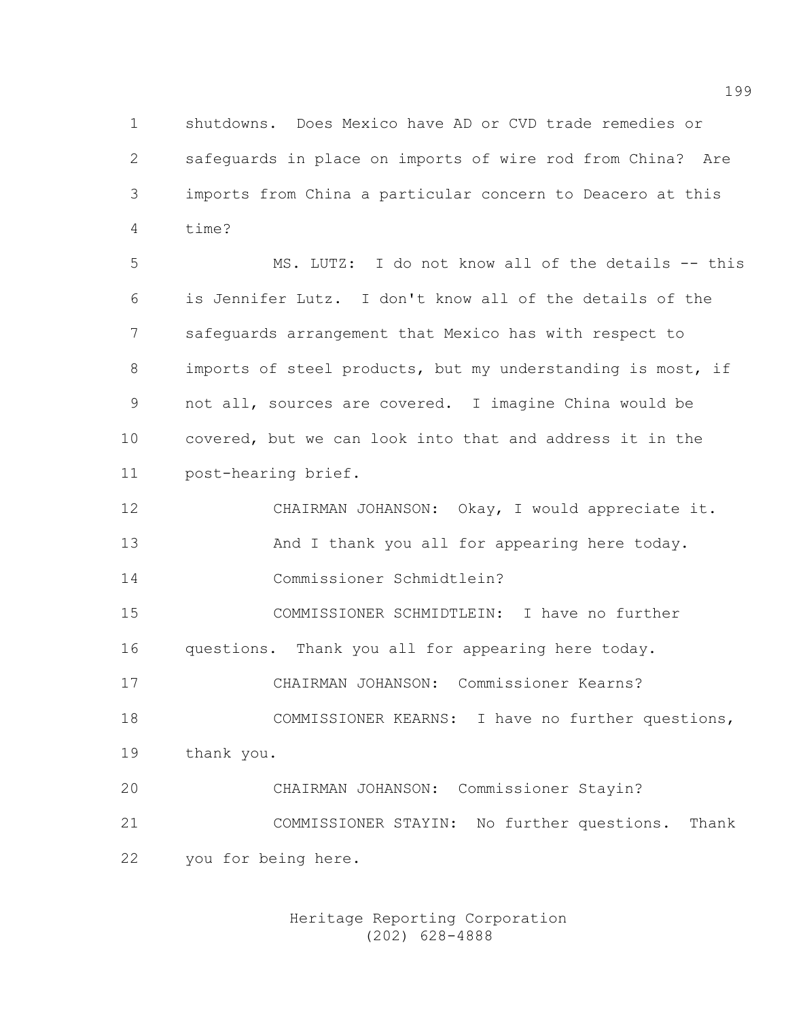1 shutdowns. Does Mexico have AD or CVD trade remedies or 2 safeguards in place on imports of wire rod from China? Are 3 imports from China a particular concern to Deacero at this 4 time?

5 MS. LUTZ: I do not know all of the details -- this 6 is Jennifer Lutz. I don't know all of the details of the 7 safeguards arrangement that Mexico has with respect to 8 imports of steel products, but my understanding is most, if 9 not all, sources are covered. I imagine China would be 10 covered, but we can look into that and address it in the 11 post-hearing brief.

12 CHAIRMAN JOHANSON: Okay, I would appreciate it. 13 And I thank you all for appearing here today. 14 Commissioner Schmidtlein?

15 COMMISSIONER SCHMIDTLEIN: I have no further 16 questions. Thank you all for appearing here today.

17 CHAIRMAN JOHANSON: Commissioner Kearns?

18 COMMISSIONER KEARNS: I have no further questions, 19 thank you.

20 CHAIRMAN JOHANSON: Commissioner Stayin? 21 COMMISSIONER STAYIN: No further questions. Thank 22 you for being here.

> Heritage Reporting Corporation (202) 628-4888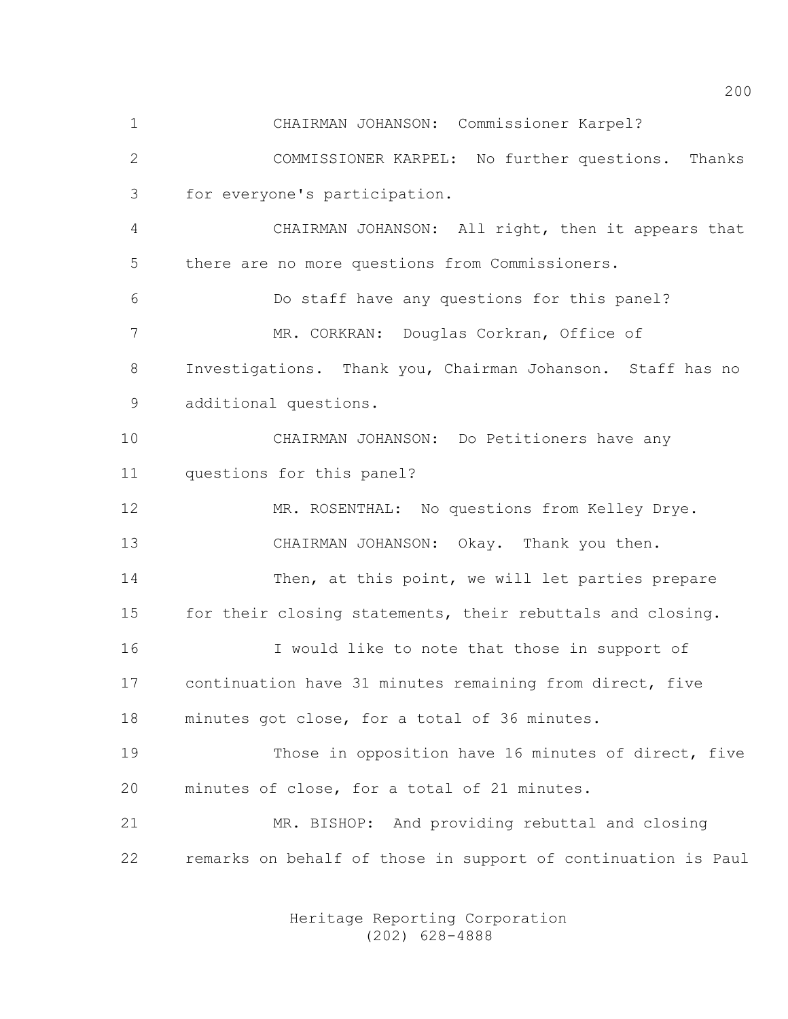1 CHAIRMAN JOHANSON: Commissioner Karpel?

2 COMMISSIONER KARPEL: No further questions. Thanks 3 for everyone's participation.

4 CHAIRMAN JOHANSON: All right, then it appears that 5 there are no more questions from Commissioners.

6 Do staff have any questions for this panel? 7 MR. CORKRAN: Douglas Corkran, Office of 8 Investigations. Thank you, Chairman Johanson. Staff has no 9 additional questions.

10 CHAIRMAN JOHANSON: Do Petitioners have any 11 questions for this panel?

12 MR. ROSENTHAL: No questions from Kelley Drye. 13 CHAIRMAN JOHANSON: Okay. Thank you then.

14 Then, at this point, we will let parties prepare 15 for their closing statements, their rebuttals and closing.

16 I would like to note that those in support of 17 continuation have 31 minutes remaining from direct, five 18 minutes got close, for a total of 36 minutes.

19 Those in opposition have 16 minutes of direct, five 20 minutes of close, for a total of 21 minutes.

21 MR. BISHOP: And providing rebuttal and closing 22 remarks on behalf of those in support of continuation is Paul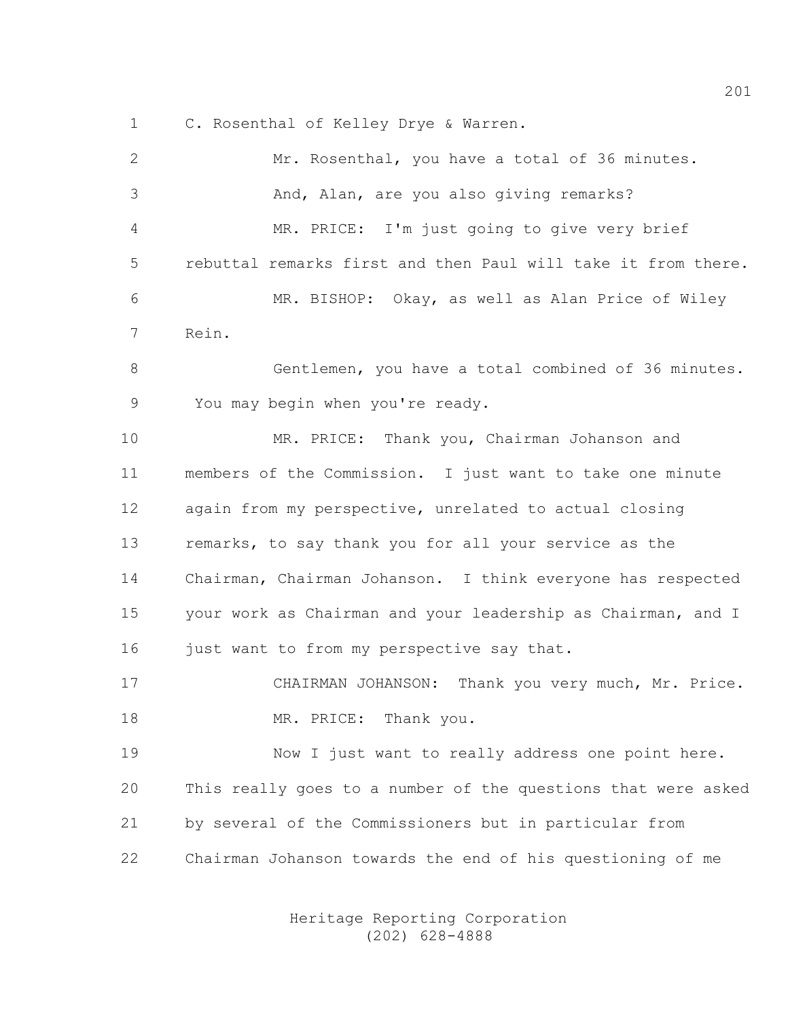1 C. Rosenthal of Kelley Drye & Warren.

| $\mathbf{2}$ | Mr. Rosenthal, you have a total of 36 minutes.                |
|--------------|---------------------------------------------------------------|
| 3            | And, Alan, are you also giving remarks?                       |
| 4            | MR. PRICE: I'm just going to give very brief                  |
| 5            | rebuttal remarks first and then Paul will take it from there. |
| 6            | MR. BISHOP: Okay, as well as Alan Price of Wiley              |
| 7            | Rein.                                                         |
| 8            | Gentlemen, you have a total combined of 36 minutes.           |
| $\mathsf 9$  | You may begin when you're ready.                              |
| 10           | MR. PRICE: Thank you, Chairman Johanson and                   |
| 11           | members of the Commission. I just want to take one minute     |
| 12           | again from my perspective, unrelated to actual closing        |
| 13           | remarks, to say thank you for all your service as the         |
| 14           | Chairman, Chairman Johanson. I think everyone has respected   |
| 15           | your work as Chairman and your leadership as Chairman, and I  |
| 16           | just want to from my perspective say that.                    |
| 17           | CHAIRMAN JOHANSON: Thank you very much, Mr. Price.            |
| 18           | Thank you.<br>MR. PRICE:                                      |
| 19           | Now I just want to really address one point here.             |
| 20           | This really goes to a number of the questions that were asked |
| 21           | by several of the Commissioners but in particular from        |
| 22           | Chairman Johanson towards the end of his questioning of me    |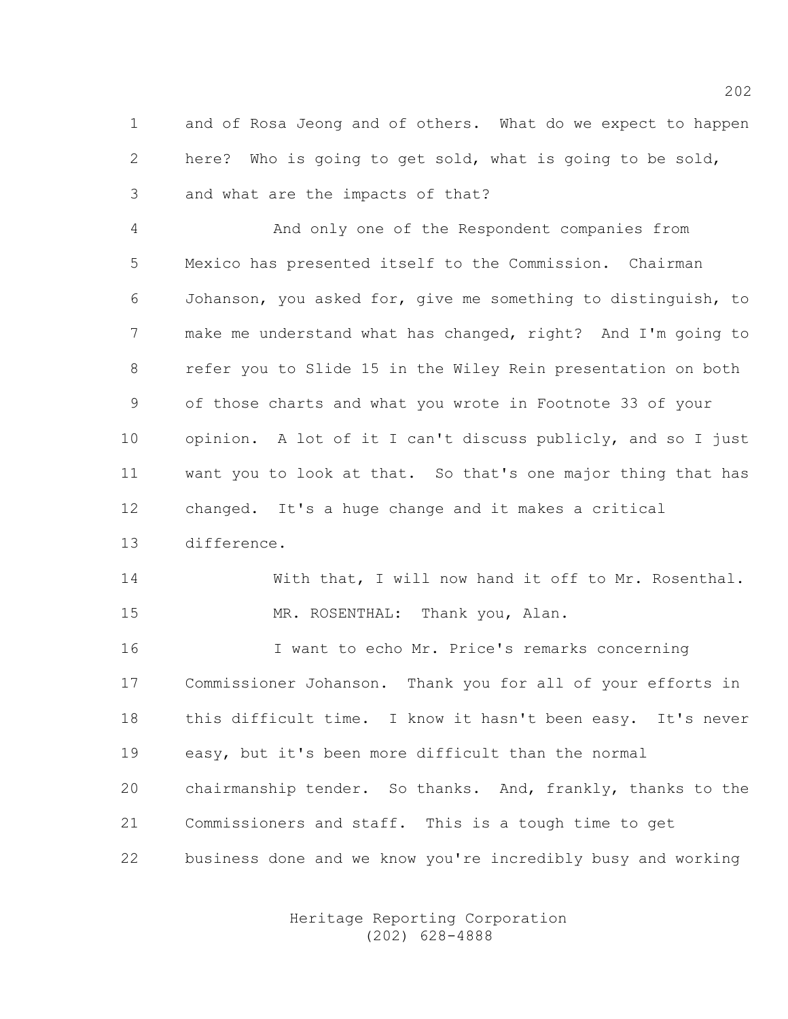1 and of Rosa Jeong and of others. What do we expect to happen 2 here? Who is going to get sold, what is going to be sold, 3 and what are the impacts of that?

4 And only one of the Respondent companies from 5 Mexico has presented itself to the Commission. Chairman 6 Johanson, you asked for, give me something to distinguish, to 7 make me understand what has changed, right? And I'm going to 8 refer you to Slide 15 in the Wiley Rein presentation on both 9 of those charts and what you wrote in Footnote 33 of your 10 opinion. A lot of it I can't discuss publicly, and so I just 11 want you to look at that. So that's one major thing that has 12 changed. It's a huge change and it makes a critical 13 difference.

14 With that, I will now hand it off to Mr. Rosenthal. 15 MR. ROSENTHAL: Thank you, Alan.

16 I want to echo Mr. Price's remarks concerning 17 Commissioner Johanson. Thank you for all of your efforts in 18 this difficult time. I know it hasn't been easy. It's never 19 easy, but it's been more difficult than the normal 20 chairmanship tender. So thanks. And, frankly, thanks to the 21 Commissioners and staff. This is a tough time to get 22 business done and we know you're incredibly busy and working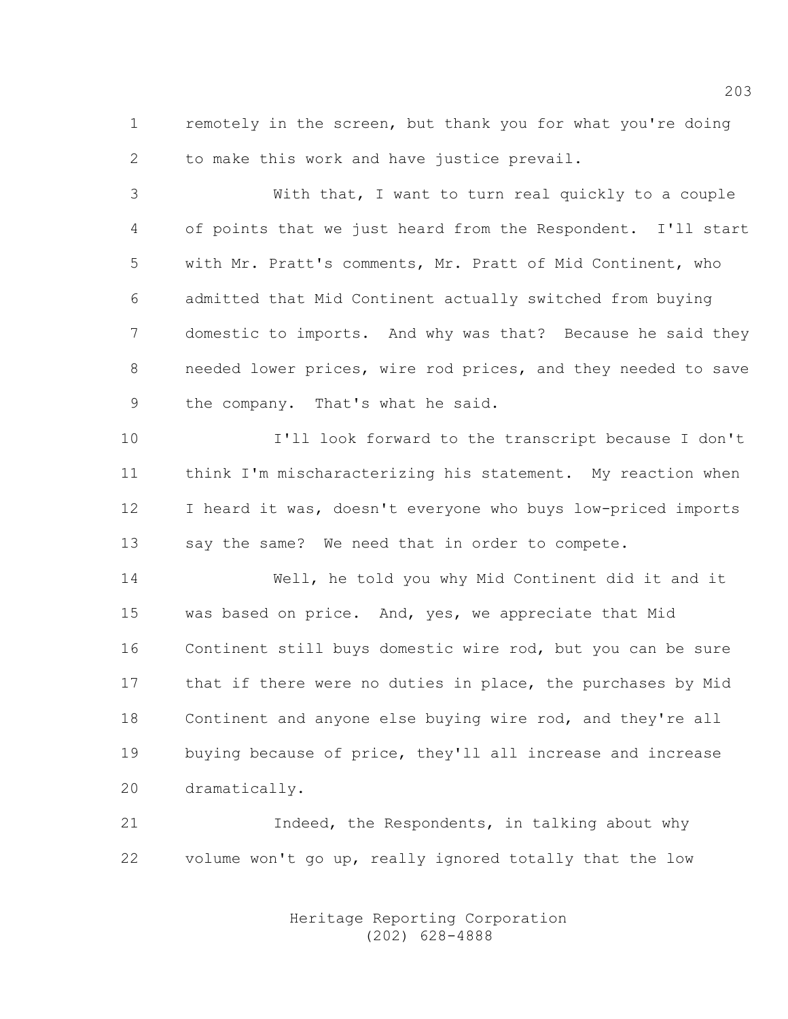1 remotely in the screen, but thank you for what you're doing 2 to make this work and have justice prevail.

3 With that, I want to turn real quickly to a couple 4 of points that we just heard from the Respondent. I'll start 5 with Mr. Pratt's comments, Mr. Pratt of Mid Continent, who 6 admitted that Mid Continent actually switched from buying 7 domestic to imports. And why was that? Because he said they 8 needed lower prices, wire rod prices, and they needed to save 9 the company. That's what he said.

10 I'll look forward to the transcript because I don't 11 think I'm mischaracterizing his statement. My reaction when 12 I heard it was, doesn't everyone who buys low-priced imports 13 say the same? We need that in order to compete.

14 Well, he told you why Mid Continent did it and it 15 was based on price. And, yes, we appreciate that Mid 16 Continent still buys domestic wire rod, but you can be sure 17 that if there were no duties in place, the purchases by Mid 18 Continent and anyone else buying wire rod, and they're all 19 buying because of price, they'll all increase and increase 20 dramatically.

21 Indeed, the Respondents, in talking about why 22 volume won't go up, really ignored totally that the low

> Heritage Reporting Corporation (202) 628-4888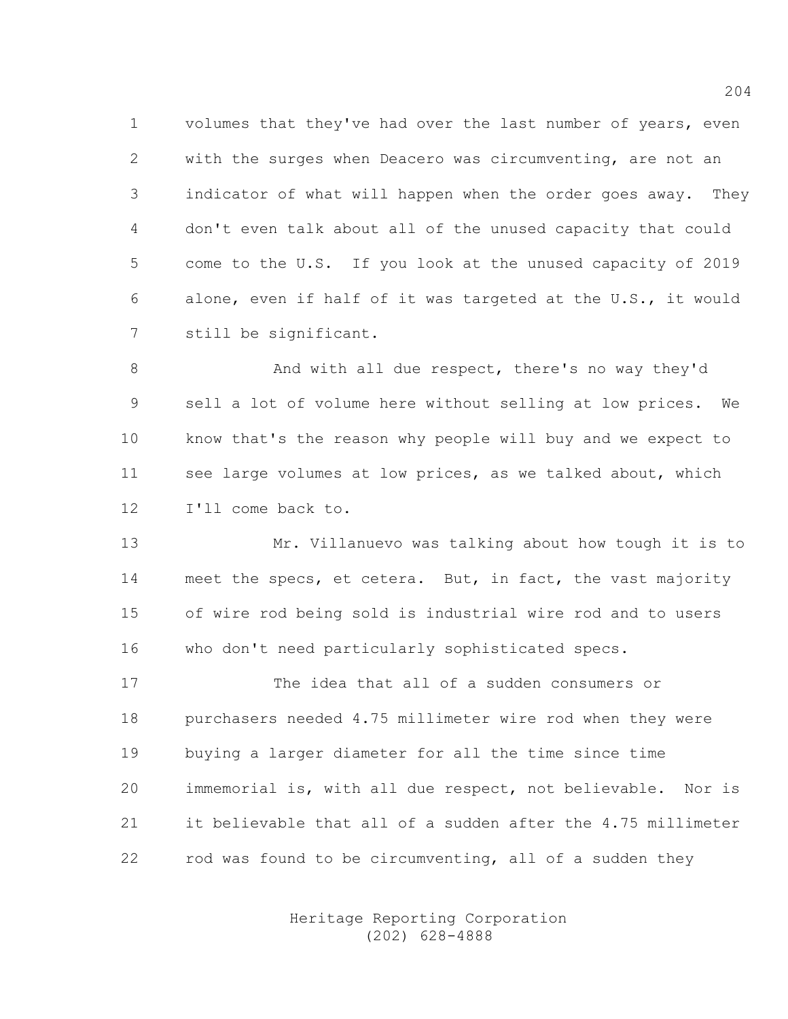1 volumes that they've had over the last number of years, even 2 with the surges when Deacero was circumventing, are not an 3 indicator of what will happen when the order goes away. They 4 don't even talk about all of the unused capacity that could 5 come to the U.S. If you look at the unused capacity of 2019 6 alone, even if half of it was targeted at the U.S., it would 7 still be significant.

8 And with all due respect, there's no way they'd 9 sell a lot of volume here without selling at low prices. We 10 know that's the reason why people will buy and we expect to 11 see large volumes at low prices, as we talked about, which 12 I'll come back to.

13 Mr. Villanuevo was talking about how tough it is to 14 meet the specs, et cetera. But, in fact, the vast majority 15 of wire rod being sold is industrial wire rod and to users 16 who don't need particularly sophisticated specs.

17 The idea that all of a sudden consumers or 18 purchasers needed 4.75 millimeter wire rod when they were 19 buying a larger diameter for all the time since time 20 immemorial is, with all due respect, not believable. Nor is 21 it believable that all of a sudden after the 4.75 millimeter 22 rod was found to be circumventing, all of a sudden they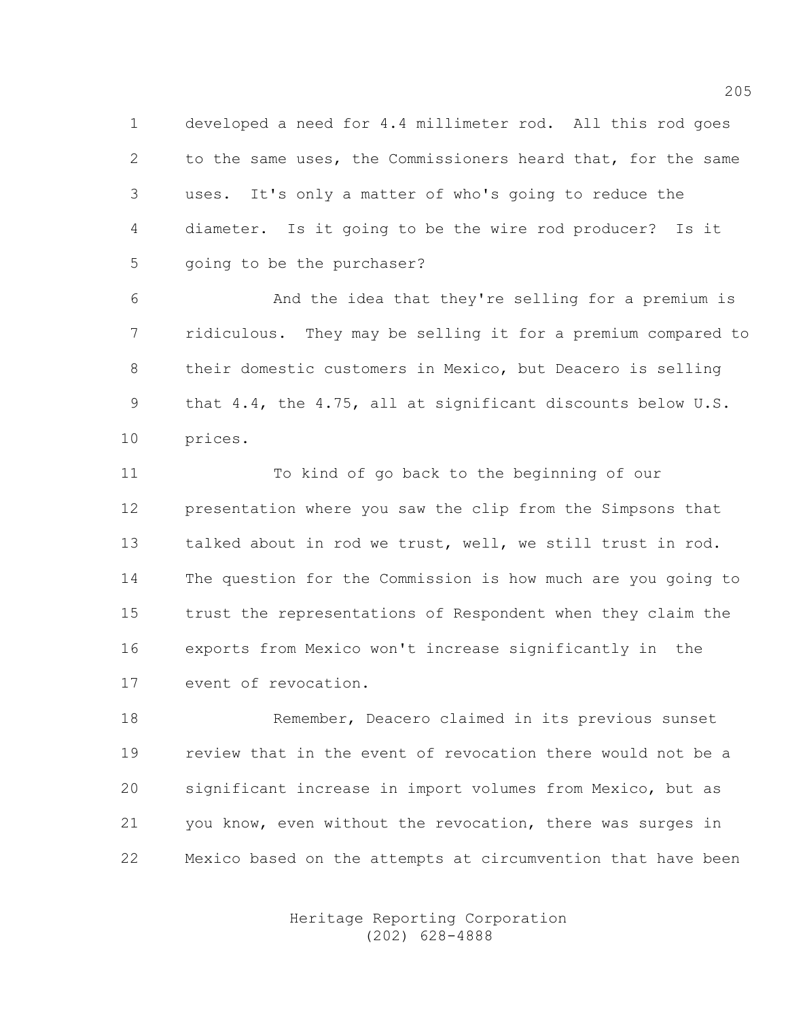1 developed a need for 4.4 millimeter rod. All this rod goes 2 to the same uses, the Commissioners heard that, for the same 3 uses. It's only a matter of who's going to reduce the 4 diameter. Is it going to be the wire rod producer? Is it 5 going to be the purchaser?

6 And the idea that they're selling for a premium is 7 ridiculous. They may be selling it for a premium compared to 8 their domestic customers in Mexico, but Deacero is selling 9 that 4.4, the 4.75, all at significant discounts below U.S. 10 prices.

11 To kind of go back to the beginning of our 12 presentation where you saw the clip from the Simpsons that 13 talked about in rod we trust, well, we still trust in rod. 14 The question for the Commission is how much are you going to 15 trust the representations of Respondent when they claim the 16 exports from Mexico won't increase significantly in the 17 event of revocation.

18 Remember, Deacero claimed in its previous sunset 19 review that in the event of revocation there would not be a 20 significant increase in import volumes from Mexico, but as 21 you know, even without the revocation, there was surges in 22 Mexico based on the attempts at circumvention that have been

> Heritage Reporting Corporation (202) 628-4888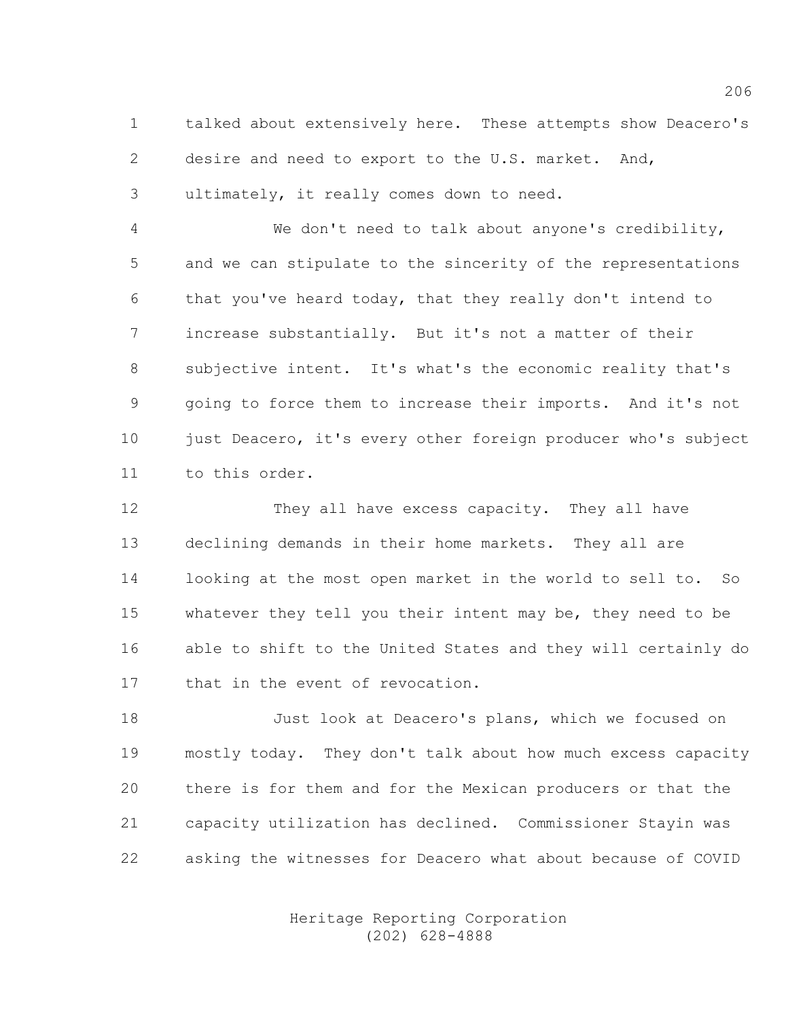1 talked about extensively here. These attempts show Deacero's 2 desire and need to export to the U.S. market. And, 3 ultimately, it really comes down to need.

4 We don't need to talk about anyone's credibility, 5 and we can stipulate to the sincerity of the representations 6 that you've heard today, that they really don't intend to 7 increase substantially. But it's not a matter of their 8 subjective intent. It's what's the economic reality that's 9 going to force them to increase their imports. And it's not 10 just Deacero, it's every other foreign producer who's subject 11 to this order.

12 They all have excess capacity. They all have 13 declining demands in their home markets. They all are 14 looking at the most open market in the world to sell to. So 15 whatever they tell you their intent may be, they need to be 16 able to shift to the United States and they will certainly do 17 that in the event of revocation.

18 Just look at Deacero's plans, which we focused on 19 mostly today. They don't talk about how much excess capacity 20 there is for them and for the Mexican producers or that the 21 capacity utilization has declined. Commissioner Stayin was 22 asking the witnesses for Deacero what about because of COVID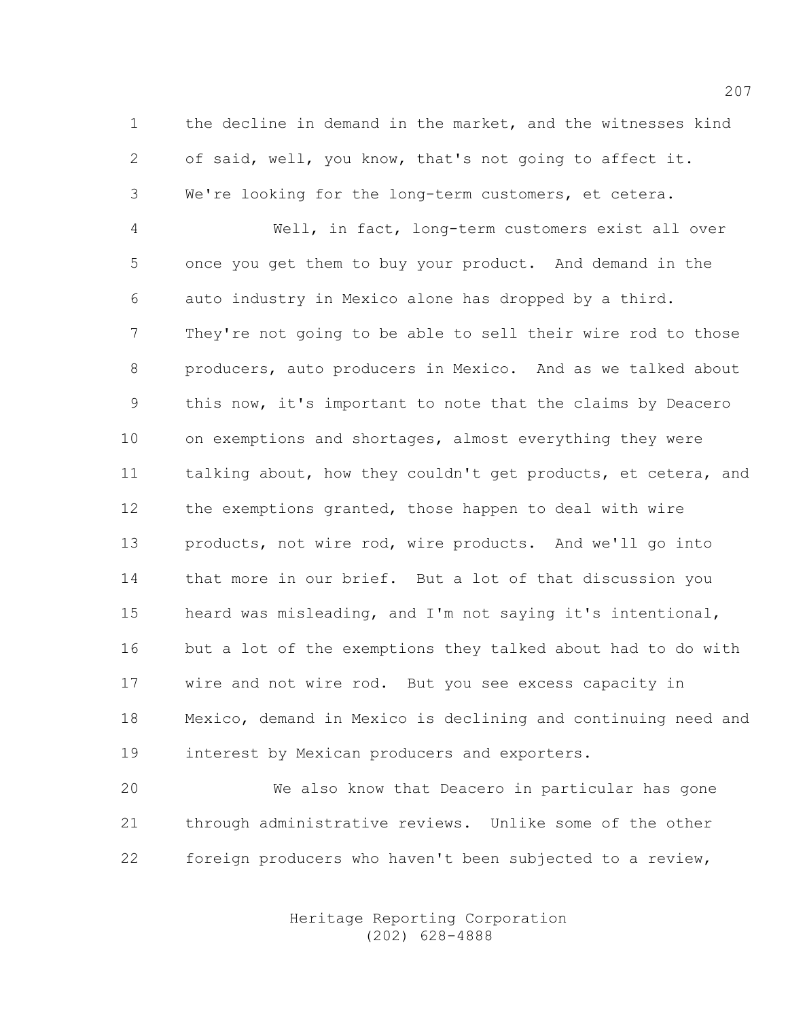1 the decline in demand in the market, and the witnesses kind 2 of said, well, you know, that's not going to affect it. 3 We're looking for the long-term customers, et cetera.

4 Well, in fact, long-term customers exist all over 5 once you get them to buy your product. And demand in the 6 auto industry in Mexico alone has dropped by a third. 7 They're not going to be able to sell their wire rod to those 8 producers, auto producers in Mexico. And as we talked about 9 this now, it's important to note that the claims by Deacero 10 on exemptions and shortages, almost everything they were 11 talking about, how they couldn't get products, et cetera, and 12 the exemptions granted, those happen to deal with wire 13 products, not wire rod, wire products. And we'll go into 14 that more in our brief. But a lot of that discussion you 15 heard was misleading, and I'm not saying it's intentional, 16 but a lot of the exemptions they talked about had to do with 17 wire and not wire rod. But you see excess capacity in 18 Mexico, demand in Mexico is declining and continuing need and 19 interest by Mexican producers and exporters.

20 We also know that Deacero in particular has gone 21 through administrative reviews. Unlike some of the other 22 foreign producers who haven't been subjected to a review,

> Heritage Reporting Corporation (202) 628-4888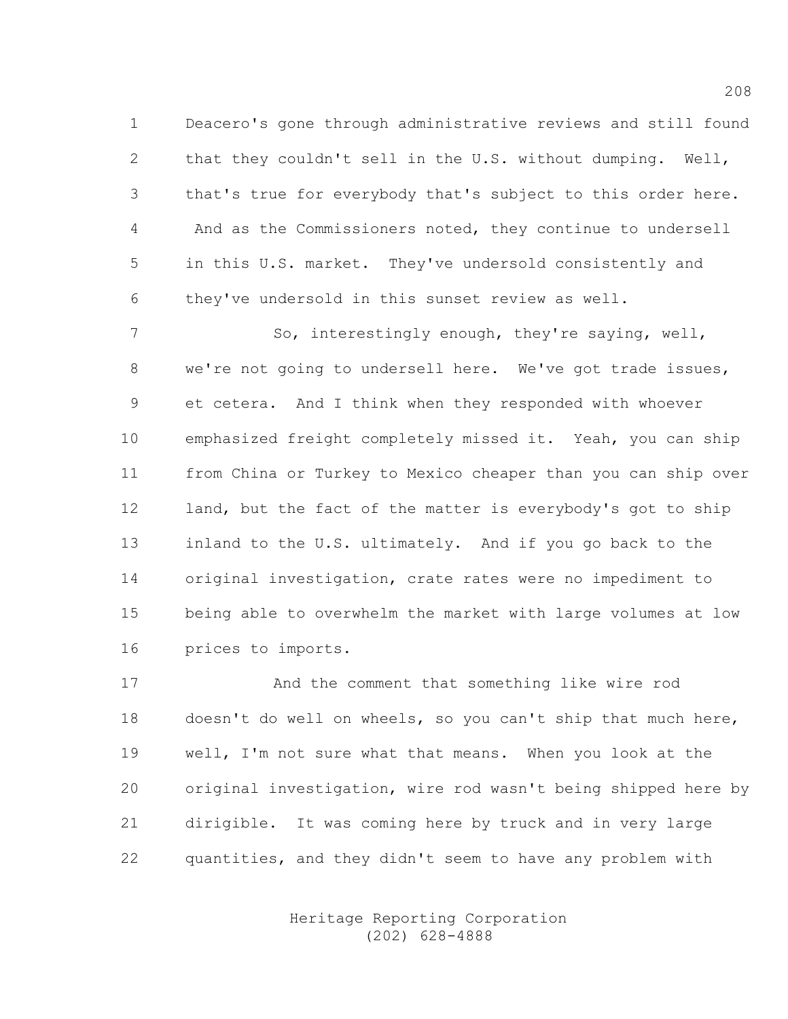1 Deacero's gone through administrative reviews and still found 2 that they couldn't sell in the U.S. without dumping. Well, 3 that's true for everybody that's subject to this order here. 4 And as the Commissioners noted, they continue to undersell 5 in this U.S. market. They've undersold consistently and 6 they've undersold in this sunset review as well.

7 So, interestingly enough, they're saying, well, 8 we're not going to undersell here. We've got trade issues, 9 et cetera. And I think when they responded with whoever 10 emphasized freight completely missed it. Yeah, you can ship 11 from China or Turkey to Mexico cheaper than you can ship over 12 land, but the fact of the matter is everybody's got to ship 13 inland to the U.S. ultimately. And if you go back to the 14 original investigation, crate rates were no impediment to 15 being able to overwhelm the market with large volumes at low 16 prices to imports.

17 And the comment that something like wire rod 18 doesn't do well on wheels, so you can't ship that much here, 19 well, I'm not sure what that means. When you look at the 20 original investigation, wire rod wasn't being shipped here by 21 dirigible. It was coming here by truck and in very large 22 quantities, and they didn't seem to have any problem with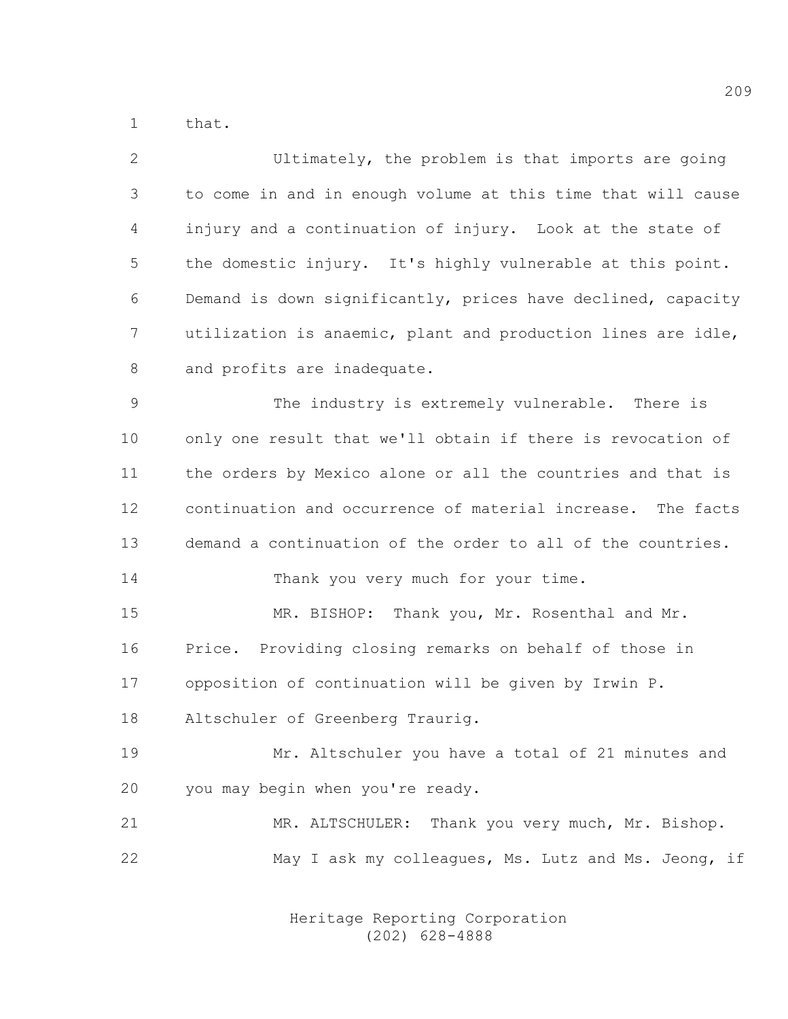1 that.

| $\mathbf{2}$ | Ultimately, the problem is that imports are going            |
|--------------|--------------------------------------------------------------|
| 3            | to come in and in enough volume at this time that will cause |
| 4            | injury and a continuation of injury. Look at the state of    |
| 5            | the domestic injury. It's highly vulnerable at this point.   |
| 6            | Demand is down significantly, prices have declined, capacity |
| 7            | utilization is anaemic, plant and production lines are idle, |
| 8            | and profits are inadequate.                                  |
| 9            | The industry is extremely vulnerable. There is               |
| 10           | only one result that we'll obtain if there is revocation of  |
| 11           | the orders by Mexico alone or all the countries and that is  |
| 12           | continuation and occurrence of material increase. The facts  |
| 13           | demand a continuation of the order to all of the countries.  |
| 14           | Thank you very much for your time.                           |
| 15           | MR. BISHOP: Thank you, Mr. Rosenthal and Mr.                 |
| 16           | Price. Providing closing remarks on behalf of those in       |
| 17           | opposition of continuation will be given by Irwin P.         |
| 18           | Altschuler of Greenberg Traurig.                             |
| 19           | Mr. Altschuler you have a total of 21 minutes and            |
| 20           | you may begin when you're ready.                             |
| 21           | MR. ALTSCHULER: Thank you very much, Mr. Bishop.             |
| 22           | May I ask my colleagues, Ms. Lutz and Ms. Jeong, if          |
|              |                                                              |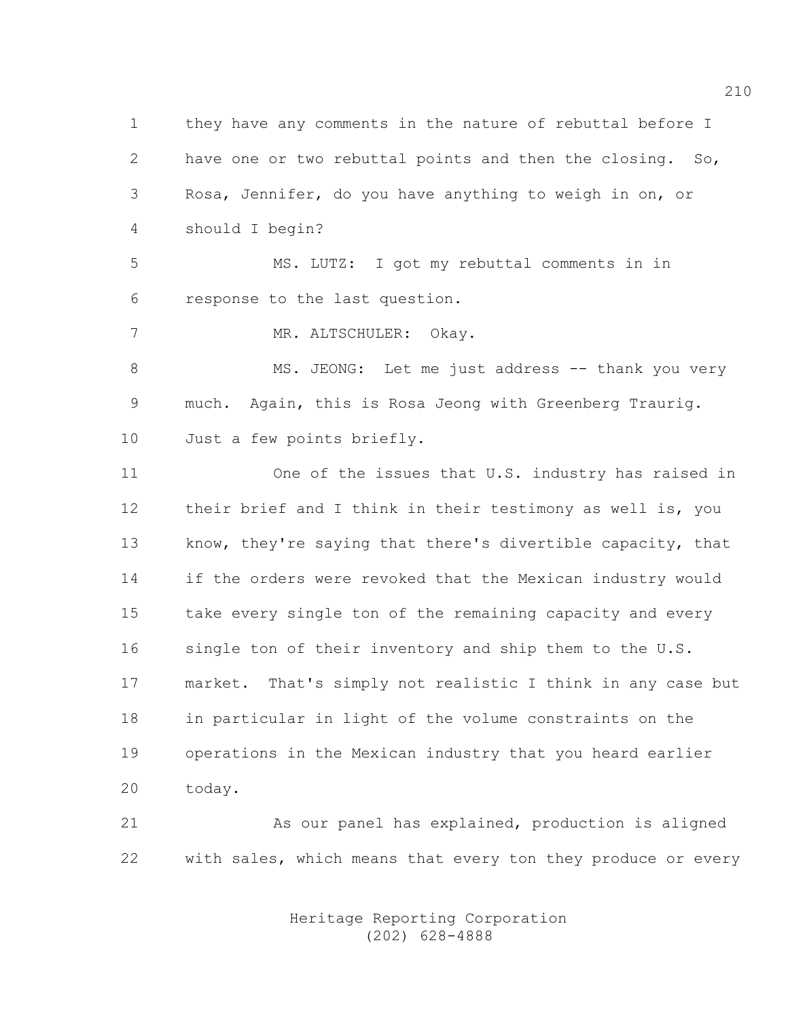1 they have any comments in the nature of rebuttal before I 2 have one or two rebuttal points and then the closing. So, 3 Rosa, Jennifer, do you have anything to weigh in on, or 4 should I begin?

5 MS. LUTZ: I got my rebuttal comments in in 6 response to the last question.

7 MR. ALTSCHULER: Okay.

8 MS. JEONG: Let me just address -- thank you very 9 much. Again, this is Rosa Jeong with Greenberg Traurig. 10 Just a few points briefly.

11 One of the issues that U.S. industry has raised in 12 their brief and I think in their testimony as well is, you 13 know, they're saying that there's divertible capacity, that 14 if the orders were revoked that the Mexican industry would 15 take every single ton of the remaining capacity and every 16 single ton of their inventory and ship them to the U.S. 17 market. That's simply not realistic I think in any case but 18 in particular in light of the volume constraints on the 19 operations in the Mexican industry that you heard earlier 20 today.

21 As our panel has explained, production is aligned 22 with sales, which means that every ton they produce or every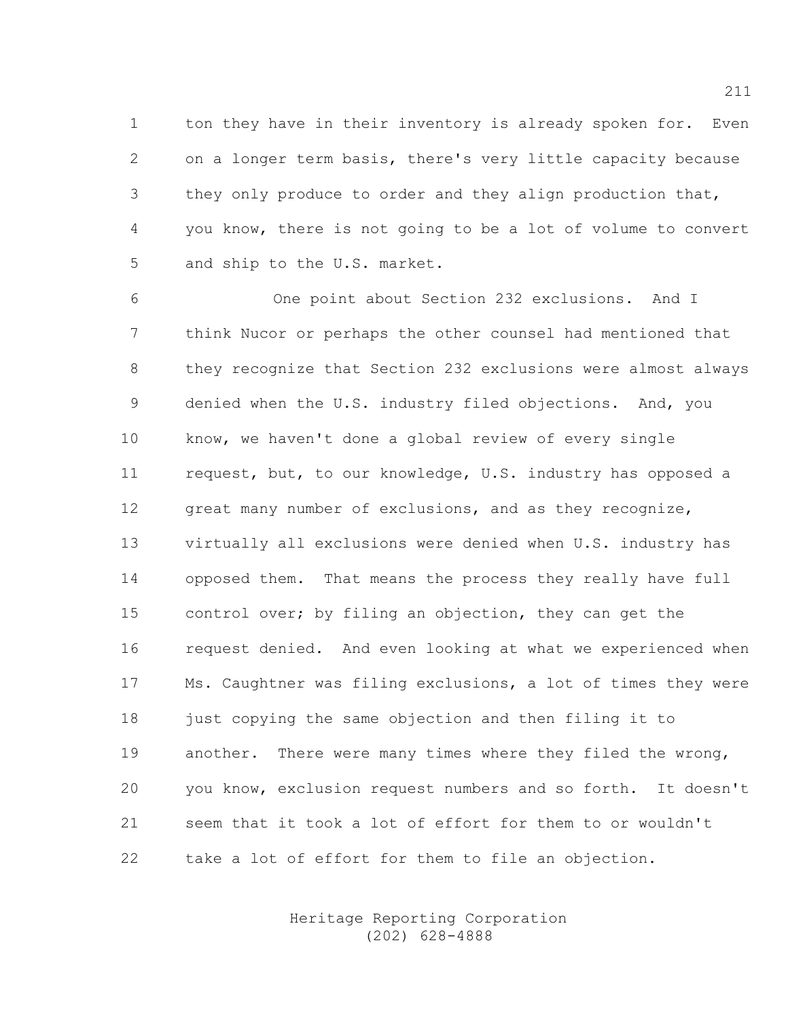1 ton they have in their inventory is already spoken for. Even 2 on a longer term basis, there's very little capacity because 3 they only produce to order and they align production that, 4 you know, there is not going to be a lot of volume to convert 5 and ship to the U.S. market.

6 One point about Section 232 exclusions. And I 7 think Nucor or perhaps the other counsel had mentioned that 8 they recognize that Section 232 exclusions were almost always 9 denied when the U.S. industry filed objections. And, you 10 know, we haven't done a global review of every single 11 request, but, to our knowledge, U.S. industry has opposed a 12 great many number of exclusions, and as they recognize, 13 virtually all exclusions were denied when U.S. industry has 14 opposed them. That means the process they really have full 15 control over; by filing an objection, they can get the 16 request denied. And even looking at what we experienced when 17 Ms. Caughtner was filing exclusions, a lot of times they were 18 just copying the same objection and then filing it to 19 another. There were many times where they filed the wrong, 20 you know, exclusion request numbers and so forth. It doesn't 21 seem that it took a lot of effort for them to or wouldn't 22 take a lot of effort for them to file an objection.

> Heritage Reporting Corporation (202) 628-4888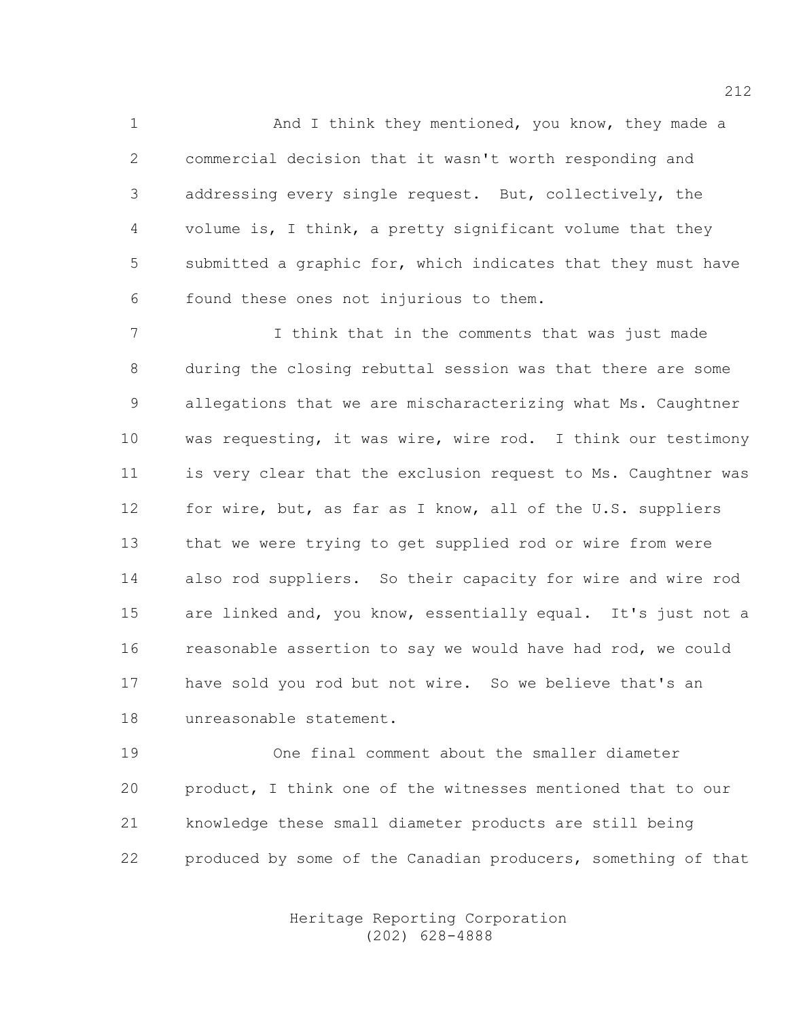1 And I think they mentioned, you know, they made a 2 commercial decision that it wasn't worth responding and 3 addressing every single request. But, collectively, the 4 volume is, I think, a pretty significant volume that they 5 submitted a graphic for, which indicates that they must have 6 found these ones not injurious to them.

7 I think that in the comments that was just made 8 during the closing rebuttal session was that there are some 9 allegations that we are mischaracterizing what Ms. Caughtner 10 was requesting, it was wire, wire rod. I think our testimony 11 is very clear that the exclusion request to Ms. Caughtner was 12 for wire, but, as far as I know, all of the U.S. suppliers 13 that we were trying to get supplied rod or wire from were 14 also rod suppliers. So their capacity for wire and wire rod 15 are linked and, you know, essentially equal. It's just not a 16 reasonable assertion to say we would have had rod, we could 17 have sold you rod but not wire. So we believe that's an 18 unreasonable statement.

19 One final comment about the smaller diameter 20 product, I think one of the witnesses mentioned that to our 21 knowledge these small diameter products are still being 22 produced by some of the Canadian producers, something of that

> Heritage Reporting Corporation (202) 628-4888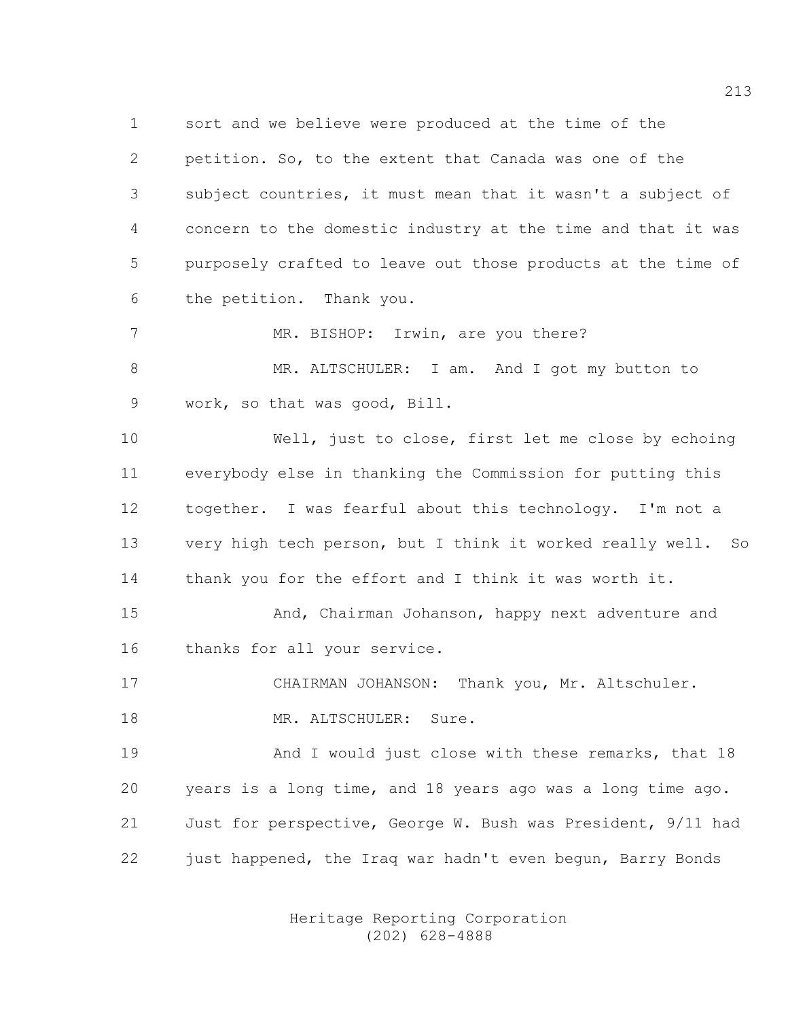1 sort and we believe were produced at the time of the 2 petition. So, to the extent that Canada was one of the 3 subject countries, it must mean that it wasn't a subject of 4 concern to the domestic industry at the time and that it was 5 purposely crafted to leave out those products at the time of 6 the petition. Thank you.

7 MR. BISHOP: Irwin, are you there?

8 MR. ALTSCHULER: I am. And I got my button to 9 work, so that was good, Bill.

10 Well, just to close, first let me close by echoing 11 everybody else in thanking the Commission for putting this 12 together. I was fearful about this technology. I'm not a 13 very high tech person, but I think it worked really well. So 14 thank you for the effort and I think it was worth it.

15 And, Chairman Johanson, happy next adventure and 16 thanks for all your service.

17 CHAIRMAN JOHANSON: Thank you, Mr. Altschuler.

18 MR. ALTSCHULER: Sure.

19 And I would just close with these remarks, that 18 20 years is a long time, and 18 years ago was a long time ago. 21 Just for perspective, George W. Bush was President, 9/11 had 22 just happened, the Iraq war hadn't even begun, Barry Bonds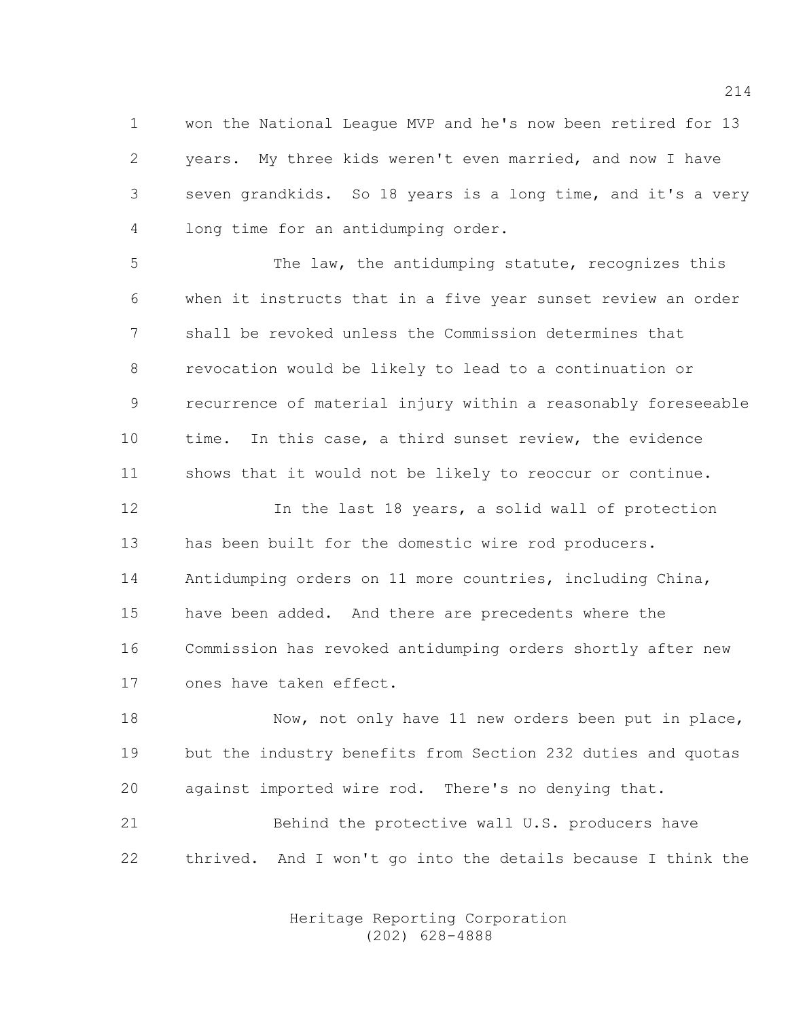1 won the National League MVP and he's now been retired for 13 2 years. My three kids weren't even married, and now I have 3 seven grandkids. So 18 years is a long time, and it's a very 4 long time for an antidumping order.

5 The law, the antidumping statute, recognizes this 6 when it instructs that in a five year sunset review an order 7 shall be revoked unless the Commission determines that 8 revocation would be likely to lead to a continuation or 9 recurrence of material injury within a reasonably foreseeable 10 time. In this case, a third sunset review, the evidence 11 shows that it would not be likely to reoccur or continue.

12 In the last 18 years, a solid wall of protection 13 has been built for the domestic wire rod producers. 14 Antidumping orders on 11 more countries, including China, 15 have been added. And there are precedents where the 16 Commission has revoked antidumping orders shortly after new 17 ones have taken effect.

18 Now, not only have 11 new orders been put in place, 19 but the industry benefits from Section 232 duties and quotas 20 against imported wire rod. There's no denying that.

21 Behind the protective wall U.S. producers have 22 thrived. And I won't go into the details because I think the

> Heritage Reporting Corporation (202) 628-4888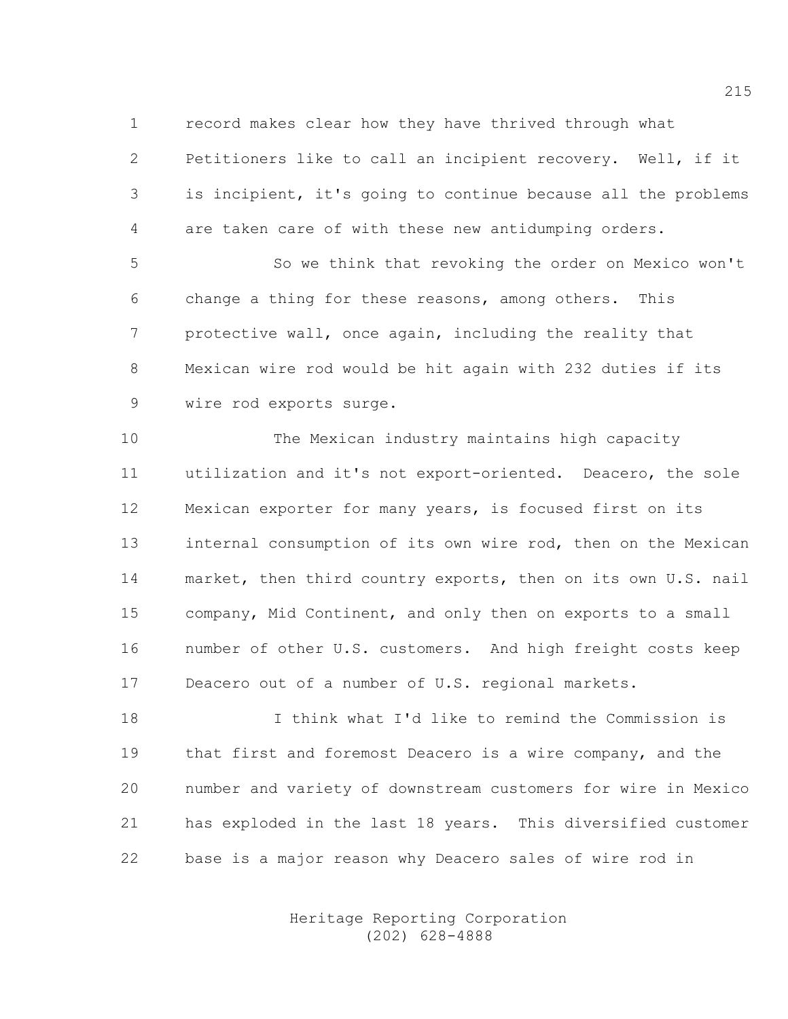1 record makes clear how they have thrived through what

2 Petitioners like to call an incipient recovery. Well, if it 3 is incipient, it's going to continue because all the problems 4 are taken care of with these new antidumping orders.

5 So we think that revoking the order on Mexico won't 6 change a thing for these reasons, among others. This 7 protective wall, once again, including the reality that 8 Mexican wire rod would be hit again with 232 duties if its 9 wire rod exports surge.

10 The Mexican industry maintains high capacity 11 utilization and it's not export-oriented. Deacero, the sole 12 Mexican exporter for many years, is focused first on its 13 internal consumption of its own wire rod, then on the Mexican 14 market, then third country exports, then on its own U.S. nail 15 company, Mid Continent, and only then on exports to a small 16 number of other U.S. customers. And high freight costs keep 17 Deacero out of a number of U.S. regional markets.

18 I think what I'd like to remind the Commission is 19 that first and foremost Deacero is a wire company, and the 20 number and variety of downstream customers for wire in Mexico 21 has exploded in the last 18 years. This diversified customer 22 base is a major reason why Deacero sales of wire rod in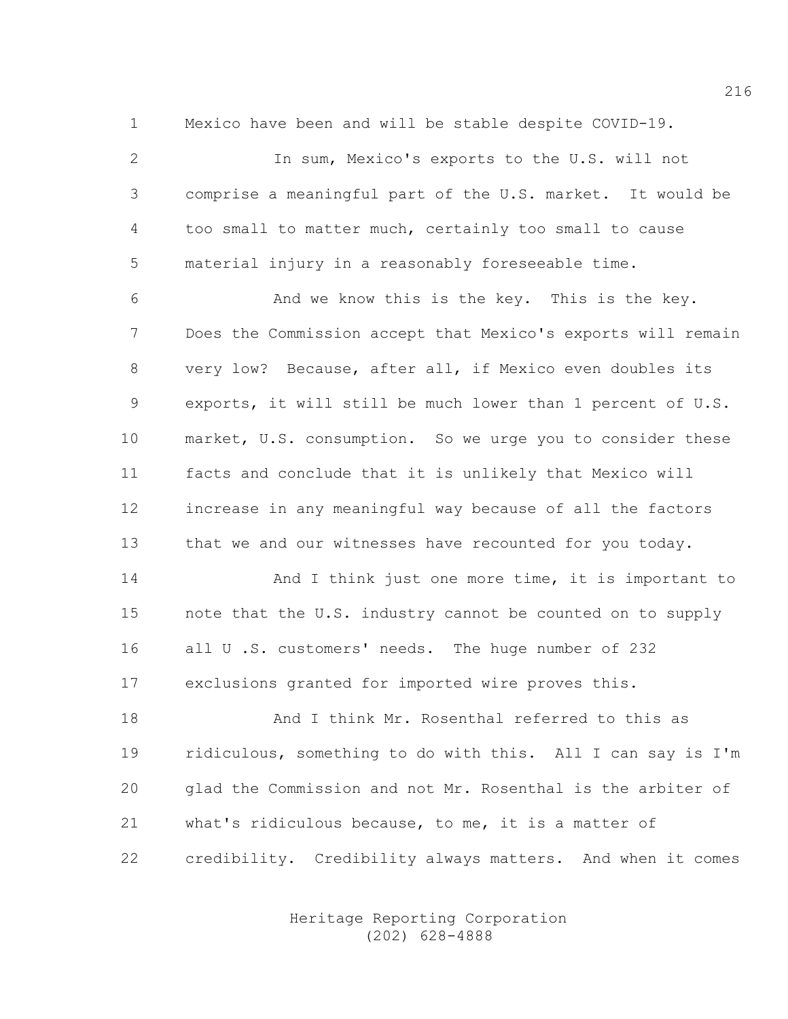1 Mexico have been and will be stable despite COVID-19.

2 In sum, Mexico's exports to the U.S. will not 3 comprise a meaningful part of the U.S. market. It would be 4 too small to matter much, certainly too small to cause 5 material injury in a reasonably foreseeable time.

6 And we know this is the key. This is the key. 7 Does the Commission accept that Mexico's exports will remain 8 very low? Because, after all, if Mexico even doubles its 9 exports, it will still be much lower than 1 percent of U.S. 10 market, U.S. consumption. So we urge you to consider these 11 facts and conclude that it is unlikely that Mexico will 12 increase in any meaningful way because of all the factors 13 that we and our witnesses have recounted for you today.

14 And I think just one more time, it is important to 15 note that the U.S. industry cannot be counted on to supply 16 all U.S. customers' needs. The huge number of 232 17 exclusions granted for imported wire proves this.

18 And I think Mr. Rosenthal referred to this as 19 ridiculous, something to do with this. All I can say is I'm 20 glad the Commission and not Mr. Rosenthal is the arbiter of 21 what's ridiculous because, to me, it is a matter of 22 credibility. Credibility always matters. And when it comes

> Heritage Reporting Corporation (202) 628-4888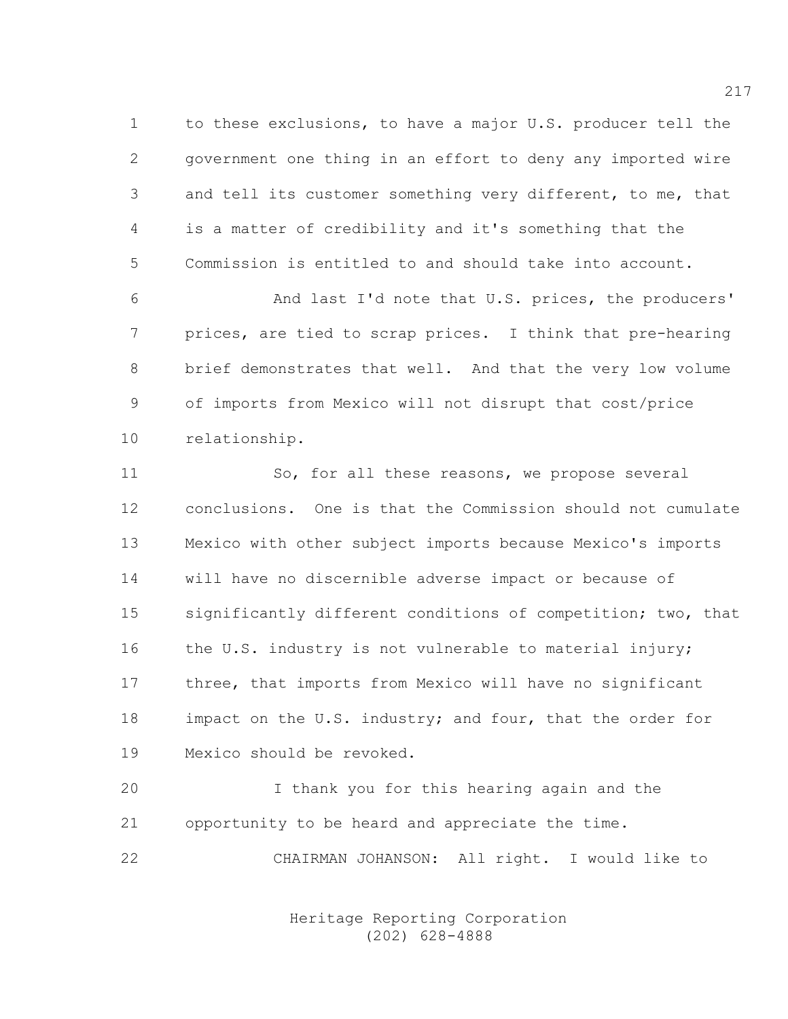1 to these exclusions, to have a major U.S. producer tell the 2 government one thing in an effort to deny any imported wire 3 and tell its customer something very different, to me, that 4 is a matter of credibility and it's something that the 5 Commission is entitled to and should take into account.

6 And last I'd note that U.S. prices, the producers' 7 prices, are tied to scrap prices. I think that pre-hearing 8 brief demonstrates that well. And that the very low volume 9 of imports from Mexico will not disrupt that cost/price 10 relationship.

11 So, for all these reasons, we propose several 12 conclusions. One is that the Commission should not cumulate 13 Mexico with other subject imports because Mexico's imports 14 will have no discernible adverse impact or because of 15 significantly different conditions of competition; two, that 16 the U.S. industry is not vulnerable to material injury; 17 three, that imports from Mexico will have no significant 18 impact on the U.S. industry; and four, that the order for 19 Mexico should be revoked.

20 I thank you for this hearing again and the 21 opportunity to be heard and appreciate the time. 22 CHAIRMAN JOHANSON: All right. I would like to

> Heritage Reporting Corporation (202) 628-4888

217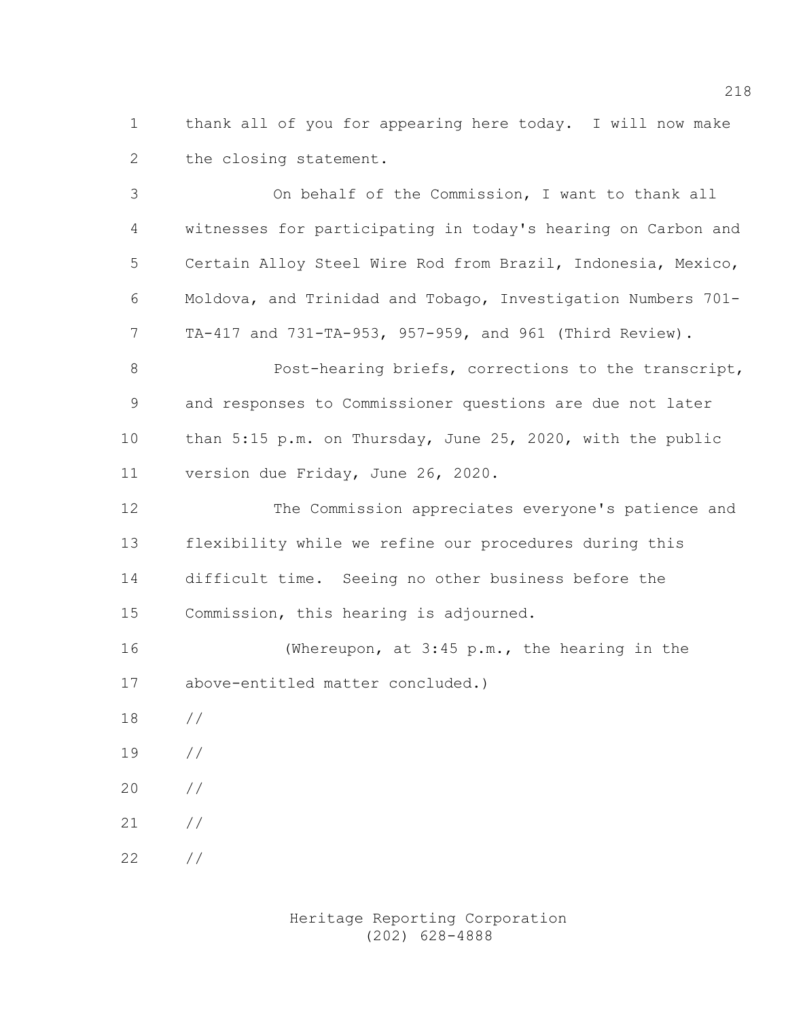1 thank all of you for appearing here today. I will now make 2 the closing statement.

3 On behalf of the Commission, I want to thank all 4 witnesses for participating in today's hearing on Carbon and 5 Certain Alloy Steel Wire Rod from Brazil, Indonesia, Mexico, 6 Moldova, and Trinidad and Tobago, Investigation Numbers 701- 7 TA-417 and 731-TA-953, 957-959, and 961 (Third Review). 8 Post-hearing briefs, corrections to the transcript, 9 and responses to Commissioner questions are due not later 10 than 5:15 p.m. on Thursday, June 25, 2020, with the public 11 version due Friday, June 26, 2020. 12 The Commission appreciates everyone's patience and 13 flexibility while we refine our procedures during this 14 difficult time. Seeing no other business before the 15 Commission, this hearing is adjourned. 16 (Whereupon, at 3:45 p.m., the hearing in the

17 above-entitled matter concluded.)

- 18 //
- 19 //
- 20 //
- 21 //

22 //

 Heritage Reporting Corporation (202) 628-4888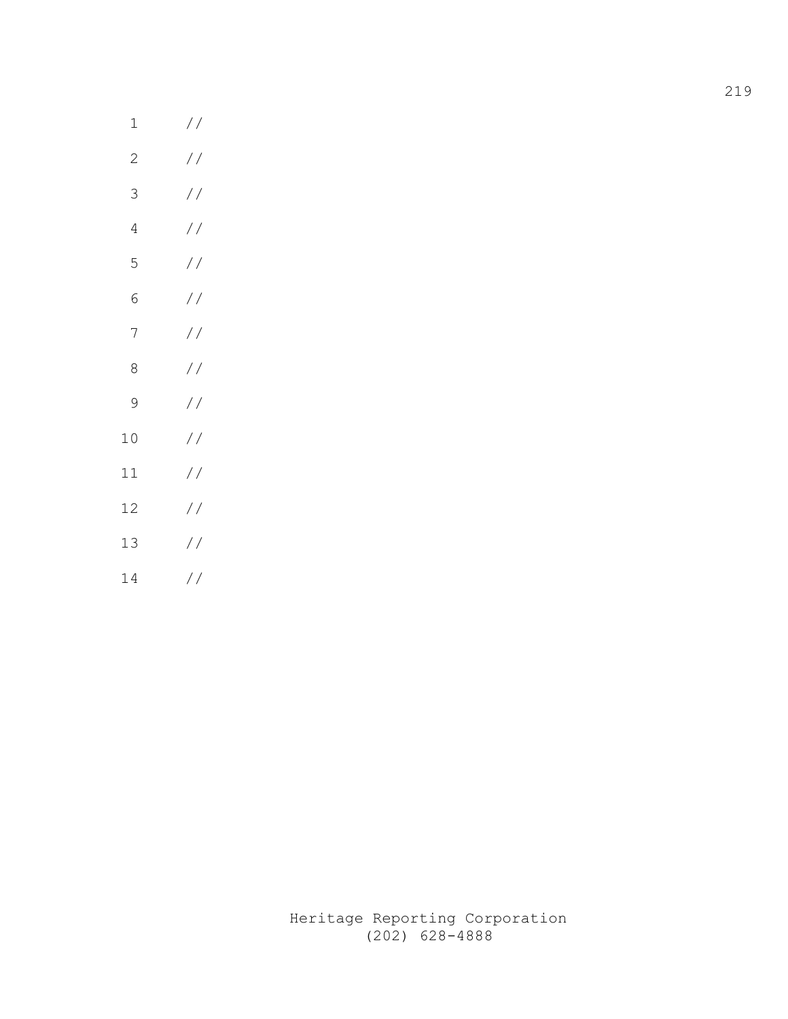| 1              |               |
|----------------|---------------|
| $\overline{c}$ | $\frac{1}{2}$ |
| 3              | $\frac{1}{2}$ |
| 4              | $\frac{1}{2}$ |
| 5              | $\frac{1}{2}$ |
| 6              | $\frac{1}{2}$ |
| 7              | $\frac{1}{2}$ |
| 8              | $\frac{1}{2}$ |
| 9              | $\frac{1}{2}$ |
| 10             | $\frac{1}{2}$ |
| 11             | $\frac{1}{2}$ |
| 12             | $\frac{1}{2}$ |
| 13             | $\frac{1}{2}$ |
| 14             | $\frac{1}{2}$ |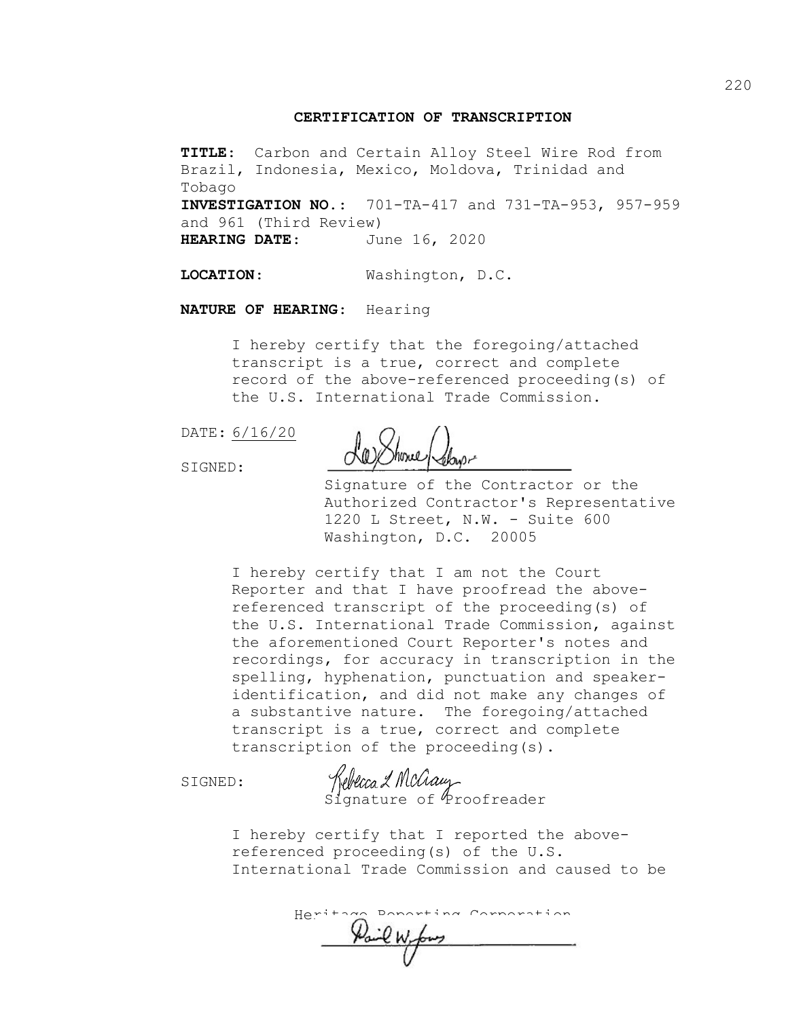## CERTIFICATION OF TRANSCRIPTION

TITLE: Carbon and Certain Alloy Steel Wire Rod from Brazil, Indonesia, Mexico, Moldova, Trinidad and Tobago INVESTIGATION NO.: 701-TA-417 and 731-TA-953, 957-959 and 961 (Third Review) HEARING DATE: June 16, 2020

LOCATION: Washington, D.C.

NATURE OF HEARING: Hearing

I hereby certify that the foregoing/attached transcript is a true, correct and complete record of the above-referenced proceeding(s) of the U.S. International Trade Commission.

DATE: 6/16/20

SIGNED:

La Shone (Show-

Signature of the Contractor or the Authorized Contractor's Representative 1220 L Street, N.W. - Suite 600 Washington, D.C. 20005

I hereby certify that I am not the Court Reporter and that I have proofread the abovereferenced transcript of the proceeding(s) of the U.S. International Trade Commission, against the aforementioned Court Reporter's notes and recordings, for accuracy in transcription in the spelling, hyphenation, punctuation and speakeridentification, and did not make any changes of a substantive nature. The foregoing/attached transcript is a true, correct and complete transcription of the proceeding(s).

SIGNED:

Kebecca & Mcauy<br>Signature of Proofreader

I hereby certify that I reported the abovereferenced proceeding(s) of the U.S. International Trade Commission and caused to be

 Heritage Reporting Corporation  $\chi$  and  $\mu$  forms